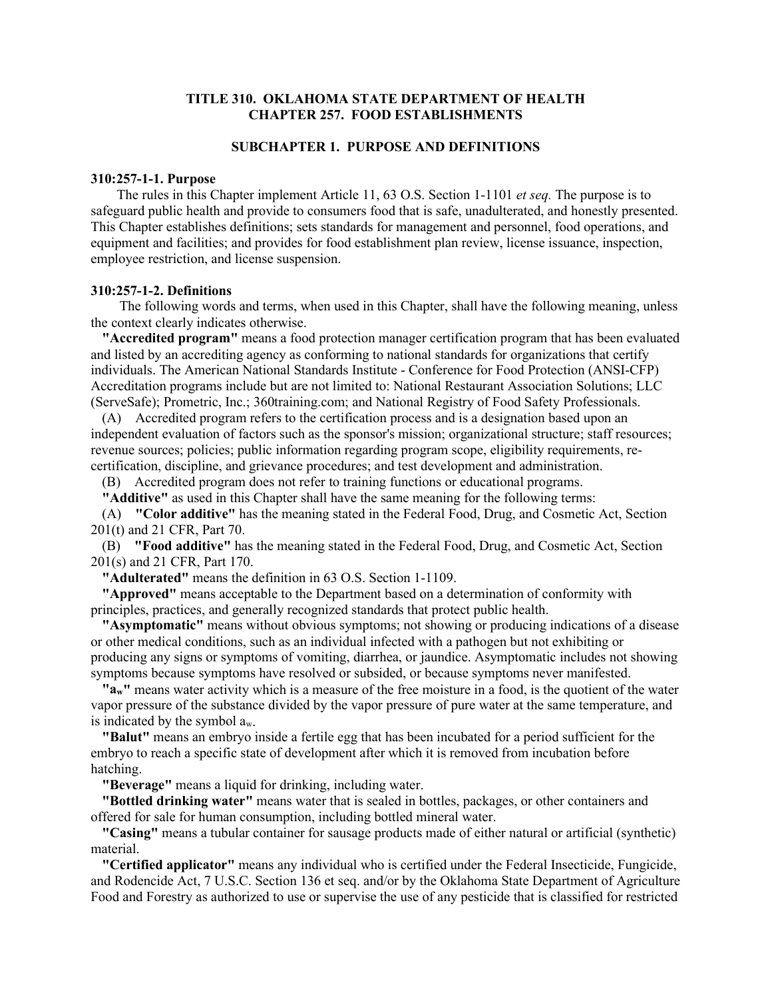#### **TITLE 310. OKLAHOMA STATE DEPARTMENT OF HEALTH CHAPTER 257. FOOD ESTABLISHMENTS**

# **SUBCHAPTER 1. PURPOSE AND DEFINITIONS**

#### **310:257-1-1. Purpose**

 The rules in this Chapter implement Article 11, 63 O.S. Section 1-1101 *et seq.* The purpose is to safeguard public health and provide to consumers food that is safe, unadulterated, and honestly presented. This Chapter establishes definitions; sets standards for management and personnel, food operations, and equipment and facilities; and provides for food establishment plan review, license issuance, inspection, employee restriction, and license suspension.

#### **310:257-1-2. Definitions**

 The following words and terms, when used in this Chapter, shall have the following meaning, unless the context clearly indicates otherwise.

**"Accredited program"** means a food protection manager certification program that has been evaluated and listed by an accrediting agency as conforming to national standards for organizations that certify individuals. The American National Standards Institute - Conference for Food Protection (ANSI-CFP) Accreditation programs include but are not limited to: National Restaurant Association Solutions; LLC (ServeSafe); Prometric, Inc.; 360training.com; and National Registry of Food Safety Professionals.

(A) Accredited program refers to the certification process and is a designation based upon an independent evaluation of factors such as the sponsor's mission; organizational structure; staff resources; revenue sources; policies; public information regarding program scope, eligibility requirements, recertification, discipline, and grievance procedures; and test development and administration.

(B) Accredited program does not refer to training functions or educational programs.

**"Additive"** as used in this Chapter shall have the same meaning for the following terms:

(A) **"Color additive"** has the meaning stated in the Federal Food, Drug, and Cosmetic Act, Section 201(t) and 21 CFR, Part 70.

(B) **"Food additive"** has the meaning stated in the Federal Food, Drug, and Cosmetic Act, Section 201(s) and 21 CFR, Part 170.

**"Adulterated"** means the definition in 63 O.S. Section 1-1109.

**"Approved"** means acceptable to the Department based on a determination of conformity with principles, practices, and generally recognized standards that protect public health.

**"Asymptomatic"** means without obvious symptoms; not showing or producing indications of a disease or other medical conditions, such as an individual infected with a pathogen but not exhibiting or producing any signs or symptoms of vomiting, diarrhea, or jaundice. Asymptomatic includes not showing symptoms because symptoms have resolved or subsided, or because symptoms never manifested.

**"aw"** means water activity which is a measure of the free moisture in a food, is the quotient of the water vapor pressure of the substance divided by the vapor pressure of pure water at the same temperature, and is indicated by the symbol aw.

**"Balut"** means an embryo inside a fertile egg that has been incubated for a period sufficient for the embryo to reach a specific state of development after which it is removed from incubation before hatching.

**"Beverage"** means a liquid for drinking, including water.

**"Bottled drinking water"** means water that is sealed in bottles, packages, or other containers and offered for sale for human consumption, including bottled mineral water.

**"Casing"** means a tubular container for sausage products made of either natural or artificial (synthetic) material.

**"Certified applicator"** means any individual who is certified under the Federal Insecticide, Fungicide, and Rodencide Act, 7 U.S.C. Section 136 et seq. and/or by the Oklahoma State Department of Agriculture Food and Forestry as authorized to use or supervise the use of any pesticide that is classified for restricted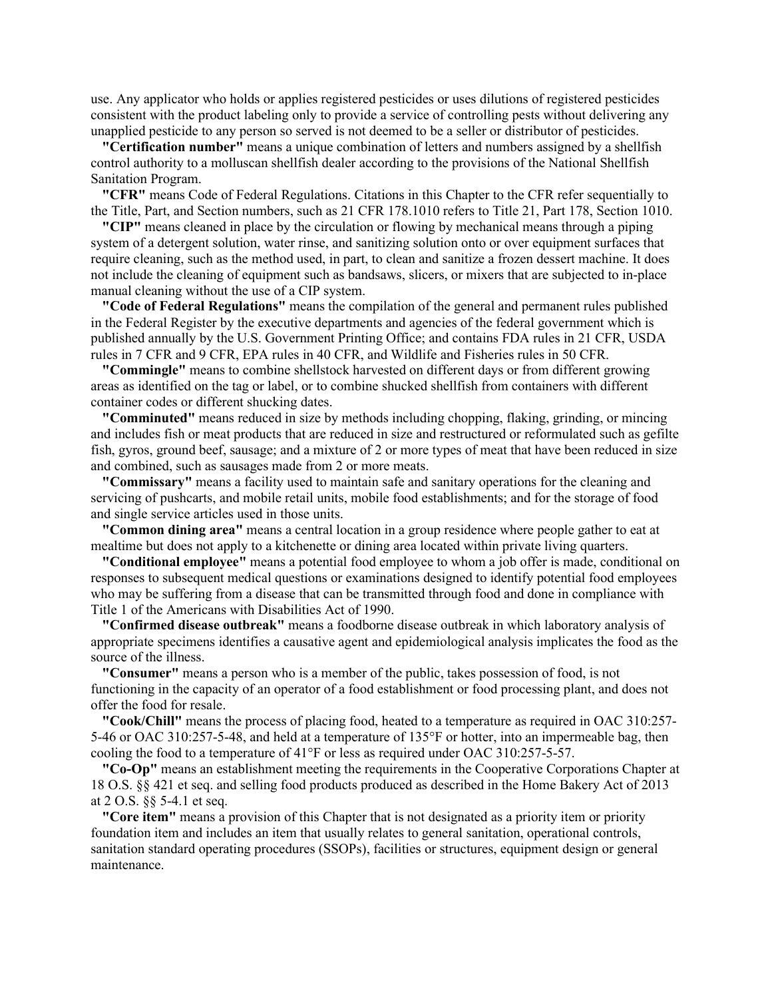use. Any applicator who holds or applies registered pesticides or uses dilutions of registered pesticides consistent with the product labeling only to provide a service of controlling pests without delivering any unapplied pesticide to any person so served is not deemed to be a seller or distributor of pesticides.

**"Certification number"** means a unique combination of letters and numbers assigned by a shellfish control authority to a molluscan shellfish dealer according to the provisions of the National Shellfish Sanitation Program.

**"CFR"** means Code of Federal Regulations. Citations in this Chapter to the CFR refer sequentially to the Title, Part, and Section numbers, such as 21 CFR 178.1010 refers to Title 21, Part 178, Section 1010.

**"CIP"** means cleaned in place by the circulation or flowing by mechanical means through a piping system of a detergent solution, water rinse, and sanitizing solution onto or over equipment surfaces that require cleaning, such as the method used, in part, to clean and sanitize a frozen dessert machine. It does not include the cleaning of equipment such as bandsaws, slicers, or mixers that are subjected to in-place manual cleaning without the use of a CIP system.

**"Code of Federal Regulations"** means the compilation of the general and permanent rules published in the Federal Register by the executive departments and agencies of the federal government which is published annually by the U.S. Government Printing Office; and contains FDA rules in 21 CFR, USDA rules in 7 CFR and 9 CFR, EPA rules in 40 CFR, and Wildlife and Fisheries rules in 50 CFR.

**"Commingle"** means to combine shellstock harvested on different days or from different growing areas as identified on the tag or label, or to combine shucked shellfish from containers with different container codes or different shucking dates.

**"Comminuted"** means reduced in size by methods including chopping, flaking, grinding, or mincing and includes fish or meat products that are reduced in size and restructured or reformulated such as gefilte fish, gyros, ground beef, sausage; and a mixture of 2 or more types of meat that have been reduced in size and combined, such as sausages made from 2 or more meats.

**"Commissary"** means a facility used to maintain safe and sanitary operations for the cleaning and servicing of pushcarts, and mobile retail units, mobile food establishments; and for the storage of food and single service articles used in those units.

**"Common dining area"** means a central location in a group residence where people gather to eat at mealtime but does not apply to a kitchenette or dining area located within private living quarters.

**"Conditional employee"** means a potential food employee to whom a job offer is made, conditional on responses to subsequent medical questions or examinations designed to identify potential food employees who may be suffering from a disease that can be transmitted through food and done in compliance with Title 1 of the Americans with Disabilities Act of 1990.

**"Confirmed disease outbreak"** means a foodborne disease outbreak in which laboratory analysis of appropriate specimens identifies a causative agent and epidemiological analysis implicates the food as the source of the illness.

**"Consumer"** means a person who is a member of the public, takes possession of food, is not functioning in the capacity of an operator of a food establishment or food processing plant, and does not offer the food for resale.

**"Cook/Chill"** means the process of placing food, heated to a temperature as required in OAC 310:257- 5-46 or OAC 310:257-5-48, and held at a temperature of 135°F or hotter, into an impermeable bag, then cooling the food to a temperature of 41°F or less as required under OAC 310:257-5-57.

**"Co-Op"** means an establishment meeting the requirements in the Cooperative Corporations Chapter at 18 O.S. §§ 421 et seq. and selling food products produced as described in the Home Bakery Act of 2013 at 2 O.S. §§ 5-4.1 et seq.

**"Core item"** means a provision of this Chapter that is not designated as a priority item or priority foundation item and includes an item that usually relates to general sanitation, operational controls, sanitation standard operating procedures (SSOPs), facilities or structures, equipment design or general maintenance.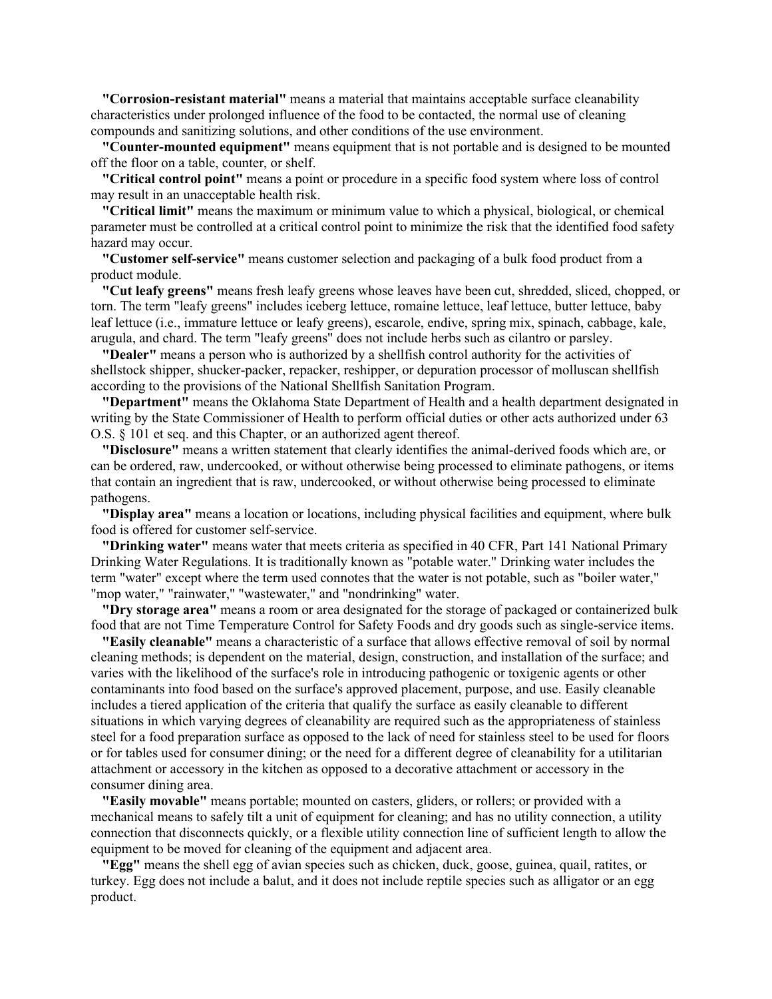**"Corrosion-resistant material"** means a material that maintains acceptable surface cleanability characteristics under prolonged influence of the food to be contacted, the normal use of cleaning compounds and sanitizing solutions, and other conditions of the use environment.

**"Counter-mounted equipment"** means equipment that is not portable and is designed to be mounted off the floor on a table, counter, or shelf.

**"Critical control point"** means a point or procedure in a specific food system where loss of control may result in an unacceptable health risk.

**"Critical limit"** means the maximum or minimum value to which a physical, biological, or chemical parameter must be controlled at a critical control point to minimize the risk that the identified food safety hazard may occur.

**"Customer self-service"** means customer selection and packaging of a bulk food product from a product module.

**"Cut leafy greens"** means fresh leafy greens whose leaves have been cut, shredded, sliced, chopped, or torn. The term "leafy greens" includes iceberg lettuce, romaine lettuce, leaf lettuce, butter lettuce, baby leaf lettuce (i.e., immature lettuce or leafy greens), escarole, endive, spring mix, spinach, cabbage, kale, arugula, and chard. The term "leafy greens" does not include herbs such as cilantro or parsley.

**"Dealer"** means a person who is authorized by a shellfish control authority for the activities of shellstock shipper, shucker-packer, repacker, reshipper, or depuration processor of molluscan shellfish according to the provisions of the National Shellfish Sanitation Program.

**"Department"** means the Oklahoma State Department of Health and a health department designated in writing by the State Commissioner of Health to perform official duties or other acts authorized under 63 O.S. § 101 et seq. and this Chapter, or an authorized agent thereof.

**"Disclosure"** means a written statement that clearly identifies the animal-derived foods which are, or can be ordered, raw, undercooked, or without otherwise being processed to eliminate pathogens, or items that contain an ingredient that is raw, undercooked, or without otherwise being processed to eliminate pathogens.

**"Display area"** means a location or locations, including physical facilities and equipment, where bulk food is offered for customer self-service.

**"Drinking water"** means water that meets criteria as specified in 40 CFR, Part 141 National Primary Drinking Water Regulations. It is traditionally known as "potable water." Drinking water includes the term "water" except where the term used connotes that the water is not potable, such as "boiler water," "mop water," "rainwater," "wastewater," and "nondrinking" water.

**"Dry storage area"** means a room or area designated for the storage of packaged or containerized bulk food that are not Time Temperature Control for Safety Foods and dry goods such as single-service items.

**"Easily cleanable"** means a characteristic of a surface that allows effective removal of soil by normal cleaning methods; is dependent on the material, design, construction, and installation of the surface; and varies with the likelihood of the surface's role in introducing pathogenic or toxigenic agents or other contaminants into food based on the surface's approved placement, purpose, and use. Easily cleanable includes a tiered application of the criteria that qualify the surface as easily cleanable to different situations in which varying degrees of cleanability are required such as the appropriateness of stainless steel for a food preparation surface as opposed to the lack of need for stainless steel to be used for floors or for tables used for consumer dining; or the need for a different degree of cleanability for a utilitarian attachment or accessory in the kitchen as opposed to a decorative attachment or accessory in the consumer dining area.

**"Easily movable"** means portable; mounted on casters, gliders, or rollers; or provided with a mechanical means to safely tilt a unit of equipment for cleaning; and has no utility connection, a utility connection that disconnects quickly, or a flexible utility connection line of sufficient length to allow the equipment to be moved for cleaning of the equipment and adjacent area.

**"Egg"** means the shell egg of avian species such as chicken, duck, goose, guinea, quail, ratites, or turkey. Egg does not include a balut, and it does not include reptile species such as alligator or an egg product.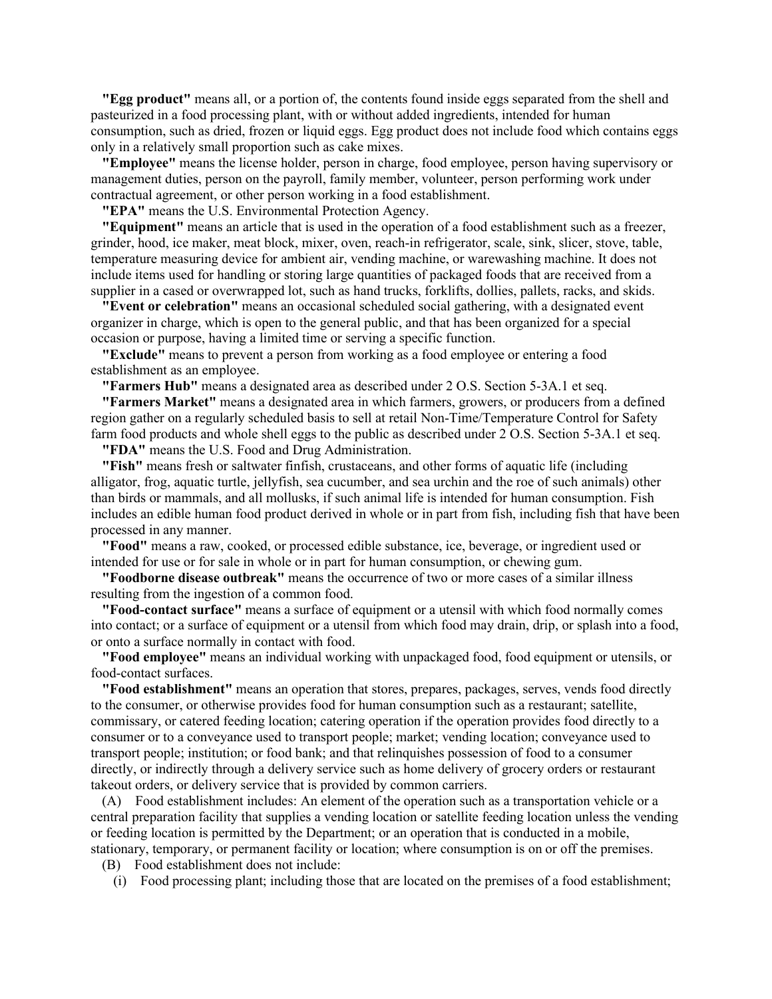**"Egg product"** means all, or a portion of, the contents found inside eggs separated from the shell and pasteurized in a food processing plant, with or without added ingredients, intended for human consumption, such as dried, frozen or liquid eggs. Egg product does not include food which contains eggs only in a relatively small proportion such as cake mixes.

**"Employee"** means the license holder, person in charge, food employee, person having supervisory or management duties, person on the payroll, family member, volunteer, person performing work under contractual agreement, or other person working in a food establishment.

**"EPA"** means the U.S. Environmental Protection Agency.

**"Equipment"** means an article that is used in the operation of a food establishment such as a freezer, grinder, hood, ice maker, meat block, mixer, oven, reach-in refrigerator, scale, sink, slicer, stove, table, temperature measuring device for ambient air, vending machine, or warewashing machine. It does not include items used for handling or storing large quantities of packaged foods that are received from a supplier in a cased or overwrapped lot, such as hand trucks, forklifts, dollies, pallets, racks, and skids.

**"Event or celebration"** means an occasional scheduled social gathering, with a designated event organizer in charge, which is open to the general public, and that has been organized for a special occasion or purpose, having a limited time or serving a specific function.

**"Exclude"** means to prevent a person from working as a food employee or entering a food establishment as an employee.

**"Farmers Hub"** means a designated area as described under 2 O.S. Section 5-3A.1 et seq.

**"Farmers Market"** means a designated area in which farmers, growers, or producers from a defined region gather on a regularly scheduled basis to sell at retail Non-Time/Temperature Control for Safety farm food products and whole shell eggs to the public as described under 2 O.S. Section 5-3A.1 et seq.

**"FDA"** means the U.S. Food and Drug Administration.

**"Fish"** means fresh or saltwater finfish, crustaceans, and other forms of aquatic life (including alligator, frog, aquatic turtle, jellyfish, sea cucumber, and sea urchin and the roe of such animals) other than birds or mammals, and all mollusks, if such animal life is intended for human consumption. Fish includes an edible human food product derived in whole or in part from fish, including fish that have been processed in any manner.

**"Food"** means a raw, cooked, or processed edible substance, ice, beverage, or ingredient used or intended for use or for sale in whole or in part for human consumption, or chewing gum.

**"Foodborne disease outbreak"** means the occurrence of two or more cases of a similar illness resulting from the ingestion of a common food.

**"Food-contact surface"** means a surface of equipment or a utensil with which food normally comes into contact; or a surface of equipment or a utensil from which food may drain, drip, or splash into a food, or onto a surface normally in contact with food.

**"Food employee"** means an individual working with unpackaged food, food equipment or utensils, or food-contact surfaces.

**"Food establishment"** means an operation that stores, prepares, packages, serves, vends food directly to the consumer, or otherwise provides food for human consumption such as a restaurant; satellite, commissary, or catered feeding location; catering operation if the operation provides food directly to a consumer or to a conveyance used to transport people; market; vending location; conveyance used to transport people; institution; or food bank; and that relinquishes possession of food to a consumer directly, or indirectly through a delivery service such as home delivery of grocery orders or restaurant takeout orders, or delivery service that is provided by common carriers.

(A) Food establishment includes: An element of the operation such as a transportation vehicle or a central preparation facility that supplies a vending location or satellite feeding location unless the vending or feeding location is permitted by the Department; or an operation that is conducted in a mobile, stationary, temporary, or permanent facility or location; where consumption is on or off the premises.

(B) Food establishment does not include:

(i) Food processing plant; including those that are located on the premises of a food establishment;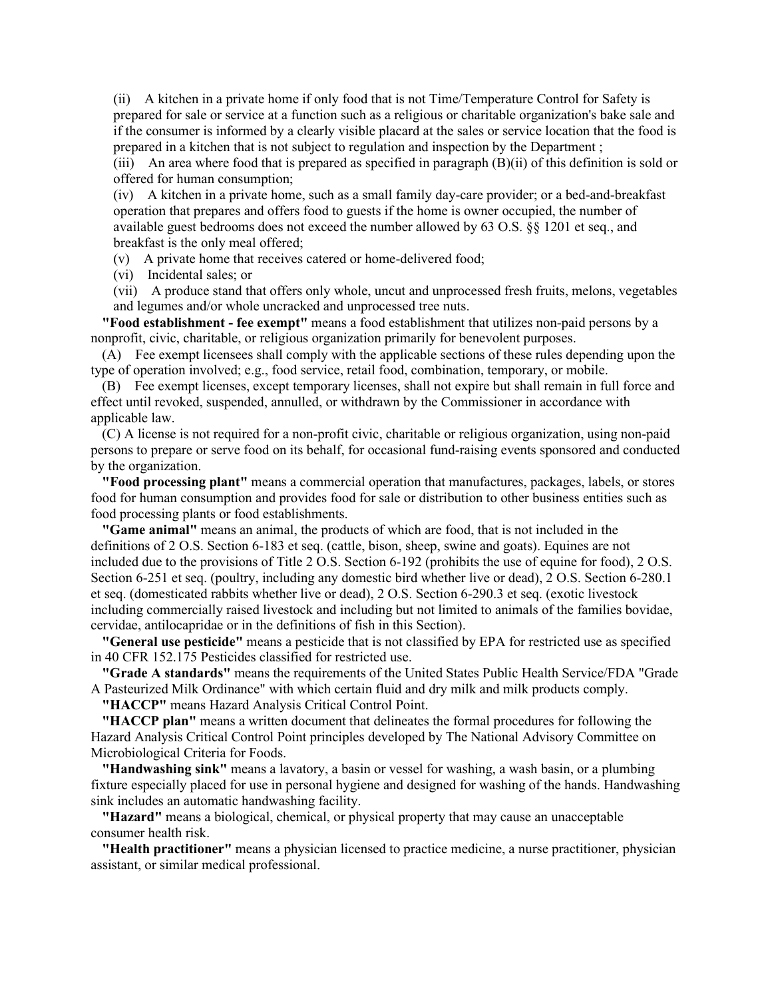(ii) A kitchen in a private home if only food that is not Time/Temperature Control for Safety is prepared for sale or service at a function such as a religious or charitable organization's bake sale and if the consumer is informed by a clearly visible placard at the sales or service location that the food is prepared in a kitchen that is not subject to regulation and inspection by the Department ;

(iii) An area where food that is prepared as specified in paragraph (B)(ii) of this definition is sold or offered for human consumption;

(iv) A kitchen in a private home, such as a small family day-care provider; or a bed-and-breakfast operation that prepares and offers food to guests if the home is owner occupied, the number of available guest bedrooms does not exceed the number allowed by 63 O.S. §§ 1201 et seq., and breakfast is the only meal offered;

(v) A private home that receives catered or home-delivered food;

(vi) Incidental sales; or

(vii) A produce stand that offers only whole, uncut and unprocessed fresh fruits, melons, vegetables and legumes and/or whole uncracked and unprocessed tree nuts.

**"Food establishment - fee exempt"** means a food establishment that utilizes non-paid persons by a nonprofit, civic, charitable, or religious organization primarily for benevolent purposes.

(A) Fee exempt licensees shall comply with the applicable sections of these rules depending upon the type of operation involved; e.g., food service, retail food, combination, temporary, or mobile.

(B) Fee exempt licenses, except temporary licenses, shall not expire but shall remain in full force and effect until revoked, suspended, annulled, or withdrawn by the Commissioner in accordance with applicable law.

(C) A license is not required for a non-profit civic, charitable or religious organization, using non-paid persons to prepare or serve food on its behalf, for occasional fund-raising events sponsored and conducted by the organization.

**"Food processing plant"** means a commercial operation that manufactures, packages, labels, or stores food for human consumption and provides food for sale or distribution to other business entities such as food processing plants or food establishments.

**"Game animal"** means an animal, the products of which are food, that is not included in the definitions of 2 O.S. Section 6-183 et seq. (cattle, bison, sheep, swine and goats). Equines are not included due to the provisions of Title 2 O.S. Section 6-192 (prohibits the use of equine for food), 2 O.S. Section 6-251 et seq. (poultry, including any domestic bird whether live or dead), 2 O.S. Section 6-280.1 et seq. (domesticated rabbits whether live or dead), 2 O.S. Section 6-290.3 et seq. (exotic livestock including commercially raised livestock and including but not limited to animals of the families bovidae, cervidae, antilocapridae or in the definitions of fish in this Section).

**"General use pesticide"** means a pesticide that is not classified by EPA for restricted use as specified in 40 CFR 152.175 Pesticides classified for restricted use.

**"Grade A standards"** means the requirements of the United States Public Health Service/FDA "Grade A Pasteurized Milk Ordinance" with which certain fluid and dry milk and milk products comply.

**"HACCP"** means Hazard Analysis Critical Control Point.

**"HACCP plan"** means a written document that delineates the formal procedures for following the Hazard Analysis Critical Control Point principles developed by The National Advisory Committee on Microbiological Criteria for Foods.

**"Handwashing sink"** means a lavatory, a basin or vessel for washing, a wash basin, or a plumbing fixture especially placed for use in personal hygiene and designed for washing of the hands. Handwashing sink includes an automatic handwashing facility.

**"Hazard"** means a biological, chemical, or physical property that may cause an unacceptable consumer health risk.

**"Health practitioner"** means a physician licensed to practice medicine, a nurse practitioner, physician assistant, or similar medical professional.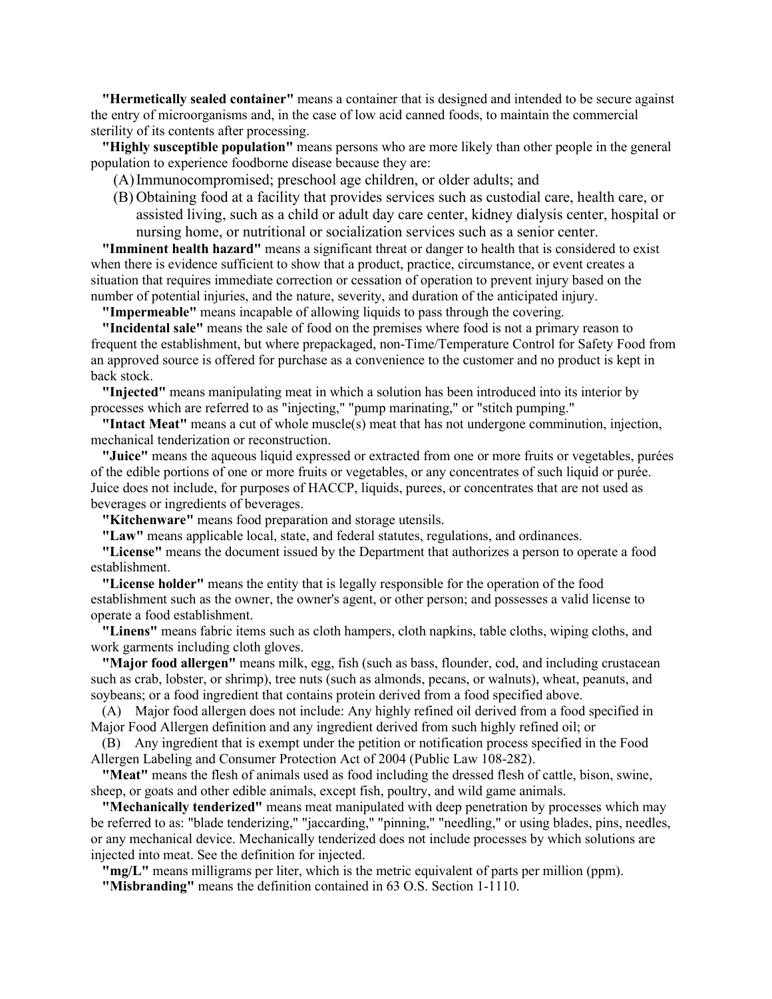**"Hermetically sealed container"** means a container that is designed and intended to be secure against the entry of microorganisms and, in the case of low acid canned foods, to maintain the commercial sterility of its contents after processing.

**"Highly susceptible population"** means persons who are more likely than other people in the general population to experience foodborne disease because they are:

(A)Immunocompromised; preschool age children, or older adults; and

(B) Obtaining food at a facility that provides services such as custodial care, health care, or assisted living, such as a child or adult day care center, kidney dialysis center, hospital or nursing home, or nutritional or socialization services such as a senior center.

**"Imminent health hazard"** means a significant threat or danger to health that is considered to exist when there is evidence sufficient to show that a product, practice, circumstance, or event creates a situation that requires immediate correction or cessation of operation to prevent injury based on the number of potential injuries, and the nature, severity, and duration of the anticipated injury.

**"Impermeable"** means incapable of allowing liquids to pass through the covering.

**"Incidental sale"** means the sale of food on the premises where food is not a primary reason to frequent the establishment, but where prepackaged, non-Time/Temperature Control for Safety Food from an approved source is offered for purchase as a convenience to the customer and no product is kept in back stock.

**"Injected"** means manipulating meat in which a solution has been introduced into its interior by processes which are referred to as "injecting," "pump marinating," or "stitch pumping."

**"Intact Meat"** means a cut of whole muscle(s) meat that has not undergone comminution, injection, mechanical tenderization or reconstruction.

**"Juice"** means the aqueous liquid expressed or extracted from one or more fruits or vegetables, purées of the edible portions of one or more fruits or vegetables, or any concentrates of such liquid or purée. Juice does not include, for purposes of HACCP, liquids, purees, or concentrates that are not used as beverages or ingredients of beverages.

**"Kitchenware"** means food preparation and storage utensils.

**"Law"** means applicable local, state, and federal statutes, regulations, and ordinances.

**"License"** means the document issued by the Department that authorizes a person to operate a food establishment.

**"License holder"** means the entity that is legally responsible for the operation of the food establishment such as the owner, the owner's agent, or other person; and possesses a valid license to operate a food establishment.

**"Linens"** means fabric items such as cloth hampers, cloth napkins, table cloths, wiping cloths, and work garments including cloth gloves.

**"Major food allergen"** means milk, egg, fish (such as bass, flounder, cod, and including crustacean such as crab, lobster, or shrimp), tree nuts (such as almonds, pecans, or walnuts), wheat, peanuts, and soybeans; or a food ingredient that contains protein derived from a food specified above.

(A) Major food allergen does not include: Any highly refined oil derived from a food specified in Major Food Allergen definition and any ingredient derived from such highly refined oil; or

(B) Any ingredient that is exempt under the petition or notification process specified in the Food Allergen Labeling and Consumer Protection Act of 2004 (Public Law 108-282).

**"Meat"** means the flesh of animals used as food including the dressed flesh of cattle, bison, swine, sheep, or goats and other edible animals, except fish, poultry, and wild game animals.

**"Mechanically tenderized"** means meat manipulated with deep penetration by processes which may be referred to as: "blade tenderizing," "jaccarding," "pinning," "needling," or using blades, pins, needles, or any mechanical device. Mechanically tenderized does not include processes by which solutions are injected into meat. See the definition for injected.

**"mg/L"** means milligrams per liter, which is the metric equivalent of parts per million (ppm).

**"Misbranding"** means the definition contained in 63 O.S. Section 1-1110.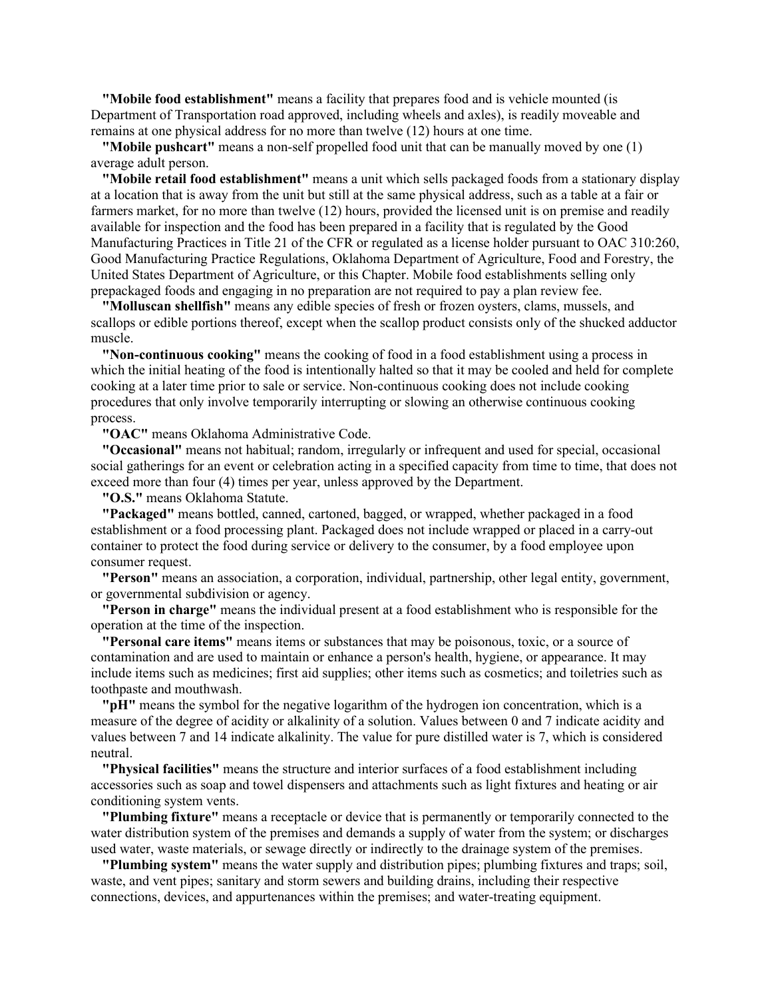**"Mobile food establishment"** means a facility that prepares food and is vehicle mounted (is Department of Transportation road approved, including wheels and axles), is readily moveable and remains at one physical address for no more than twelve (12) hours at one time.

**"Mobile pushcart"** means a non-self propelled food unit that can be manually moved by one (1) average adult person.

**"Mobile retail food establishment"** means a unit which sells packaged foods from a stationary display at a location that is away from the unit but still at the same physical address, such as a table at a fair or farmers market, for no more than twelve (12) hours, provided the licensed unit is on premise and readily available for inspection and the food has been prepared in a facility that is regulated by the Good Manufacturing Practices in Title 21 of the CFR or regulated as a license holder pursuant to OAC 310:260, Good Manufacturing Practice Regulations, Oklahoma Department of Agriculture, Food and Forestry, the United States Department of Agriculture, or this Chapter. Mobile food establishments selling only prepackaged foods and engaging in no preparation are not required to pay a plan review fee.

**"Molluscan shellfish"** means any edible species of fresh or frozen oysters, clams, mussels, and scallops or edible portions thereof, except when the scallop product consists only of the shucked adductor muscle.

**"Non-continuous cooking"** means the cooking of food in a food establishment using a process in which the initial heating of the food is intentionally halted so that it may be cooled and held for complete cooking at a later time prior to sale or service. Non-continuous cooking does not include cooking procedures that only involve temporarily interrupting or slowing an otherwise continuous cooking process.

**"OAC"** means Oklahoma Administrative Code.

**"Occasional"** means not habitual; random, irregularly or infrequent and used for special, occasional social gatherings for an event or celebration acting in a specified capacity from time to time, that does not exceed more than four (4) times per year, unless approved by the Department.

**"O.S."** means Oklahoma Statute.

**"Packaged"** means bottled, canned, cartoned, bagged, or wrapped, whether packaged in a food establishment or a food processing plant. Packaged does not include wrapped or placed in a carry-out container to protect the food during service or delivery to the consumer, by a food employee upon consumer request.

**"Person"** means an association, a corporation, individual, partnership, other legal entity, government, or governmental subdivision or agency.

**"Person in charge"** means the individual present at a food establishment who is responsible for the operation at the time of the inspection.

**"Personal care items"** means items or substances that may be poisonous, toxic, or a source of contamination and are used to maintain or enhance a person's health, hygiene, or appearance. It may include items such as medicines; first aid supplies; other items such as cosmetics; and toiletries such as toothpaste and mouthwash.

**"pH"** means the symbol for the negative logarithm of the hydrogen ion concentration, which is a measure of the degree of acidity or alkalinity of a solution. Values between 0 and 7 indicate acidity and values between 7 and 14 indicate alkalinity. The value for pure distilled water is 7, which is considered neutral.

**"Physical facilities"** means the structure and interior surfaces of a food establishment including accessories such as soap and towel dispensers and attachments such as light fixtures and heating or air conditioning system vents.

**"Plumbing fixture"** means a receptacle or device that is permanently or temporarily connected to the water distribution system of the premises and demands a supply of water from the system; or discharges used water, waste materials, or sewage directly or indirectly to the drainage system of the premises.

**"Plumbing system"** means the water supply and distribution pipes; plumbing fixtures and traps; soil, waste, and vent pipes; sanitary and storm sewers and building drains, including their respective connections, devices, and appurtenances within the premises; and water-treating equipment.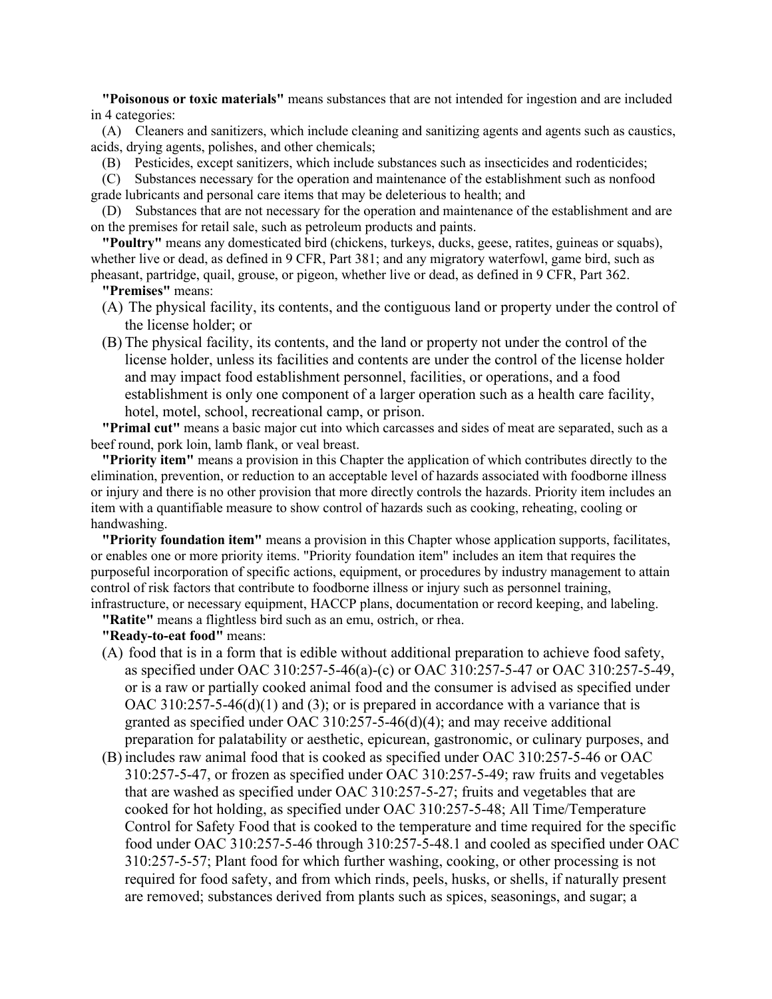**"Poisonous or toxic materials"** means substances that are not intended for ingestion and are included in 4 categories:

(A) Cleaners and sanitizers, which include cleaning and sanitizing agents and agents such as caustics, acids, drying agents, polishes, and other chemicals;

(B) Pesticides, except sanitizers, which include substances such as insecticides and rodenticides;

(C) Substances necessary for the operation and maintenance of the establishment such as nonfood grade lubricants and personal care items that may be deleterious to health; and

(D) Substances that are not necessary for the operation and maintenance of the establishment and are on the premises for retail sale, such as petroleum products and paints.

**"Poultry"** means any domesticated bird (chickens, turkeys, ducks, geese, ratites, guineas or squabs), whether live or dead, as defined in 9 CFR, Part 381; and any migratory waterfowl, game bird, such as pheasant, partridge, quail, grouse, or pigeon, whether live or dead, as defined in 9 CFR, Part 362.

**"Premises"** means:

- (A) The physical facility, its contents, and the contiguous land or property under the control of the license holder; or
- (B) The physical facility, its contents, and the land or property not under the control of the license holder, unless its facilities and contents are under the control of the license holder and may impact food establishment personnel, facilities, or operations, and a food establishment is only one component of a larger operation such as a health care facility, hotel, motel, school, recreational camp, or prison.

**"Primal cut"** means a basic major cut into which carcasses and sides of meat are separated, such as a beef round, pork loin, lamb flank, or veal breast.

**"Priority item"** means a provision in this Chapter the application of which contributes directly to the elimination, prevention, or reduction to an acceptable level of hazards associated with foodborne illness or injury and there is no other provision that more directly controls the hazards. Priority item includes an item with a quantifiable measure to show control of hazards such as cooking, reheating, cooling or handwashing.

**"Priority foundation item"** means a provision in this Chapter whose application supports, facilitates, or enables one or more priority items. "Priority foundation item" includes an item that requires the purposeful incorporation of specific actions, equipment, or procedures by industry management to attain control of risk factors that contribute to foodborne illness or injury such as personnel training, infrastructure, or necessary equipment, HACCP plans, documentation or record keeping, and labeling.

**"Ratite"** means a flightless bird such as an emu, ostrich, or rhea.

**"Ready-to-eat food"** means:

- (A) food that is in a form that is edible without additional preparation to achieve food safety, as specified under OAC 310:257-5-46(a)-(c) or OAC 310:257-5-47 or OAC 310:257-5-49, or is a raw or partially cooked animal food and the consumer is advised as specified under OAC 310:257-5-46(d)(1) and (3); or is prepared in accordance with a variance that is granted as specified under OAC 310:257-5-46(d)(4); and may receive additional preparation for palatability or aesthetic, epicurean, gastronomic, or culinary purposes, and
- (B) includes raw animal food that is cooked as specified under OAC 310:257-5-46 or OAC 310:257-5-47, or frozen as specified under OAC 310:257-5-49; raw fruits and vegetables that are washed as specified under OAC 310:257-5-27; fruits and vegetables that are cooked for hot holding, as specified under OAC 310:257-5-48; All Time/Temperature Control for Safety Food that is cooked to the temperature and time required for the specific food under OAC 310:257-5-46 through 310:257-5-48.1 and cooled as specified under OAC 310:257-5-57; Plant food for which further washing, cooking, or other processing is not required for food safety, and from which rinds, peels, husks, or shells, if naturally present are removed; substances derived from plants such as spices, seasonings, and sugar; a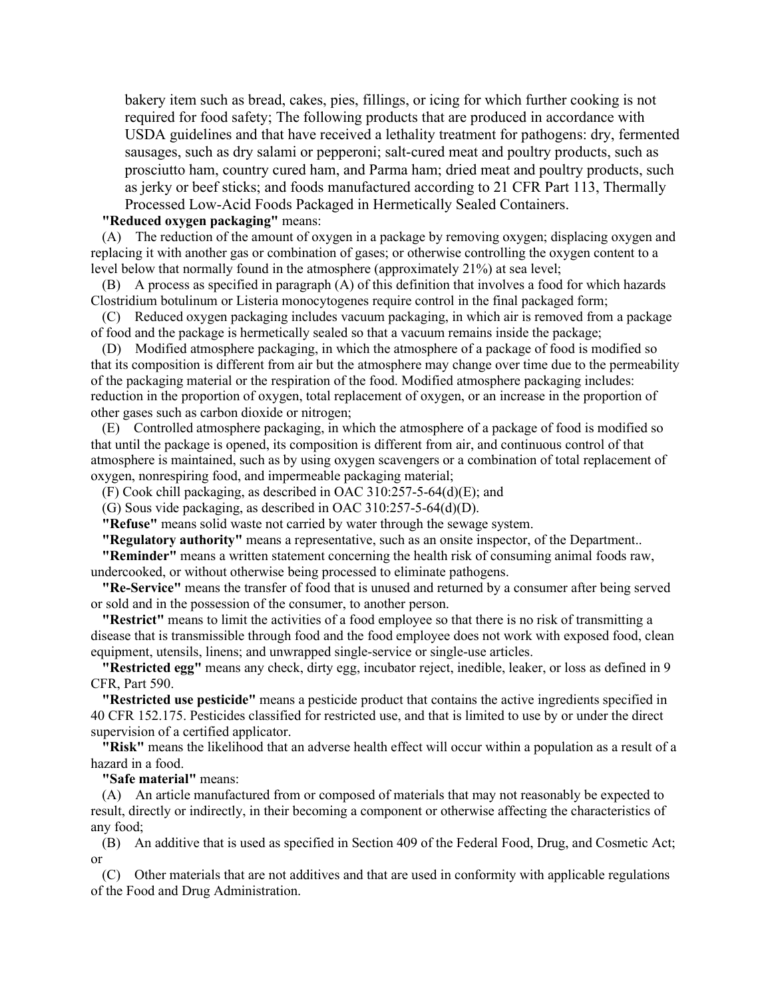bakery item such as bread, cakes, pies, fillings, or icing for which further cooking is not required for food safety; The following products that are produced in accordance with USDA guidelines and that have received a lethality treatment for pathogens: dry, fermented sausages, such as dry salami or pepperoni; salt-cured meat and poultry products, such as prosciutto ham, country cured ham, and Parma ham; dried meat and poultry products, such as jerky or beef sticks; and foods manufactured according to 21 CFR Part 113, Thermally Processed Low-Acid Foods Packaged in Hermetically Sealed Containers.

#### **"Reduced oxygen packaging"** means:

(A) The reduction of the amount of oxygen in a package by removing oxygen; displacing oxygen and replacing it with another gas or combination of gases; or otherwise controlling the oxygen content to a level below that normally found in the atmosphere (approximately 21%) at sea level;

(B) A process as specified in paragraph (A) of this definition that involves a food for which hazards Clostridium botulinum or Listeria monocytogenes require control in the final packaged form;

(C) Reduced oxygen packaging includes vacuum packaging, in which air is removed from a package of food and the package is hermetically sealed so that a vacuum remains inside the package;

(D) Modified atmosphere packaging, in which the atmosphere of a package of food is modified so that its composition is different from air but the atmosphere may change over time due to the permeability of the packaging material or the respiration of the food. Modified atmosphere packaging includes: reduction in the proportion of oxygen, total replacement of oxygen, or an increase in the proportion of other gases such as carbon dioxide or nitrogen;

(E) Controlled atmosphere packaging, in which the atmosphere of a package of food is modified so that until the package is opened, its composition is different from air, and continuous control of that atmosphere is maintained, such as by using oxygen scavengers or a combination of total replacement of oxygen, nonrespiring food, and impermeable packaging material;

(F) Cook chill packaging, as described in OAC 310:257-5-64(d)(E); and

(G) Sous vide packaging, as described in OAC 310:257-5-64(d)(D).

**"Refuse"** means solid waste not carried by water through the sewage system.

**"Regulatory authority"** means a representative, such as an onsite inspector, of the Department..

**"Reminder"** means a written statement concerning the health risk of consuming animal foods raw, undercooked, or without otherwise being processed to eliminate pathogens.

**"Re-Service"** means the transfer of food that is unused and returned by a consumer after being served or sold and in the possession of the consumer, to another person.

**"Restrict"** means to limit the activities of a food employee so that there is no risk of transmitting a disease that is transmissible through food and the food employee does not work with exposed food, clean equipment, utensils, linens; and unwrapped single-service or single-use articles.

**"Restricted egg"** means any check, dirty egg, incubator reject, inedible, leaker, or loss as defined in 9 CFR, Part 590.

**"Restricted use pesticide"** means a pesticide product that contains the active ingredients specified in 40 CFR 152.175. Pesticides classified for restricted use, and that is limited to use by or under the direct supervision of a certified applicator.

**"Risk"** means the likelihood that an adverse health effect will occur within a population as a result of a hazard in a food.

#### **"Safe material"** means:

(A) An article manufactured from or composed of materials that may not reasonably be expected to result, directly or indirectly, in their becoming a component or otherwise affecting the characteristics of any food;

(B) An additive that is used as specified in Section 409 of the Federal Food, Drug, and Cosmetic Act; or

(C) Other materials that are not additives and that are used in conformity with applicable regulations of the Food and Drug Administration.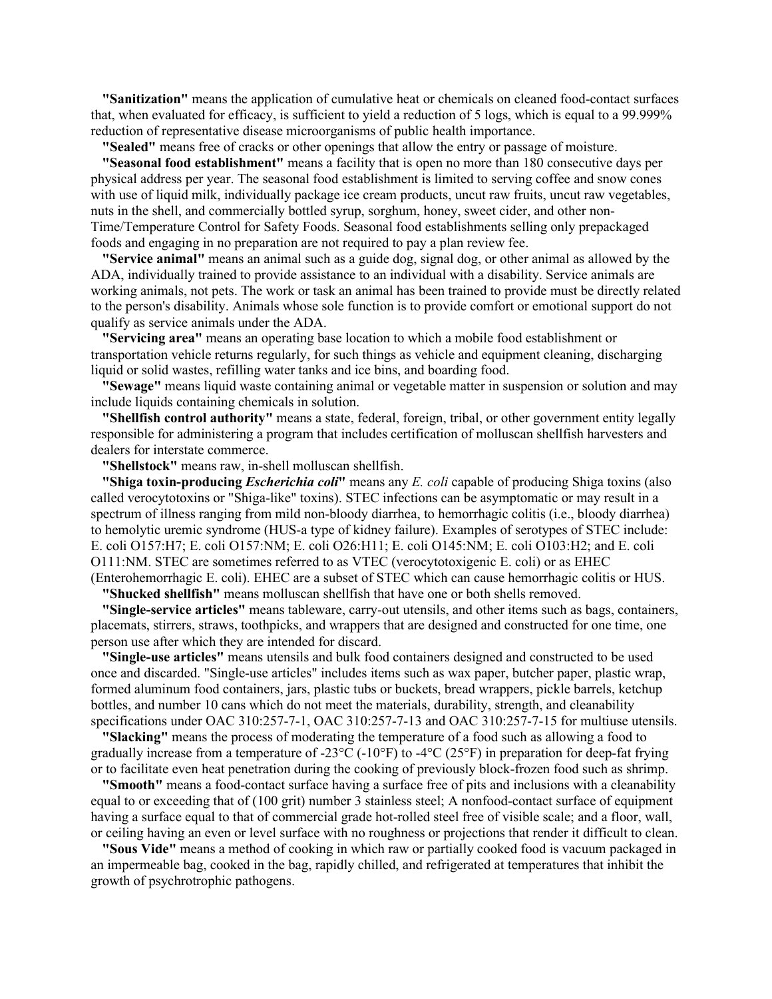**"Sanitization"** means the application of cumulative heat or chemicals on cleaned food-contact surfaces that, when evaluated for efficacy, is sufficient to yield a reduction of 5 logs, which is equal to a 99.999% reduction of representative disease microorganisms of public health importance.

**"Sealed"** means free of cracks or other openings that allow the entry or passage of moisture.

**"Seasonal food establishment"** means a facility that is open no more than 180 consecutive days per physical address per year. The seasonal food establishment is limited to serving coffee and snow cones with use of liquid milk, individually package ice cream products, uncut raw fruits, uncut raw vegetables, nuts in the shell, and commercially bottled syrup, sorghum, honey, sweet cider, and other non-Time/Temperature Control for Safety Foods. Seasonal food establishments selling only prepackaged foods and engaging in no preparation are not required to pay a plan review fee.

**"Service animal"** means an animal such as a guide dog, signal dog, or other animal as allowed by the ADA, individually trained to provide assistance to an individual with a disability. Service animals are working animals, not pets. The work or task an animal has been trained to provide must be directly related to the person's disability. Animals whose sole function is to provide comfort or emotional support do not qualify as service animals under the ADA.

**"Servicing area"** means an operating base location to which a mobile food establishment or transportation vehicle returns regularly, for such things as vehicle and equipment cleaning, discharging liquid or solid wastes, refilling water tanks and ice bins, and boarding food.

**"Sewage"** means liquid waste containing animal or vegetable matter in suspension or solution and may include liquids containing chemicals in solution.

**"Shellfish control authority"** means a state, federal, foreign, tribal, or other government entity legally responsible for administering a program that includes certification of molluscan shellfish harvesters and dealers for interstate commerce.

**"Shellstock"** means raw, in-shell molluscan shellfish.

**"Shiga toxin-producing** *Escherichia coli***"** means any *E. coli* capable of producing Shiga toxins (also called verocytotoxins or "Shiga-like" toxins). STEC infections can be asymptomatic or may result in a spectrum of illness ranging from mild non-bloody diarrhea, to hemorrhagic colitis (i.e., bloody diarrhea) to hemolytic uremic syndrome (HUS-a type of kidney failure). Examples of serotypes of STEC include: E. coli O157:H7; E. coli O157:NM; E. coli O26:H11; E. coli O145:NM; E. coli O103:H2; and E. coli O111:NM. STEC are sometimes referred to as VTEC (verocytotoxigenic E. coli) or as EHEC (Enterohemorrhagic E. coli). EHEC are a subset of STEC which can cause hemorrhagic colitis or HUS.

**"Shucked shellfish"** means molluscan shellfish that have one or both shells removed.

**"Single-service articles"** means tableware, carry-out utensils, and other items such as bags, containers, placemats, stirrers, straws, toothpicks, and wrappers that are designed and constructed for one time, one person use after which they are intended for discard.

**"Single-use articles"** means utensils and bulk food containers designed and constructed to be used once and discarded. "Single-use articles" includes items such as wax paper, butcher paper, plastic wrap, formed aluminum food containers, jars, plastic tubs or buckets, bread wrappers, pickle barrels, ketchup bottles, and number 10 cans which do not meet the materials, durability, strength, and cleanability specifications under OAC 310:257-7-1, OAC 310:257-7-13 and OAC 310:257-7-15 for multiuse utensils.

**"Slacking"** means the process of moderating the temperature of a food such as allowing a food to gradually increase from a temperature of -23 $^{\circ}$ C (-10 $^{\circ}$ F) to -4 $^{\circ}$ C (25 $^{\circ}$ F) in preparation for deep-fat frying or to facilitate even heat penetration during the cooking of previously block-frozen food such as shrimp.

**"Smooth"** means a food-contact surface having a surface free of pits and inclusions with a cleanability equal to or exceeding that of (100 grit) number 3 stainless steel; A nonfood-contact surface of equipment having a surface equal to that of commercial grade hot-rolled steel free of visible scale; and a floor, wall, or ceiling having an even or level surface with no roughness or projections that render it difficult to clean.

**"Sous Vide"** means a method of cooking in which raw or partially cooked food is vacuum packaged in an impermeable bag, cooked in the bag, rapidly chilled, and refrigerated at temperatures that inhibit the growth of psychrotrophic pathogens.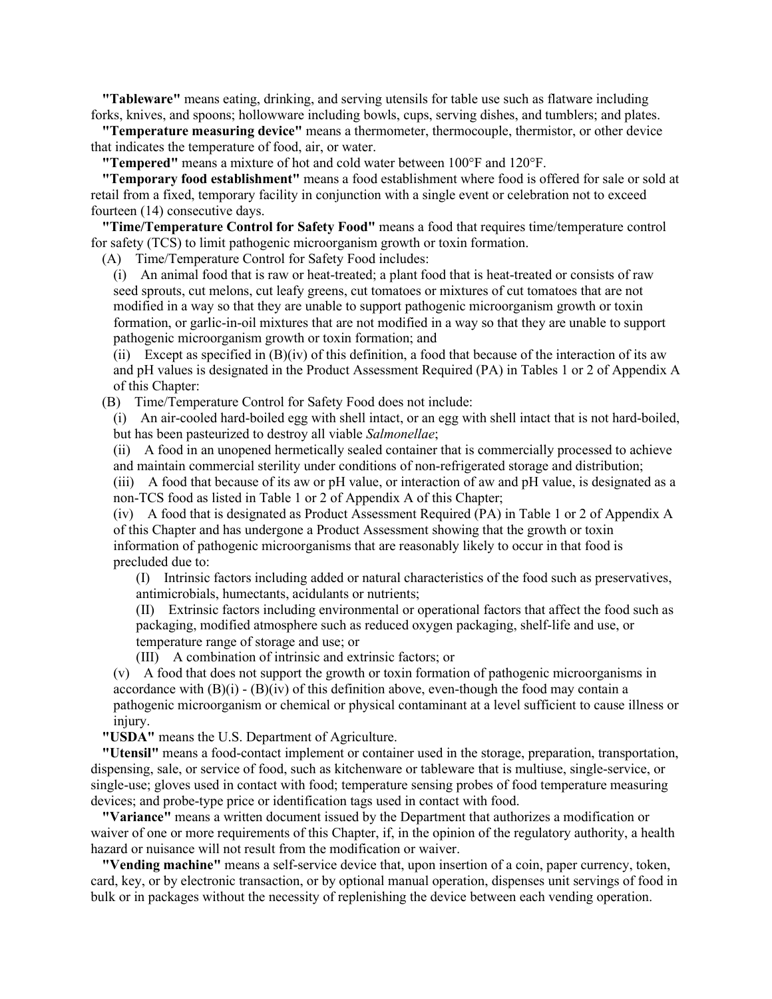**"Tableware"** means eating, drinking, and serving utensils for table use such as flatware including forks, knives, and spoons; hollowware including bowls, cups, serving dishes, and tumblers; and plates.

**"Temperature measuring device"** means a thermometer, thermocouple, thermistor, or other device that indicates the temperature of food, air, or water.

**"Tempered"** means a mixture of hot and cold water between 100°F and 120°F.

**"Temporary food establishment"** means a food establishment where food is offered for sale or sold at retail from a fixed, temporary facility in conjunction with a single event or celebration not to exceed fourteen (14) consecutive days.

**"Time/Temperature Control for Safety Food"** means a food that requires time/temperature control for safety (TCS) to limit pathogenic microorganism growth or toxin formation.

(A) Time/Temperature Control for Safety Food includes:

(i) An animal food that is raw or heat-treated; a plant food that is heat-treated or consists of raw seed sprouts, cut melons, cut leafy greens, cut tomatoes or mixtures of cut tomatoes that are not modified in a way so that they are unable to support pathogenic microorganism growth or toxin formation, or garlic-in-oil mixtures that are not modified in a way so that they are unable to support pathogenic microorganism growth or toxin formation; and

(ii) Except as specified in (B)(iv) of this definition, a food that because of the interaction of its aw and pH values is designated in the Product Assessment Required (PA) in Tables 1 or 2 of Appendix A of this Chapter:

(B) Time/Temperature Control for Safety Food does not include:

(i) An air-cooled hard-boiled egg with shell intact, or an egg with shell intact that is not hard-boiled, but has been pasteurized to destroy all viable *Salmonellae*;

(ii) A food in an unopened hermetically sealed container that is commercially processed to achieve and maintain commercial sterility under conditions of non-refrigerated storage and distribution;

(iii) A food that because of its aw or pH value, or interaction of aw and pH value, is designated as a non-TCS food as listed in Table 1 or 2 of Appendix A of this Chapter;

(iv) A food that is designated as Product Assessment Required (PA) in Table 1 or 2 of Appendix A of this Chapter and has undergone a Product Assessment showing that the growth or toxin information of pathogenic microorganisms that are reasonably likely to occur in that food is precluded due to:

(I) Intrinsic factors including added or natural characteristics of the food such as preservatives, antimicrobials, humectants, acidulants or nutrients;

(II) Extrinsic factors including environmental or operational factors that affect the food such as packaging, modified atmosphere such as reduced oxygen packaging, shelf-life and use, or temperature range of storage and use; or

(III) A combination of intrinsic and extrinsic factors; or

(v) A food that does not support the growth or toxin formation of pathogenic microorganisms in accordance with  $(B)(i) - (B)(iv)$  of this definition above, even-though the food may contain a pathogenic microorganism or chemical or physical contaminant at a level sufficient to cause illness or injury.

**"USDA"** means the U.S. Department of Agriculture.

**"Utensil"** means a food-contact implement or container used in the storage, preparation, transportation, dispensing, sale, or service of food, such as kitchenware or tableware that is multiuse, single-service, or single-use; gloves used in contact with food; temperature sensing probes of food temperature measuring devices; and probe-type price or identification tags used in contact with food.

**"Variance"** means a written document issued by the Department that authorizes a modification or waiver of one or more requirements of this Chapter, if, in the opinion of the regulatory authority, a health hazard or nuisance will not result from the modification or waiver.

**"Vending machine"** means a self-service device that, upon insertion of a coin, paper currency, token, card, key, or by electronic transaction, or by optional manual operation, dispenses unit servings of food in bulk or in packages without the necessity of replenishing the device between each vending operation.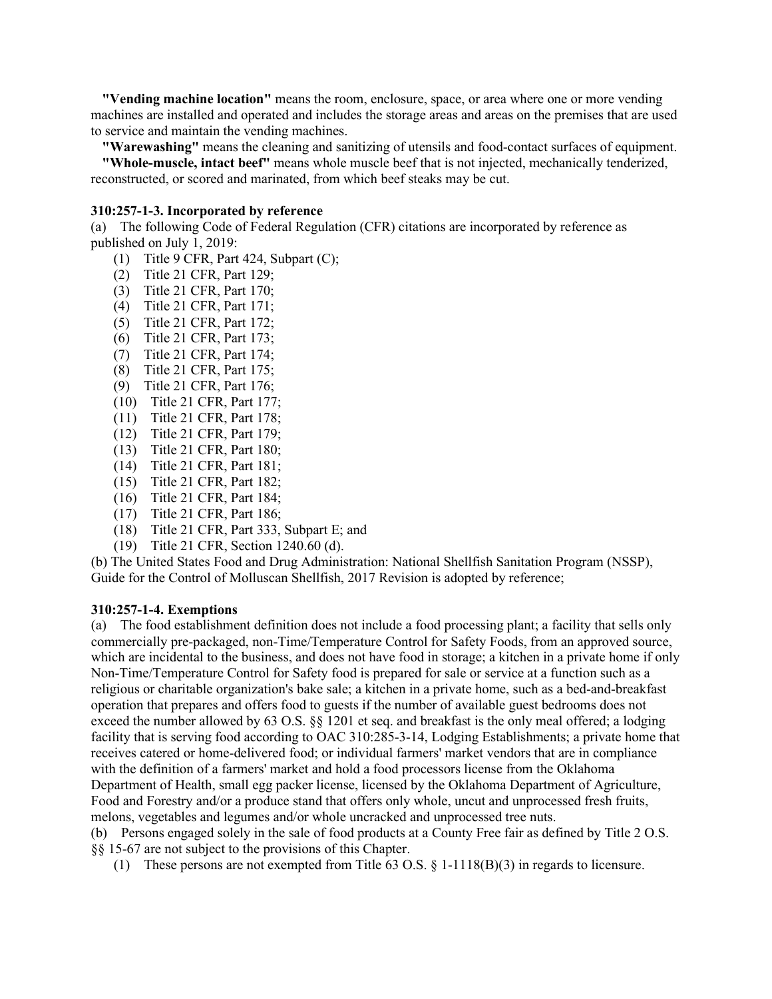**"Vending machine location"** means the room, enclosure, space, or area where one or more vending machines are installed and operated and includes the storage areas and areas on the premises that are used to service and maintain the vending machines.

**"Warewashing"** means the cleaning and sanitizing of utensils and food-contact surfaces of equipment. **"Whole-muscle, intact beef"** means whole muscle beef that is not injected, mechanically tenderized,

# reconstructed, or scored and marinated, from which beef steaks may be cut.

### **310:257-1-3. Incorporated by reference**

(a) The following Code of Federal Regulation (CFR) citations are incorporated by reference as published on July 1, 2019:

- (1) Title 9 CFR, Part 424, Subpart (C);
- (2) Title 21 CFR, Part 129;
- (3) Title 21 CFR, Part 170;
- (4) Title 21 CFR, Part 171;
- (5) Title 21 CFR, Part 172;
- (6) Title 21 CFR, Part 173;
- (7) Title 21 CFR, Part 174;
- (8) Title 21 CFR, Part 175;
- (9) Title 21 CFR, Part 176;
- (10) Title 21 CFR, Part 177;
- (11) Title 21 CFR, Part 178;
- (12) Title 21 CFR, Part 179;
- (13) Title 21 CFR, Part 180;
- (14) Title 21 CFR, Part 181;
- (15) Title 21 CFR, Part 182;
- (16) Title 21 CFR, Part 184;
- (17) Title 21 CFR, Part 186;
- (18) Title 21 CFR, Part 333, Subpart E; and
- (19) Title 21 CFR, Section 1240.60 (d).

(b) The United States Food and Drug Administration: National Shellfish Sanitation Program (NSSP), Guide for the Control of Molluscan Shellfish, 2017 Revision is adopted by reference;

#### **310:257-1-4. Exemptions**

(a) The food establishment definition does not include a food processing plant; a facility that sells only commercially pre-packaged, non-Time/Temperature Control for Safety Foods, from an approved source, which are incidental to the business, and does not have food in storage; a kitchen in a private home if only Non-Time/Temperature Control for Safety food is prepared for sale or service at a function such as a religious or charitable organization's bake sale; a kitchen in a private home, such as a bed-and-breakfast operation that prepares and offers food to guests if the number of available guest bedrooms does not exceed the number allowed by 63 O.S. §§ 1201 et seq. and breakfast is the only meal offered; a lodging facility that is serving food according to OAC 310:285-3-14, Lodging Establishments; a private home that receives catered or home-delivered food; or individual farmers' market vendors that are in compliance with the definition of a farmers' market and hold a food processors license from the Oklahoma Department of Health, small egg packer license, licensed by the Oklahoma Department of Agriculture, Food and Forestry and/or a produce stand that offers only whole, uncut and unprocessed fresh fruits, melons, vegetables and legumes and/or whole uncracked and unprocessed tree nuts.

(b) Persons engaged solely in the sale of food products at a County Free fair as defined by Title 2 O.S. §§ 15-67 are not subject to the provisions of this Chapter.

(1) These persons are not exempted from Title 63 O.S.  $\S$  1-1118(B)(3) in regards to licensure.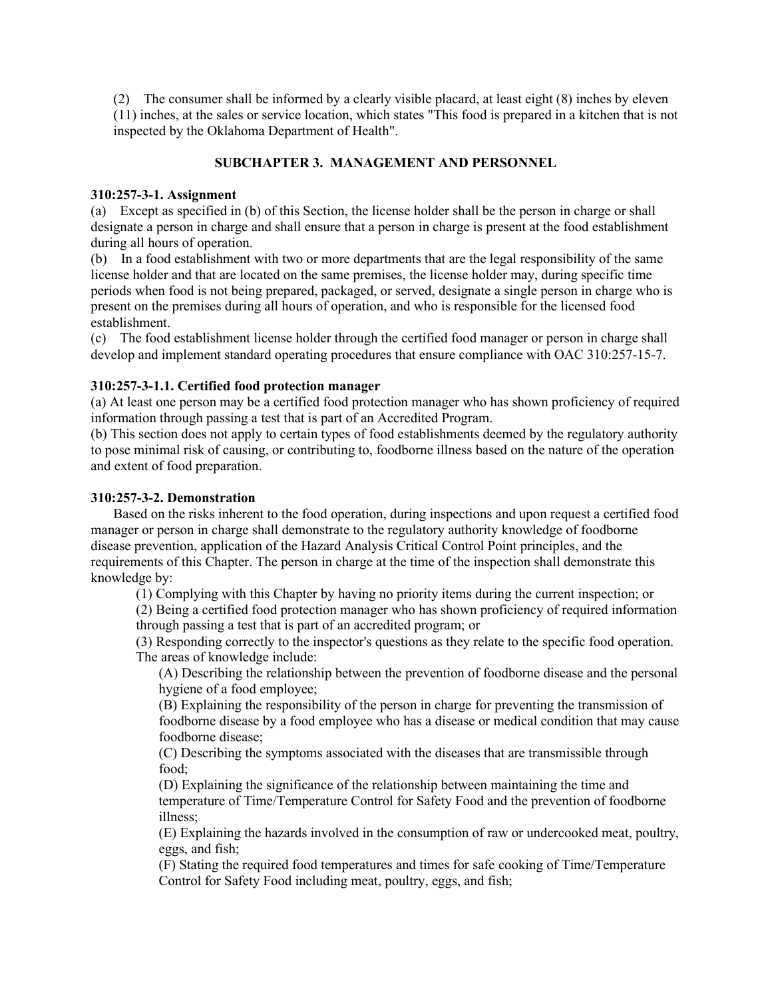(2) The consumer shall be informed by a clearly visible placard, at least eight (8) inches by eleven (11) inches, at the sales or service location, which states "This food is prepared in a kitchen that is not inspected by the Oklahoma Department of Health".

# **SUBCHAPTER 3. MANAGEMENT AND PERSONNEL**

#### **310:257-3-1. Assignment**

(a) Except as specified in (b) of this Section, the license holder shall be the person in charge or shall designate a person in charge and shall ensure that a person in charge is present at the food establishment during all hours of operation.

(b) In a food establishment with two or more departments that are the legal responsibility of the same license holder and that are located on the same premises, the license holder may, during specific time periods when food is not being prepared, packaged, or served, designate a single person in charge who is present on the premises during all hours of operation, and who is responsible for the licensed food establishment.

(c) The food establishment license holder through the certified food manager or person in charge shall develop and implement standard operating procedures that ensure compliance with OAC 310:257-15-7.

### **310:257-3-1.1. Certified food protection manager**

(a) At least one person may be a certified food protection manager who has shown proficiency of required information through passing a test that is part of an Accredited Program.

(b) This section does not apply to certain types of food establishments deemed by the regulatory authority to pose minimal risk of causing, or contributing to, foodborne illness based on the nature of the operation and extent of food preparation.

### **310:257-3-2. Demonstration**

Based on the risks inherent to the food operation, during inspections and upon request a certified food manager or person in charge shall demonstrate to the regulatory authority knowledge of foodborne disease prevention, application of the Hazard Analysis Critical Control Point principles, and the requirements of this Chapter. The person in charge at the time of the inspection shall demonstrate this knowledge by:

(1) Complying with this Chapter by having no priority items during the current inspection; or

(2) Being a certified food protection manager who has shown proficiency of required information through passing a test that is part of an accredited program; or

(3) Responding correctly to the inspector's questions as they relate to the specific food operation. The areas of knowledge include:

(A) Describing the relationship between the prevention of foodborne disease and the personal hygiene of a food employee;

(B) Explaining the responsibility of the person in charge for preventing the transmission of foodborne disease by a food employee who has a disease or medical condition that may cause foodborne disease;

(C) Describing the symptoms associated with the diseases that are transmissible through food;

(D) Explaining the significance of the relationship between maintaining the time and temperature of Time/Temperature Control for Safety Food and the prevention of foodborne illness;

(E) Explaining the hazards involved in the consumption of raw or undercooked meat, poultry, eggs, and fish;

(F) Stating the required food temperatures and times for safe cooking of Time/Temperature Control for Safety Food including meat, poultry, eggs, and fish;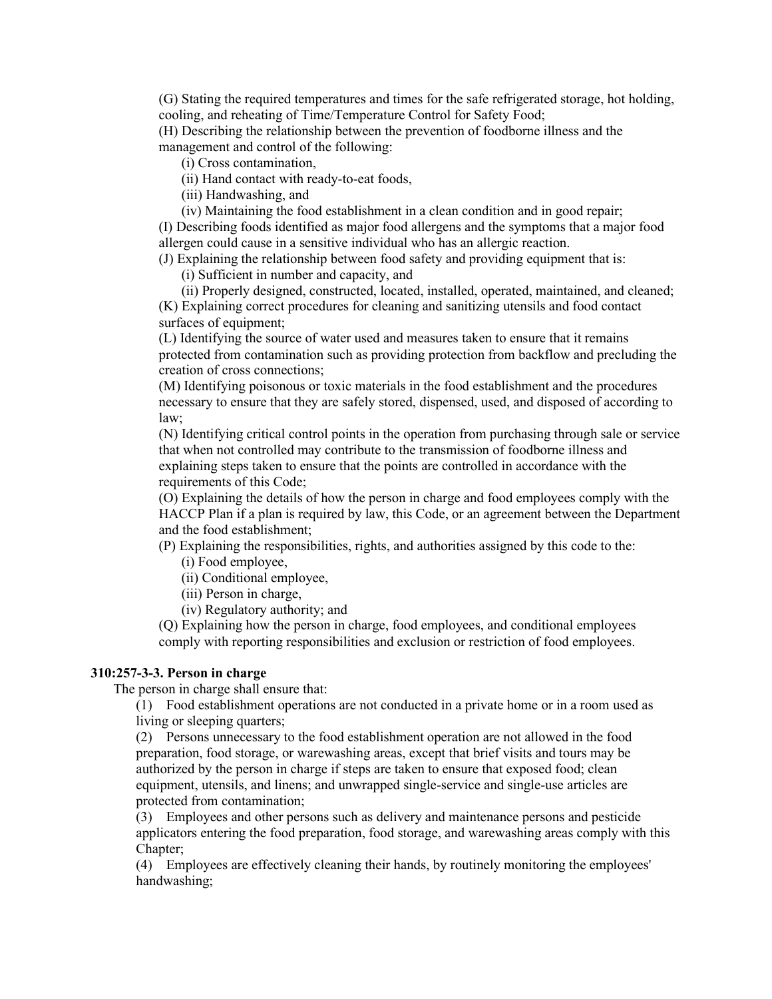(G) Stating the required temperatures and times for the safe refrigerated storage, hot holding, cooling, and reheating of Time/Temperature Control for Safety Food;

(H) Describing the relationship between the prevention of foodborne illness and the management and control of the following:

(i) Cross contamination,

(ii) Hand contact with ready-to-eat foods,

(iii) Handwashing, and

(iv) Maintaining the food establishment in a clean condition and in good repair; (I) Describing foods identified as major food allergens and the symptoms that a major food allergen could cause in a sensitive individual who has an allergic reaction.

(J) Explaining the relationship between food safety and providing equipment that is:

(i) Sufficient in number and capacity, and

(ii) Properly designed, constructed, located, installed, operated, maintained, and cleaned; (K) Explaining correct procedures for cleaning and sanitizing utensils and food contact surfaces of equipment;

(L) Identifying the source of water used and measures taken to ensure that it remains protected from contamination such as providing protection from backflow and precluding the creation of cross connections;

(M) Identifying poisonous or toxic materials in the food establishment and the procedures necessary to ensure that they are safely stored, dispensed, used, and disposed of according to law;

(N) Identifying critical control points in the operation from purchasing through sale or service that when not controlled may contribute to the transmission of foodborne illness and explaining steps taken to ensure that the points are controlled in accordance with the requirements of this Code;

(O) Explaining the details of how the person in charge and food employees comply with the HACCP Plan if a plan is required by law, this Code, or an agreement between the Department and the food establishment;

(P) Explaining the responsibilities, rights, and authorities assigned by this code to the:

(i) Food employee,

(ii) Conditional employee,

(iii) Person in charge,

(iv) Regulatory authority; and

(Q) Explaining how the person in charge, food employees, and conditional employees comply with reporting responsibilities and exclusion or restriction of food employees.

## **310:257-3-3. Person in charge**

The person in charge shall ensure that:

(1) Food establishment operations are not conducted in a private home or in a room used as living or sleeping quarters;

(2) Persons unnecessary to the food establishment operation are not allowed in the food preparation, food storage, or warewashing areas, except that brief visits and tours may be authorized by the person in charge if steps are taken to ensure that exposed food; clean equipment, utensils, and linens; and unwrapped single-service and single-use articles are protected from contamination;

(3) Employees and other persons such as delivery and maintenance persons and pesticide applicators entering the food preparation, food storage, and warewashing areas comply with this Chapter;

(4) Employees are effectively cleaning their hands, by routinely monitoring the employees' handwashing;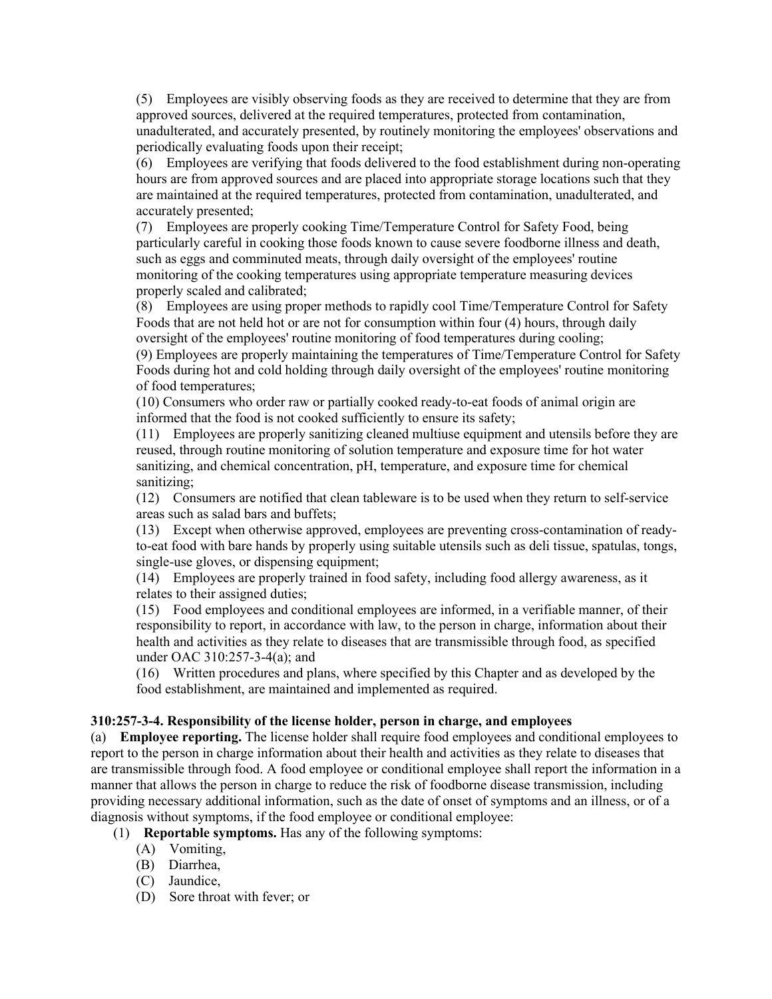(5) Employees are visibly observing foods as they are received to determine that they are from approved sources, delivered at the required temperatures, protected from contamination, unadulterated, and accurately presented, by routinely monitoring the employees' observations and periodically evaluating foods upon their receipt;

(6) Employees are verifying that foods delivered to the food establishment during non-operating hours are from approved sources and are placed into appropriate storage locations such that they are maintained at the required temperatures, protected from contamination, unadulterated, and accurately presented;

(7) Employees are properly cooking Time/Temperature Control for Safety Food, being particularly careful in cooking those foods known to cause severe foodborne illness and death, such as eggs and comminuted meats, through daily oversight of the employees' routine monitoring of the cooking temperatures using appropriate temperature measuring devices properly scaled and calibrated;

(8) Employees are using proper methods to rapidly cool Time/Temperature Control for Safety Foods that are not held hot or are not for consumption within four (4) hours, through daily oversight of the employees' routine monitoring of food temperatures during cooling;

(9) Employees are properly maintaining the temperatures of Time/Temperature Control for Safety Foods during hot and cold holding through daily oversight of the employees' routine monitoring of food temperatures;

(10) Consumers who order raw or partially cooked ready-to-eat foods of animal origin are informed that the food is not cooked sufficiently to ensure its safety;

(11) Employees are properly sanitizing cleaned multiuse equipment and utensils before they are reused, through routine monitoring of solution temperature and exposure time for hot water sanitizing, and chemical concentration, pH, temperature, and exposure time for chemical sanitizing;

(12) Consumers are notified that clean tableware is to be used when they return to self-service areas such as salad bars and buffets;

(13) Except when otherwise approved, employees are preventing cross-contamination of readyto-eat food with bare hands by properly using suitable utensils such as deli tissue, spatulas, tongs, single-use gloves, or dispensing equipment;

(14) Employees are properly trained in food safety, including food allergy awareness, as it relates to their assigned duties;

(15) Food employees and conditional employees are informed, in a verifiable manner, of their responsibility to report, in accordance with law, to the person in charge, information about their health and activities as they relate to diseases that are transmissible through food, as specified under OAC 310:257-3-4(a); and

(16) Written procedures and plans, where specified by this Chapter and as developed by the food establishment, are maintained and implemented as required.

#### **310:257-3-4. Responsibility of the license holder, person in charge, and employees**

(a) **Employee reporting.** The license holder shall require food employees and conditional employees to report to the person in charge information about their health and activities as they relate to diseases that are transmissible through food. A food employee or conditional employee shall report the information in a manner that allows the person in charge to reduce the risk of foodborne disease transmission, including providing necessary additional information, such as the date of onset of symptoms and an illness, or of a diagnosis without symptoms, if the food employee or conditional employee:

(1) **Reportable symptoms.** Has any of the following symptoms:

- (A) Vomiting,
- (B) Diarrhea,
- (C) Jaundice,
- (D) Sore throat with fever; or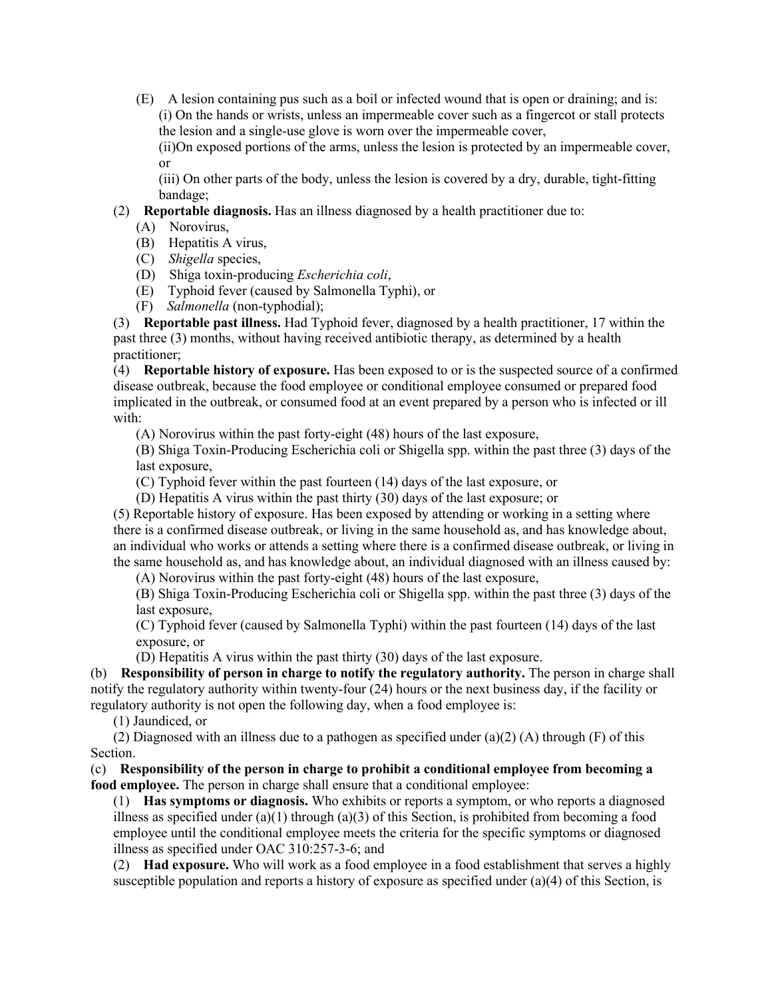(E) A lesion containing pus such as a boil or infected wound that is open or draining; and is: (i) On the hands or wrists, unless an impermeable cover such as a fingercot or stall protects the lesion and a single-use glove is worn over the impermeable cover,

(ii)On exposed portions of the arms, unless the lesion is protected by an impermeable cover, or

(iii) On other parts of the body, unless the lesion is covered by a dry, durable, tight-fitting bandage;

(2) **Reportable diagnosis.** Has an illness diagnosed by a health practitioner due to:

- (B) Hepatitis A virus,
- (C) *Shigella* species,
- (D) Shiga toxin-producing *Escherichia coli*,
- (E) Typhoid fever (caused by Salmonella Typhi), or
- (F) *Salmonella* (non-typhodial);

(3) **Reportable past illness.** Had Typhoid fever, diagnosed by a health practitioner, 17 within the past three (3) months, without having received antibiotic therapy, as determined by a health practitioner;

(4) **Reportable history of exposure.** Has been exposed to or is the suspected source of a confirmed disease outbreak, because the food employee or conditional employee consumed or prepared food implicated in the outbreak, or consumed food at an event prepared by a person who is infected or ill with:

(A) Norovirus within the past forty-eight (48) hours of the last exposure,

(B) Shiga Toxin-Producing Escherichia coli or Shigella spp. within the past three (3) days of the last exposure,

(C) Typhoid fever within the past fourteen (14) days of the last exposure, or

(D) Hepatitis A virus within the past thirty (30) days of the last exposure; or

(5) Reportable history of exposure. Has been exposed by attending or working in a setting where there is a confirmed disease outbreak, or living in the same household as, and has knowledge about, an individual who works or attends a setting where there is a confirmed disease outbreak, or living in the same household as, and has knowledge about, an individual diagnosed with an illness caused by:

(A) Norovirus within the past forty-eight (48) hours of the last exposure,

(B) Shiga Toxin-Producing Escherichia coli or Shigella spp. within the past three (3) days of the last exposure,

(C) Typhoid fever (caused by Salmonella Typhi) within the past fourteen (14) days of the last exposure, or

(D) Hepatitis A virus within the past thirty (30) days of the last exposure.

(b) **Responsibility of person in charge to notify the regulatory authority.** The person in charge shall notify the regulatory authority within twenty-four (24) hours or the next business day, if the facility or regulatory authority is not open the following day, when a food employee is:

(1) Jaundiced, or

(2) Diagnosed with an illness due to a pathogen as specified under  $(a)(2)$  (A) through (F) of this Section.

(c) **Responsibility of the person in charge to prohibit a conditional employee from becoming a food employee.** The person in charge shall ensure that a conditional employee:

(1) **Has symptoms or diagnosis.** Who exhibits or reports a symptom, or who reports a diagnosed illness as specified under (a)(1) through (a)(3) of this Section, is prohibited from becoming a food employee until the conditional employee meets the criteria for the specific symptoms or diagnosed illness as specified under OAC 310:257-3-6; and

(2) **Had exposure.** Who will work as a food employee in a food establishment that serves a highly susceptible population and reports a history of exposure as specified under (a)(4) of this Section, is

<sup>(</sup>A) Norovirus,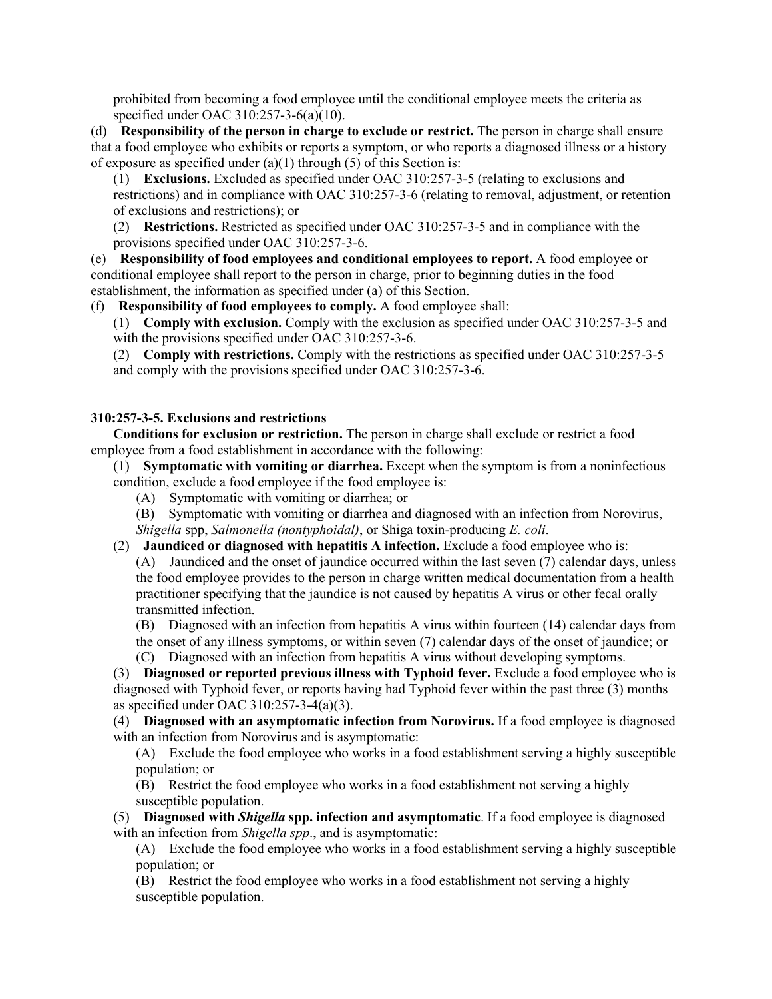prohibited from becoming a food employee until the conditional employee meets the criteria as specified under OAC 310:257-3-6(a)(10).

(d) **Responsibility of the person in charge to exclude or restrict.** The person in charge shall ensure that a food employee who exhibits or reports a symptom, or who reports a diagnosed illness or a history of exposure as specified under  $(a)(1)$  through (5) of this Section is:

(1) **Exclusions.** Excluded as specified under OAC 310:257-3-5 (relating to exclusions and restrictions) and in compliance with OAC 310:257-3-6 (relating to removal, adjustment, or retention of exclusions and restrictions); or

(2) **Restrictions.** Restricted as specified under OAC 310:257-3-5 and in compliance with the provisions specified under OAC 310:257-3-6.

(e) **Responsibility of food employees and conditional employees to report.** A food employee or conditional employee shall report to the person in charge, prior to beginning duties in the food establishment, the information as specified under (a) of this Section.

(f) **Responsibility of food employees to comply.** A food employee shall:

(1) **Comply with exclusion.** Comply with the exclusion as specified under OAC 310:257-3-5 and with the provisions specified under OAC 310:257-3-6.

(2) **Comply with restrictions.** Comply with the restrictions as specified under OAC 310:257-3-5 and comply with the provisions specified under OAC 310:257-3-6.

# **310:257-3-5. Exclusions and restrictions**

**Conditions for exclusion or restriction.** The person in charge shall exclude or restrict a food employee from a food establishment in accordance with the following:

(1) **Symptomatic with vomiting or diarrhea.** Except when the symptom is from a noninfectious condition, exclude a food employee if the food employee is:

(A) Symptomatic with vomiting or diarrhea; or

(B) Symptomatic with vomiting or diarrhea and diagnosed with an infection from Norovirus, *Shigella* spp, *Salmonella (nontyphoidal)*, or Shiga toxin-producing *E. coli*.

(2) **Jaundiced or diagnosed with hepatitis A infection.** Exclude a food employee who is: (A) Jaundiced and the onset of jaundice occurred within the last seven (7) calendar days, unless the food employee provides to the person in charge written medical documentation from a health practitioner specifying that the jaundice is not caused by hepatitis A virus or other fecal orally transmitted infection.

(B) Diagnosed with an infection from hepatitis A virus within fourteen (14) calendar days from the onset of any illness symptoms, or within seven (7) calendar days of the onset of jaundice; or

(C) Diagnosed with an infection from hepatitis A virus without developing symptoms.

(3) **Diagnosed or reported previous illness with Typhoid fever.** Exclude a food employee who is diagnosed with Typhoid fever, or reports having had Typhoid fever within the past three (3) months as specified under OAC 310:257-3-4(a)(3).

(4) **Diagnosed with an asymptomatic infection from Norovirus.** If a food employee is diagnosed with an infection from Norovirus and is asymptomatic:

(A) Exclude the food employee who works in a food establishment serving a highly susceptible population; or

(B) Restrict the food employee who works in a food establishment not serving a highly susceptible population.

(5) **Diagnosed with** *Shigella* **spp. infection and asymptomatic**. If a food employee is diagnosed with an infection from *Shigella spp*., and is asymptomatic:

(A) Exclude the food employee who works in a food establishment serving a highly susceptible population; or

(B) Restrict the food employee who works in a food establishment not serving a highly susceptible population.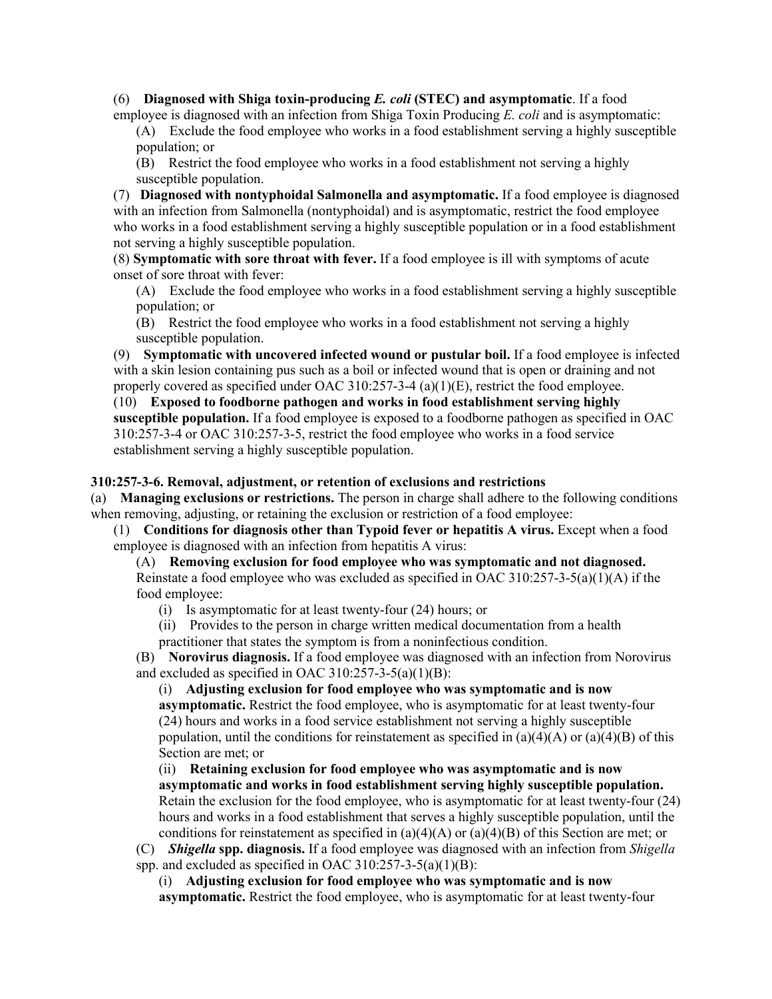(6) **Diagnosed with Shiga toxin-producing** *E. coli* **(STEC) and asymptomatic**. If a food employee is diagnosed with an infection from Shiga Toxin Producing *E. coli* and is asymptomatic:

(A) Exclude the food employee who works in a food establishment serving a highly susceptible population; or

(B) Restrict the food employee who works in a food establishment not serving a highly susceptible population.

(7) **Diagnosed with nontyphoidal Salmonella and asymptomatic.** If a food employee is diagnosed with an infection from Salmonella (nontyphoidal) and is asymptomatic, restrict the food employee who works in a food establishment serving a highly susceptible population or in a food establishment not serving a highly susceptible population.

(8) **Symptomatic with sore throat with fever.** If a food employee is ill with symptoms of acute onset of sore throat with fever:

(A) Exclude the food employee who works in a food establishment serving a highly susceptible population; or

(B) Restrict the food employee who works in a food establishment not serving a highly susceptible population.

(9) **Symptomatic with uncovered infected wound or pustular boil.** If a food employee is infected with a skin lesion containing pus such as a boil or infected wound that is open or draining and not properly covered as specified under OAC 310:257-3-4 (a)(1)(E), restrict the food employee.

(10) **Exposed to foodborne pathogen and works in food establishment serving highly susceptible population.** If a food employee is exposed to a foodborne pathogen as specified in OAC 310:257-3-4 or OAC 310:257-3-5, restrict the food employee who works in a food service establishment serving a highly susceptible population.

### **310:257-3-6. Removal, adjustment, or retention of exclusions and restrictions**

(a) **Managing exclusions or restrictions.** The person in charge shall adhere to the following conditions when removing, adjusting, or retaining the exclusion or restriction of a food employee:

(1) **Conditions for diagnosis other than Typoid fever or hepatitis A virus.** Except when a food employee is diagnosed with an infection from hepatitis A virus:

(A) **Removing exclusion for food employee who was symptomatic and not diagnosed.** 

Reinstate a food employee who was excluded as specified in OAC 310:257-3-5(a)(1)(A) if the food employee:

(i) Is asymptomatic for at least twenty-four (24) hours; or

(ii) Provides to the person in charge written medical documentation from a health

practitioner that states the symptom is from a noninfectious condition.

(B) **Norovirus diagnosis.** If a food employee was diagnosed with an infection from Norovirus and excluded as specified in OAC 310:257-3-5(a)(1)(B):

(i) **Adjusting exclusion for food employee who was symptomatic and is now** 

**asymptomatic.** Restrict the food employee, who is asymptomatic for at least twenty-four (24) hours and works in a food service establishment not serving a highly susceptible population, until the conditions for reinstatement as specified in  $(a)(4)(A)$  or  $(a)(4)(B)$  of this Section are met; or

(ii) **Retaining exclusion for food employee who was asymptomatic and is now asymptomatic and works in food establishment serving highly susceptible population.**  Retain the exclusion for the food employee, who is asymptomatic for at least twenty-four (24) hours and works in a food establishment that serves a highly susceptible population, until the conditions for reinstatement as specified in (a)(4)(A) or (a)(4)(B) of this Section are met; or

(C) *Shigella* **spp. diagnosis.** If a food employee was diagnosed with an infection from *Shigella*  spp. and excluded as specified in OAC  $310:257-3-5(a)(1)(B)$ :

(i) **Adjusting exclusion for food employee who was symptomatic and is now asymptomatic.** Restrict the food employee, who is asymptomatic for at least twenty-four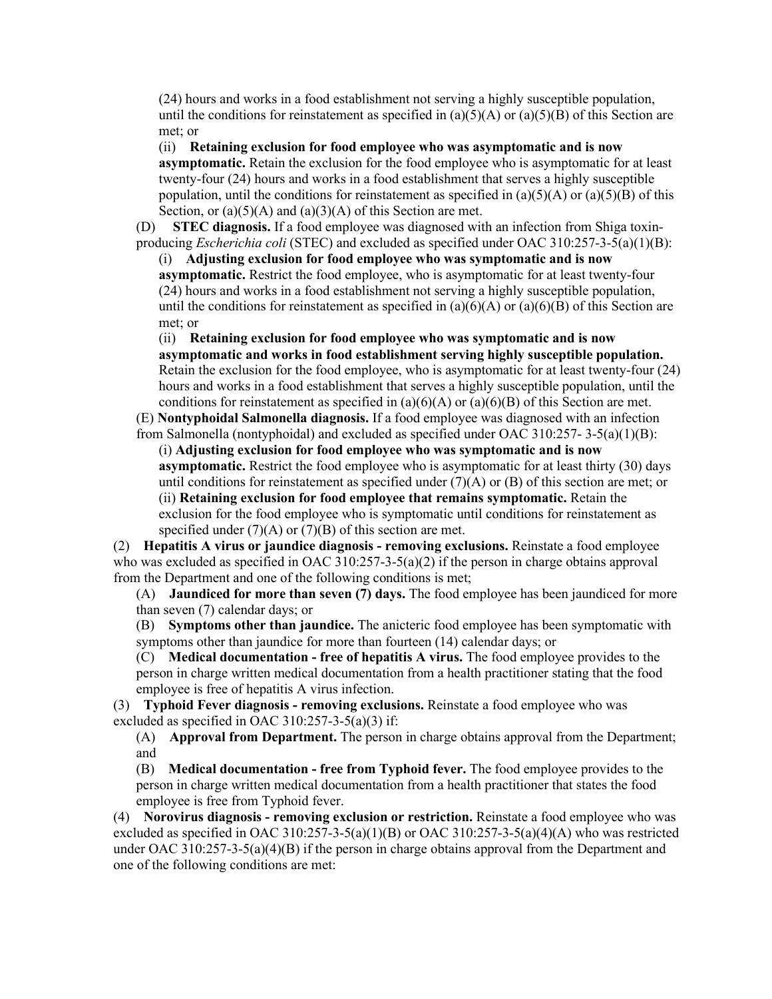(24) hours and works in a food establishment not serving a highly susceptible population, until the conditions for reinstatement as specified in  $(a)(5)(A)$  or  $(a)(5)(B)$  of this Section are met; or

(ii) **Retaining exclusion for food employee who was asymptomatic and is now asymptomatic.** Retain the exclusion for the food employee who is asymptomatic for at least twenty-four (24) hours and works in a food establishment that serves a highly susceptible population, until the conditions for reinstatement as specified in  $(a)(5)(A)$  or  $(a)(5)(B)$  of this Section, or  $(a)(5)(A)$  and  $(a)(3)(A)$  of this Section are met.

(D) **STEC diagnosis.** If a food employee was diagnosed with an infection from Shiga toxinproducing *Escherichia coli* (STEC) and excluded as specified under OAC 310:257-3-5(a)(1)(B):

(i) **Adjusting exclusion for food employee who was symptomatic and is now asymptomatic.** Restrict the food employee, who is asymptomatic for at least twenty-four (24) hours and works in a food establishment not serving a highly susceptible population, until the conditions for reinstatement as specified in  $(a)(6)(A)$  or  $(a)(6)(B)$  of this Section are met; or

(ii) **Retaining exclusion for food employee who was symptomatic and is now asymptomatic and works in food establishment serving highly susceptible population.**  Retain the exclusion for the food employee, who is asymptomatic for at least twenty-four (24) hours and works in a food establishment that serves a highly susceptible population, until the conditions for reinstatement as specified in  $(a)(6)(A)$  or  $(a)(6)(B)$  of this Section are met.

(E) **Nontyphoidal Salmonella diagnosis.** If a food employee was diagnosed with an infection from Salmonella (nontyphoidal) and excluded as specified under OAC 310:257- 3-5(a)(1)(B):

(i) **Adjusting exclusion for food employee who was symptomatic and is now asymptomatic.** Restrict the food employee who is asymptomatic for at least thirty (30) days until conditions for reinstatement as specified under  $(7)(A)$  or  $(B)$  of this section are met; or (ii) **Retaining exclusion for food employee that remains symptomatic.** Retain the exclusion for the food employee who is symptomatic until conditions for reinstatement as specified under  $(7)(A)$  or  $(7)(B)$  of this section are met.

(2) **Hepatitis A virus or jaundice diagnosis - removing exclusions.** Reinstate a food employee who was excluded as specified in OAC 310:257-3-5(a)(2) if the person in charge obtains approval from the Department and one of the following conditions is met;

(A) **Jaundiced for more than seven (7) days.** The food employee has been jaundiced for more than seven (7) calendar days; or

(B) **Symptoms other than jaundice.** The anicteric food employee has been symptomatic with symptoms other than jaundice for more than fourteen (14) calendar days; or

(C) **Medical documentation - free of hepatitis A virus.** The food employee provides to the person in charge written medical documentation from a health practitioner stating that the food employee is free of hepatitis A virus infection.

(3) **Typhoid Fever diagnosis - removing exclusions.** Reinstate a food employee who was excluded as specified in OAC 310:257-3-5(a)(3) if:

(A) **Approval from Department.** The person in charge obtains approval from the Department; and

(B) **Medical documentation - free from Typhoid fever.** The food employee provides to the person in charge written medical documentation from a health practitioner that states the food employee is free from Typhoid fever.

(4) **Norovirus diagnosis - removing exclusion or restriction.** Reinstate a food employee who was excluded as specified in OAC 310:257-3-5(a)(1)(B) or OAC 310:257-3-5(a)(4)(A) who was restricted under OAC 310:257-3-5(a)(4)(B) if the person in charge obtains approval from the Department and one of the following conditions are met: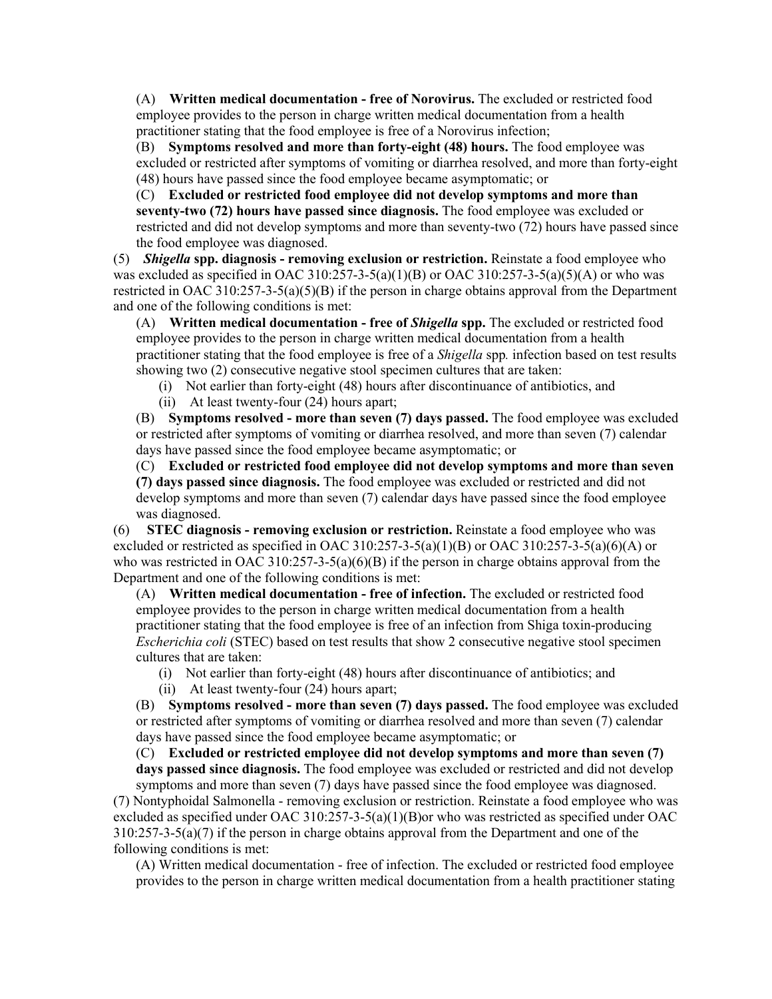(A) **Written medical documentation - free of Norovirus.** The excluded or restricted food employee provides to the person in charge written medical documentation from a health practitioner stating that the food employee is free of a Norovirus infection;

(B) **Symptoms resolved and more than forty-eight (48) hours.** The food employee was excluded or restricted after symptoms of vomiting or diarrhea resolved, and more than forty-eight (48) hours have passed since the food employee became asymptomatic; or

(C) **Excluded or restricted food employee did not develop symptoms and more than seventy-two (72) hours have passed since diagnosis.** The food employee was excluded or restricted and did not develop symptoms and more than seventy-two (72) hours have passed since the food employee was diagnosed.

(5) *Shigella* **spp. diagnosis - removing exclusion or restriction.** Reinstate a food employee who was excluded as specified in OAC 310:257-3-5(a)(1)(B) or OAC 310:257-3-5(a)(5)(A) or who was restricted in OAC 310:257-3-5(a)(5)(B) if the person in charge obtains approval from the Department and one of the following conditions is met:

(A) **Written medical documentation - free of** *Shigella* **spp.** The excluded or restricted food employee provides to the person in charge written medical documentation from a health practitioner stating that the food employee is free of a *Shigella* spp*.* infection based on test results showing two (2) consecutive negative stool specimen cultures that are taken:

(i) Not earlier than forty-eight (48) hours after discontinuance of antibiotics, and

(ii) At least twenty-four (24) hours apart;

(B) **Symptoms resolved - more than seven (7) days passed.** The food employee was excluded or restricted after symptoms of vomiting or diarrhea resolved, and more than seven (7) calendar days have passed since the food employee became asymptomatic; or

(C) **Excluded or restricted food employee did not develop symptoms and more than seven (7) days passed since diagnosis.** The food employee was excluded or restricted and did not develop symptoms and more than seven (7) calendar days have passed since the food employee was diagnosed.

(6) **STEC diagnosis - removing exclusion or restriction.** Reinstate a food employee who was excluded or restricted as specified in OAC 310:257-3-5(a)(1)(B) or OAC 310:257-3-5(a)(6)(A) or who was restricted in OAC 310:257-3-5(a)(6)(B) if the person in charge obtains approval from the Department and one of the following conditions is met:

(A) **Written medical documentation - free of infection.** The excluded or restricted food employee provides to the person in charge written medical documentation from a health practitioner stating that the food employee is free of an infection from Shiga toxin-producing *Escherichia coli* (STEC) based on test results that show 2 consecutive negative stool specimen cultures that are taken:

(i) Not earlier than forty-eight (48) hours after discontinuance of antibiotics; and

(ii) At least twenty-four (24) hours apart;

(B) **Symptoms resolved - more than seven (7) days passed.** The food employee was excluded or restricted after symptoms of vomiting or diarrhea resolved and more than seven (7) calendar days have passed since the food employee became asymptomatic; or

(C) **Excluded or restricted employee did not develop symptoms and more than seven (7)**

**days passed since diagnosis.** The food employee was excluded or restricted and did not develop symptoms and more than seven (7) days have passed since the food employee was diagnosed.

(7) Nontyphoidal Salmonella - removing exclusion or restriction. Reinstate a food employee who was excluded as specified under OAC 310:257-3-5(a)(1)(B) or who was restricted as specified under OAC  $310:257-3-5(a)(7)$  if the person in charge obtains approval from the Department and one of the following conditions is met:

(A) Written medical documentation - free of infection. The excluded or restricted food employee provides to the person in charge written medical documentation from a health practitioner stating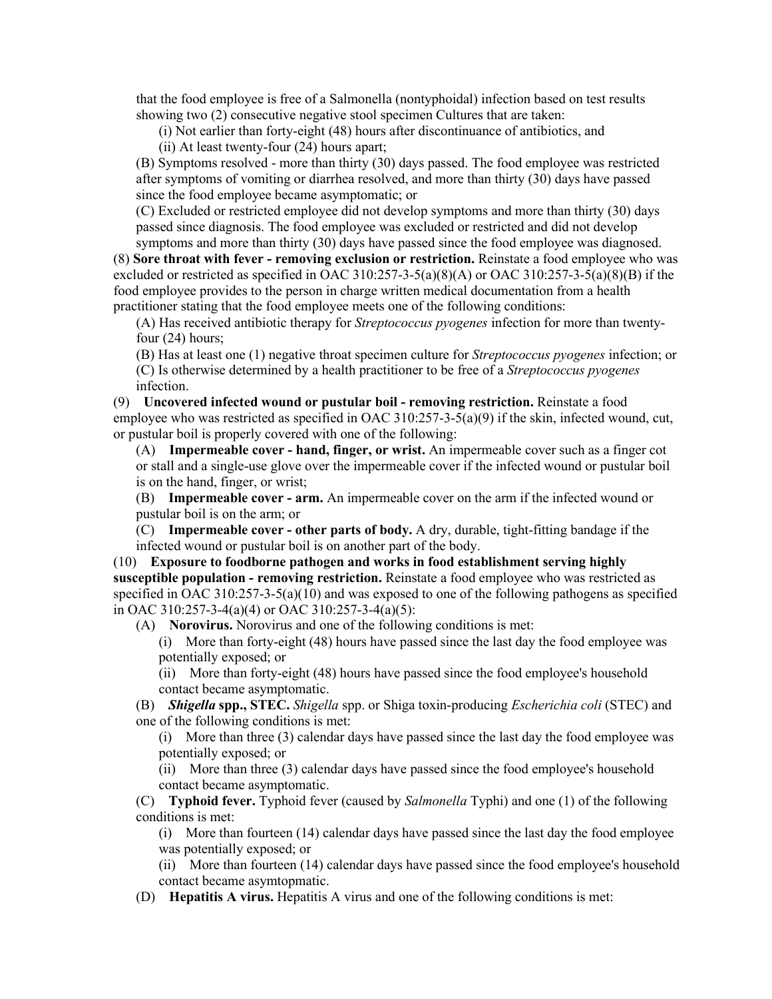that the food employee is free of a Salmonella (nontyphoidal) infection based on test results showing two (2) consecutive negative stool specimen Cultures that are taken:

(i) Not earlier than forty-eight (48) hours after discontinuance of antibiotics, and

(ii) At least twenty-four (24) hours apart;

(B) Symptoms resolved - more than thirty (30) days passed. The food employee was restricted after symptoms of vomiting or diarrhea resolved, and more than thirty (30) days have passed since the food employee became asymptomatic; or

(C) Excluded or restricted employee did not develop symptoms and more than thirty (30) days passed since diagnosis. The food employee was excluded or restricted and did not develop symptoms and more than thirty (30) days have passed since the food employee was diagnosed.

(8) **Sore throat with fever - removing exclusion or restriction.** Reinstate a food employee who was excluded or restricted as specified in OAC 310:257-3-5(a)(8)(A) or OAC 310:257-3-5(a)(8)(B) if the food employee provides to the person in charge written medical documentation from a health practitioner stating that the food employee meets one of the following conditions:

(A) Has received antibiotic therapy for *Streptococcus pyogenes* infection for more than twentyfour (24) hours;

(B) Has at least one (1) negative throat specimen culture for *Streptococcus pyogenes* infection; or (C) Is otherwise determined by a health practitioner to be free of a *Streptococcus pyogenes* infection.

(9) **Uncovered infected wound or pustular boil - removing restriction.** Reinstate a food employee who was restricted as specified in OAC 310:257-3-5(a)(9) if the skin, infected wound, cut, or pustular boil is properly covered with one of the following:

(A) **Impermeable cover - hand, finger, or wrist.** An impermeable cover such as a finger cot or stall and a single-use glove over the impermeable cover if the infected wound or pustular boil is on the hand, finger, or wrist;

(B) **Impermeable cover - arm.** An impermeable cover on the arm if the infected wound or pustular boil is on the arm; or

(C) **Impermeable cover - other parts of body.** A dry, durable, tight-fitting bandage if the infected wound or pustular boil is on another part of the body.

(10) **Exposure to foodborne pathogen and works in food establishment serving highly susceptible population - removing restriction.** Reinstate a food employee who was restricted as specified in OAC 310:257-3-5(a)(10) and was exposed to one of the following pathogens as specified in OAC 310:257-3-4(a)(4) or OAC 310:257-3-4(a)(5):

(A) **Norovirus.** Norovirus and one of the following conditions is met:

(i) More than forty-eight (48) hours have passed since the last day the food employee was potentially exposed; or

(ii) More than forty-eight (48) hours have passed since the food employee's household contact became asymptomatic.

(B) *Shigella* **spp., STEC.** *Shigella* spp. or Shiga toxin-producing *Escherichia coli* (STEC) and one of the following conditions is met:

(i) More than three (3) calendar days have passed since the last day the food employee was potentially exposed; or

(ii) More than three (3) calendar days have passed since the food employee's household contact became asymptomatic.

(C) **Typhoid fever.** Typhoid fever (caused by *Salmonella* Typhi) and one (1) of the following conditions is met:

(i) More than fourteen (14) calendar days have passed since the last day the food employee was potentially exposed; or

(ii) More than fourteen (14) calendar days have passed since the food employee's household contact became asymtopmatic.

(D) **Hepatitis A virus.** Hepatitis A virus and one of the following conditions is met: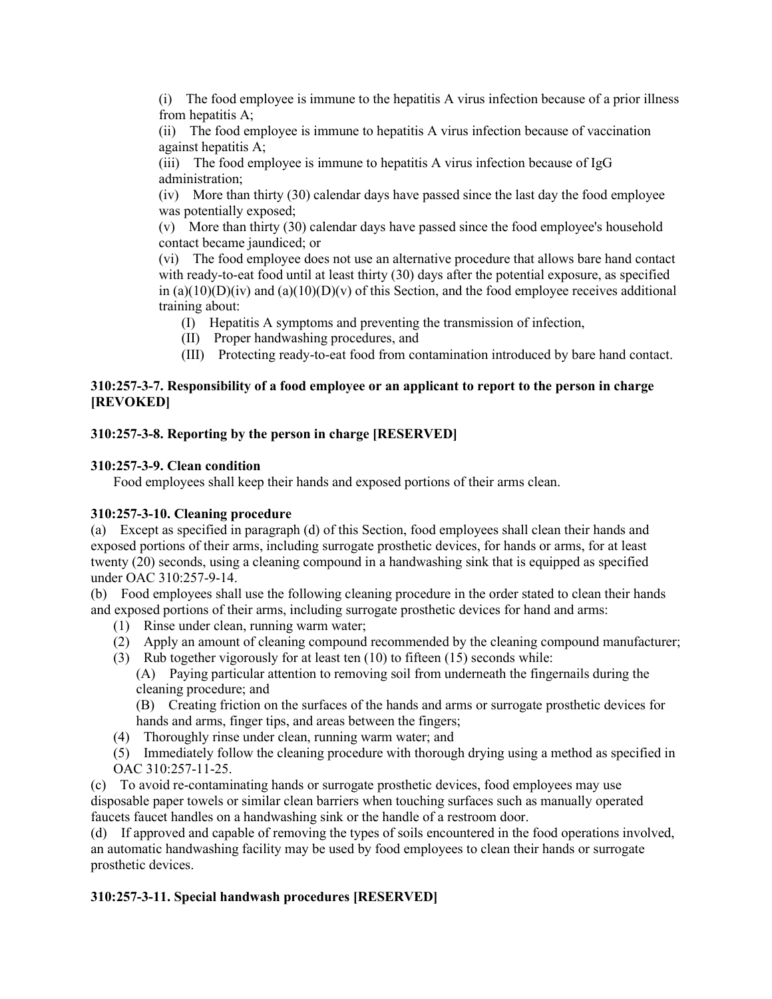(i) The food employee is immune to the hepatitis A virus infection because of a prior illness from hepatitis A;

(ii) The food employee is immune to hepatitis A virus infection because of vaccination against hepatitis A;

(iii) The food employee is immune to hepatitis A virus infection because of IgG administration;

(iv) More than thirty (30) calendar days have passed since the last day the food employee was potentially exposed;

(v) More than thirty (30) calendar days have passed since the food employee's household contact became jaundiced; or

(vi) The food employee does not use an alternative procedure that allows bare hand contact with ready-to-eat food until at least thirty (30) days after the potential exposure, as specified in  $(a)(10)(D)(iv)$  and  $(a)(10)(D)(v)$  of this Section, and the food employee receives additional training about:

- (I) Hepatitis A symptoms and preventing the transmission of infection,
- (II) Proper handwashing procedures, and
- (III) Protecting ready-to-eat food from contamination introduced by bare hand contact.

# **310:257-3-7. Responsibility of a food employee or an applicant to report to the person in charge [REVOKED]**

# **310:257-3-8. Reporting by the person in charge [RESERVED]**

# **310:257-3-9. Clean condition**

Food employees shall keep their hands and exposed portions of their arms clean.

### **310:257-3-10. Cleaning procedure**

(a) Except as specified in paragraph (d) of this Section, food employees shall clean their hands and exposed portions of their arms, including surrogate prosthetic devices, for hands or arms, for at least twenty (20) seconds, using a cleaning compound in a handwashing sink that is equipped as specified under OAC 310:257-9-14.

(b) Food employees shall use the following cleaning procedure in the order stated to clean their hands and exposed portions of their arms, including surrogate prosthetic devices for hand and arms:

- (1) Rinse under clean, running warm water;
- (2) Apply an amount of cleaning compound recommended by the cleaning compound manufacturer;
- (3) Rub together vigorously for at least ten (10) to fifteen (15) seconds while:
	- (A) Paying particular attention to removing soil from underneath the fingernails during the cleaning procedure; and

(B) Creating friction on the surfaces of the hands and arms or surrogate prosthetic devices for hands and arms, finger tips, and areas between the fingers;

- (4) Thoroughly rinse under clean, running warm water; and
- (5) Immediately follow the cleaning procedure with thorough drying using a method as specified in OAC 310:257-11-25.

(c) To avoid re-contaminating hands or surrogate prosthetic devices, food employees may use disposable paper towels or similar clean barriers when touching surfaces such as manually operated faucets faucet handles on a handwashing sink or the handle of a restroom door.

(d) If approved and capable of removing the types of soils encountered in the food operations involved, an automatic handwashing facility may be used by food employees to clean their hands or surrogate prosthetic devices.

# **310:257-3-11. Special handwash procedures [RESERVED]**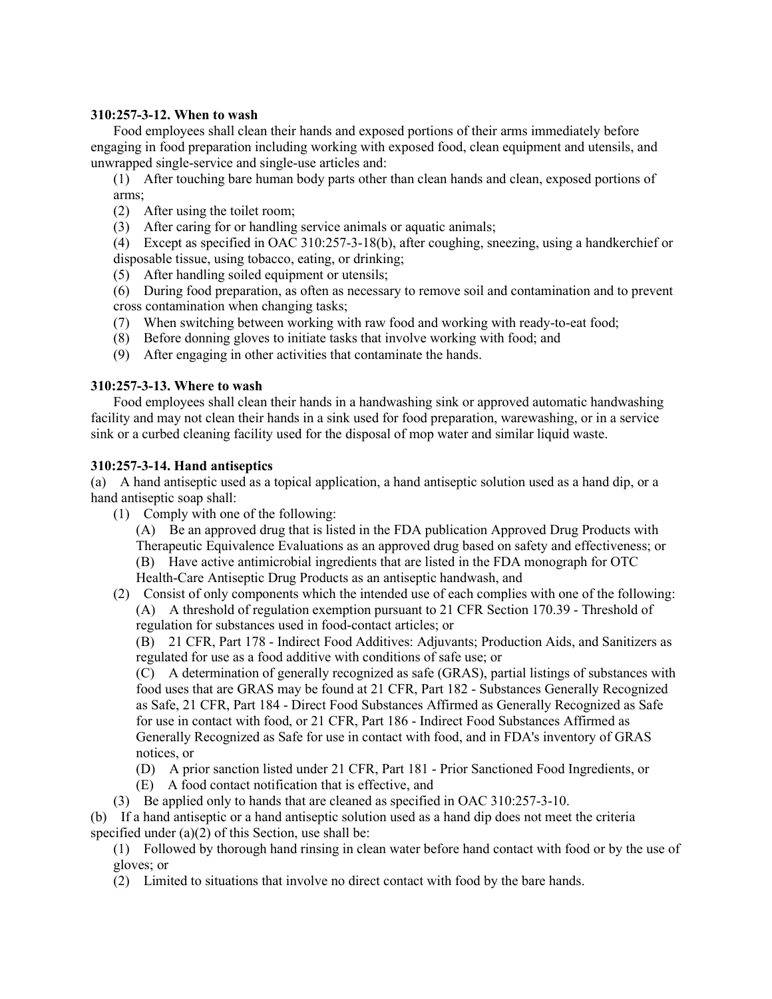#### **310:257-3-12. When to wash**

Food employees shall clean their hands and exposed portions of their arms immediately before engaging in food preparation including working with exposed food, clean equipment and utensils, and unwrapped single-service and single-use articles and:

(1) After touching bare human body parts other than clean hands and clean, exposed portions of arms;

- (2) After using the toilet room;
- (3) After caring for or handling service animals or aquatic animals;

(4) Except as specified in OAC 310:257-3-18(b), after coughing, sneezing, using a handkerchief or disposable tissue, using tobacco, eating, or drinking;

- (5) After handling soiled equipment or utensils;
- (6) During food preparation, as often as necessary to remove soil and contamination and to prevent cross contamination when changing tasks;
- (7) When switching between working with raw food and working with ready-to-eat food;
- (8) Before donning gloves to initiate tasks that involve working with food; and
- (9) After engaging in other activities that contaminate the hands.

# **310:257-3-13. Where to wash**

Food employees shall clean their hands in a handwashing sink or approved automatic handwashing facility and may not clean their hands in a sink used for food preparation, warewashing, or in a service sink or a curbed cleaning facility used for the disposal of mop water and similar liquid waste.

# **310:257-3-14. Hand antiseptics**

(a) A hand antiseptic used as a topical application, a hand antiseptic solution used as a hand dip, or a hand antiseptic soap shall:

(1) Comply with one of the following:

(A) Be an approved drug that is listed in the FDA publication Approved Drug Products with Therapeutic Equivalence Evaluations as an approved drug based on safety and effectiveness; or (B) Have active antimicrobial ingredients that are listed in the FDA monograph for OTC Health-Care Antiseptic Drug Products as an antiseptic handwash, and

(2) Consist of only components which the intended use of each complies with one of the following: (A) A threshold of regulation exemption pursuant to 21 CFR Section 170.39 - Threshold of regulation for substances used in food-contact articles; or

(B) 21 CFR, Part 178 - Indirect Food Additives: Adjuvants; Production Aids, and Sanitizers as regulated for use as a food additive with conditions of safe use; or

(C) A determination of generally recognized as safe (GRAS), partial listings of substances with food uses that are GRAS may be found at 21 CFR, Part 182 - Substances Generally Recognized as Safe, 21 CFR, Part 184 - Direct Food Substances Affirmed as Generally Recognized as Safe for use in contact with food, or 21 CFR, Part 186 - Indirect Food Substances Affirmed as Generally Recognized as Safe for use in contact with food, and in FDA's inventory of GRAS notices, or

- (D) A prior sanction listed under 21 CFR, Part 181 Prior Sanctioned Food Ingredients, or
- (E) A food contact notification that is effective, and
- (3) Be applied only to hands that are cleaned as specified in OAC 310:257-3-10.

(b) If a hand antiseptic or a hand antiseptic solution used as a hand dip does not meet the criteria specified under  $(a)(2)$  of this Section, use shall be:

(1) Followed by thorough hand rinsing in clean water before hand contact with food or by the use of gloves; or

(2) Limited to situations that involve no direct contact with food by the bare hands.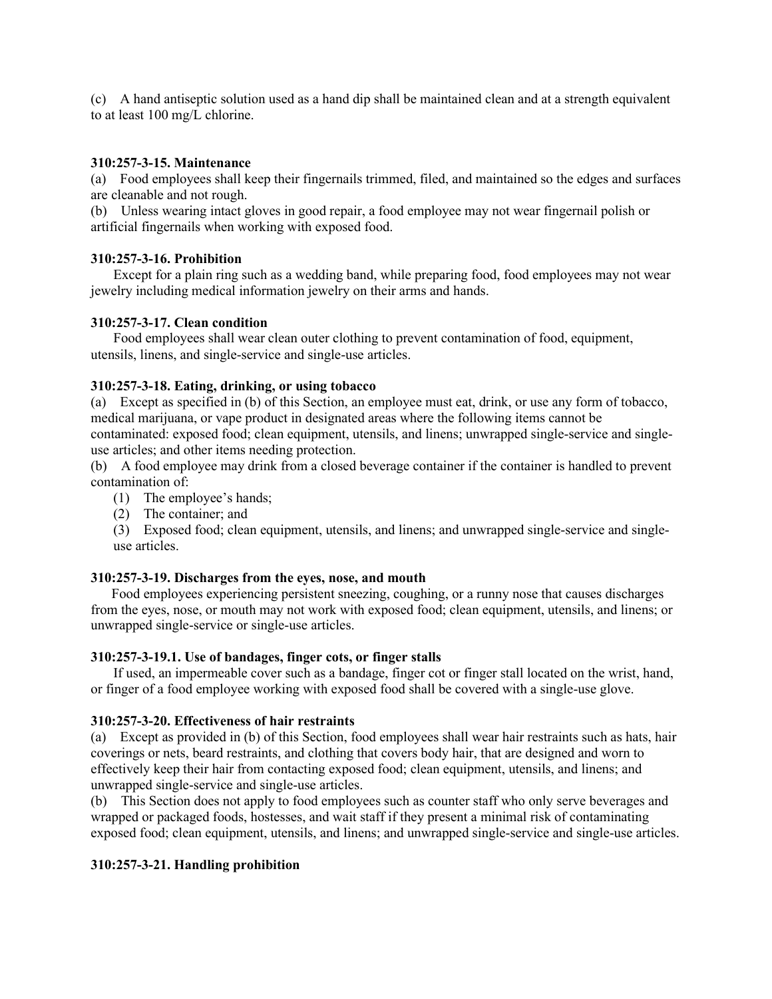(c) A hand antiseptic solution used as a hand dip shall be maintained clean and at a strength equivalent to at least 100 mg/L chlorine.

### **310:257-3-15. Maintenance**

(a) Food employees shall keep their fingernails trimmed, filed, and maintained so the edges and surfaces are cleanable and not rough.

(b) Unless wearing intact gloves in good repair, a food employee may not wear fingernail polish or artificial fingernails when working with exposed food.

### **310:257-3-16. Prohibition**

Except for a plain ring such as a wedding band, while preparing food, food employees may not wear jewelry including medical information jewelry on their arms and hands.

### **310:257-3-17. Clean condition**

Food employees shall wear clean outer clothing to prevent contamination of food, equipment, utensils, linens, and single-service and single-use articles.

#### **310:257-3-18. Eating, drinking, or using tobacco**

(a) Except as specified in (b) of this Section, an employee must eat, drink, or use any form of tobacco, medical marijuana, or vape product in designated areas where the following items cannot be contaminated: exposed food; clean equipment, utensils, and linens; unwrapped single-service and singleuse articles; and other items needing protection.

(b) A food employee may drink from a closed beverage container if the container is handled to prevent contamination of:

- (1) The employee's hands;
- (2) The container; and

(3) Exposed food; clean equipment, utensils, and linens; and unwrapped single-service and singleuse articles.

#### **310:257-3-19. Discharges from the eyes, nose, and mouth**

 Food employees experiencing persistent sneezing, coughing, or a runny nose that causes discharges from the eyes, nose, or mouth may not work with exposed food; clean equipment, utensils, and linens; or unwrapped single-service or single-use articles.

### **310:257-3-19.1. Use of bandages, finger cots, or finger stalls**

If used, an impermeable cover such as a bandage, finger cot or finger stall located on the wrist, hand, or finger of a food employee working with exposed food shall be covered with a single-use glove.

### **310:257-3-20. Effectiveness of hair restraints**

(a) Except as provided in (b) of this Section, food employees shall wear hair restraints such as hats, hair coverings or nets, beard restraints, and clothing that covers body hair, that are designed and worn to effectively keep their hair from contacting exposed food; clean equipment, utensils, and linens; and unwrapped single-service and single-use articles.

(b) This Section does not apply to food employees such as counter staff who only serve beverages and wrapped or packaged foods, hostesses, and wait staff if they present a minimal risk of contaminating exposed food; clean equipment, utensils, and linens; and unwrapped single-service and single-use articles.

### **310:257-3-21. Handling prohibition**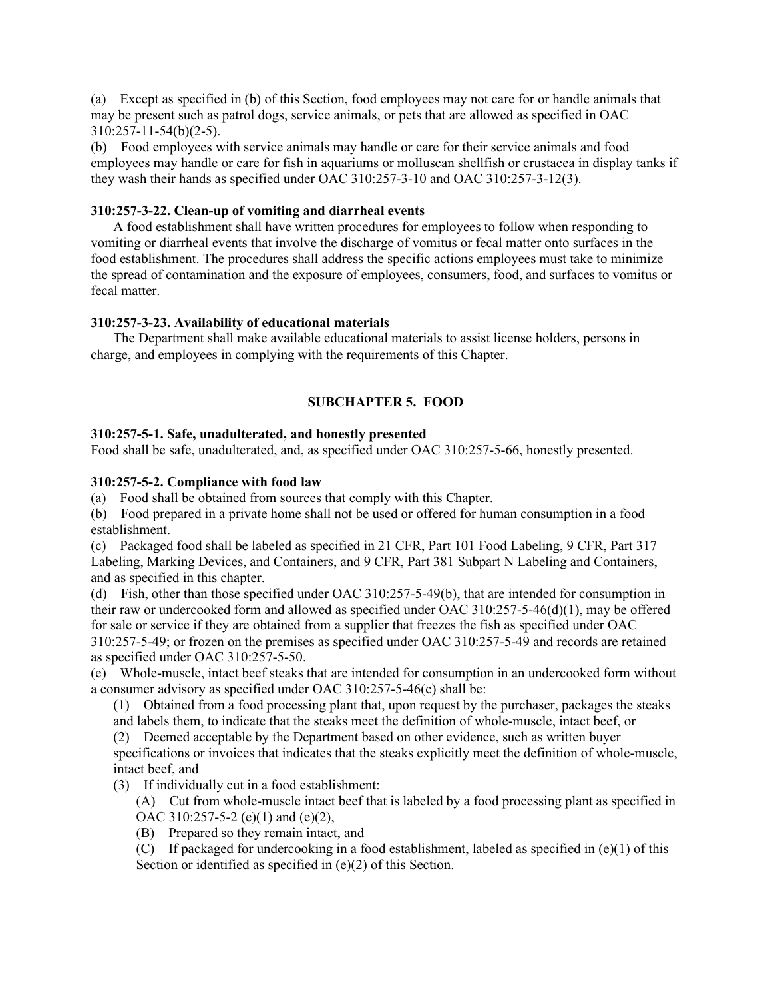(a) Except as specified in (b) of this Section, food employees may not care for or handle animals that may be present such as patrol dogs, service animals, or pets that are allowed as specified in OAC 310:257-11-54(b)(2-5).

(b) Food employees with service animals may handle or care for their service animals and food employees may handle or care for fish in aquariums or molluscan shellfish or crustacea in display tanks if they wash their hands as specified under OAC 310:257-3-10 and OAC 310:257-3-12(3).

### **310:257-3-22. Clean-up of vomiting and diarrheal events**

A food establishment shall have written procedures for employees to follow when responding to vomiting or diarrheal events that involve the discharge of vomitus or fecal matter onto surfaces in the food establishment. The procedures shall address the specific actions employees must take to minimize the spread of contamination and the exposure of employees, consumers, food, and surfaces to vomitus or fecal matter.

### **310:257-3-23. Availability of educational materials**

The Department shall make available educational materials to assist license holders, persons in charge, and employees in complying with the requirements of this Chapter.

# **SUBCHAPTER 5. FOOD**

#### **310:257-5-1. Safe, unadulterated, and honestly presented**

Food shall be safe, unadulterated, and, as specified under OAC 310:257-5-66, honestly presented.

#### **310:257-5-2. Compliance with food law**

(a) Food shall be obtained from sources that comply with this Chapter.

(b) Food prepared in a private home shall not be used or offered for human consumption in a food establishment.

(c) Packaged food shall be labeled as specified in 21 CFR, Part 101 Food Labeling, 9 CFR, Part 317 Labeling, Marking Devices, and Containers, and 9 CFR, Part 381 Subpart N Labeling and Containers, and as specified in this chapter.

(d) Fish, other than those specified under OAC 310:257-5-49(b), that are intended for consumption in their raw or undercooked form and allowed as specified under OAC 310:257-5-46(d)(1), may be offered for sale or service if they are obtained from a supplier that freezes the fish as specified under OAC 310:257-5-49; or frozen on the premises as specified under OAC 310:257-5-49 and records are retained as specified under OAC 310:257-5-50.

(e) Whole-muscle, intact beef steaks that are intended for consumption in an undercooked form without a consumer advisory as specified under OAC 310:257-5-46(c) shall be:

(1) Obtained from a food processing plant that, upon request by the purchaser, packages the steaks and labels them, to indicate that the steaks meet the definition of whole-muscle, intact beef, or

(2) Deemed acceptable by the Department based on other evidence, such as written buyer specifications or invoices that indicates that the steaks explicitly meet the definition of whole-muscle, intact beef, and

- (3) If individually cut in a food establishment:
	- (A) Cut from whole-muscle intact beef that is labeled by a food processing plant as specified in OAC 310:257-5-2 (e)(1) and (e)(2),
	- (B) Prepared so they remain intact, and
	- (C) If packaged for undercooking in a food establishment, labeled as specified in  $(e)(1)$  of this Section or identified as specified in (e)(2) of this Section.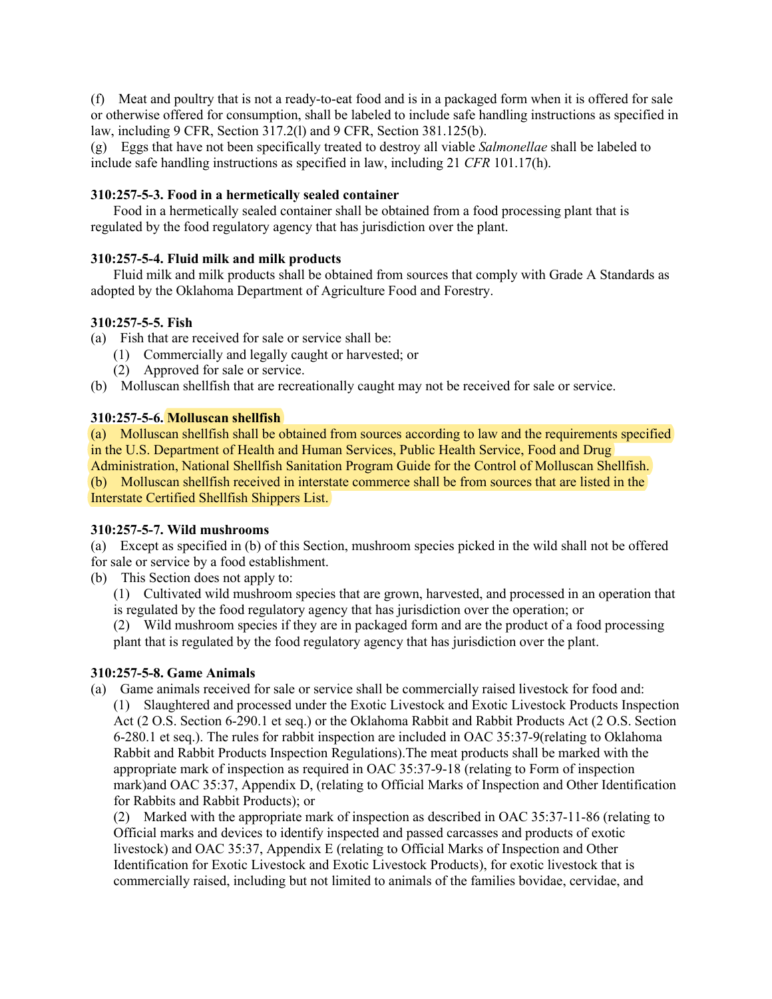(f) Meat and poultry that is not a ready-to-eat food and is in a packaged form when it is offered for sale or otherwise offered for consumption, shall be labeled to include safe handling instructions as specified in law, including 9 CFR, Section 317.2(l) and 9 CFR, Section 381.125(b).

(g) Eggs that have not been specifically treated to destroy all viable *Salmonellae* shall be labeled to include safe handling instructions as specified in law, including 21 *CFR* 101.17(h).

## **310:257-5-3. Food in a hermetically sealed container**

Food in a hermetically sealed container shall be obtained from a food processing plant that is regulated by the food regulatory agency that has jurisdiction over the plant.

### **310:257-5-4. Fluid milk and milk products**

Fluid milk and milk products shall be obtained from sources that comply with Grade A Standards as adopted by the Oklahoma Department of Agriculture Food and Forestry.

# **310:257-5-5. Fish**

- (a) Fish that are received for sale or service shall be:
	- (1) Commercially and legally caught or harvested; or
	- (2) Approved for sale or service.
- (b) Molluscan shellfish that are recreationally caught may not be received for sale or service.

### **310:257-5-6. Molluscan shellfish**

(a) Molluscan shellfish shall be obtained from sources according to law and the requirements specified in the U.S. Department of Health and Human Services, Public Health Service, Food and Drug Administration, National Shellfish Sanitation Program Guide for the Control of Molluscan Shellfish. (b) Molluscan shellfish received in interstate commerce shall be from sources that are listed in the Interstate Certified Shellfish Shippers List.

### **310:257-5-7. Wild mushrooms**

(a) Except as specified in (b) of this Section, mushroom species picked in the wild shall not be offered for sale or service by a food establishment.

(b) This Section does not apply to:

(1) Cultivated wild mushroom species that are grown, harvested, and processed in an operation that is regulated by the food regulatory agency that has jurisdiction over the operation; or

(2) Wild mushroom species if they are in packaged form and are the product of a food processing plant that is regulated by the food regulatory agency that has jurisdiction over the plant.

### **310:257-5-8. Game Animals**

(a) Game animals received for sale or service shall be commercially raised livestock for food and: (1) Slaughtered and processed under the Exotic Livestock and Exotic Livestock Products Inspection Act (2 O.S. Section 6-290.1 et seq.) or the Oklahoma Rabbit and Rabbit Products Act (2 O.S. Section 6-280.1 et seq.). The rules for rabbit inspection are included in OAC 35:37-9(relating to Oklahoma Rabbit and Rabbit Products Inspection Regulations).The meat products shall be marked with the appropriate mark of inspection as required in OAC 35:37-9-18 (relating to Form of inspection mark)and OAC 35:37, Appendix D, (relating to Official Marks of Inspection and Other Identification for Rabbits and Rabbit Products); or

(2) Marked with the appropriate mark of inspection as described in OAC 35:37-11-86 (relating to Official marks and devices to identify inspected and passed carcasses and products of exotic livestock) and OAC 35:37, Appendix E (relating to Official Marks of Inspection and Other Identification for Exotic Livestock and Exotic Livestock Products), for exotic livestock that is commercially raised, including but not limited to animals of the families bovidae, cervidae, and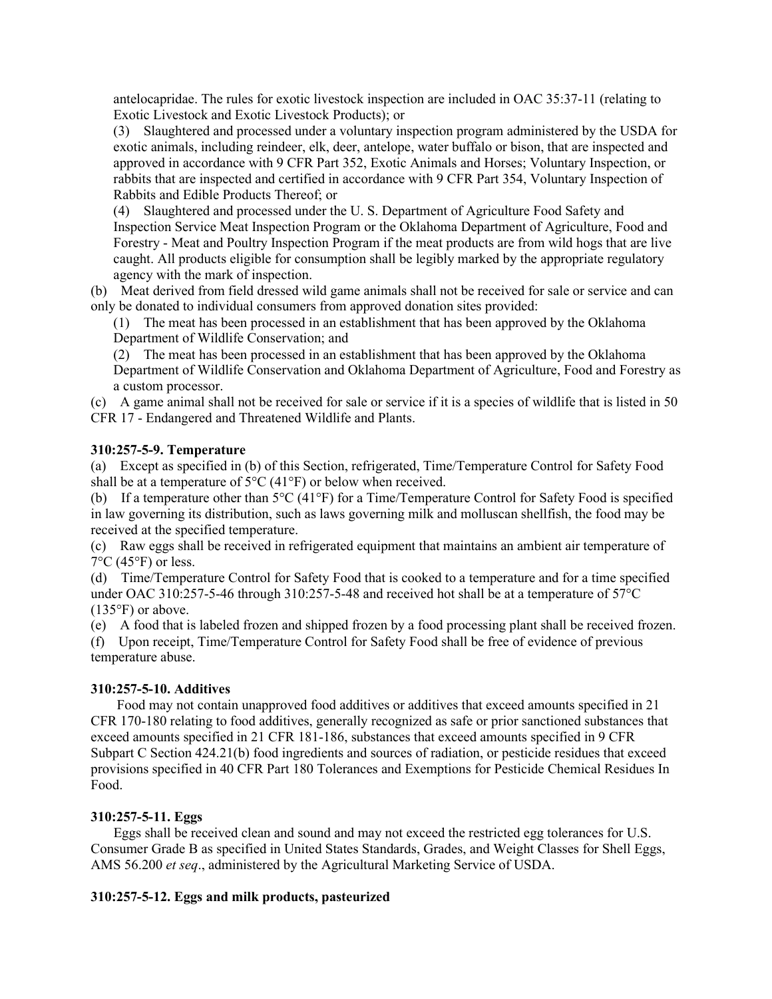antelocapridae. The rules for exotic livestock inspection are included in OAC 35:37-11 (relating to Exotic Livestock and Exotic Livestock Products); or

(3) Slaughtered and processed under a voluntary inspection program administered by the USDA for exotic animals, including reindeer, elk, deer, antelope, water buffalo or bison, that are inspected and approved in accordance with 9 CFR Part 352, Exotic Animals and Horses; Voluntary Inspection, or rabbits that are inspected and certified in accordance with 9 CFR Part 354, Voluntary Inspection of Rabbits and Edible Products Thereof; or

(4) Slaughtered and processed under the U. S. Department of Agriculture Food Safety and Inspection Service Meat Inspection Program or the Oklahoma Department of Agriculture, Food and Forestry - Meat and Poultry Inspection Program if the meat products are from wild hogs that are live caught. All products eligible for consumption shall be legibly marked by the appropriate regulatory agency with the mark of inspection.

(b) Meat derived from field dressed wild game animals shall not be received for sale or service and can only be donated to individual consumers from approved donation sites provided:

(1) The meat has been processed in an establishment that has been approved by the Oklahoma Department of Wildlife Conservation; and

(2) The meat has been processed in an establishment that has been approved by the Oklahoma Department of Wildlife Conservation and Oklahoma Department of Agriculture, Food and Forestry as a custom processor.

(c) A game animal shall not be received for sale or service if it is a species of wildlife that is listed in 50 CFR 17 - Endangered and Threatened Wildlife and Plants.

### **310:257-5-9. Temperature**

(a) Except as specified in (b) of this Section, refrigerated, Time/Temperature Control for Safety Food shall be at a temperature of  $5^{\circ}$ C (41 $^{\circ}$ F) or below when received.

(b) If a temperature other than 5°C (41°F) for a Time/Temperature Control for Safety Food is specified in law governing its distribution, such as laws governing milk and molluscan shellfish, the food may be received at the specified temperature.

(c) Raw eggs shall be received in refrigerated equipment that maintains an ambient air temperature of  $7^{\circ}$ C (45 $^{\circ}$ F) or less.

(d) Time/Temperature Control for Safety Food that is cooked to a temperature and for a time specified under OAC 310:257-5-46 through 310:257-5-48 and received hot shall be at a temperature of 57°C  $(135^{\circ}F)$  or above.

(e) A food that is labeled frozen and shipped frozen by a food processing plant shall be received frozen.

(f) Upon receipt, Time/Temperature Control for Safety Food shall be free of evidence of previous temperature abuse.

### **310:257-5-10. Additives**

Food may not contain unapproved food additives or additives that exceed amounts specified in 21 CFR 170-180 relating to food additives, generally recognized as safe or prior sanctioned substances that exceed amounts specified in 21 CFR 181-186, substances that exceed amounts specified in 9 CFR Subpart C Section 424.21(b) food ingredients and sources of radiation, or pesticide residues that exceed provisions specified in 40 CFR Part 180 Tolerances and Exemptions for Pesticide Chemical Residues In Food.

### **310:257-5-11. Eggs**

Eggs shall be received clean and sound and may not exceed the restricted egg tolerances for U.S. Consumer Grade B as specified in United States Standards, Grades, and Weight Classes for Shell Eggs, AMS 56.200 *et seq*., administered by the Agricultural Marketing Service of USDA.

### **310:257-5-12. Eggs and milk products, pasteurized**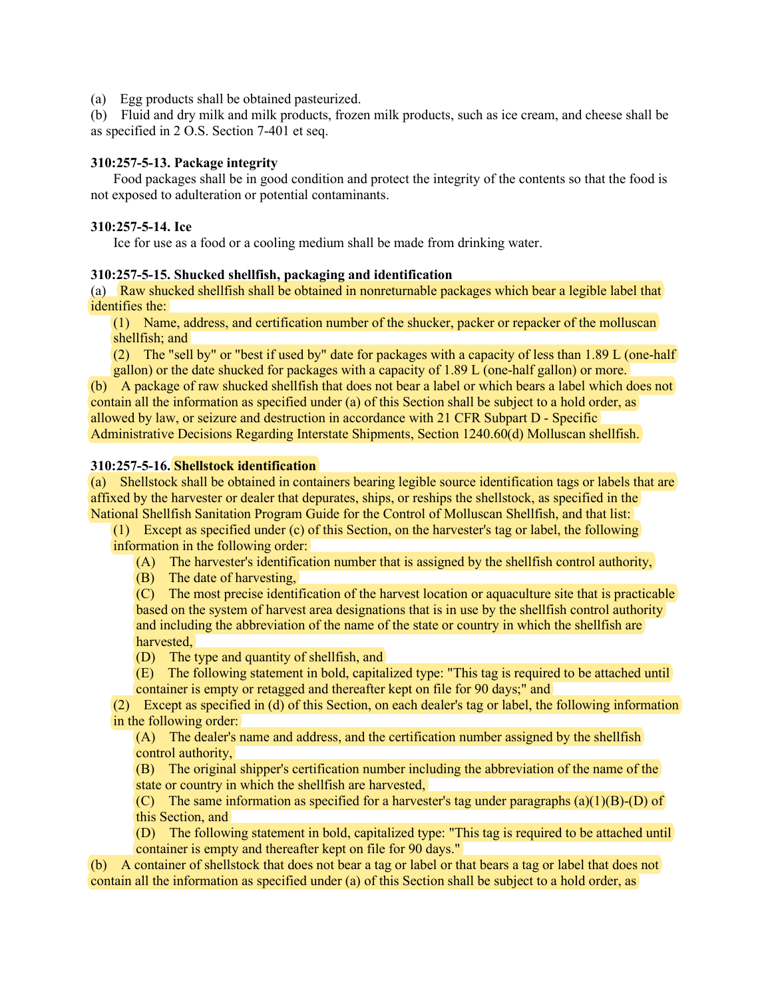(a) Egg products shall be obtained pasteurized.

(b) Fluid and dry milk and milk products, frozen milk products, such as ice cream, and cheese shall be as specified in 2 O.S. Section 7-401 et seq.

#### **310:257-5-13. Package integrity**

Food packages shall be in good condition and protect the integrity of the contents so that the food is not exposed to adulteration or potential contaminants.

#### **310:257-5-14. Ice**

Ice for use as a food or a cooling medium shall be made from drinking water.

#### **310:257-5-15. Shucked shellfish, packaging and identification**

(a) Raw shucked shellfish shall be obtained in nonreturnable packages which bear a legible label that identifies the:

(1) Name, address, and certification number of the shucker, packer or repacker of the molluscan shellfish; and

(2) The "sell by" or "best if used by" date for packages with a capacity of less than 1.89 L (one-half gallon) or the date shucked for packages with a capacity of 1.89 L (one-half gallon) or more.

(b) A package of raw shucked shellfish that does not bear a label or which bears a label which does not contain all the information as specified under (a) of this Section shall be subject to a hold order, as allowed by law, or seizure and destruction in accordance with 21 CFR Subpart D - Specific Administrative Decisions Regarding Interstate Shipments, Section 1240.60(d) Molluscan shellfish.

#### **310:257-5-16. Shellstock identification**

(a) Shellstock shall be obtained in containers bearing legible source identification tags or labels that are affixed by the harvester or dealer that depurates, ships, or reships the shellstock, as specified in the National Shellfish Sanitation Program Guide for the Control of Molluscan Shellfish, and that list:

(1) Except as specified under (c) of this Section, on the harvester's tag or label, the following information in the following order:

(A) The harvester's identification number that is assigned by the shellfish control authority,

(B) The date of harvesting,

(C) The most precise identification of the harvest location or aquaculture site that is practicable based on the system of harvest area designations that is in use by the shellfish control authority and including the abbreviation of the name of the state or country in which the shellfish are harvested,

(D) The type and quantity of shellfish, and

(E) The following statement in bold, capitalized type: "This tag is required to be attached until container is empty or retagged and thereafter kept on file for 90 days;" and

(2) Except as specified in (d) of this Section, on each dealer's tag or label, the following information in the following order:

(A) The dealer's name and address, and the certification number assigned by the shellfish control authority,

(B) The original shipper's certification number including the abbreviation of the name of the state or country in which the shellfish are harvested,

(C) The same information as specified for a harvester's tag under paragraphs  $(a)(1)(B)-(D)$  of this Section, and

(D) The following statement in bold, capitalized type: "This tag is required to be attached until container is empty and thereafter kept on file for 90 days."

(b) A container of shellstock that does not bear a tag or label or that bears a tag or label that does not contain all the information as specified under (a) of this Section shall be subject to a hold order, as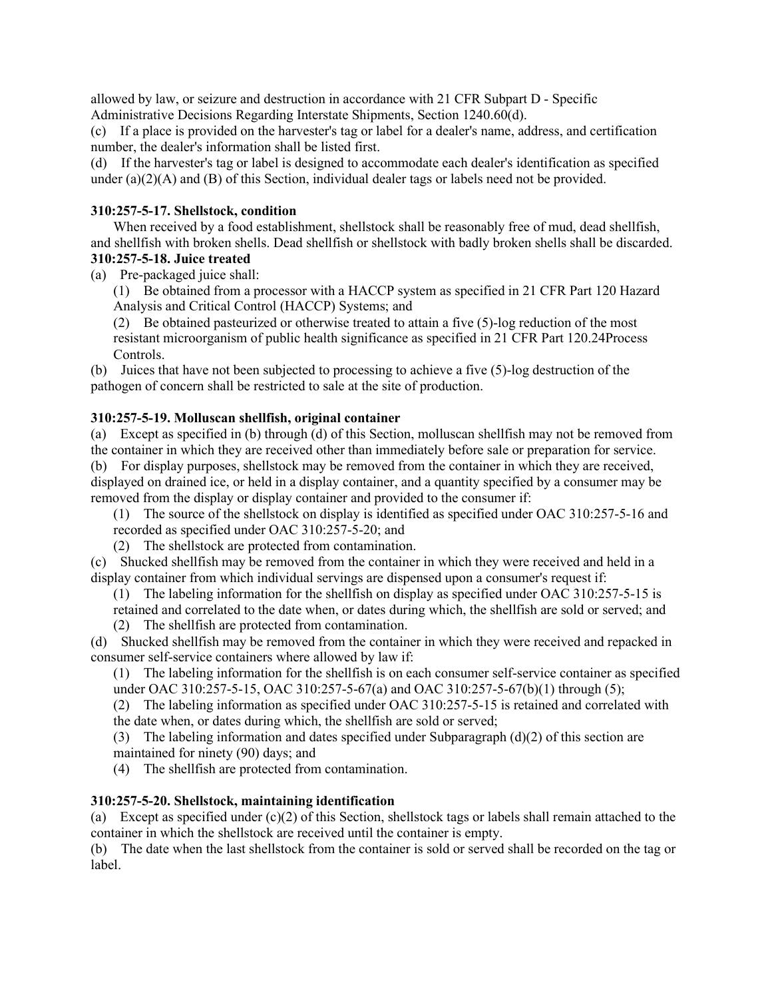allowed by law, or seizure and destruction in accordance with 21 CFR Subpart D - Specific Administrative Decisions Regarding Interstate Shipments, Section 1240.60(d).

(c) If a place is provided on the harvester's tag or label for a dealer's name, address, and certification number, the dealer's information shall be listed first.

(d) If the harvester's tag or label is designed to accommodate each dealer's identification as specified under  $(a)(2)(A)$  and  $(B)$  of this Section, individual dealer tags or labels need not be provided.

## **310:257-5-17. Shellstock, condition**

When received by a food establishment, shellstock shall be reasonably free of mud, dead shellfish, and shellfish with broken shells. Dead shellfish or shellstock with badly broken shells shall be discarded.

### **310:257-5-18. Juice treated**

(a) Pre-packaged juice shall:

(1) Be obtained from a processor with a HACCP system as specified in 21 CFR Part 120 Hazard Analysis and Critical Control (HACCP) Systems; and

(2) Be obtained pasteurized or otherwise treated to attain a five (5)-log reduction of the most resistant microorganism of public health significance as specified in 21 CFR Part 120.24Process Controls.

(b) Juices that have not been subjected to processing to achieve a five (5)-log destruction of the pathogen of concern shall be restricted to sale at the site of production.

# **310:257-5-19. Molluscan shellfish, original container**

(a) Except as specified in (b) through (d) of this Section, molluscan shellfish may not be removed from the container in which they are received other than immediately before sale or preparation for service. (b) For display purposes, shellstock may be removed from the container in which they are received, displayed on drained ice, or held in a display container, and a quantity specified by a consumer may be removed from the display or display container and provided to the consumer if:

(1) The source of the shellstock on display is identified as specified under OAC 310:257-5-16 and recorded as specified under OAC 310:257-5-20; and

(2) The shellstock are protected from contamination.

(c) Shucked shellfish may be removed from the container in which they were received and held in a display container from which individual servings are dispensed upon a consumer's request if:

(1) The labeling information for the shellfish on display as specified under OAC 310:257-5-15 is retained and correlated to the date when, or dates during which, the shellfish are sold or served; and (2) The shellfish are protected from contamination.

(d) Shucked shellfish may be removed from the container in which they were received and repacked in consumer self-service containers where allowed by law if:

(1) The labeling information for the shellfish is on each consumer self-service container as specified under OAC 310:257-5-15, OAC 310:257-5-67(a) and OAC 310:257-5-67(b)(1) through (5);

(2) The labeling information as specified under OAC 310:257-5-15 is retained and correlated with the date when, or dates during which, the shellfish are sold or served;

(3) The labeling information and dates specified under Subparagraph  $(d)(2)$  of this section are maintained for ninety (90) days; and

(4) The shellfish are protected from contamination.

# **310:257-5-20. Shellstock, maintaining identification**

(a) Except as specified under  $(c)(2)$  of this Section, shellstock tags or labels shall remain attached to the container in which the shellstock are received until the container is empty.

(b) The date when the last shellstock from the container is sold or served shall be recorded on the tag or label.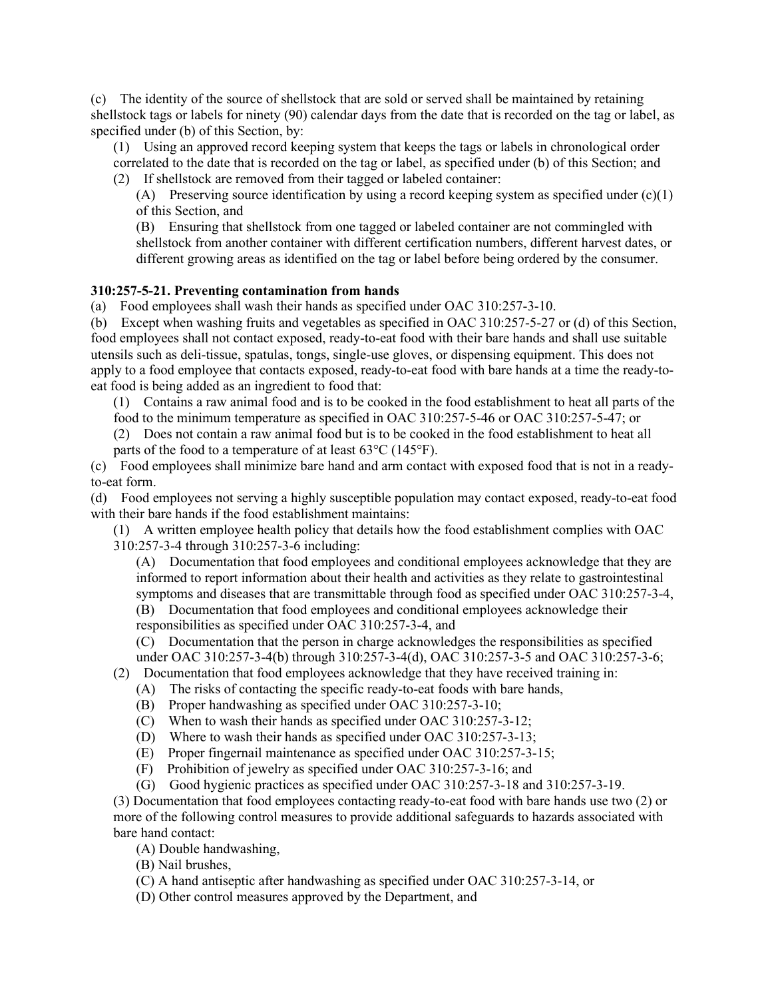(c) The identity of the source of shellstock that are sold or served shall be maintained by retaining shellstock tags or labels for ninety (90) calendar days from the date that is recorded on the tag or label, as specified under (b) of this Section, by:

(1) Using an approved record keeping system that keeps the tags or labels in chronological order correlated to the date that is recorded on the tag or label, as specified under (b) of this Section; and

(2) If shellstock are removed from their tagged or labeled container:

(A) Preserving source identification by using a record keeping system as specified under  $(c)(1)$ of this Section, and

(B) Ensuring that shellstock from one tagged or labeled container are not commingled with shellstock from another container with different certification numbers, different harvest dates, or different growing areas as identified on the tag or label before being ordered by the consumer.

## **310:257-5-21. Preventing contamination from hands**

(a) Food employees shall wash their hands as specified under OAC 310:257-3-10.

(b) Except when washing fruits and vegetables as specified in OAC 310:257-5-27 or (d) of this Section, food employees shall not contact exposed, ready-to-eat food with their bare hands and shall use suitable utensils such as deli-tissue, spatulas, tongs, single-use gloves, or dispensing equipment. This does not apply to a food employee that contacts exposed, ready-to-eat food with bare hands at a time the ready-toeat food is being added as an ingredient to food that:

(1) Contains a raw animal food and is to be cooked in the food establishment to heat all parts of the

food to the minimum temperature as specified in OAC 310:257-5-46 or OAC 310:257-5-47; or

(2) Does not contain a raw animal food but is to be cooked in the food establishment to heat all parts of the food to a temperature of at least 63°C (145°F).

(c) Food employees shall minimize bare hand and arm contact with exposed food that is not in a readyto-eat form.

(d) Food employees not serving a highly susceptible population may contact exposed, ready-to-eat food with their bare hands if the food establishment maintains:

(1) A written employee health policy that details how the food establishment complies with OAC 310:257-3-4 through 310:257-3-6 including:

(A) Documentation that food employees and conditional employees acknowledge that they are informed to report information about their health and activities as they relate to gastrointestinal symptoms and diseases that are transmittable through food as specified under OAC 310:257-3-4,

(B) Documentation that food employees and conditional employees acknowledge their responsibilities as specified under OAC 310:257-3-4, and

(C) Documentation that the person in charge acknowledges the responsibilities as specified

under OAC 310:257-3-4(b) through 310:257-3-4(d), OAC 310:257-3-5 and OAC 310:257-3-6;

- (2) Documentation that food employees acknowledge that they have received training in:
	- (A) The risks of contacting the specific ready-to-eat foods with bare hands,
	- (B) Proper handwashing as specified under OAC 310:257-3-10;
	- (C) When to wash their hands as specified under OAC 310:257-3-12;
	- (D) Where to wash their hands as specified under OAC 310:257-3-13;
	- (E) Proper fingernail maintenance as specified under OAC 310:257-3-15;
	- (F) Prohibition of jewelry as specified under OAC 310:257-3-16; and
	- (G) Good hygienic practices as specified under OAC 310:257-3-18 and 310:257-3-19.

(3) Documentation that food employees contacting ready-to-eat food with bare hands use two (2) or more of the following control measures to provide additional safeguards to hazards associated with bare hand contact:

(A) Double handwashing,

(B) Nail brushes,

- (C) A hand antiseptic after handwashing as specified under OAC 310:257-3-14, or
- (D) Other control measures approved by the Department, and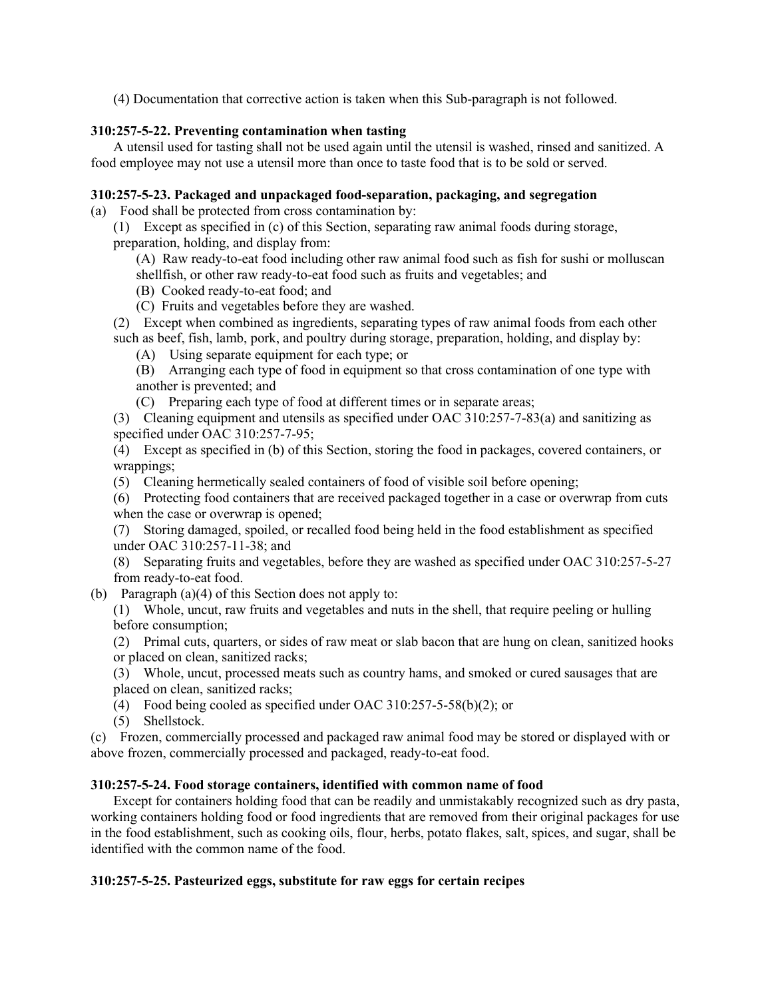(4) Documentation that corrective action is taken when this Sub-paragraph is not followed.

# **310:257-5-22. Preventing contamination when tasting**

A utensil used for tasting shall not be used again until the utensil is washed, rinsed and sanitized. A food employee may not use a utensil more than once to taste food that is to be sold or served.

# **310:257-5-23. Packaged and unpackaged food-separation, packaging, and segregation**

(a) Food shall be protected from cross contamination by:

(1) Except as specified in (c) of this Section, separating raw animal foods during storage, preparation, holding, and display from:

- (A) Raw ready-to-eat food including other raw animal food such as fish for sushi or molluscan shellfish, or other raw ready-to-eat food such as fruits and vegetables; and
- (B) Cooked ready-to-eat food; and
- (C) Fruits and vegetables before they are washed.
- (2) Except when combined as ingredients, separating types of raw animal foods from each other such as beef, fish, lamb, pork, and poultry during storage, preparation, holding, and display by:
	- (A) Using separate equipment for each type; or
	- (B) Arranging each type of food in equipment so that cross contamination of one type with another is prevented; and
	- (C) Preparing each type of food at different times or in separate areas;
- (3) Cleaning equipment and utensils as specified under OAC 310:257-7-83(a) and sanitizing as specified under OAC 310:257-7-95;

(4) Except as specified in (b) of this Section, storing the food in packages, covered containers, or wrappings;

(5) Cleaning hermetically sealed containers of food of visible soil before opening;

(6) Protecting food containers that are received packaged together in a case or overwrap from cuts when the case or overwrap is opened;

(7) Storing damaged, spoiled, or recalled food being held in the food establishment as specified under OAC 310:257-11-38; and

- (8) Separating fruits and vegetables, before they are washed as specified under OAC 310:257-5-27 from ready-to-eat food.
- (b) Paragraph (a)(4) of this Section does not apply to:
	- (1) Whole, uncut, raw fruits and vegetables and nuts in the shell, that require peeling or hulling before consumption;

(2) Primal cuts, quarters, or sides of raw meat or slab bacon that are hung on clean, sanitized hooks or placed on clean, sanitized racks;

(3) Whole, uncut, processed meats such as country hams, and smoked or cured sausages that are placed on clean, sanitized racks;

(4) Food being cooled as specified under OAC 310:257-5-58(b)(2); or

(5) Shellstock.

(c) Frozen, commercially processed and packaged raw animal food may be stored or displayed with or above frozen, commercially processed and packaged, ready-to-eat food.

# **310:257-5-24. Food storage containers, identified with common name of food**

Except for containers holding food that can be readily and unmistakably recognized such as dry pasta, working containers holding food or food ingredients that are removed from their original packages for use in the food establishment, such as cooking oils, flour, herbs, potato flakes, salt, spices, and sugar, shall be identified with the common name of the food.

# **310:257-5-25. Pasteurized eggs, substitute for raw eggs for certain recipes**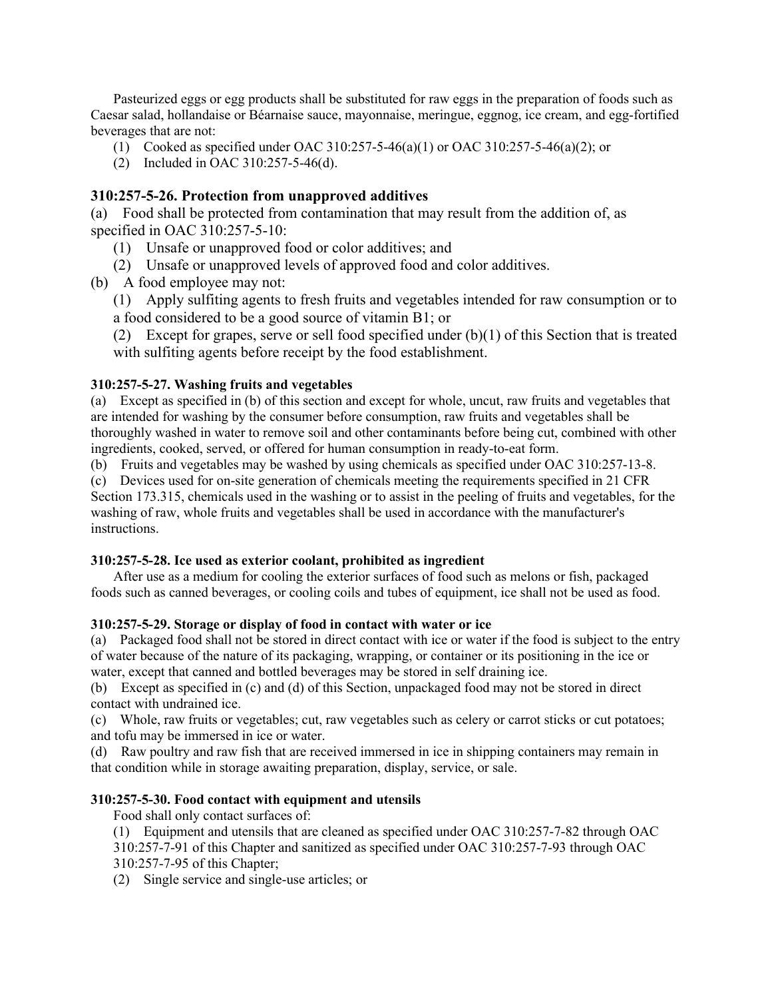Pasteurized eggs or egg products shall be substituted for raw eggs in the preparation of foods such as Caesar salad, hollandaise or Béarnaise sauce, mayonnaise, meringue, eggnog, ice cream, and egg-fortified beverages that are not:

- (1) Cooked as specified under OAC 310:257-5-46(a)(1) or OAC 310:257-5-46(a)(2); or
- (2) Included in OAC 310:257-5-46(d).

# **310:257-5-26. Protection from unapproved additives**

(a) Food shall be protected from contamination that may result from the addition of, as specified in OAC 310:257-5-10:

- (1) Unsafe or unapproved food or color additives; and
- (2) Unsafe or unapproved levels of approved food and color additives.
- (b) A food employee may not:
	- (1) Apply sulfiting agents to fresh fruits and vegetables intended for raw consumption or to a food considered to be a good source of vitamin B1; or

(2) Except for grapes, serve or sell food specified under  $(b)(1)$  of this Section that is treated with sulfiting agents before receipt by the food establishment.

# **310:257-5-27. Washing fruits and vegetables**

(a) Except as specified in (b) of this section and except for whole, uncut, raw fruits and vegetables that are intended for washing by the consumer before consumption, raw fruits and vegetables shall be thoroughly washed in water to remove soil and other contaminants before being cut, combined with other ingredients, cooked, served, or offered for human consumption in ready-to-eat form.

(b) Fruits and vegetables may be washed by using chemicals as specified under OAC 310:257-13-8.

(c) Devices used for on-site generation of chemicals meeting the requirements specified in 21 CFR Section 173.315, chemicals used in the washing or to assist in the peeling of fruits and vegetables, for the washing of raw, whole fruits and vegetables shall be used in accordance with the manufacturer's instructions.

### **310:257-5-28. Ice used as exterior coolant, prohibited as ingredient**

After use as a medium for cooling the exterior surfaces of food such as melons or fish, packaged foods such as canned beverages, or cooling coils and tubes of equipment, ice shall not be used as food.

# **310:257-5-29. Storage or display of food in contact with water or ice**

(a) Packaged food shall not be stored in direct contact with ice or water if the food is subject to the entry of water because of the nature of its packaging, wrapping, or container or its positioning in the ice or water, except that canned and bottled beverages may be stored in self draining ice.

(b) Except as specified in (c) and (d) of this Section, unpackaged food may not be stored in direct contact with undrained ice.

(c) Whole, raw fruits or vegetables; cut, raw vegetables such as celery or carrot sticks or cut potatoes; and tofu may be immersed in ice or water.

(d) Raw poultry and raw fish that are received immersed in ice in shipping containers may remain in that condition while in storage awaiting preparation, display, service, or sale.

# **310:257-5-30. Food contact with equipment and utensils**

Food shall only contact surfaces of:

(1) Equipment and utensils that are cleaned as specified under OAC 310:257-7-82 through OAC

310:257-7-91 of this Chapter and sanitized as specified under OAC 310:257-7-93 through OAC 310:257-7-95 of this Chapter;

(2) Single service and single-use articles; or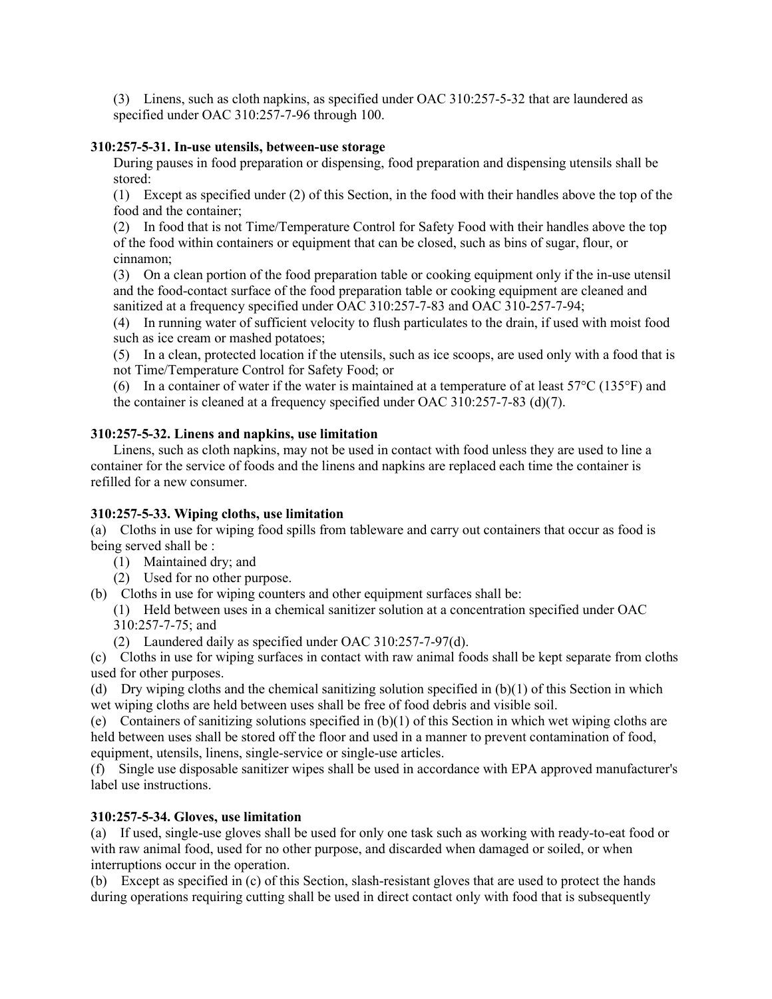(3) Linens, such as cloth napkins, as specified under OAC 310:257-5-32 that are laundered as specified under OAC 310:257-7-96 through 100.

# **310:257-5-31. In-use utensils, between-use storage**

During pauses in food preparation or dispensing, food preparation and dispensing utensils shall be stored:

(1) Except as specified under (2) of this Section, in the food with their handles above the top of the food and the container;

(2) In food that is not Time/Temperature Control for Safety Food with their handles above the top of the food within containers or equipment that can be closed, such as bins of sugar, flour, or cinnamon;

(3) On a clean portion of the food preparation table or cooking equipment only if the in-use utensil and the food-contact surface of the food preparation table or cooking equipment are cleaned and sanitized at a frequency specified under OAC 310:257-7-83 and OAC 310-257-7-94;

(4) In running water of sufficient velocity to flush particulates to the drain, if used with moist food such as ice cream or mashed potatoes;

(5) In a clean, protected location if the utensils, such as ice scoops, are used only with a food that is not Time/Temperature Control for Safety Food; or

(6) In a container of water if the water is maintained at a temperature of at least  $57^{\circ}$ C (135°F) and the container is cleaned at a frequency specified under OAC 310:257-7-83 (d)(7).

# **310:257-5-32. Linens and napkins, use limitation**

Linens, such as cloth napkins, may not be used in contact with food unless they are used to line a container for the service of foods and the linens and napkins are replaced each time the container is refilled for a new consumer.

# **310:257-5-33. Wiping cloths, use limitation**

(a) Cloths in use for wiping food spills from tableware and carry out containers that occur as food is being served shall be :

- (1) Maintained dry; and
- (2) Used for no other purpose.
- (b) Cloths in use for wiping counters and other equipment surfaces shall be:
	- (1) Held between uses in a chemical sanitizer solution at a concentration specified under OAC 310:257-7-75; and
	- (2) Laundered daily as specified under OAC 310:257-7-97(d).

(c) Cloths in use for wiping surfaces in contact with raw animal foods shall be kept separate from cloths used for other purposes.

(d) Dry wiping cloths and the chemical sanitizing solution specified in  $(b)(1)$  of this Section in which wet wiping cloths are held between uses shall be free of food debris and visible soil.

(e) Containers of sanitizing solutions specified in (b)(1) of this Section in which wet wiping cloths are held between uses shall be stored off the floor and used in a manner to prevent contamination of food, equipment, utensils, linens, single-service or single-use articles.

(f) Single use disposable sanitizer wipes shall be used in accordance with EPA approved manufacturer's label use instructions.

### **310:257-5-34. Gloves, use limitation**

(a) If used, single-use gloves shall be used for only one task such as working with ready-to-eat food or with raw animal food, used for no other purpose, and discarded when damaged or soiled, or when interruptions occur in the operation.

(b) Except as specified in (c) of this Section, slash-resistant gloves that are used to protect the hands during operations requiring cutting shall be used in direct contact only with food that is subsequently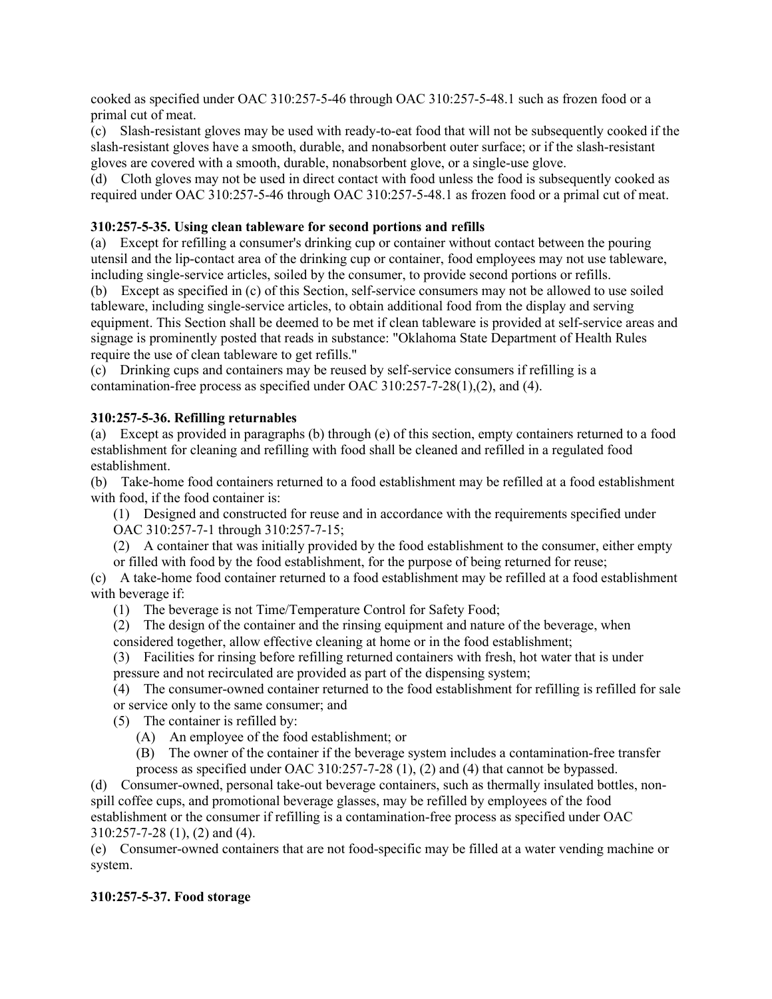cooked as specified under OAC 310:257-5-46 through OAC 310:257-5-48.1 such as frozen food or a primal cut of meat.

(c) Slash-resistant gloves may be used with ready-to-eat food that will not be subsequently cooked if the slash-resistant gloves have a smooth, durable, and nonabsorbent outer surface; or if the slash-resistant gloves are covered with a smooth, durable, nonabsorbent glove, or a single-use glove.

(d) Cloth gloves may not be used in direct contact with food unless the food is subsequently cooked as required under OAC 310:257-5-46 through OAC 310:257-5-48.1 as frozen food or a primal cut of meat.

# **310:257-5-35. Using clean tableware for second portions and refills**

(a) Except for refilling a consumer's drinking cup or container without contact between the pouring utensil and the lip-contact area of the drinking cup or container, food employees may not use tableware, including single-service articles, soiled by the consumer, to provide second portions or refills.

(b) Except as specified in (c) of this Section, self-service consumers may not be allowed to use soiled tableware, including single-service articles, to obtain additional food from the display and serving equipment. This Section shall be deemed to be met if clean tableware is provided at self-service areas and signage is prominently posted that reads in substance: "Oklahoma State Department of Health Rules require the use of clean tableware to get refills."

(c) Drinking cups and containers may be reused by self-service consumers if refilling is a contamination-free process as specified under OAC 310:257-7-28(1),(2), and (4).

# **310:257-5-36. Refilling returnables**

(a) Except as provided in paragraphs (b) through (e) of this section, empty containers returned to a food establishment for cleaning and refilling with food shall be cleaned and refilled in a regulated food establishment.

(b) Take-home food containers returned to a food establishment may be refilled at a food establishment with food, if the food container is:

(1) Designed and constructed for reuse and in accordance with the requirements specified under OAC 310:257-7-1 through 310:257-7-15;

(2) A container that was initially provided by the food establishment to the consumer, either empty or filled with food by the food establishment, for the purpose of being returned for reuse;

(c) A take-home food container returned to a food establishment may be refilled at a food establishment with beverage if:

(1) The beverage is not Time/Temperature Control for Safety Food;

(2) The design of the container and the rinsing equipment and nature of the beverage, when considered together, allow effective cleaning at home or in the food establishment;

(3) Facilities for rinsing before refilling returned containers with fresh, hot water that is under pressure and not recirculated are provided as part of the dispensing system;

(4) The consumer-owned container returned to the food establishment for refilling is refilled for sale or service only to the same consumer; and

(5) The container is refilled by:

(A) An employee of the food establishment; or

(B) The owner of the container if the beverage system includes a contamination-free transfer

process as specified under OAC 310:257-7-28 (1), (2) and (4) that cannot be bypassed.

(d) Consumer-owned, personal take-out beverage containers, such as thermally insulated bottles, nonspill coffee cups, and promotional beverage glasses, may be refilled by employees of the food establishment or the consumer if refilling is a contamination-free process as specified under OAC 310:257-7-28 (1), (2) and (4).

(e) Consumer-owned containers that are not food-specific may be filled at a water vending machine or system.

# **310:257-5-37. Food storage**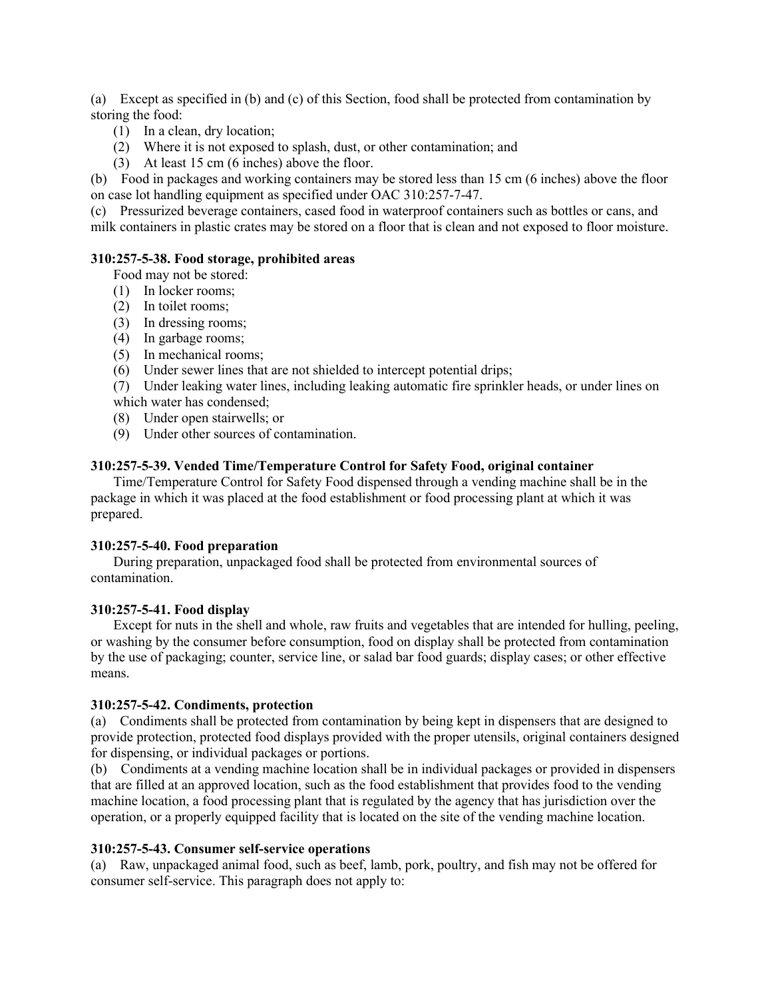(a) Except as specified in (b) and (c) of this Section, food shall be protected from contamination by storing the food:

- (1) In a clean, dry location;
- (2) Where it is not exposed to splash, dust, or other contamination; and
- (3) At least 15 cm (6 inches) above the floor.

(b) Food in packages and working containers may be stored less than 15 cm (6 inches) above the floor on case lot handling equipment as specified under OAC 310:257-7-47.

(c) Pressurized beverage containers, cased food in waterproof containers such as bottles or cans, and milk containers in plastic crates may be stored on a floor that is clean and not exposed to floor moisture.

#### **310:257-5-38. Food storage, prohibited areas**

Food may not be stored:

- (1) In locker rooms;
- (2) In toilet rooms;
- (3) In dressing rooms;
- (4) In garbage rooms;
- (5) In mechanical rooms;
- (6) Under sewer lines that are not shielded to intercept potential drips;

(7) Under leaking water lines, including leaking automatic fire sprinkler heads, or under lines on which water has condensed;

- (8) Under open stairwells; or
- (9) Under other sources of contamination.

#### **310:257-5-39. Vended Time/Temperature Control for Safety Food, original container**

Time/Temperature Control for Safety Food dispensed through a vending machine shall be in the package in which it was placed at the food establishment or food processing plant at which it was prepared.

#### **310:257-5-40. Food preparation**

During preparation, unpackaged food shall be protected from environmental sources of contamination.

#### **310:257-5-41. Food display**

Except for nuts in the shell and whole, raw fruits and vegetables that are intended for hulling, peeling, or washing by the consumer before consumption, food on display shall be protected from contamination by the use of packaging; counter, service line, or salad bar food guards; display cases; or other effective means.

### **310:257-5-42. Condiments, protection**

(a) Condiments shall be protected from contamination by being kept in dispensers that are designed to provide protection, protected food displays provided with the proper utensils, original containers designed for dispensing, or individual packages or portions.

(b) Condiments at a vending machine location shall be in individual packages or provided in dispensers that are filled at an approved location, such as the food establishment that provides food to the vending machine location, a food processing plant that is regulated by the agency that has jurisdiction over the operation, or a properly equipped facility that is located on the site of the vending machine location.

### **310:257-5-43. Consumer self-service operations**

(a) Raw, unpackaged animal food, such as beef, lamb, pork, poultry, and fish may not be offered for consumer self-service. This paragraph does not apply to: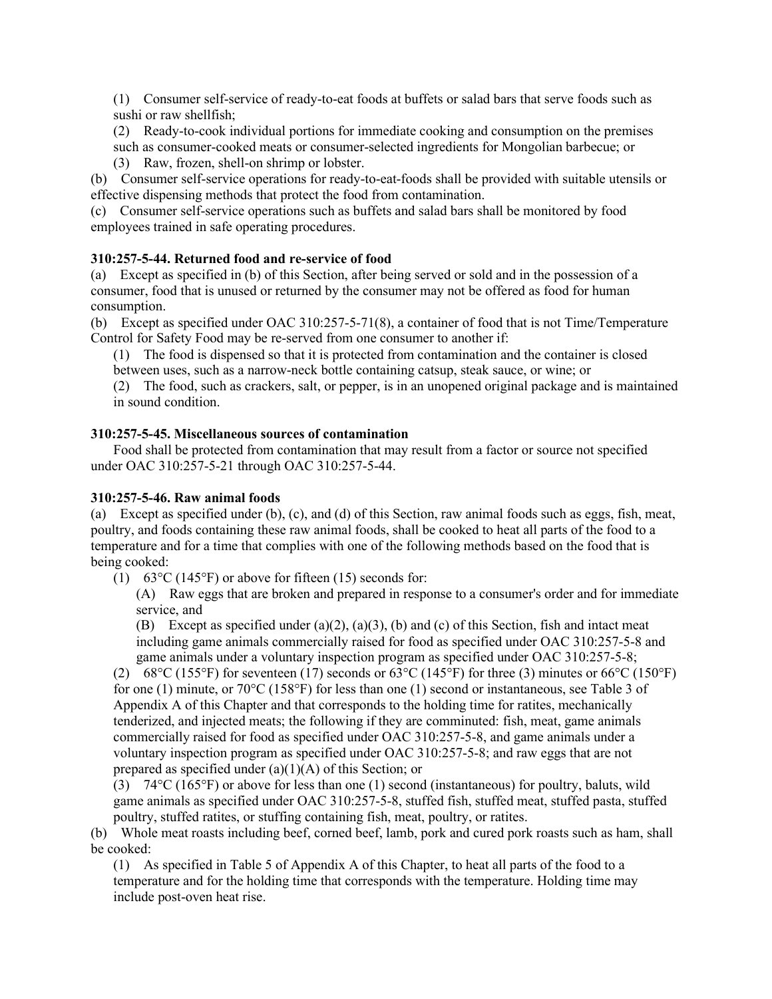(1) Consumer self-service of ready-to-eat foods at buffets or salad bars that serve foods such as sushi or raw shellfish;

(2) Ready-to-cook individual portions for immediate cooking and consumption on the premises

such as consumer-cooked meats or consumer-selected ingredients for Mongolian barbecue; or (3) Raw, frozen, shell-on shrimp or lobster.

(b) Consumer self-service operations for ready-to-eat-foods shall be provided with suitable utensils or effective dispensing methods that protect the food from contamination.

(c) Consumer self-service operations such as buffets and salad bars shall be monitored by food employees trained in safe operating procedures.

# **310:257-5-44. Returned food and re-service of food**

(a) Except as specified in (b) of this Section, after being served or sold and in the possession of a consumer, food that is unused or returned by the consumer may not be offered as food for human consumption.

(b) Except as specified under OAC 310:257-5-71(8), a container of food that is not Time/Temperature Control for Safety Food may be re-served from one consumer to another if:

(1) The food is dispensed so that it is protected from contamination and the container is closed

between uses, such as a narrow-neck bottle containing catsup, steak sauce, or wine; or

(2) The food, such as crackers, salt, or pepper, is in an unopened original package and is maintained in sound condition.

### **310:257-5-45. Miscellaneous sources of contamination**

Food shall be protected from contamination that may result from a factor or source not specified under OAC 310:257-5-21 through OAC 310:257-5-44.

## **310:257-5-46. Raw animal foods**

(a) Except as specified under (b), (c), and (d) of this Section, raw animal foods such as eggs, fish, meat, poultry, and foods containing these raw animal foods, shall be cooked to heat all parts of the food to a temperature and for a time that complies with one of the following methods based on the food that is being cooked:

(1) 63 $\degree$ C (145 $\degree$ F) or above for fifteen (15) seconds for:

(A) Raw eggs that are broken and prepared in response to a consumer's order and for immediate service, and

(B) Except as specified under (a)(2), (a)(3), (b) and (c) of this Section, fish and intact meat including game animals commercially raised for food as specified under OAC 310:257-5-8 and game animals under a voluntary inspection program as specified under OAC 310:257-5-8;

(2) 68°C (155°F) for seventeen (17) seconds or  $63^{\circ}$ C (145°F) for three (3) minutes or  $66^{\circ}$ C (150°F) for one (1) minute, or  $70^{\circ}$ C (158°F) for less than one (1) second or instantaneous, see Table 3 of Appendix A of this Chapter and that corresponds to the holding time for ratites, mechanically tenderized, and injected meats; the following if they are comminuted: fish, meat, game animals commercially raised for food as specified under OAC 310:257-5-8, and game animals under a voluntary inspection program as specified under OAC 310:257-5-8; and raw eggs that are not prepared as specified under  $(a)(1)(A)$  of this Section; or

 $(3)$  74°C (165°F) or above for less than one (1) second (instantaneous) for poultry, baluts, wild game animals as specified under OAC 310:257-5-8, stuffed fish, stuffed meat, stuffed pasta, stuffed poultry, stuffed ratites, or stuffing containing fish, meat, poultry, or ratites.

(b) Whole meat roasts including beef, corned beef, lamb, pork and cured pork roasts such as ham, shall be cooked:

(1) As specified in Table 5 of Appendix A of this Chapter, to heat all parts of the food to a temperature and for the holding time that corresponds with the temperature. Holding time may include post-oven heat rise.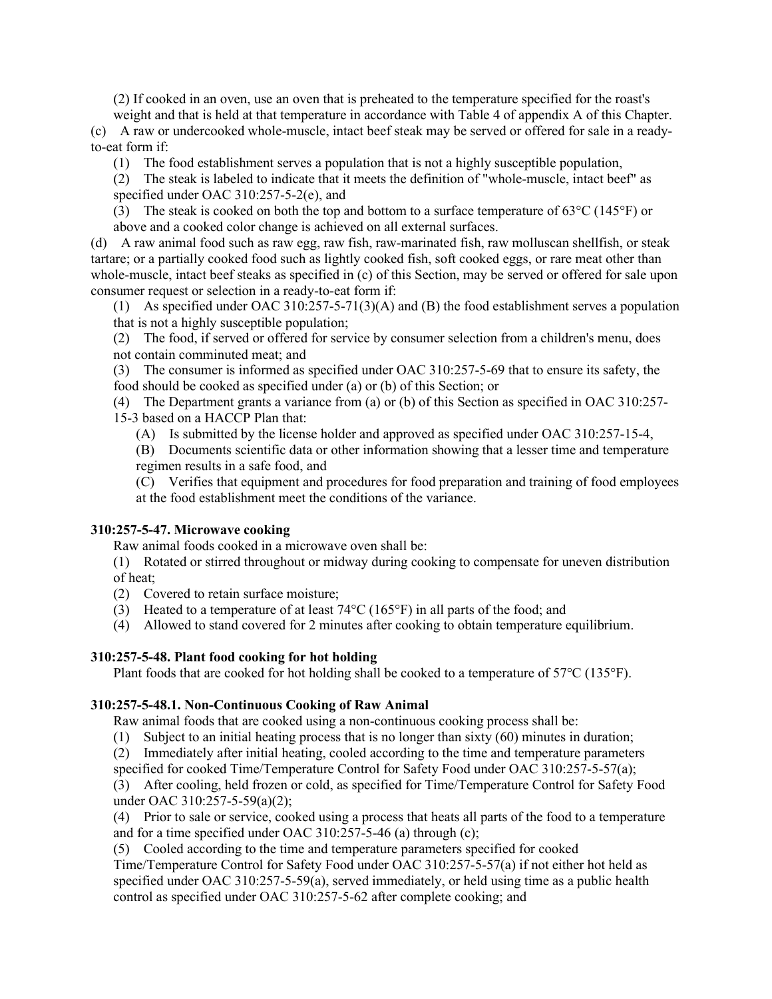(2) If cooked in an oven, use an oven that is preheated to the temperature specified for the roast's weight and that is held at that temperature in accordance with Table 4 of appendix A of this Chapter.

(c) A raw or undercooked whole-muscle, intact beef steak may be served or offered for sale in a readyto-eat form if:

(1) The food establishment serves a population that is not a highly susceptible population,

(2) The steak is labeled to indicate that it meets the definition of "whole-muscle, intact beef" as specified under OAC 310:257-5-2(e), and

(3) The steak is cooked on both the top and bottom to a surface temperature of  $63^{\circ}C(145^{\circ}F)$  or above and a cooked color change is achieved on all external surfaces.

(d) A raw animal food such as raw egg, raw fish, raw-marinated fish, raw molluscan shellfish, or steak tartare; or a partially cooked food such as lightly cooked fish, soft cooked eggs, or rare meat other than whole-muscle, intact beef steaks as specified in (c) of this Section, may be served or offered for sale upon consumer request or selection in a ready-to-eat form if:

(1) As specified under OAC 310:257-5-71(3)(A) and (B) the food establishment serves a population that is not a highly susceptible population;

(2) The food, if served or offered for service by consumer selection from a children's menu, does not contain comminuted meat; and

(3) The consumer is informed as specified under OAC 310:257-5-69 that to ensure its safety, the food should be cooked as specified under (a) or (b) of this Section; or

(4) The Department grants a variance from (a) or (b) of this Section as specified in OAC 310:257- 15-3 based on a HACCP Plan that:

(A) Is submitted by the license holder and approved as specified under OAC 310:257-15-4,

(B) Documents scientific data or other information showing that a lesser time and temperature regimen results in a safe food, and

(C) Verifies that equipment and procedures for food preparation and training of food employees at the food establishment meet the conditions of the variance.

#### **310:257-5-47. Microwave cooking**

Raw animal foods cooked in a microwave oven shall be:

(1) Rotated or stirred throughout or midway during cooking to compensate for uneven distribution of heat;

(2) Covered to retain surface moisture;

(3) Heated to a temperature of at least  $74^{\circ}$ C (165 $^{\circ}$ F) in all parts of the food; and

(4) Allowed to stand covered for 2 minutes after cooking to obtain temperature equilibrium.

#### **310:257-5-48. Plant food cooking for hot holding**

Plant foods that are cooked for hot holding shall be cooked to a temperature of 57°C (135°F).

## **310:257-5-48.1. Non-Continuous Cooking of Raw Animal**

Raw animal foods that are cooked using a non-continuous cooking process shall be:

(1) Subject to an initial heating process that is no longer than sixty (60) minutes in duration;

(2) Immediately after initial heating, cooled according to the time and temperature parameters

specified for cooked Time/Temperature Control for Safety Food under OAC 310:257-5-57(a);

(3) After cooling, held frozen or cold, as specified for Time/Temperature Control for Safety Food under OAC 310:257-5-59(a)(2);

(4) Prior to sale or service, cooked using a process that heats all parts of the food to a temperature and for a time specified under OAC 310:257-5-46 (a) through (c);

(5) Cooled according to the time and temperature parameters specified for cooked

Time/Temperature Control for Safety Food under OAC 310:257-5-57(a) if not either hot held as specified under OAC 310:257-5-59(a), served immediately, or held using time as a public health control as specified under OAC 310:257-5-62 after complete cooking; and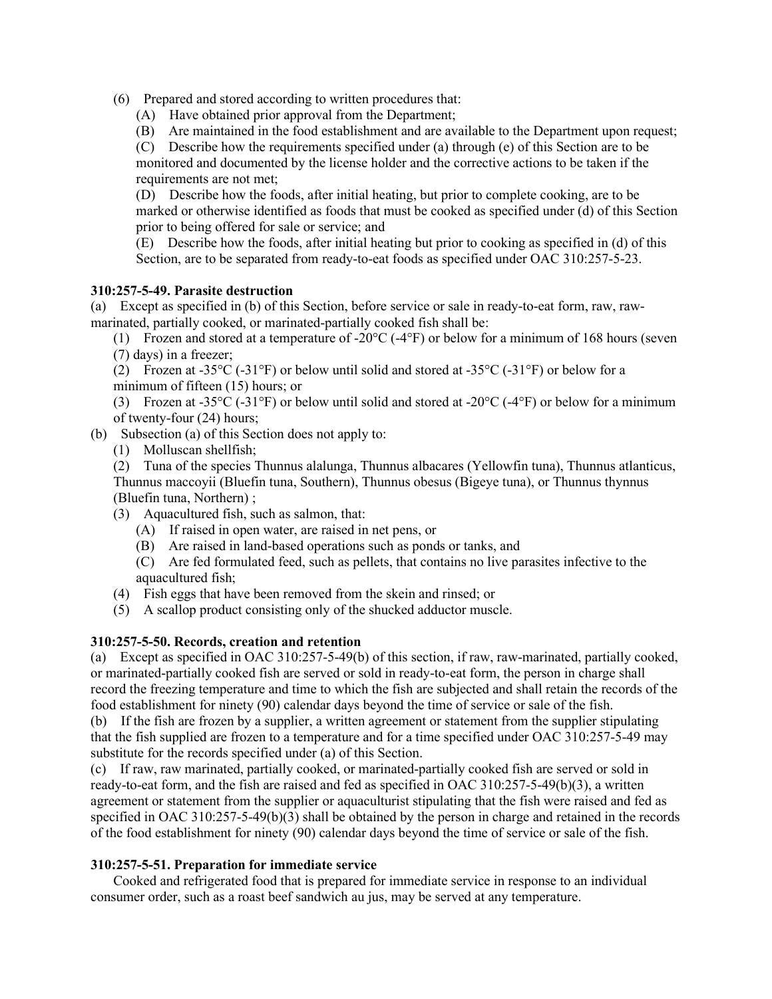(6) Prepared and stored according to written procedures that:

(A) Have obtained prior approval from the Department;

(B) Are maintained in the food establishment and are available to the Department upon request;

(C) Describe how the requirements specified under (a) through (e) of this Section are to be monitored and documented by the license holder and the corrective actions to be taken if the requirements are not met;

(D) Describe how the foods, after initial heating, but prior to complete cooking, are to be marked or otherwise identified as foods that must be cooked as specified under (d) of this Section prior to being offered for sale or service; and

(E) Describe how the foods, after initial heating but prior to cooking as specified in (d) of this Section, are to be separated from ready-to-eat foods as specified under OAC 310:257-5-23.

# **310:257-5-49. Parasite destruction**

(a) Except as specified in (b) of this Section, before service or sale in ready-to-eat form, raw, rawmarinated, partially cooked, or marinated-partially cooked fish shall be:

(1) Frozen and stored at a temperature of -20 $\rm{°C}$  (-4 $\rm{°F}$ ) or below for a minimum of 168 hours (seven (7) days) in a freezer;

(2) Frozen at -35 $\rm{^{\circ}C}$  (-31 $\rm{^{\circ}F}$ ) or below until solid and stored at -35 $\rm{^{\circ}C}$  (-31 $\rm{^{\circ}F}$ ) or below for a minimum of fifteen (15) hours; or

(3) Frozen at -35°C (-31°F) or below until solid and stored at -20°C (-4°F) or below for a minimum of twenty-four (24) hours;

(b) Subsection (a) of this Section does not apply to:

(1) Molluscan shellfish;

(2) Tuna of the species Thunnus alalunga, Thunnus albacares (Yellowfin tuna), Thunnus atlanticus, Thunnus maccoyii (Bluefin tuna, Southern), Thunnus obesus (Bigeye tuna), or Thunnus thynnus (Bluefin tuna, Northern) ;

- (3) Aquacultured fish, such as salmon, that:
	- (A) If raised in open water, are raised in net pens, or
	- (B) Are raised in land-based operations such as ponds or tanks, and

(C) Are fed formulated feed, such as pellets, that contains no live parasites infective to the aquacultured fish;

- (4) Fish eggs that have been removed from the skein and rinsed; or
- (5) A scallop product consisting only of the shucked adductor muscle.

# **310:257-5-50. Records, creation and retention**

(a) Except as specified in OAC 310:257-5-49(b) of this section, if raw, raw-marinated, partially cooked, or marinated-partially cooked fish are served or sold in ready-to-eat form, the person in charge shall record the freezing temperature and time to which the fish are subjected and shall retain the records of the food establishment for ninety (90) calendar days beyond the time of service or sale of the fish.

(b) If the fish are frozen by a supplier, a written agreement or statement from the supplier stipulating that the fish supplied are frozen to a temperature and for a time specified under OAC 310:257-5-49 may substitute for the records specified under (a) of this Section.

(c) If raw, raw marinated, partially cooked, or marinated-partially cooked fish are served or sold in ready-to-eat form, and the fish are raised and fed as specified in OAC 310:257-5-49(b)(3), a written agreement or statement from the supplier or aquaculturist stipulating that the fish were raised and fed as specified in OAC 310:257-5-49(b)(3) shall be obtained by the person in charge and retained in the records of the food establishment for ninety (90) calendar days beyond the time of service or sale of the fish.

# **310:257-5-51. Preparation for immediate service**

Cooked and refrigerated food that is prepared for immediate service in response to an individual consumer order, such as a roast beef sandwich au jus, may be served at any temperature.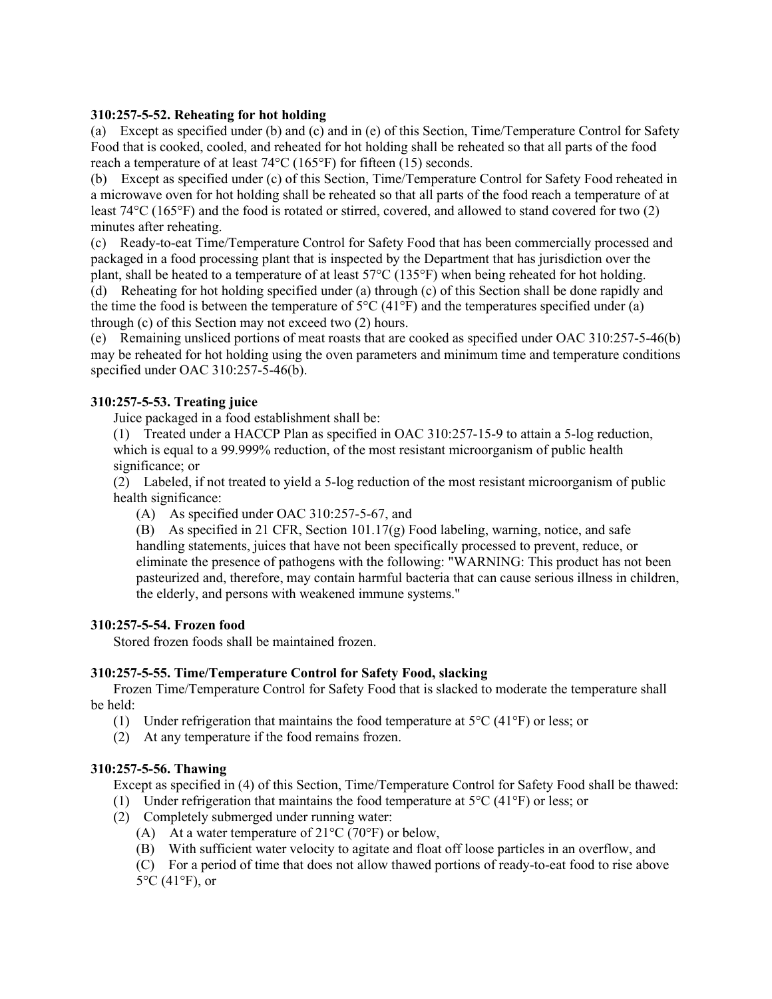## **310:257-5-52. Reheating for hot holding**

(a) Except as specified under (b) and (c) and in (e) of this Section, Time/Temperature Control for Safety Food that is cooked, cooled, and reheated for hot holding shall be reheated so that all parts of the food reach a temperature of at least 74°C (165°F) for fifteen (15) seconds.

(b) Except as specified under (c) of this Section, Time/Temperature Control for Safety Food reheated in a microwave oven for hot holding shall be reheated so that all parts of the food reach a temperature of at least 74°C (165°F) and the food is rotated or stirred, covered, and allowed to stand covered for two (2) minutes after reheating.

(c) Ready-to-eat Time/Temperature Control for Safety Food that has been commercially processed and packaged in a food processing plant that is inspected by the Department that has jurisdiction over the plant, shall be heated to a temperature of at least 57°C (135°F) when being reheated for hot holding.

(d) Reheating for hot holding specified under (a) through (c) of this Section shall be done rapidly and the time the food is between the temperature of  $5^{\circ}C$  (41 $^{\circ}F$ ) and the temperatures specified under (a) through (c) of this Section may not exceed two (2) hours.

(e) Remaining unsliced portions of meat roasts that are cooked as specified under OAC 310:257-5-46(b) may be reheated for hot holding using the oven parameters and minimum time and temperature conditions specified under OAC 310:257-5-46(b).

# **310:257-5-53. Treating juice**

Juice packaged in a food establishment shall be:

(1) Treated under a HACCP Plan as specified in OAC 310:257-15-9 to attain a 5-log reduction, which is equal to a 99.999% reduction, of the most resistant microorganism of public health significance; or

(2) Labeled, if not treated to yield a 5-log reduction of the most resistant microorganism of public health significance:

(A) As specified under OAC 310:257-5-67, and

(B) As specified in 21 CFR, Section 101.17(g) Food labeling, warning, notice, and safe handling statements, juices that have not been specifically processed to prevent, reduce, or eliminate the presence of pathogens with the following: "WARNING: This product has not been pasteurized and, therefore, may contain harmful bacteria that can cause serious illness in children, the elderly, and persons with weakened immune systems."

## **310:257-5-54. Frozen food**

Stored frozen foods shall be maintained frozen.

# **310:257-5-55. Time/Temperature Control for Safety Food, slacking**

Frozen Time/Temperature Control for Safety Food that is slacked to moderate the temperature shall be held:

- (1) Under refrigeration that maintains the food temperature at  $5^{\circ}C$  (41 $^{\circ}F$ ) or less; or
- (2) At any temperature if the food remains frozen.

## **310:257-5-56. Thawing**

Except as specified in (4) of this Section, Time/Temperature Control for Safety Food shall be thawed:

- (1) Under refrigeration that maintains the food temperature at  $5^{\circ}C(41^{\circ}F)$  or less; or
- (2) Completely submerged under running water:
	- (A) At a water temperature of  $21^{\circ}$ C (70°F) or below,
	- (B) With sufficient water velocity to agitate and float off loose particles in an overflow, and
	- (C) For a period of time that does not allow thawed portions of ready-to-eat food to rise above  $5^{\circ}$ C (41 $^{\circ}$ F), or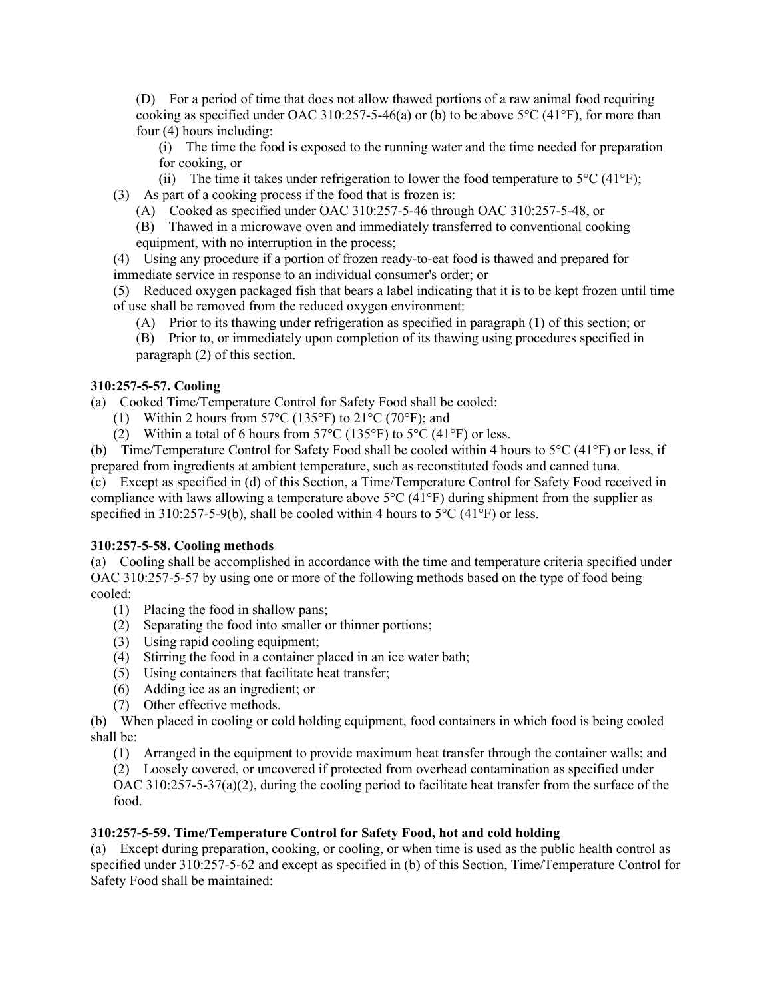(D) For a period of time that does not allow thawed portions of a raw animal food requiring cooking as specified under OAC 310:257-5-46(a) or (b) to be above  $5^{\circ}C$  (41 $^{\circ}F$ ), for more than four (4) hours including:

(i) The time the food is exposed to the running water and the time needed for preparation for cooking, or

(ii) The time it takes under refrigeration to lower the food temperature to  $5^{\circ}C(41^{\circ}F)$ ;

(3) As part of a cooking process if the food that is frozen is:

(A) Cooked as specified under OAC 310:257-5-46 through OAC 310:257-5-48, or

(B) Thawed in a microwave oven and immediately transferred to conventional cooking equipment, with no interruption in the process;

(4) Using any procedure if a portion of frozen ready-to-eat food is thawed and prepared for immediate service in response to an individual consumer's order; or

(5) Reduced oxygen packaged fish that bears a label indicating that it is to be kept frozen until time of use shall be removed from the reduced oxygen environment:

(A) Prior to its thawing under refrigeration as specified in paragraph (1) of this section; or

(B) Prior to, or immediately upon completion of its thawing using procedures specified in paragraph (2) of this section.

# **310:257-5-57. Cooling**

(a) Cooked Time/Temperature Control for Safety Food shall be cooled:

- (1) Within 2 hours from  $57^{\circ}$ C (135°F) to  $21^{\circ}$ C (70°F); and
- (2) Within a total of 6 hours from  $57^{\circ}$ C (135°F) to  $5^{\circ}$ C (41°F) or less.

(b) Time/Temperature Control for Safety Food shall be cooled within 4 hours to 5°C (41°F) or less, if prepared from ingredients at ambient temperature, such as reconstituted foods and canned tuna.

(c) Except as specified in (d) of this Section, a Time/Temperature Control for Safety Food received in compliance with laws allowing a temperature above  $5^{\circ}C(41^{\circ}F)$  during shipment from the supplier as specified in 310:257-5-9(b), shall be cooled within 4 hours to  $5^{\circ}$ C (41 $^{\circ}$ F) or less.

## **310:257-5-58. Cooling methods**

(a) Cooling shall be accomplished in accordance with the time and temperature criteria specified under OAC 310:257-5-57 by using one or more of the following methods based on the type of food being cooled:

- (1) Placing the food in shallow pans;
- (2) Separating the food into smaller or thinner portions;
- (3) Using rapid cooling equipment;
- (4) Stirring the food in a container placed in an ice water bath;
- (5) Using containers that facilitate heat transfer;
- (6) Adding ice as an ingredient; or
- (7) Other effective methods.

(b) When placed in cooling or cold holding equipment, food containers in which food is being cooled shall be:

(1) Arranged in the equipment to provide maximum heat transfer through the container walls; and

(2) Loosely covered, or uncovered if protected from overhead contamination as specified under

OAC 310:257-5-37(a)(2), during the cooling period to facilitate heat transfer from the surface of the food.

# **310:257-5-59. Time/Temperature Control for Safety Food, hot and cold holding**

(a) Except during preparation, cooking, or cooling, or when time is used as the public health control as specified under 310:257-5-62 and except as specified in (b) of this Section, Time/Temperature Control for Safety Food shall be maintained: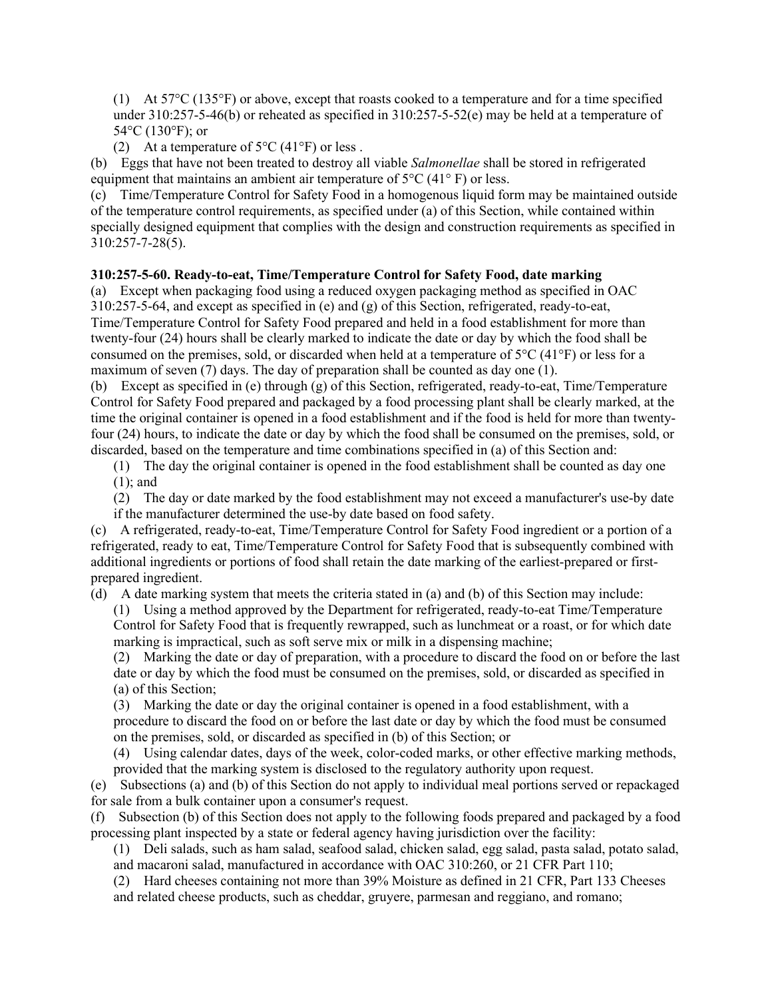(1) At 57°C (135°F) or above, except that roasts cooked to a temperature and for a time specified under 310:257-5-46(b) or reheated as specified in 310:257-5-52(e) may be held at a temperature of 54°C (130°F); or

(2) At a temperature of  $5^{\circ}$ C (41°F) or less.

(b) Eggs that have not been treated to destroy all viable *Salmonellae* shall be stored in refrigerated equipment that maintains an ambient air temperature of 5°C (41° F) or less.

(c) Time/Temperature Control for Safety Food in a homogenous liquid form may be maintained outside of the temperature control requirements, as specified under (a) of this Section, while contained within specially designed equipment that complies with the design and construction requirements as specified in 310:257-7-28(5).

## **310:257-5-60. Ready-to-eat, Time/Temperature Control for Safety Food, date marking**

(a) Except when packaging food using a reduced oxygen packaging method as specified in OAC 310:257-5-64, and except as specified in (e) and (g) of this Section, refrigerated, ready-to-eat, Time/Temperature Control for Safety Food prepared and held in a food establishment for more than twenty-four (24) hours shall be clearly marked to indicate the date or day by which the food shall be consumed on the premises, sold, or discarded when held at a temperature of 5°C (41°F) or less for a maximum of seven (7) days. The day of preparation shall be counted as day one (1).

(b) Except as specified in (e) through (g) of this Section, refrigerated, ready-to-eat, Time/Temperature Control for Safety Food prepared and packaged by a food processing plant shall be clearly marked, at the time the original container is opened in a food establishment and if the food is held for more than twentyfour (24) hours, to indicate the date or day by which the food shall be consumed on the premises, sold, or discarded, based on the temperature and time combinations specified in (a) of this Section and:

(1) The day the original container is opened in the food establishment shall be counted as day one (1); and

(2) The day or date marked by the food establishment may not exceed a manufacturer's use-by date if the manufacturer determined the use-by date based on food safety.

(c) A refrigerated, ready-to-eat, Time/Temperature Control for Safety Food ingredient or a portion of a refrigerated, ready to eat, Time/Temperature Control for Safety Food that is subsequently combined with additional ingredients or portions of food shall retain the date marking of the earliest-prepared or firstprepared ingredient.

(d) A date marking system that meets the criteria stated in (a) and (b) of this Section may include:

(1) Using a method approved by the Department for refrigerated, ready-to-eat Time/Temperature Control for Safety Food that is frequently rewrapped, such as lunchmeat or a roast, or for which date marking is impractical, such as soft serve mix or milk in a dispensing machine;

(2) Marking the date or day of preparation, with a procedure to discard the food on or before the last date or day by which the food must be consumed on the premises, sold, or discarded as specified in (a) of this Section;

(3) Marking the date or day the original container is opened in a food establishment, with a procedure to discard the food on or before the last date or day by which the food must be consumed on the premises, sold, or discarded as specified in (b) of this Section; or

(4) Using calendar dates, days of the week, color-coded marks, or other effective marking methods, provided that the marking system is disclosed to the regulatory authority upon request.

(e) Subsections (a) and (b) of this Section do not apply to individual meal portions served or repackaged for sale from a bulk container upon a consumer's request.

(f) Subsection (b) of this Section does not apply to the following foods prepared and packaged by a food processing plant inspected by a state or federal agency having jurisdiction over the facility:

(1) Deli salads, such as ham salad, seafood salad, chicken salad, egg salad, pasta salad, potato salad, and macaroni salad, manufactured in accordance with OAC 310:260, or 21 CFR Part 110;

(2) Hard cheeses containing not more than 39% Moisture as defined in 21 CFR, Part 133 Cheeses and related cheese products, such as cheddar, gruyere, parmesan and reggiano, and romano;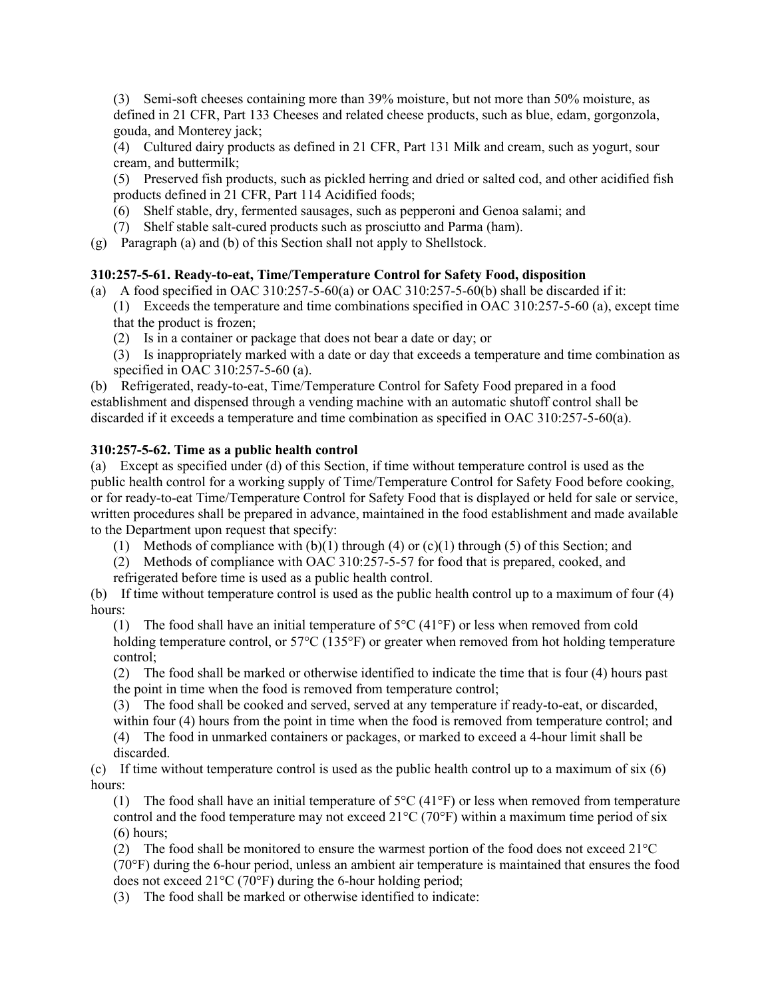(3) Semi-soft cheeses containing more than 39% moisture, but not more than 50% moisture, as defined in 21 CFR, Part 133 Cheeses and related cheese products, such as blue, edam, gorgonzola, gouda, and Monterey jack;

(4) Cultured dairy products as defined in 21 CFR, Part 131 Milk and cream, such as yogurt, sour cream, and buttermilk;

(5) Preserved fish products, such as pickled herring and dried or salted cod, and other acidified fish products defined in 21 CFR, Part 114 Acidified foods;

- (6) Shelf stable, dry, fermented sausages, such as pepperoni and Genoa salami; and
- (7) Shelf stable salt-cured products such as prosciutto and Parma (ham).
- (g) Paragraph (a) and (b) of this Section shall not apply to Shellstock.

## **310:257-5-61. Ready-to-eat, Time/Temperature Control for Safety Food, disposition**

- (a) A food specified in OAC 310:257-5-60(a) or OAC 310:257-5-60(b) shall be discarded if it: (1) Exceeds the temperature and time combinations specified in OAC 310:257-5-60 (a), except time that the product is frozen;
	- (2) Is in a container or package that does not bear a date or day; or

(3) Is inappropriately marked with a date or day that exceeds a temperature and time combination as specified in OAC 310:257-5-60 (a).

(b) Refrigerated, ready-to-eat, Time/Temperature Control for Safety Food prepared in a food establishment and dispensed through a vending machine with an automatic shutoff control shall be discarded if it exceeds a temperature and time combination as specified in OAC 310:257-5-60(a).

## **310:257-5-62. Time as a public health control**

(a) Except as specified under (d) of this Section, if time without temperature control is used as the public health control for a working supply of Time/Temperature Control for Safety Food before cooking, or for ready-to-eat Time/Temperature Control for Safety Food that is displayed or held for sale or service, written procedures shall be prepared in advance, maintained in the food establishment and made available to the Department upon request that specify:

- (1) Methods of compliance with  $(b)(1)$  through  $(4)$  or  $(c)(1)$  through  $(5)$  of this Section; and
- (2) Methods of compliance with OAC 310:257-5-57 for food that is prepared, cooked, and
- refrigerated before time is used as a public health control.

(b) If time without temperature control is used as the public health control up to a maximum of four (4) hours:

(1) The food shall have an initial temperature of  $5^{\circ}C$  (41 $^{\circ}F$ ) or less when removed from cold holding temperature control, or 57°C (135°F) or greater when removed from hot holding temperature control;

(2) The food shall be marked or otherwise identified to indicate the time that is four (4) hours past the point in time when the food is removed from temperature control;

(3) The food shall be cooked and served, served at any temperature if ready-to-eat, or discarded, within four (4) hours from the point in time when the food is removed from temperature control; and

(4) The food in unmarked containers or packages, or marked to exceed a 4-hour limit shall be discarded.

(c) If time without temperature control is used as the public health control up to a maximum of  $\sin(6)$ hours:

(1) The food shall have an initial temperature of  $5^{\circ}C$  (41 $^{\circ}F$ ) or less when removed from temperature control and the food temperature may not exceed  $21^{\circ}C$  (70 $^{\circ}F$ ) within a maximum time period of six (6) hours;

(2) The food shall be monitored to ensure the warmest portion of the food does not exceed  $21^{\circ}$ C (70°F) during the 6-hour period, unless an ambient air temperature is maintained that ensures the food does not exceed 21°C (70°F) during the 6-hour holding period;

(3) The food shall be marked or otherwise identified to indicate: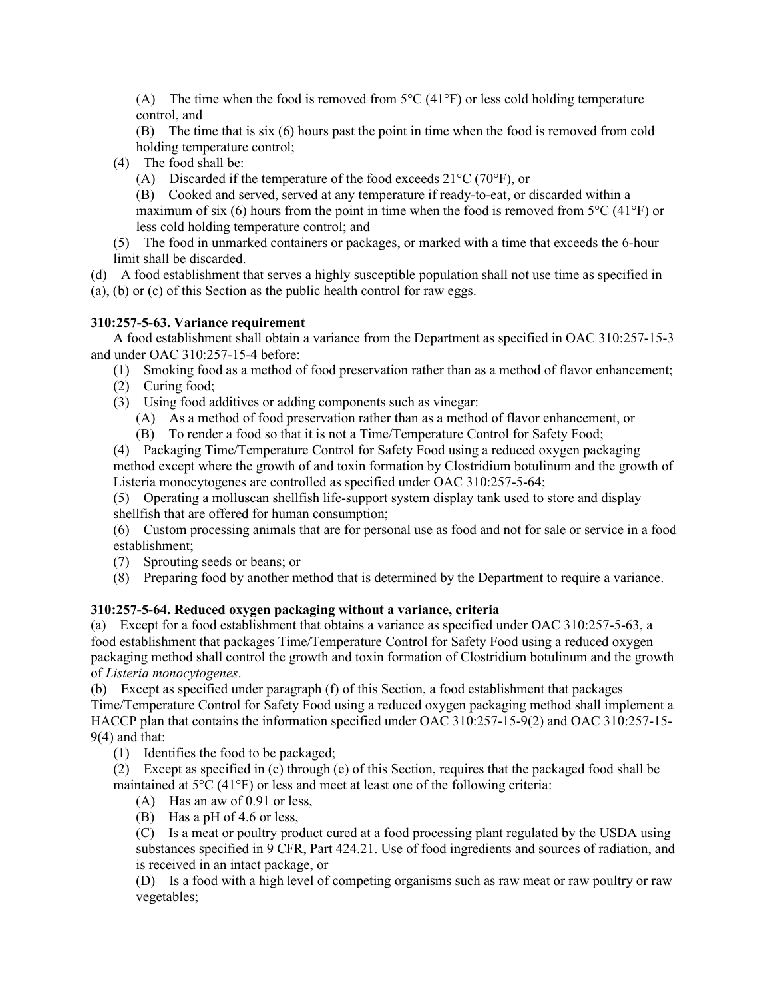(A) The time when the food is removed from  $5^{\circ}C(41^{\circ}F)$  or less cold holding temperature control, and

(B) The time that is six (6) hours past the point in time when the food is removed from cold holding temperature control;

(4) The food shall be:

(A) Discarded if the temperature of the food exceeds  $21^{\circ}$ C (70 $^{\circ}$ F), or

(B) Cooked and served, served at any temperature if ready-to-eat, or discarded within a maximum of six (6) hours from the point in time when the food is removed from  $5^{\circ}C(41^{\circ}F)$  or less cold holding temperature control; and

(5) The food in unmarked containers or packages, or marked with a time that exceeds the 6-hour limit shall be discarded.

(d) A food establishment that serves a highly susceptible population shall not use time as specified in (a), (b) or (c) of this Section as the public health control for raw eggs.

# **310:257-5-63. Variance requirement**

A food establishment shall obtain a variance from the Department as specified in OAC 310:257-15-3 and under OAC 310:257-15-4 before:

(1) Smoking food as a method of food preservation rather than as a method of flavor enhancement;

- (2) Curing food;
- (3) Using food additives or adding components such as vinegar:

(A) As a method of food preservation rather than as a method of flavor enhancement, or

(B) To render a food so that it is not a Time/Temperature Control for Safety Food;

(4) Packaging Time/Temperature Control for Safety Food using a reduced oxygen packaging method except where the growth of and toxin formation by Clostridium botulinum and the growth of Listeria monocytogenes are controlled as specified under OAC 310:257-5-64;

(5) Operating a molluscan shellfish life-support system display tank used to store and display shellfish that are offered for human consumption;

(6) Custom processing animals that are for personal use as food and not for sale or service in a food establishment;

(7) Sprouting seeds or beans; or

(8) Preparing food by another method that is determined by the Department to require a variance.

# **310:257-5-64. Reduced oxygen packaging without a variance, criteria**

(a) Except for a food establishment that obtains a variance as specified under OAC 310:257-5-63, a food establishment that packages Time/Temperature Control for Safety Food using a reduced oxygen packaging method shall control the growth and toxin formation of Clostridium botulinum and the growth of *Listeria monocytogenes*.

(b) Except as specified under paragraph (f) of this Section, a food establishment that packages Time/Temperature Control for Safety Food using a reduced oxygen packaging method shall implement a HACCP plan that contains the information specified under OAC 310:257-15-9(2) and OAC 310:257-15- 9(4) and that:

(1) Identifies the food to be packaged;

(2) Except as specified in (c) through (e) of this Section, requires that the packaged food shall be maintained at  $5^{\circ}C(41^{\circ}F)$  or less and meet at least one of the following criteria:

(A) Has an aw of 0.91 or less,

(B) Has a pH of 4.6 or less,

(C) Is a meat or poultry product cured at a food processing plant regulated by the USDA using substances specified in 9 CFR, Part 424.21. Use of food ingredients and sources of radiation, and is received in an intact package, or

(D) Is a food with a high level of competing organisms such as raw meat or raw poultry or raw vegetables;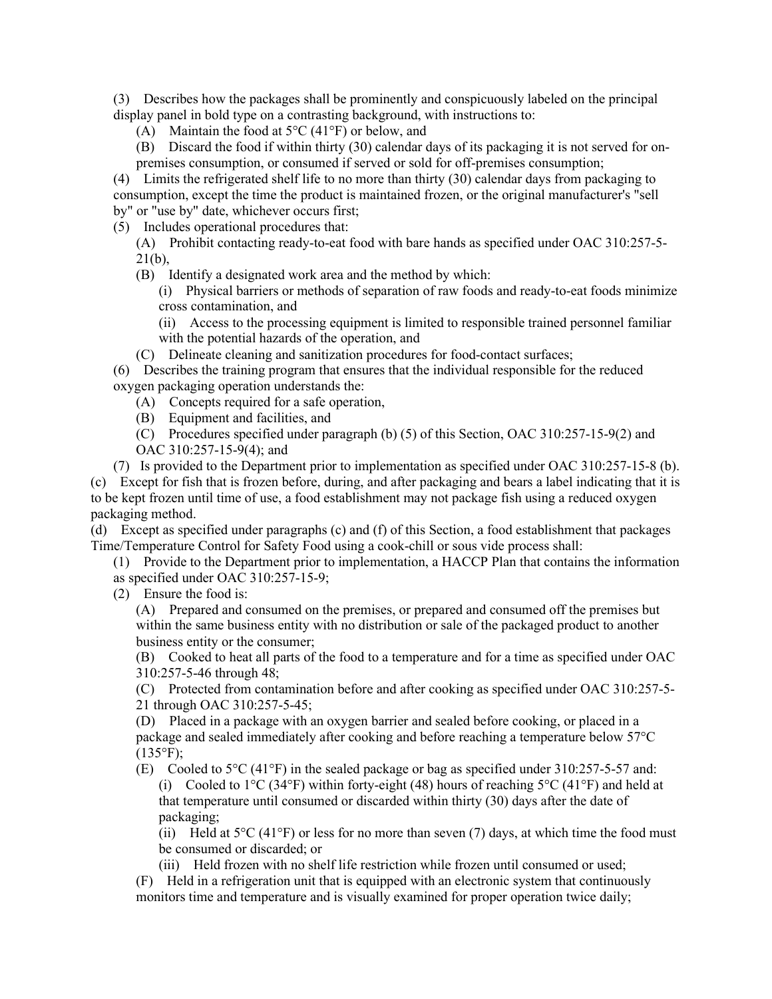(3) Describes how the packages shall be prominently and conspicuously labeled on the principal display panel in bold type on a contrasting background, with instructions to:

(A) Maintain the food at  $5^{\circ}$ C (41°F) or below, and

(B) Discard the food if within thirty (30) calendar days of its packaging it is not served for onpremises consumption, or consumed if served or sold for off-premises consumption;

(4) Limits the refrigerated shelf life to no more than thirty (30) calendar days from packaging to consumption, except the time the product is maintained frozen, or the original manufacturer's "sell by" or "use by" date, whichever occurs first;

(5) Includes operational procedures that:

(A) Prohibit contacting ready-to-eat food with bare hands as specified under OAC 310:257-5- 21(b),

(B) Identify a designated work area and the method by which:

(i) Physical barriers or methods of separation of raw foods and ready-to-eat foods minimize cross contamination, and

(ii) Access to the processing equipment is limited to responsible trained personnel familiar with the potential hazards of the operation, and

(C) Delineate cleaning and sanitization procedures for food-contact surfaces;

(6) Describes the training program that ensures that the individual responsible for the reduced oxygen packaging operation understands the:

(A) Concepts required for a safe operation,

- (B) Equipment and facilities, and
- (C) Procedures specified under paragraph (b) (5) of this Section, OAC 310:257-15-9(2) and OAC 310:257-15-9(4); and

(7) Is provided to the Department prior to implementation as specified under OAC 310:257-15-8 (b).

(c) Except for fish that is frozen before, during, and after packaging and bears a label indicating that it is to be kept frozen until time of use, a food establishment may not package fish using a reduced oxygen packaging method.

(d) Except as specified under paragraphs (c) and (f) of this Section, a food establishment that packages Time/Temperature Control for Safety Food using a cook-chill or sous vide process shall:

(1) Provide to the Department prior to implementation, a HACCP Plan that contains the information

as specified under OAC 310:257-15-9;

(2) Ensure the food is:

(A) Prepared and consumed on the premises, or prepared and consumed off the premises but within the same business entity with no distribution or sale of the packaged product to another business entity or the consumer;

(B) Cooked to heat all parts of the food to a temperature and for a time as specified under OAC 310:257-5-46 through 48;

(C) Protected from contamination before and after cooking as specified under OAC 310:257-5- 21 through OAC 310:257-5-45;

(D) Placed in a package with an oxygen barrier and sealed before cooking, or placed in a package and sealed immediately after cooking and before reaching a temperature below 57°C  $(135^{\circ}F);$ 

(E) Cooled to 5°C (41°F) in the sealed package or bag as specified under 310:257-5-57 and: (i) Cooled to  $1^{\circ}$ C (34°F) within forty-eight (48) hours of reaching  $5^{\circ}$ C (41°F) and held at that temperature until consumed or discarded within thirty (30) days after the date of packaging;

(ii) Held at  $5^{\circ}C$  (41 $^{\circ}F$ ) or less for no more than seven (7) days, at which time the food must be consumed or discarded; or

(iii) Held frozen with no shelf life restriction while frozen until consumed or used;

(F) Held in a refrigeration unit that is equipped with an electronic system that continuously monitors time and temperature and is visually examined for proper operation twice daily;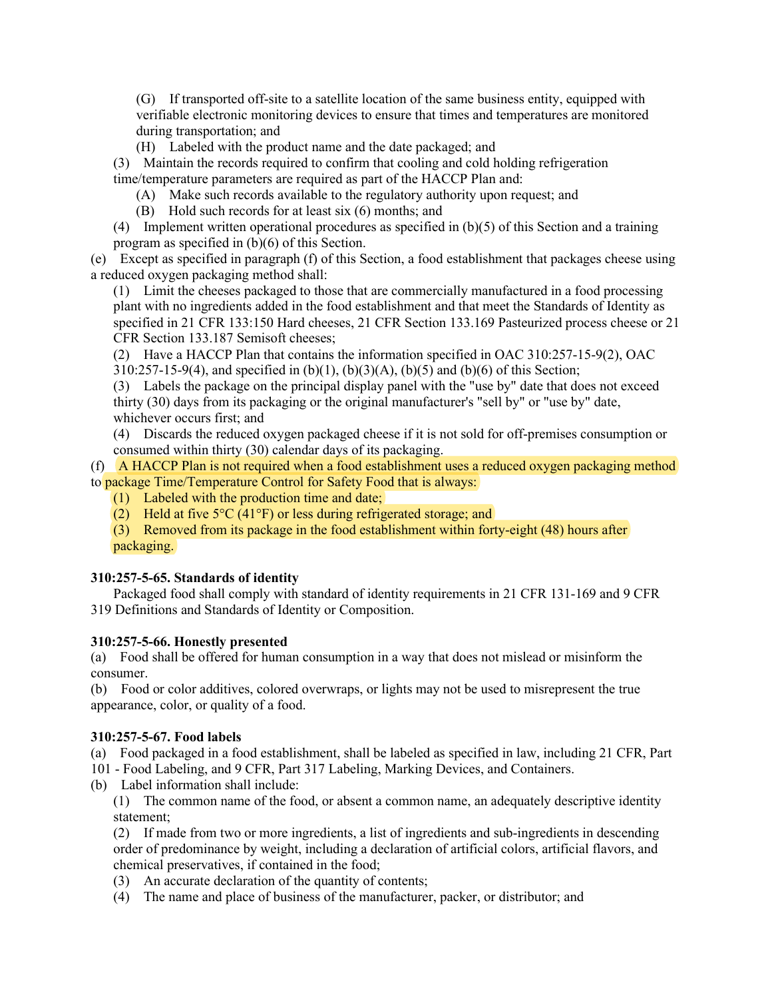(G) If transported off-site to a satellite location of the same business entity, equipped with verifiable electronic monitoring devices to ensure that times and temperatures are monitored during transportation; and

(H) Labeled with the product name and the date packaged; and

(3) Maintain the records required to confirm that cooling and cold holding refrigeration time/temperature parameters are required as part of the HACCP Plan and:

(A) Make such records available to the regulatory authority upon request; and

(B) Hold such records for at least six (6) months; and

(4) Implement written operational procedures as specified in (b)(5) of this Section and a training program as specified in (b)(6) of this Section.

(e) Except as specified in paragraph (f) of this Section, a food establishment that packages cheese using a reduced oxygen packaging method shall:

(1) Limit the cheeses packaged to those that are commercially manufactured in a food processing plant with no ingredients added in the food establishment and that meet the Standards of Identity as specified in 21 CFR 133:150 Hard cheeses, 21 CFR Section 133.169 Pasteurized process cheese or 21 CFR Section 133.187 Semisoft cheeses;

(2) Have a HACCP Plan that contains the information specified in OAC 310:257-15-9(2), OAC  $310:257-15-9(4)$ , and specified in (b)(1), (b)(3)(A), (b)(5) and (b)(6) of this Section;

(3) Labels the package on the principal display panel with the "use by" date that does not exceed thirty (30) days from its packaging or the original manufacturer's "sell by" or "use by" date, whichever occurs first; and

(4) Discards the reduced oxygen packaged cheese if it is not sold for off-premises consumption or consumed within thirty (30) calendar days of its packaging.

(f) A HACCP Plan is not required when a food establishment uses a reduced oxygen packaging method to package Time/Temperature Control for Safety Food that is always:

- (1) Labeled with the production time and date;
- (2) Held at five  $5^{\circ}C$  (41°F) or less during refrigerated storage; and

(3) Removed from its package in the food establishment within forty-eight (48) hours after packaging.

# **310:257-5-65. Standards of identity**

Packaged food shall comply with standard of identity requirements in 21 CFR 131-169 and 9 CFR 319 Definitions and Standards of Identity or Composition.

# **310:257-5-66. Honestly presented**

(a) Food shall be offered for human consumption in a way that does not mislead or misinform the consumer.

(b) Food or color additives, colored overwraps, or lights may not be used to misrepresent the true appearance, color, or quality of a food.

# **310:257-5-67. Food labels**

(a) Food packaged in a food establishment, shall be labeled as specified in law, including 21 CFR, Part

101 - Food Labeling, and 9 CFR, Part 317 Labeling, Marking Devices, and Containers.

(b) Label information shall include:

(1) The common name of the food, or absent a common name, an adequately descriptive identity statement;

(2) If made from two or more ingredients, a list of ingredients and sub-ingredients in descending order of predominance by weight, including a declaration of artificial colors, artificial flavors, and chemical preservatives, if contained in the food;

- (3) An accurate declaration of the quantity of contents;
- (4) The name and place of business of the manufacturer, packer, or distributor; and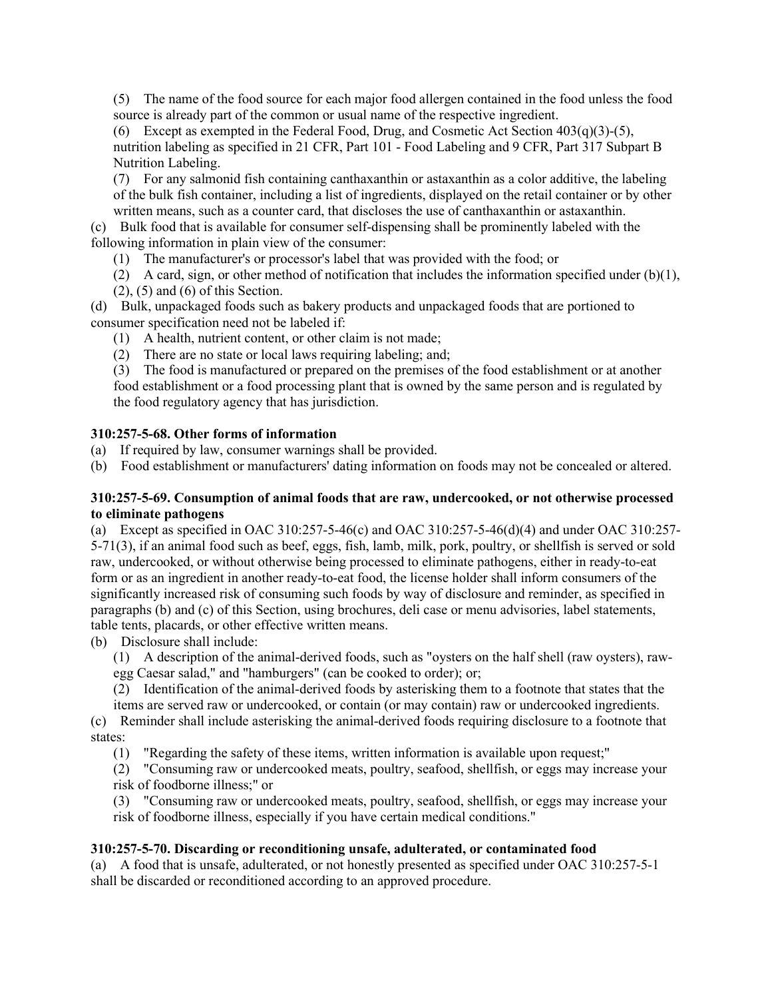(5) The name of the food source for each major food allergen contained in the food unless the food source is already part of the common or usual name of the respective ingredient.

(6) Except as exempted in the Federal Food, Drug, and Cosmetic Act Section  $403(q)(3)-(5)$ , nutrition labeling as specified in 21 CFR, Part 101 - Food Labeling and 9 CFR, Part 317 Subpart B Nutrition Labeling.

(7) For any salmonid fish containing canthaxanthin or astaxanthin as a color additive, the labeling of the bulk fish container, including a list of ingredients, displayed on the retail container or by other written means, such as a counter card, that discloses the use of canthaxanthin or astaxanthin.

(c) Bulk food that is available for consumer self-dispensing shall be prominently labeled with the following information in plain view of the consumer:

- (1) The manufacturer's or processor's label that was provided with the food; or
- (2) A card, sign, or other method of notification that includes the information specified under  $(b)(1)$ ,
- $(2)$ ,  $(5)$  and  $(6)$  of this Section.

(d) Bulk, unpackaged foods such as bakery products and unpackaged foods that are portioned to consumer specification need not be labeled if:

- (1) A health, nutrient content, or other claim is not made;
- (2) There are no state or local laws requiring labeling; and;

(3) The food is manufactured or prepared on the premises of the food establishment or at another food establishment or a food processing plant that is owned by the same person and is regulated by the food regulatory agency that has jurisdiction.

# **310:257-5-68. Other forms of information**

(a) If required by law, consumer warnings shall be provided.

(b) Food establishment or manufacturers' dating information on foods may not be concealed or altered.

## **310:257-5-69. Consumption of animal foods that are raw, undercooked, or not otherwise processed to eliminate pathogens**

(a) Except as specified in OAC 310:257-5-46(c) and OAC 310:257-5-46(d)(4) and under OAC 310:257- 5-71(3), if an animal food such as beef, eggs, fish, lamb, milk, pork, poultry, or shellfish is served or sold raw, undercooked, or without otherwise being processed to eliminate pathogens, either in ready-to-eat form or as an ingredient in another ready-to-eat food, the license holder shall inform consumers of the significantly increased risk of consuming such foods by way of disclosure and reminder, as specified in paragraphs (b) and (c) of this Section, using brochures, deli case or menu advisories, label statements, table tents, placards, or other effective written means.

(b) Disclosure shall include:

(1) A description of the animal-derived foods, such as "oysters on the half shell (raw oysters), rawegg Caesar salad," and "hamburgers" (can be cooked to order); or;

(2) Identification of the animal-derived foods by asterisking them to a footnote that states that the

items are served raw or undercooked, or contain (or may contain) raw or undercooked ingredients.

(c) Reminder shall include asterisking the animal-derived foods requiring disclosure to a footnote that states:

(1) "Regarding the safety of these items, written information is available upon request;"

(2) "Consuming raw or undercooked meats, poultry, seafood, shellfish, or eggs may increase your risk of foodborne illness;" or

(3) "Consuming raw or undercooked meats, poultry, seafood, shellfish, or eggs may increase your risk of foodborne illness, especially if you have certain medical conditions."

# **310:257-5-70. Discarding or reconditioning unsafe, adulterated, or contaminated food**

(a) A food that is unsafe, adulterated, or not honestly presented as specified under OAC 310:257-5-1 shall be discarded or reconditioned according to an approved procedure.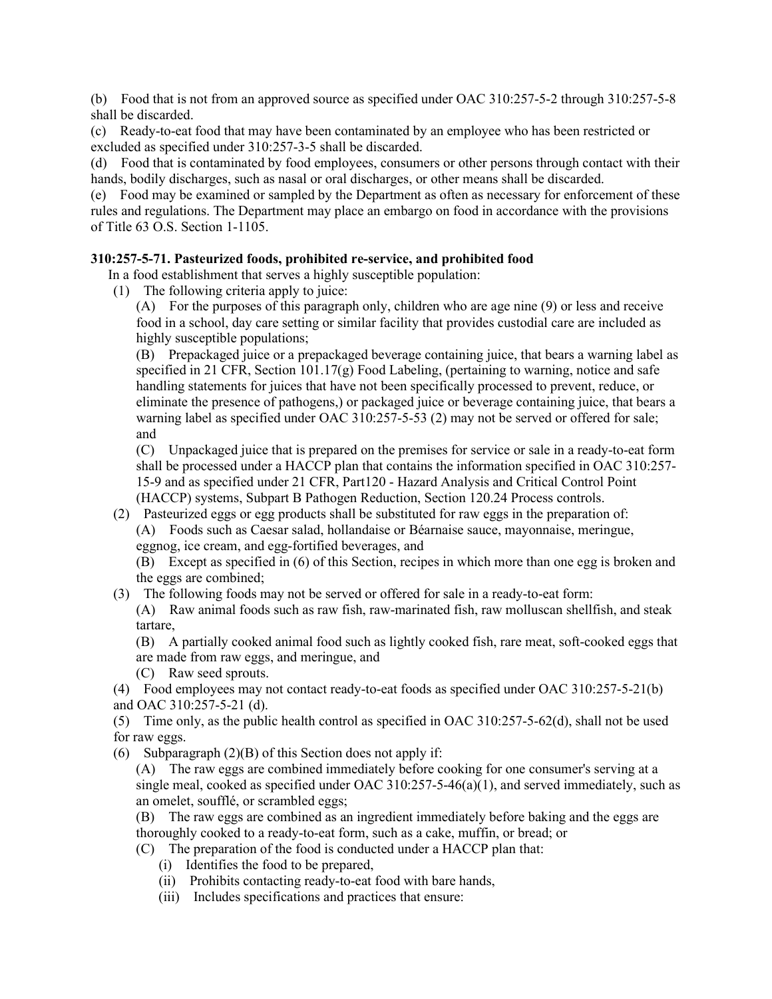(b) Food that is not from an approved source as specified under OAC 310:257-5-2 through 310:257-5-8 shall be discarded.

(c) Ready-to-eat food that may have been contaminated by an employee who has been restricted or excluded as specified under 310:257-3-5 shall be discarded.

(d) Food that is contaminated by food employees, consumers or other persons through contact with their hands, bodily discharges, such as nasal or oral discharges, or other means shall be discarded.

(e) Food may be examined or sampled by the Department as often as necessary for enforcement of these rules and regulations. The Department may place an embargo on food in accordance with the provisions of Title 63 O.S. Section 1-1105.

## **310:257-5-71. Pasteurized foods, prohibited re-service, and prohibited food**

In a food establishment that serves a highly susceptible population:

(1) The following criteria apply to juice:

(A) For the purposes of this paragraph only, children who are age nine (9) or less and receive food in a school, day care setting or similar facility that provides custodial care are included as highly susceptible populations;

(B) Prepackaged juice or a prepackaged beverage containing juice, that bears a warning label as specified in 21 CFR, Section  $101.17(g)$  Food Labeling, (pertaining to warning, notice and safe handling statements for juices that have not been specifically processed to prevent, reduce, or eliminate the presence of pathogens,) or packaged juice or beverage containing juice, that bears a warning label as specified under OAC 310:257-5-53 (2) may not be served or offered for sale; and

(C) Unpackaged juice that is prepared on the premises for service or sale in a ready-to-eat form shall be processed under a HACCP plan that contains the information specified in OAC 310:257- 15-9 and as specified under 21 CFR, Part120 - Hazard Analysis and Critical Control Point (HACCP) systems, Subpart B Pathogen Reduction, Section 120.24 Process controls.

(2) Pasteurized eggs or egg products shall be substituted for raw eggs in the preparation of: (A) Foods such as Caesar salad, hollandaise or Béarnaise sauce, mayonnaise, meringue, eggnog, ice cream, and egg-fortified beverages, and

(B) Except as specified in (6) of this Section, recipes in which more than one egg is broken and the eggs are combined;

(3) The following foods may not be served or offered for sale in a ready-to-eat form:

(A) Raw animal foods such as raw fish, raw-marinated fish, raw molluscan shellfish, and steak tartare,

(B) A partially cooked animal food such as lightly cooked fish, rare meat, soft-cooked eggs that are made from raw eggs, and meringue, and

(C) Raw seed sprouts.

(4) Food employees may not contact ready-to-eat foods as specified under OAC 310:257-5-21(b) and OAC 310:257-5-21 (d).

(5) Time only, as the public health control as specified in OAC 310:257-5-62(d), shall not be used for raw eggs.

(6) Subparagraph  $(2)(B)$  of this Section does not apply if:

(A) The raw eggs are combined immediately before cooking for one consumer's serving at a single meal, cooked as specified under OAC 310:257-5-46(a)(1), and served immediately, such as an omelet, soufflé, or scrambled eggs;

- (B) The raw eggs are combined as an ingredient immediately before baking and the eggs are thoroughly cooked to a ready-to-eat form, such as a cake, muffin, or bread; or
- (C) The preparation of the food is conducted under a HACCP plan that:
	- (i) Identifies the food to be prepared,
	- (ii) Prohibits contacting ready-to-eat food with bare hands,
	- (iii) Includes specifications and practices that ensure: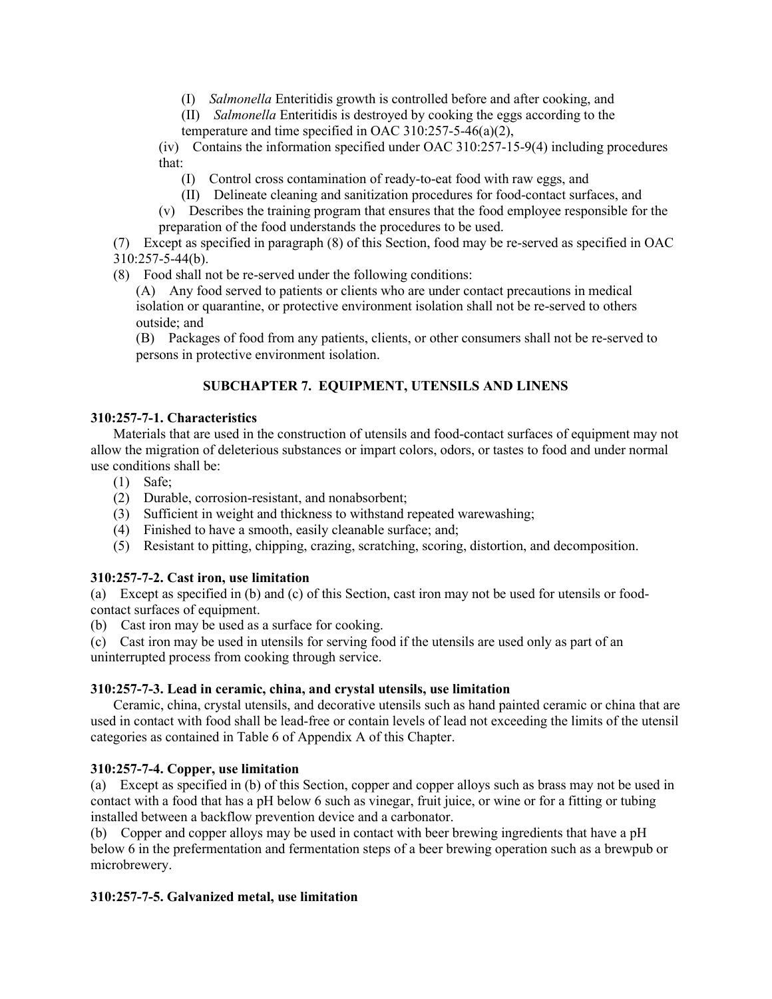- (I) *Salmonella* Enteritidis growth is controlled before and after cooking, and
- (II) *Salmonella* Enteritidis is destroyed by cooking the eggs according to the temperature and time specified in OAC 310:257-5-46(a)(2),

(iv) Contains the information specified under OAC 310:257-15-9(4) including procedures that:

- (I) Control cross contamination of ready-to-eat food with raw eggs, and
- (II) Delineate cleaning and sanitization procedures for food-contact surfaces, and

(v) Describes the training program that ensures that the food employee responsible for the preparation of the food understands the procedures to be used.

(7) Except as specified in paragraph (8) of this Section, food may be re-served as specified in OAC  $310:257 - 5 - 44(b)$ .

(8) Food shall not be re-served under the following conditions:

(A) Any food served to patients or clients who are under contact precautions in medical isolation or quarantine, or protective environment isolation shall not be re-served to others outside; and

(B) Packages of food from any patients, clients, or other consumers shall not be re-served to persons in protective environment isolation.

# **SUBCHAPTER 7. EQUIPMENT, UTENSILS AND LINENS**

# **310:257-7-1. Characteristics**

Materials that are used in the construction of utensils and food-contact surfaces of equipment may not allow the migration of deleterious substances or impart colors, odors, or tastes to food and under normal use conditions shall be:

- (1) Safe;
- (2) Durable, corrosion-resistant, and nonabsorbent;
- (3) Sufficient in weight and thickness to withstand repeated warewashing;
- (4) Finished to have a smooth, easily cleanable surface; and;
- (5) Resistant to pitting, chipping, crazing, scratching, scoring, distortion, and decomposition.

# **310:257-7-2. Cast iron, use limitation**

(a) Except as specified in (b) and (c) of this Section, cast iron may not be used for utensils or foodcontact surfaces of equipment.

(b) Cast iron may be used as a surface for cooking.

(c) Cast iron may be used in utensils for serving food if the utensils are used only as part of an uninterrupted process from cooking through service.

## **310:257-7-3. Lead in ceramic, china, and crystal utensils, use limitation**

Ceramic, china, crystal utensils, and decorative utensils such as hand painted ceramic or china that are used in contact with food shall be lead-free or contain levels of lead not exceeding the limits of the utensil categories as contained in Table 6 of Appendix A of this Chapter.

# **310:257-7-4. Copper, use limitation**

(a) Except as specified in (b) of this Section, copper and copper alloys such as brass may not be used in contact with a food that has a pH below 6 such as vinegar, fruit juice, or wine or for a fitting or tubing installed between a backflow prevention device and a carbonator.

(b) Copper and copper alloys may be used in contact with beer brewing ingredients that have a pH below 6 in the prefermentation and fermentation steps of a beer brewing operation such as a brewpub or microbrewery.

# **310:257-7-5. Galvanized metal, use limitation**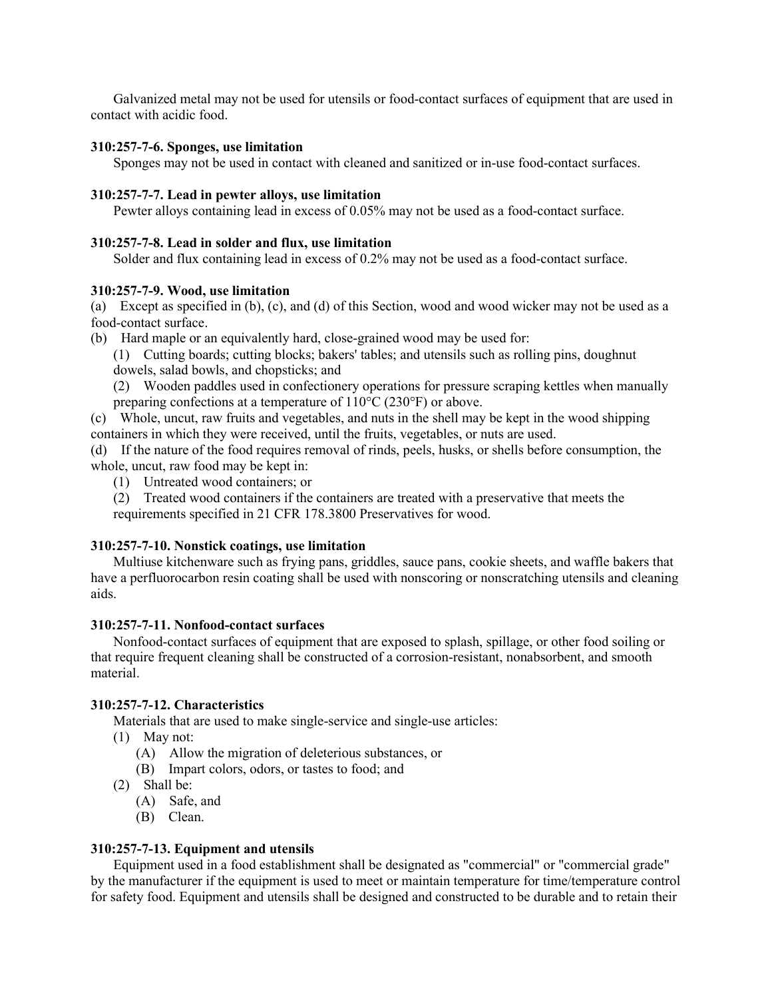Galvanized metal may not be used for utensils or food-contact surfaces of equipment that are used in contact with acidic food.

#### **310:257-7-6. Sponges, use limitation**

Sponges may not be used in contact with cleaned and sanitized or in-use food-contact surfaces.

#### **310:257-7-7. Lead in pewter alloys, use limitation**

Pewter alloys containing lead in excess of 0.05% may not be used as a food-contact surface.

#### **310:257-7-8. Lead in solder and flux, use limitation**

Solder and flux containing lead in excess of 0.2% may not be used as a food-contact surface.

#### **310:257-7-9. Wood, use limitation**

(a) Except as specified in (b), (c), and (d) of this Section, wood and wood wicker may not be used as a food-contact surface.

- (b) Hard maple or an equivalently hard, close-grained wood may be used for:
	- (1) Cutting boards; cutting blocks; bakers' tables; and utensils such as rolling pins, doughnut dowels, salad bowls, and chopsticks; and
	- (2) Wooden paddles used in confectionery operations for pressure scraping kettles when manually preparing confections at a temperature of 110°C (230°F) or above.

(c) Whole, uncut, raw fruits and vegetables, and nuts in the shell may be kept in the wood shipping containers in which they were received, until the fruits, vegetables, or nuts are used.

(d) If the nature of the food requires removal of rinds, peels, husks, or shells before consumption, the whole, uncut, raw food may be kept in:

(1) Untreated wood containers; or

(2) Treated wood containers if the containers are treated with a preservative that meets the requirements specified in 21 CFR 178.3800 Preservatives for wood.

#### **310:257-7-10. Nonstick coatings, use limitation**

Multiuse kitchenware such as frying pans, griddles, sauce pans, cookie sheets, and waffle bakers that have a perfluorocarbon resin coating shall be used with nonscoring or nonscratching utensils and cleaning aids.

#### **310:257-7-11. Nonfood-contact surfaces**

Nonfood-contact surfaces of equipment that are exposed to splash, spillage, or other food soiling or that require frequent cleaning shall be constructed of a corrosion-resistant, nonabsorbent, and smooth material.

#### **310:257-7-12. Characteristics**

Materials that are used to make single-service and single-use articles:

- (1) May not:
	- (A) Allow the migration of deleterious substances, or
	- (B) Impart colors, odors, or tastes to food; and
- (2) Shall be:
	- (A) Safe, and
	- (B) Clean.

#### **310:257-7-13. Equipment and utensils**

Equipment used in a food establishment shall be designated as "commercial" or "commercial grade" by the manufacturer if the equipment is used to meet or maintain temperature for time/temperature control for safety food. Equipment and utensils shall be designed and constructed to be durable and to retain their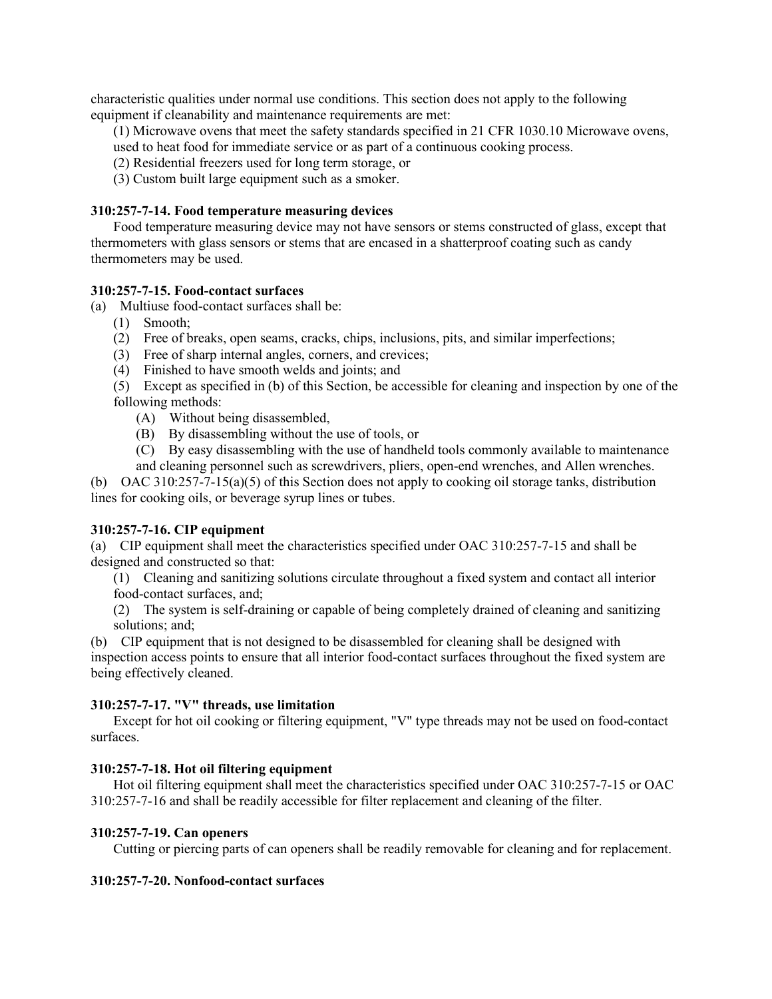characteristic qualities under normal use conditions. This section does not apply to the following equipment if cleanability and maintenance requirements are met:

(1) Microwave ovens that meet the safety standards specified in 21 CFR 1030.10 Microwave ovens,

used to heat food for immediate service or as part of a continuous cooking process.

(2) Residential freezers used for long term storage, or

(3) Custom built large equipment such as a smoker.

# **310:257-7-14. Food temperature measuring devices**

Food temperature measuring device may not have sensors or stems constructed of glass, except that thermometers with glass sensors or stems that are encased in a shatterproof coating such as candy thermometers may be used.

# **310:257-7-15. Food-contact surfaces**

(a) Multiuse food-contact surfaces shall be:

- (1) Smooth;
- (2) Free of breaks, open seams, cracks, chips, inclusions, pits, and similar imperfections;
- (3) Free of sharp internal angles, corners, and crevices;
- (4) Finished to have smooth welds and joints; and

(5) Except as specified in (b) of this Section, be accessible for cleaning and inspection by one of the following methods:

- (A) Without being disassembled,
- (B) By disassembling without the use of tools, or
- (C) By easy disassembling with the use of handheld tools commonly available to maintenance and cleaning personnel such as screwdrivers, pliers, open-end wrenches, and Allen wrenches.

(b) OAC 310:257-7-15(a)(5) of this Section does not apply to cooking oil storage tanks, distribution lines for cooking oils, or beverage syrup lines or tubes.

# **310:257-7-16. CIP equipment**

(a) CIP equipment shall meet the characteristics specified under OAC 310:257-7-15 and shall be designed and constructed so that:

(1) Cleaning and sanitizing solutions circulate throughout a fixed system and contact all interior food-contact surfaces, and;

(2) The system is self-draining or capable of being completely drained of cleaning and sanitizing solutions; and;

(b) CIP equipment that is not designed to be disassembled for cleaning shall be designed with inspection access points to ensure that all interior food-contact surfaces throughout the fixed system are being effectively cleaned.

# **310:257-7-17. "V" threads, use limitation**

Except for hot oil cooking or filtering equipment, "V" type threads may not be used on food-contact surfaces.

# **310:257-7-18. Hot oil filtering equipment**

Hot oil filtering equipment shall meet the characteristics specified under OAC 310:257-7-15 or OAC 310:257-7-16 and shall be readily accessible for filter replacement and cleaning of the filter.

## **310:257-7-19. Can openers**

Cutting or piercing parts of can openers shall be readily removable for cleaning and for replacement.

# **310:257-7-20. Nonfood-contact surfaces**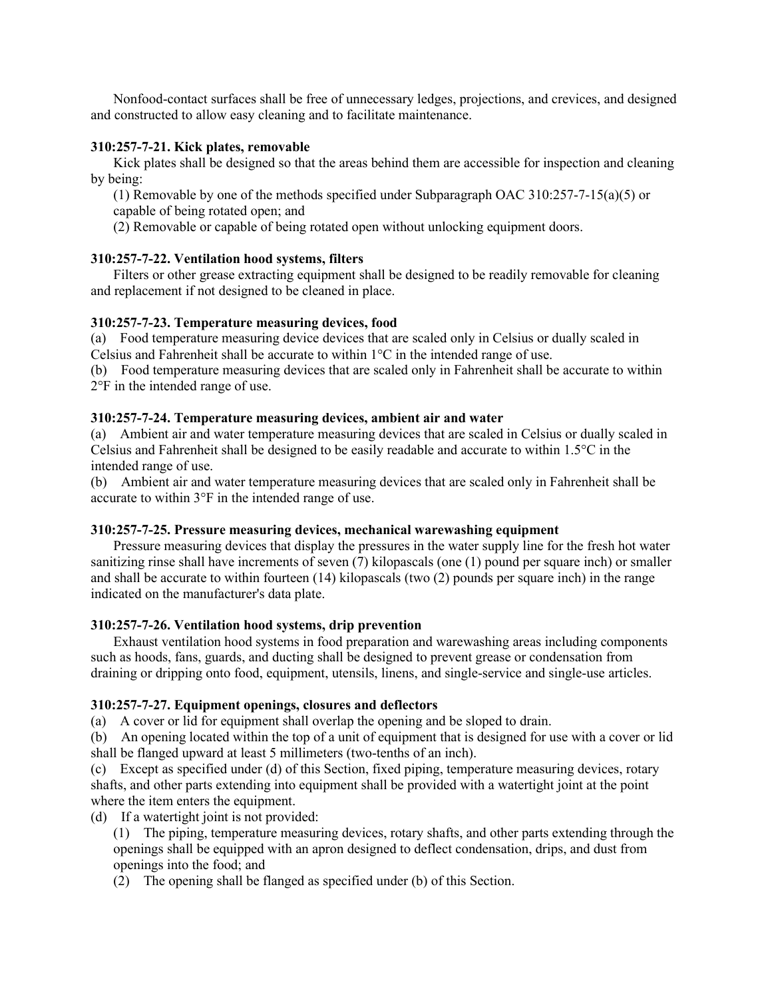Nonfood-contact surfaces shall be free of unnecessary ledges, projections, and crevices, and designed and constructed to allow easy cleaning and to facilitate maintenance.

#### **310:257-7-21. Kick plates, removable**

Kick plates shall be designed so that the areas behind them are accessible for inspection and cleaning by being:

(1) Removable by one of the methods specified under Subparagraph OAC 310:257-7-15(a)(5) or

capable of being rotated open; and

(2) Removable or capable of being rotated open without unlocking equipment doors.

# **310:257-7-22. Ventilation hood systems, filters**

Filters or other grease extracting equipment shall be designed to be readily removable for cleaning and replacement if not designed to be cleaned in place.

# **310:257-7-23. Temperature measuring devices, food**

(a) Food temperature measuring device devices that are scaled only in Celsius or dually scaled in Celsius and Fahrenheit shall be accurate to within 1°C in the intended range of use.

(b) Food temperature measuring devices that are scaled only in Fahrenheit shall be accurate to within 2°F in the intended range of use.

# **310:257-7-24. Temperature measuring devices, ambient air and water**

(a) Ambient air and water temperature measuring devices that are scaled in Celsius or dually scaled in Celsius and Fahrenheit shall be designed to be easily readable and accurate to within 1.5°C in the intended range of use.

(b) Ambient air and water temperature measuring devices that are scaled only in Fahrenheit shall be accurate to within 3°F in the intended range of use.

## **310:257-7-25. Pressure measuring devices, mechanical warewashing equipment**

Pressure measuring devices that display the pressures in the water supply line for the fresh hot water sanitizing rinse shall have increments of seven (7) kilopascals (one (1) pound per square inch) or smaller and shall be accurate to within fourteen (14) kilopascals (two (2) pounds per square inch) in the range indicated on the manufacturer's data plate.

## **310:257-7-26. Ventilation hood systems, drip prevention**

Exhaust ventilation hood systems in food preparation and warewashing areas including components such as hoods, fans, guards, and ducting shall be designed to prevent grease or condensation from draining or dripping onto food, equipment, utensils, linens, and single-service and single-use articles.

# **310:257-7-27. Equipment openings, closures and deflectors**

(a) A cover or lid for equipment shall overlap the opening and be sloped to drain.

(b) An opening located within the top of a unit of equipment that is designed for use with a cover or lid shall be flanged upward at least 5 millimeters (two-tenths of an inch).

(c) Except as specified under (d) of this Section, fixed piping, temperature measuring devices, rotary shafts, and other parts extending into equipment shall be provided with a watertight joint at the point where the item enters the equipment.

(d) If a watertight joint is not provided:

(1) The piping, temperature measuring devices, rotary shafts, and other parts extending through the openings shall be equipped with an apron designed to deflect condensation, drips, and dust from openings into the food; and

(2) The opening shall be flanged as specified under (b) of this Section.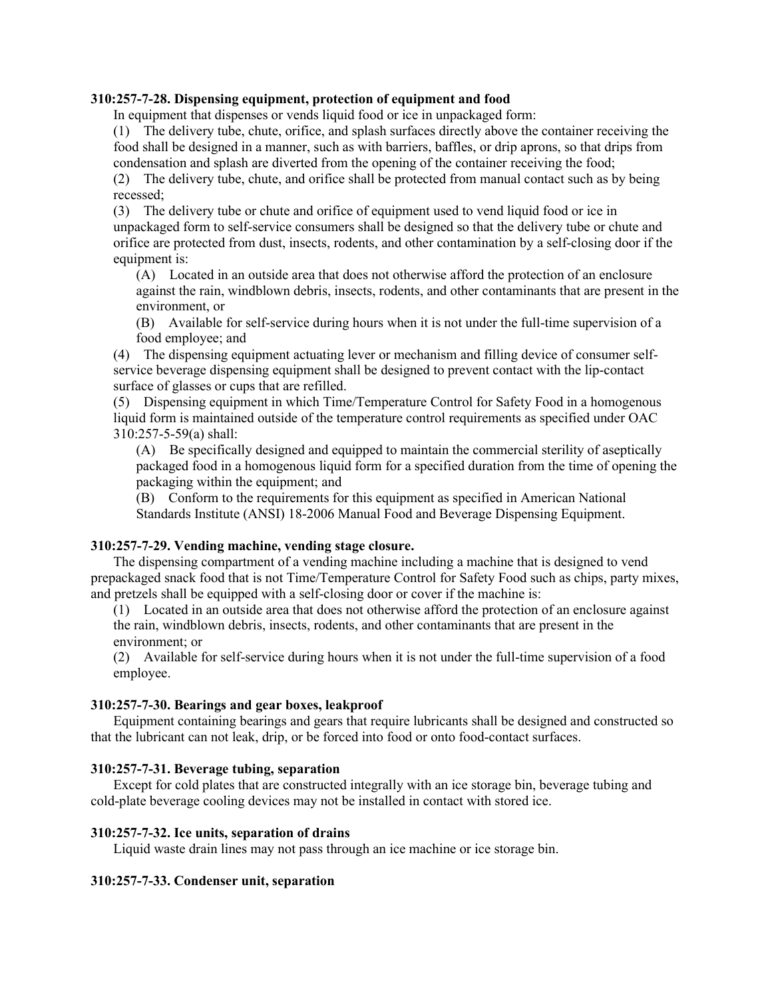#### **310:257-7-28. Dispensing equipment, protection of equipment and food**

In equipment that dispenses or vends liquid food or ice in unpackaged form:

(1) The delivery tube, chute, orifice, and splash surfaces directly above the container receiving the food shall be designed in a manner, such as with barriers, baffles, or drip aprons, so that drips from condensation and splash are diverted from the opening of the container receiving the food;

(2) The delivery tube, chute, and orifice shall be protected from manual contact such as by being recessed;

(3) The delivery tube or chute and orifice of equipment used to vend liquid food or ice in unpackaged form to self-service consumers shall be designed so that the delivery tube or chute and orifice are protected from dust, insects, rodents, and other contamination by a self-closing door if the equipment is:

(A) Located in an outside area that does not otherwise afford the protection of an enclosure against the rain, windblown debris, insects, rodents, and other contaminants that are present in the environment, or

(B) Available for self-service during hours when it is not under the full-time supervision of a food employee; and

(4) The dispensing equipment actuating lever or mechanism and filling device of consumer selfservice beverage dispensing equipment shall be designed to prevent contact with the lip-contact surface of glasses or cups that are refilled.

(5) Dispensing equipment in which Time/Temperature Control for Safety Food in a homogenous liquid form is maintained outside of the temperature control requirements as specified under OAC 310:257-5-59(a) shall:

(A) Be specifically designed and equipped to maintain the commercial sterility of aseptically packaged food in a homogenous liquid form for a specified duration from the time of opening the packaging within the equipment; and

(B) Conform to the requirements for this equipment as specified in American National Standards Institute (ANSI) 18-2006 Manual Food and Beverage Dispensing Equipment.

## **310:257-7-29. Vending machine, vending stage closure.**

The dispensing compartment of a vending machine including a machine that is designed to vend prepackaged snack food that is not Time/Temperature Control for Safety Food such as chips, party mixes, and pretzels shall be equipped with a self-closing door or cover if the machine is:

(1) Located in an outside area that does not otherwise afford the protection of an enclosure against the rain, windblown debris, insects, rodents, and other contaminants that are present in the environment; or

(2) Available for self-service during hours when it is not under the full-time supervision of a food employee.

## **310:257-7-30. Bearings and gear boxes, leakproof**

Equipment containing bearings and gears that require lubricants shall be designed and constructed so that the lubricant can not leak, drip, or be forced into food or onto food-contact surfaces.

## **310:257-7-31. Beverage tubing, separation**

Except for cold plates that are constructed integrally with an ice storage bin, beverage tubing and cold-plate beverage cooling devices may not be installed in contact with stored ice.

#### **310:257-7-32. Ice units, separation of drains**

Liquid waste drain lines may not pass through an ice machine or ice storage bin.

## **310:257-7-33. Condenser unit, separation**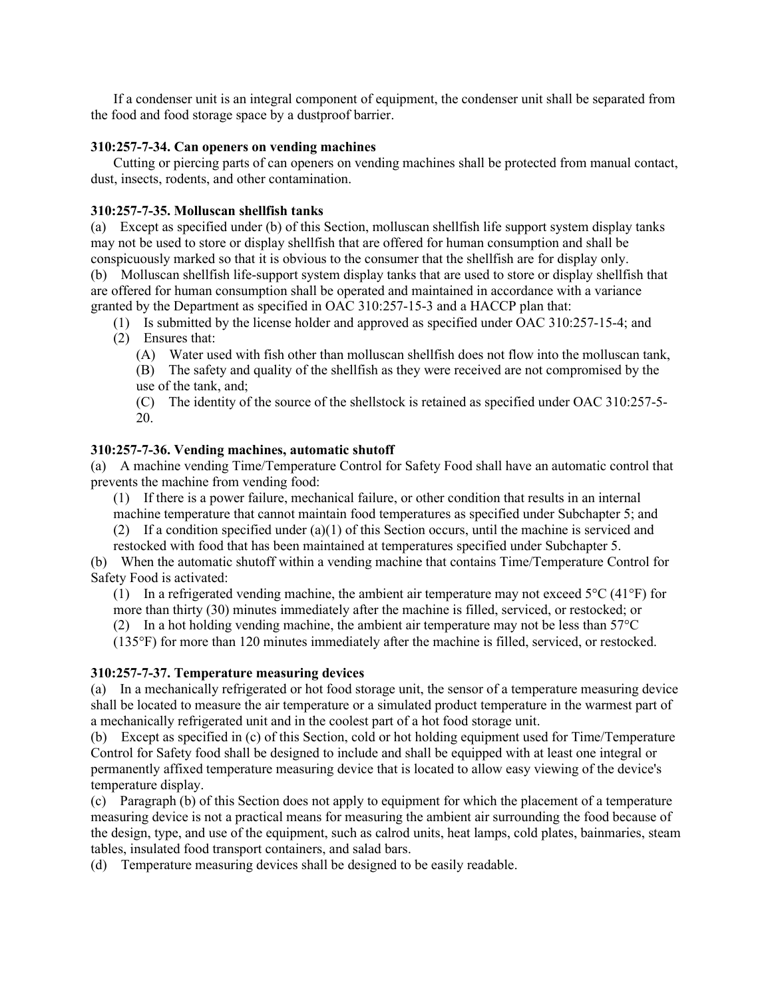If a condenser unit is an integral component of equipment, the condenser unit shall be separated from the food and food storage space by a dustproof barrier.

#### **310:257-7-34. Can openers on vending machines**

Cutting or piercing parts of can openers on vending machines shall be protected from manual contact, dust, insects, rodents, and other contamination.

#### **310:257-7-35. Molluscan shellfish tanks**

(a) Except as specified under (b) of this Section, molluscan shellfish life support system display tanks may not be used to store or display shellfish that are offered for human consumption and shall be conspicuously marked so that it is obvious to the consumer that the shellfish are for display only.

(b) Molluscan shellfish life-support system display tanks that are used to store or display shellfish that are offered for human consumption shall be operated and maintained in accordance with a variance granted by the Department as specified in OAC 310:257-15-3 and a HACCP plan that:

- (1) Is submitted by the license holder and approved as specified under OAC 310:257-15-4; and (2) Ensures that:
	- (A) Water used with fish other than molluscan shellfish does not flow into the molluscan tank,
	- (B) The safety and quality of the shellfish as they were received are not compromised by the use of the tank, and;
	- (C) The identity of the source of the shellstock is retained as specified under OAC 310:257-5- 20.

## **310:257-7-36. Vending machines, automatic shutoff**

(a) A machine vending Time/Temperature Control for Safety Food shall have an automatic control that prevents the machine from vending food:

(1) If there is a power failure, mechanical failure, or other condition that results in an internal machine temperature that cannot maintain food temperatures as specified under Subchapter 5; and

(2) If a condition specified under (a)(1) of this Section occurs, until the machine is serviced and

restocked with food that has been maintained at temperatures specified under Subchapter 5.

(b) When the automatic shutoff within a vending machine that contains Time/Temperature Control for Safety Food is activated:

(1) In a refrigerated vending machine, the ambient air temperature may not exceed  $5^{\circ}C$  (41 $^{\circ}F$ ) for more than thirty (30) minutes immediately after the machine is filled, serviced, or restocked; or

(2) In a hot holding vending machine, the ambient air temperature may not be less than  $57^{\circ}$ C

(135°F) for more than 120 minutes immediately after the machine is filled, serviced, or restocked.

## **310:257-7-37. Temperature measuring devices**

(a) In a mechanically refrigerated or hot food storage unit, the sensor of a temperature measuring device shall be located to measure the air temperature or a simulated product temperature in the warmest part of a mechanically refrigerated unit and in the coolest part of a hot food storage unit.

(b) Except as specified in (c) of this Section, cold or hot holding equipment used for Time/Temperature Control for Safety food shall be designed to include and shall be equipped with at least one integral or permanently affixed temperature measuring device that is located to allow easy viewing of the device's temperature display.

(c) Paragraph (b) of this Section does not apply to equipment for which the placement of a temperature measuring device is not a practical means for measuring the ambient air surrounding the food because of the design, type, and use of the equipment, such as calrod units, heat lamps, cold plates, bainmaries, steam tables, insulated food transport containers, and salad bars.

(d) Temperature measuring devices shall be designed to be easily readable.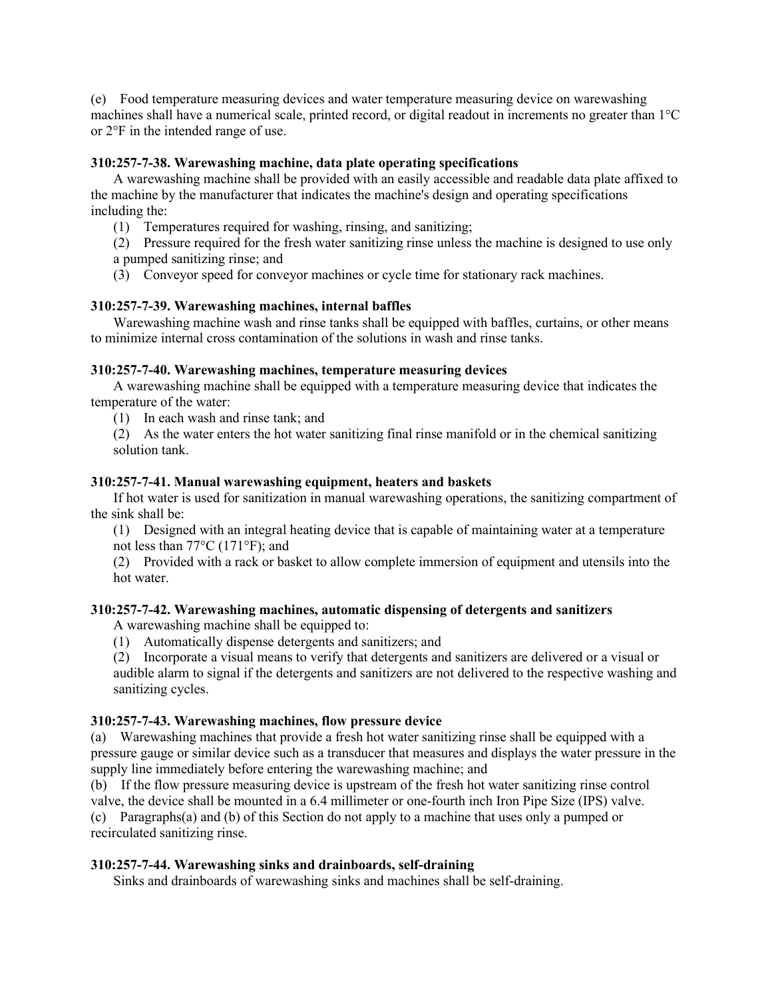(e) Food temperature measuring devices and water temperature measuring device on warewashing machines shall have a numerical scale, printed record, or digital readout in increments no greater than 1°C or 2°F in the intended range of use.

#### **310:257-7-38. Warewashing machine, data plate operating specifications**

A warewashing machine shall be provided with an easily accessible and readable data plate affixed to the machine by the manufacturer that indicates the machine's design and operating specifications including the:

(1) Temperatures required for washing, rinsing, and sanitizing;

(2) Pressure required for the fresh water sanitizing rinse unless the machine is designed to use only a pumped sanitizing rinse; and

(3) Conveyor speed for conveyor machines or cycle time for stationary rack machines.

#### **310:257-7-39. Warewashing machines, internal baffles**

Warewashing machine wash and rinse tanks shall be equipped with baffles, curtains, or other means to minimize internal cross contamination of the solutions in wash and rinse tanks.

#### **310:257-7-40. Warewashing machines, temperature measuring devices**

A warewashing machine shall be equipped with a temperature measuring device that indicates the temperature of the water:

(1) In each wash and rinse tank; and

(2) As the water enters the hot water sanitizing final rinse manifold or in the chemical sanitizing solution tank.

#### **310:257-7-41. Manual warewashing equipment, heaters and baskets**

If hot water is used for sanitization in manual warewashing operations, the sanitizing compartment of the sink shall be:

(1) Designed with an integral heating device that is capable of maintaining water at a temperature not less than 77°C (171°F); and

(2) Provided with a rack or basket to allow complete immersion of equipment and utensils into the hot water.

#### **310:257-7-42. Warewashing machines, automatic dispensing of detergents and sanitizers**

A warewashing machine shall be equipped to:

(1) Automatically dispense detergents and sanitizers; and

(2) Incorporate a visual means to verify that detergents and sanitizers are delivered or a visual or audible alarm to signal if the detergents and sanitizers are not delivered to the respective washing and sanitizing cycles.

#### **310:257-7-43. Warewashing machines, flow pressure device**

(a) Warewashing machines that provide a fresh hot water sanitizing rinse shall be equipped with a pressure gauge or similar device such as a transducer that measures and displays the water pressure in the supply line immediately before entering the warewashing machine; and

(b) If the flow pressure measuring device is upstream of the fresh hot water sanitizing rinse control

valve, the device shall be mounted in a 6.4 millimeter or one-fourth inch Iron Pipe Size (IPS) valve. (c) Paragraphs(a) and (b) of this Section do not apply to a machine that uses only a pumped or

recirculated sanitizing rinse.

## **310:257-7-44. Warewashing sinks and drainboards, self-draining**

Sinks and drainboards of warewashing sinks and machines shall be self-draining.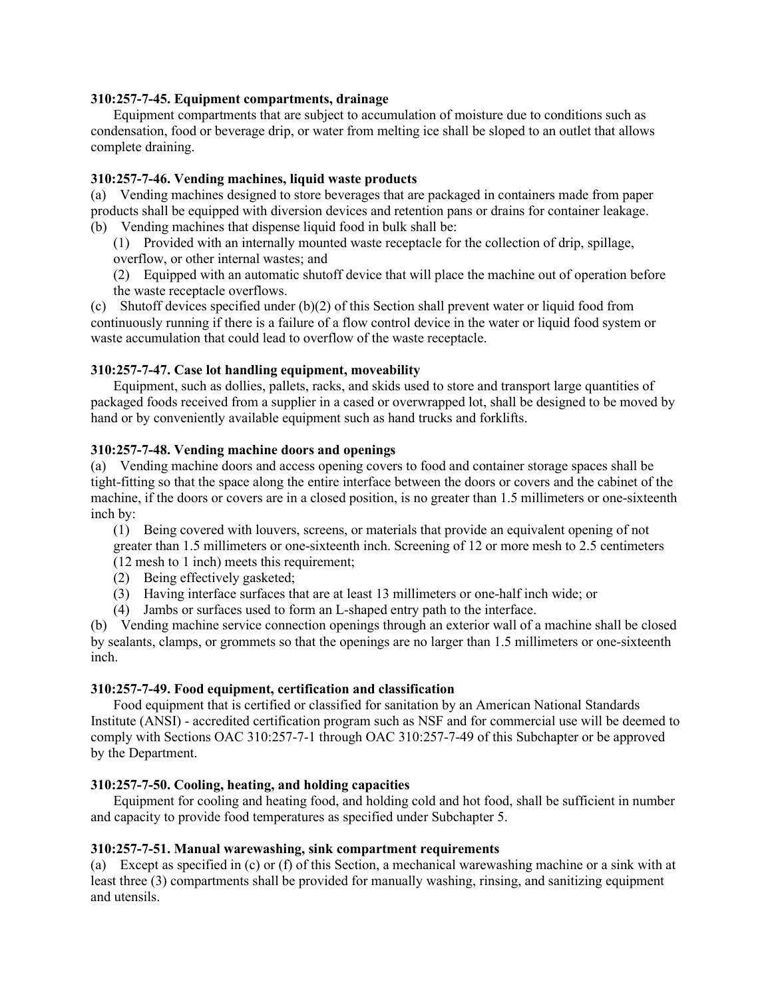#### **310:257-7-45. Equipment compartments, drainage**

Equipment compartments that are subject to accumulation of moisture due to conditions such as condensation, food or beverage drip, or water from melting ice shall be sloped to an outlet that allows complete draining.

#### **310:257-7-46. Vending machines, liquid waste products**

(a) Vending machines designed to store beverages that are packaged in containers made from paper products shall be equipped with diversion devices and retention pans or drains for container leakage. (b) Vending machines that dispense liquid food in bulk shall be:

(1) Provided with an internally mounted waste receptacle for the collection of drip, spillage, overflow, or other internal wastes; and

(2) Equipped with an automatic shutoff device that will place the machine out of operation before the waste receptacle overflows.

(c) Shutoff devices specified under (b)(2) of this Section shall prevent water or liquid food from continuously running if there is a failure of a flow control device in the water or liquid food system or waste accumulation that could lead to overflow of the waste receptacle.

#### **310:257-7-47. Case lot handling equipment, moveability**

Equipment, such as dollies, pallets, racks, and skids used to store and transport large quantities of packaged foods received from a supplier in a cased or overwrapped lot, shall be designed to be moved by hand or by conveniently available equipment such as hand trucks and forklifts.

#### **310:257-7-48. Vending machine doors and openings**

(a) Vending machine doors and access opening covers to food and container storage spaces shall be tight-fitting so that the space along the entire interface between the doors or covers and the cabinet of the machine, if the doors or covers are in a closed position, is no greater than 1.5 millimeters or one-sixteenth inch by:

(1) Being covered with louvers, screens, or materials that provide an equivalent opening of not greater than 1.5 millimeters or one-sixteenth inch. Screening of 12 or more mesh to 2.5 centimeters

- (12 mesh to 1 inch) meets this requirement;
- (2) Being effectively gasketed;
- (3) Having interface surfaces that are at least 13 millimeters or one-half inch wide; or
- (4) Jambs or surfaces used to form an L-shaped entry path to the interface.

(b) Vending machine service connection openings through an exterior wall of a machine shall be closed by sealants, clamps, or grommets so that the openings are no larger than 1.5 millimeters or one-sixteenth inch.

#### **310:257-7-49. Food equipment, certification and classification**

Food equipment that is certified or classified for sanitation by an American National Standards Institute (ANSI) - accredited certification program such as NSF and for commercial use will be deemed to comply with Sections OAC 310:257-7-1 through OAC 310:257-7-49 of this Subchapter or be approved by the Department.

## **310:257-7-50. Cooling, heating, and holding capacities**

Equipment for cooling and heating food, and holding cold and hot food, shall be sufficient in number and capacity to provide food temperatures as specified under Subchapter 5.

#### **310:257-7-51. Manual warewashing, sink compartment requirements**

(a) Except as specified in (c) or (f) of this Section, a mechanical warewashing machine or a sink with at least three (3) compartments shall be provided for manually washing, rinsing, and sanitizing equipment and utensils.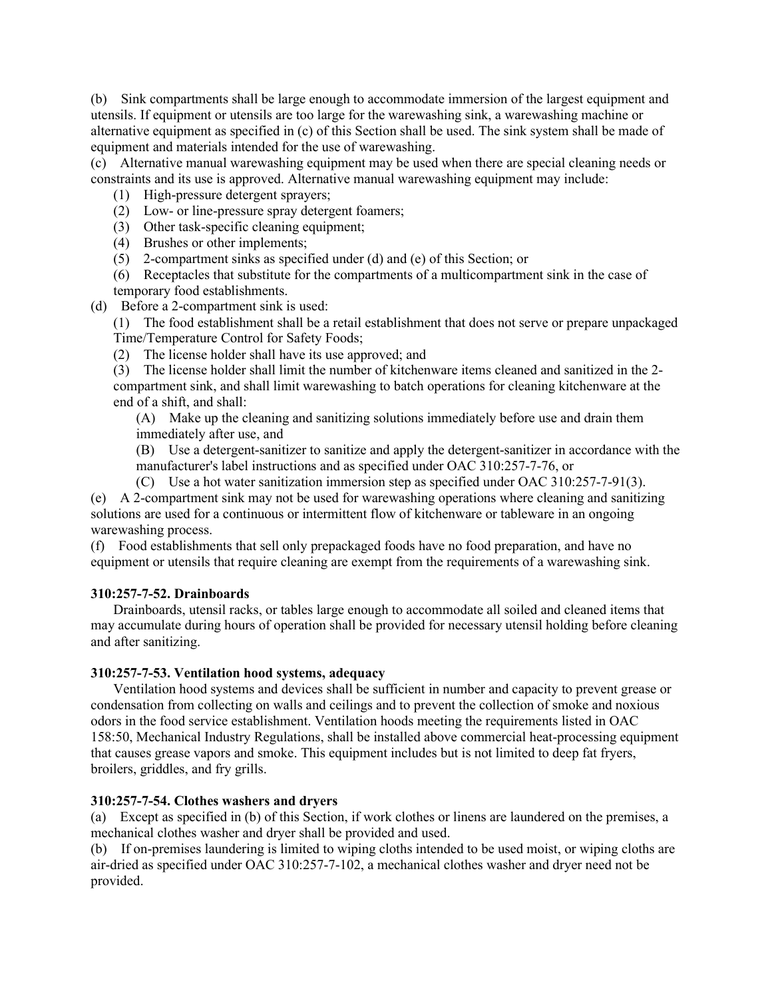(b) Sink compartments shall be large enough to accommodate immersion of the largest equipment and utensils. If equipment or utensils are too large for the warewashing sink, a warewashing machine or alternative equipment as specified in (c) of this Section shall be used. The sink system shall be made of equipment and materials intended for the use of warewashing.

(c) Alternative manual warewashing equipment may be used when there are special cleaning needs or constraints and its use is approved. Alternative manual warewashing equipment may include:

- (1) High-pressure detergent sprayers;
- (2) Low- or line-pressure spray detergent foamers;
- (3) Other task-specific cleaning equipment;
- (4) Brushes or other implements;
- (5) 2-compartment sinks as specified under (d) and (e) of this Section; or
- (6) Receptacles that substitute for the compartments of a multicompartment sink in the case of temporary food establishments.
- (d) Before a 2-compartment sink is used:

(1) The food establishment shall be a retail establishment that does not serve or prepare unpackaged Time/Temperature Control for Safety Foods;

(2) The license holder shall have its use approved; and

(3) The license holder shall limit the number of kitchenware items cleaned and sanitized in the 2 compartment sink, and shall limit warewashing to batch operations for cleaning kitchenware at the end of a shift, and shall:

(A) Make up the cleaning and sanitizing solutions immediately before use and drain them immediately after use, and

(B) Use a detergent-sanitizer to sanitize and apply the detergent-sanitizer in accordance with the manufacturer's label instructions and as specified under OAC 310:257-7-76, or

(C) Use a hot water sanitization immersion step as specified under OAC 310:257-7-91(3). (e) A 2-compartment sink may not be used for warewashing operations where cleaning and sanitizing solutions are used for a continuous or intermittent flow of kitchenware or tableware in an ongoing warewashing process.

(f) Food establishments that sell only prepackaged foods have no food preparation, and have no equipment or utensils that require cleaning are exempt from the requirements of a warewashing sink.

## **310:257-7-52. Drainboards**

Drainboards, utensil racks, or tables large enough to accommodate all soiled and cleaned items that may accumulate during hours of operation shall be provided for necessary utensil holding before cleaning and after sanitizing.

## **310:257-7-53. Ventilation hood systems, adequacy**

Ventilation hood systems and devices shall be sufficient in number and capacity to prevent grease or condensation from collecting on walls and ceilings and to prevent the collection of smoke and noxious odors in the food service establishment. Ventilation hoods meeting the requirements listed in OAC 158:50, Mechanical Industry Regulations, shall be installed above commercial heat-processing equipment that causes grease vapors and smoke. This equipment includes but is not limited to deep fat fryers, broilers, griddles, and fry grills.

## **310:257-7-54. Clothes washers and dryers**

(a) Except as specified in (b) of this Section, if work clothes or linens are laundered on the premises, a mechanical clothes washer and dryer shall be provided and used.

(b) If on-premises laundering is limited to wiping cloths intended to be used moist, or wiping cloths are air-dried as specified under OAC 310:257-7-102, a mechanical clothes washer and dryer need not be provided.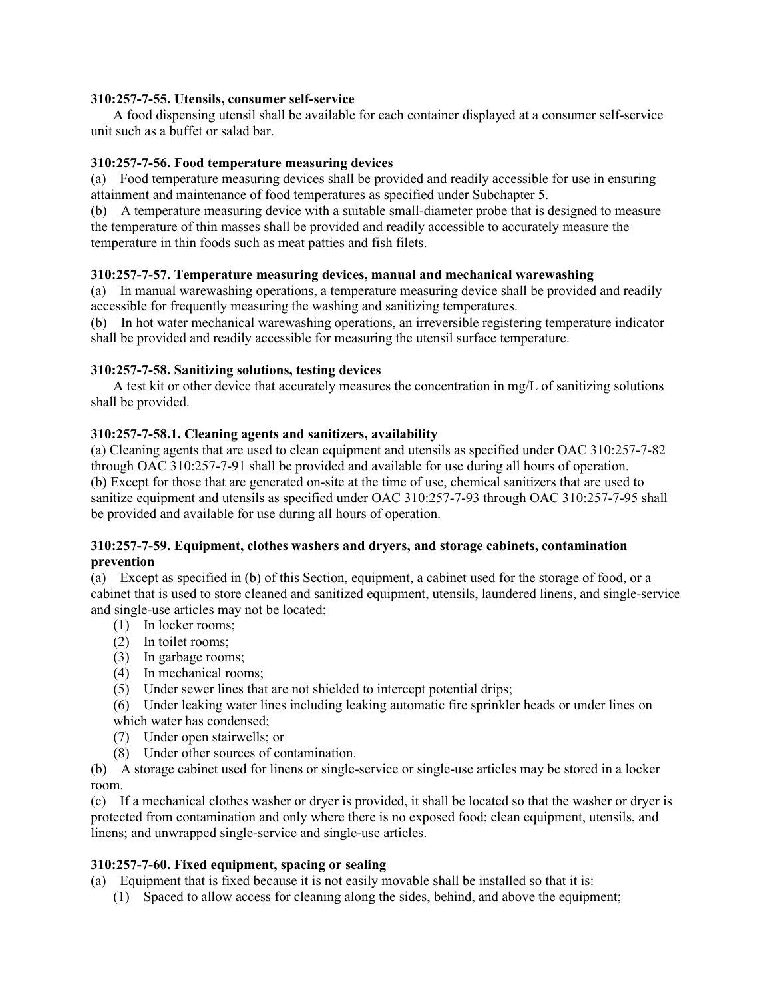## **310:257-7-55. Utensils, consumer self-service**

A food dispensing utensil shall be available for each container displayed at a consumer self-service unit such as a buffet or salad bar.

#### **310:257-7-56. Food temperature measuring devices**

(a) Food temperature measuring devices shall be provided and readily accessible for use in ensuring attainment and maintenance of food temperatures as specified under Subchapter 5.

(b) A temperature measuring device with a suitable small-diameter probe that is designed to measure the temperature of thin masses shall be provided and readily accessible to accurately measure the temperature in thin foods such as meat patties and fish filets.

#### **310:257-7-57. Temperature measuring devices, manual and mechanical warewashing**

(a) In manual warewashing operations, a temperature measuring device shall be provided and readily accessible for frequently measuring the washing and sanitizing temperatures.

(b) In hot water mechanical warewashing operations, an irreversible registering temperature indicator shall be provided and readily accessible for measuring the utensil surface temperature.

#### **310:257-7-58. Sanitizing solutions, testing devices**

A test kit or other device that accurately measures the concentration in mg/L of sanitizing solutions shall be provided.

#### **310:257-7-58.1. Cleaning agents and sanitizers, availability**

(a) Cleaning agents that are used to clean equipment and utensils as specified under OAC 310:257-7-82 through OAC 310:257-7-91 shall be provided and available for use during all hours of operation. (b) Except for those that are generated on-site at the time of use, chemical sanitizers that are used to sanitize equipment and utensils as specified under OAC 310:257-7-93 through OAC 310:257-7-95 shall be provided and available for use during all hours of operation.

#### **310:257-7-59. Equipment, clothes washers and dryers, and storage cabinets, contamination prevention**

(a) Except as specified in (b) of this Section, equipment, a cabinet used for the storage of food, or a cabinet that is used to store cleaned and sanitized equipment, utensils, laundered linens, and single-service and single-use articles may not be located:

- (1) In locker rooms;
- (2) In toilet rooms;
- (3) In garbage rooms;
- (4) In mechanical rooms;
- (5) Under sewer lines that are not shielded to intercept potential drips;

(6) Under leaking water lines including leaking automatic fire sprinkler heads or under lines on which water has condensed;

- (7) Under open stairwells; or
- (8) Under other sources of contamination.

(b) A storage cabinet used for linens or single-service or single-use articles may be stored in a locker room.

(c) If a mechanical clothes washer or dryer is provided, it shall be located so that the washer or dryer is protected from contamination and only where there is no exposed food; clean equipment, utensils, and linens; and unwrapped single-service and single-use articles.

#### **310:257-7-60. Fixed equipment, spacing or sealing**

(a) Equipment that is fixed because it is not easily movable shall be installed so that it is:

(1) Spaced to allow access for cleaning along the sides, behind, and above the equipment;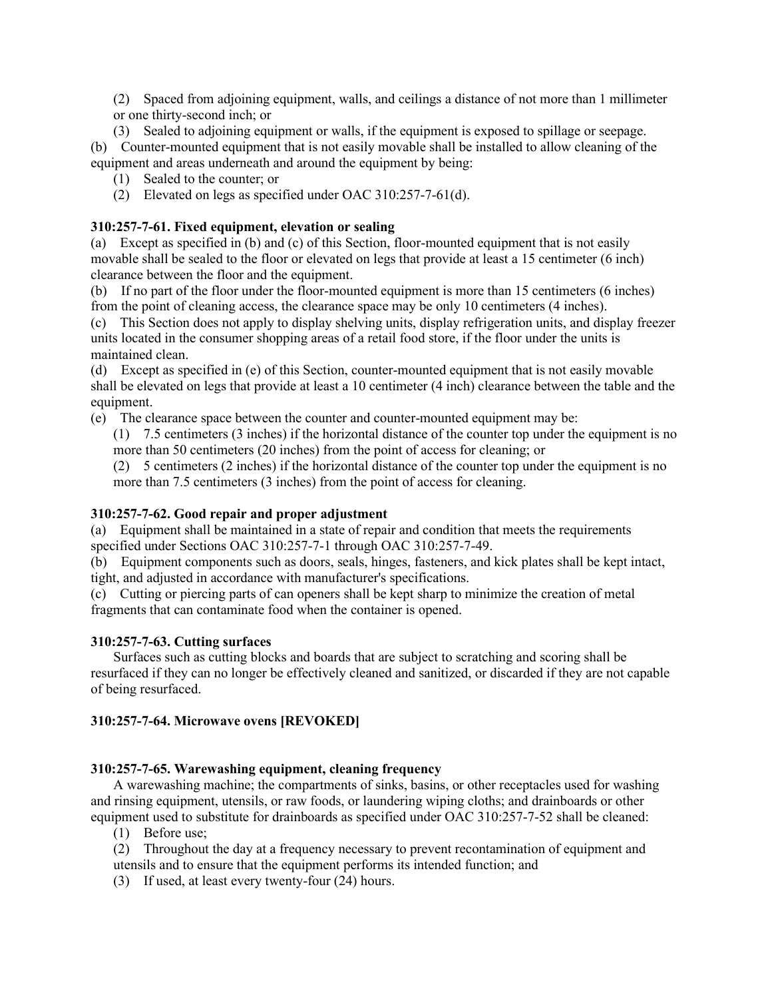(2) Spaced from adjoining equipment, walls, and ceilings a distance of not more than 1 millimeter or one thirty-second inch; or

(3) Sealed to adjoining equipment or walls, if the equipment is exposed to spillage or seepage. (b) Counter-mounted equipment that is not easily movable shall be installed to allow cleaning of the equipment and areas underneath and around the equipment by being:

- (1) Sealed to the counter; or
- (2) Elevated on legs as specified under OAC 310:257-7-61(d).

# **310:257-7-61. Fixed equipment, elevation or sealing**

(a) Except as specified in (b) and (c) of this Section, floor-mounted equipment that is not easily movable shall be sealed to the floor or elevated on legs that provide at least a 15 centimeter (6 inch) clearance between the floor and the equipment.

(b) If no part of the floor under the floor-mounted equipment is more than 15 centimeters (6 inches) from the point of cleaning access, the clearance space may be only 10 centimeters (4 inches).

(c) This Section does not apply to display shelving units, display refrigeration units, and display freezer units located in the consumer shopping areas of a retail food store, if the floor under the units is maintained clean.

(d) Except as specified in (e) of this Section, counter-mounted equipment that is not easily movable shall be elevated on legs that provide at least a 10 centimeter (4 inch) clearance between the table and the equipment.

(e) The clearance space between the counter and counter-mounted equipment may be:

(1) 7.5 centimeters (3 inches) if the horizontal distance of the counter top under the equipment is no more than 50 centimeters (20 inches) from the point of access for cleaning; or

(2) 5 centimeters (2 inches) if the horizontal distance of the counter top under the equipment is no more than 7.5 centimeters (3 inches) from the point of access for cleaning.

# **310:257-7-62. Good repair and proper adjustment**

(a) Equipment shall be maintained in a state of repair and condition that meets the requirements specified under Sections OAC 310:257-7-1 through OAC 310:257-7-49.

(b) Equipment components such as doors, seals, hinges, fasteners, and kick plates shall be kept intact, tight, and adjusted in accordance with manufacturer's specifications.

(c) Cutting or piercing parts of can openers shall be kept sharp to minimize the creation of metal fragments that can contaminate food when the container is opened.

## **310:257-7-63. Cutting surfaces**

Surfaces such as cutting blocks and boards that are subject to scratching and scoring shall be resurfaced if they can no longer be effectively cleaned and sanitized, or discarded if they are not capable of being resurfaced.

# **310:257-7-64. Microwave ovens [REVOKED]**

## **310:257-7-65. Warewashing equipment, cleaning frequency**

A warewashing machine; the compartments of sinks, basins, or other receptacles used for washing and rinsing equipment, utensils, or raw foods, or laundering wiping cloths; and drainboards or other equipment used to substitute for drainboards as specified under OAC 310:257-7-52 shall be cleaned:

- (1) Before use;
- (2) Throughout the day at a frequency necessary to prevent recontamination of equipment and utensils and to ensure that the equipment performs its intended function; and
- (3) If used, at least every twenty-four (24) hours.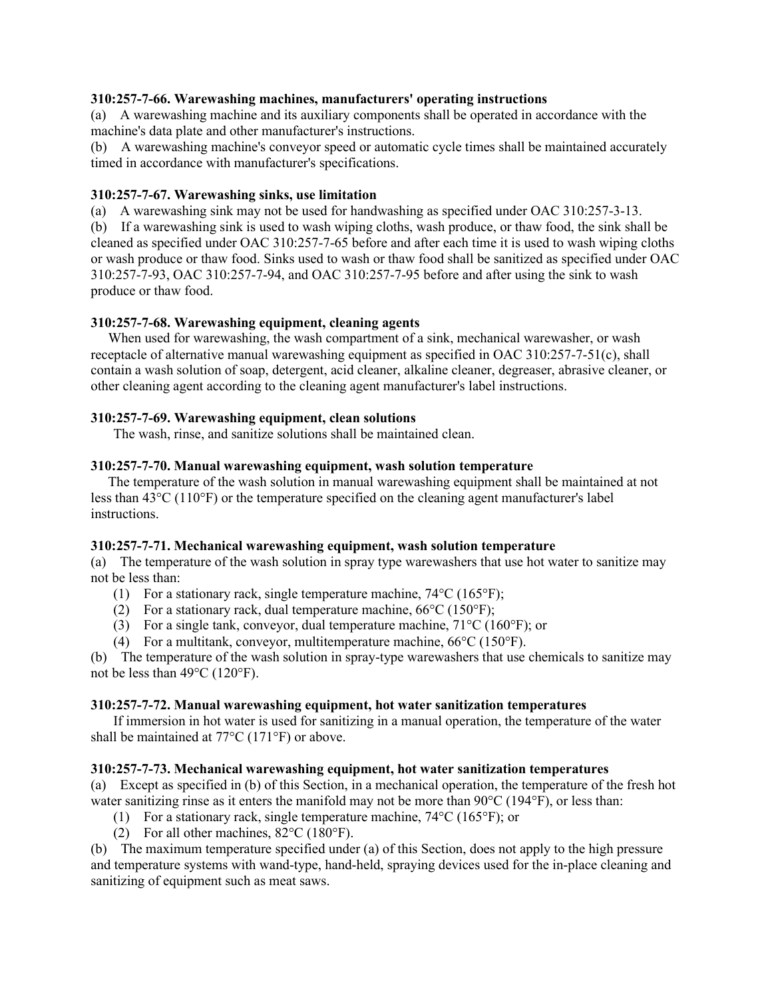## **310:257-7-66. Warewashing machines, manufacturers' operating instructions**

(a) A warewashing machine and its auxiliary components shall be operated in accordance with the machine's data plate and other manufacturer's instructions.

(b) A warewashing machine's conveyor speed or automatic cycle times shall be maintained accurately timed in accordance with manufacturer's specifications.

#### **310:257-7-67. Warewashing sinks, use limitation**

(a) A warewashing sink may not be used for handwashing as specified under OAC 310:257-3-13.

(b) If a warewashing sink is used to wash wiping cloths, wash produce, or thaw food, the sink shall be cleaned as specified under OAC 310:257-7-65 before and after each time it is used to wash wiping cloths or wash produce or thaw food. Sinks used to wash or thaw food shall be sanitized as specified under OAC 310:257-7-93, OAC 310:257-7-94, and OAC 310:257-7-95 before and after using the sink to wash produce or thaw food.

#### **310:257-7-68. Warewashing equipment, cleaning agents**

 When used for warewashing, the wash compartment of a sink, mechanical warewasher, or wash receptacle of alternative manual warewashing equipment as specified in OAC 310:257-7-51(c), shall contain a wash solution of soap, detergent, acid cleaner, alkaline cleaner, degreaser, abrasive cleaner, or other cleaning agent according to the cleaning agent manufacturer's label instructions.

#### **310:257-7-69. Warewashing equipment, clean solutions**

The wash, rinse, and sanitize solutions shall be maintained clean.

#### **310:257-7-70. Manual warewashing equipment, wash solution temperature**

 The temperature of the wash solution in manual warewashing equipment shall be maintained at not less than 43°C (110°F) or the temperature specified on the cleaning agent manufacturer's label instructions.

#### **310:257-7-71. Mechanical warewashing equipment, wash solution temperature**

(a) The temperature of the wash solution in spray type warewashers that use hot water to sanitize may not be less than:

- (1) For a stationary rack, single temperature machine,  $74^{\circ}$ C (165 $^{\circ}$ F);
- (2) For a stationary rack, dual temperature machine,  $66^{\circ}C(150^{\circ}F)$ ;
- (3) For a single tank, conveyor, dual temperature machine,  $71^{\circ}$ C (160 $^{\circ}$ F); or
- (4) For a multitank, conveyor, multitemperature machine, 66°C (150°F).

(b) The temperature of the wash solution in spray-type warewashers that use chemicals to sanitize may not be less than 49°C (120°F).

#### **310:257-7-72. Manual warewashing equipment, hot water sanitization temperatures**

If immersion in hot water is used for sanitizing in a manual operation, the temperature of the water shall be maintained at 77°C (171°F) or above.

## **310:257-7-73. Mechanical warewashing equipment, hot water sanitization temperatures**

(a) Except as specified in (b) of this Section, in a mechanical operation, the temperature of the fresh hot water sanitizing rinse as it enters the manifold may not be more than  $90^{\circ}C(194^{\circ}F)$ , or less than:

- (1) For a stationary rack, single temperature machine, 74°C (165°F); or
- (2) For all other machines,  $82^{\circ}$ C (180 $^{\circ}$ F).

(b) The maximum temperature specified under (a) of this Section, does not apply to the high pressure and temperature systems with wand-type, hand-held, spraying devices used for the in-place cleaning and sanitizing of equipment such as meat saws.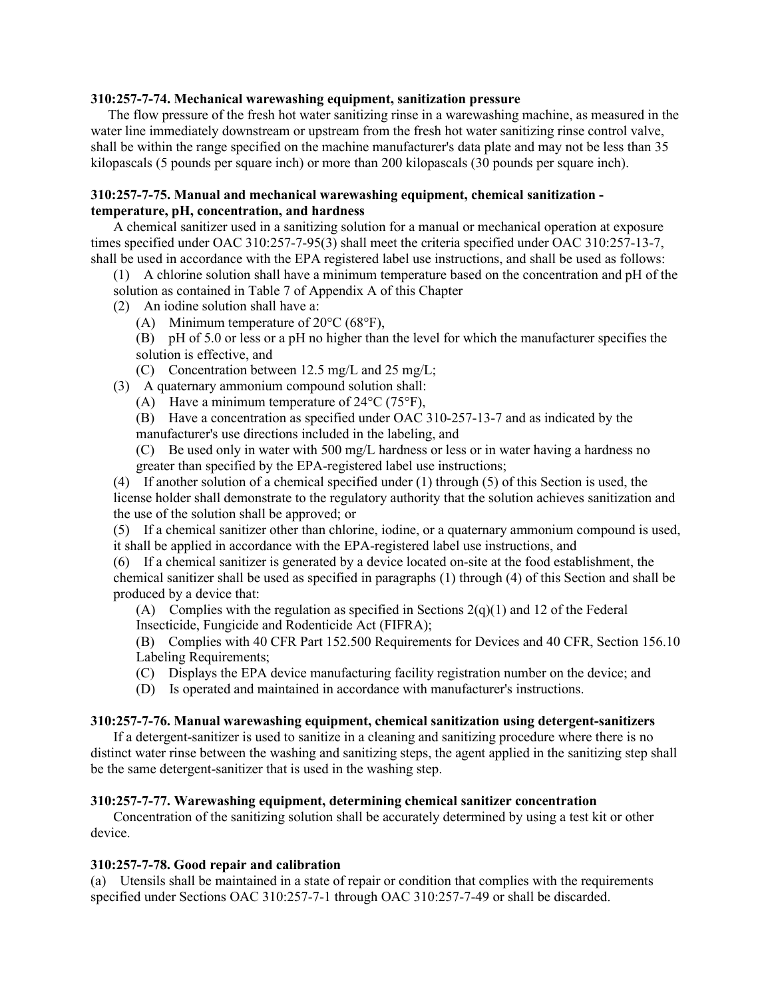#### **310:257-7-74. Mechanical warewashing equipment, sanitization pressure**

 The flow pressure of the fresh hot water sanitizing rinse in a warewashing machine, as measured in the water line immediately downstream or upstream from the fresh hot water sanitizing rinse control valve, shall be within the range specified on the machine manufacturer's data plate and may not be less than 35 kilopascals (5 pounds per square inch) or more than 200 kilopascals (30 pounds per square inch).

## **310:257-7-75. Manual and mechanical warewashing equipment, chemical sanitization temperature, pH, concentration, and hardness**

A chemical sanitizer used in a sanitizing solution for a manual or mechanical operation at exposure times specified under OAC 310:257-7-95(3) shall meet the criteria specified under OAC 310:257-13-7, shall be used in accordance with the EPA registered label use instructions, and shall be used as follows:

(1) A chlorine solution shall have a minimum temperature based on the concentration and pH of the

solution as contained in Table 7 of Appendix A of this Chapter

(2) An iodine solution shall have a:

(A) Minimum temperature of  $20^{\circ}$ C (68 $^{\circ}$ F),

(B) pH of 5.0 or less or a pH no higher than the level for which the manufacturer specifies the solution is effective, and

(C) Concentration between 12.5 mg/L and 25 mg/L;

(3) A quaternary ammonium compound solution shall:

(A) Have a minimum temperature of 24°C (75°F),

(B) Have a concentration as specified under OAC 310-257-13-7 and as indicated by the manufacturer's use directions included in the labeling, and

(C) Be used only in water with 500 mg/L hardness or less or in water having a hardness no greater than specified by the EPA-registered label use instructions;

(4) If another solution of a chemical specified under (1) through (5) of this Section is used, the license holder shall demonstrate to the regulatory authority that the solution achieves sanitization and the use of the solution shall be approved; or

(5) If a chemical sanitizer other than chlorine, iodine, or a quaternary ammonium compound is used, it shall be applied in accordance with the EPA-registered label use instructions, and

(6) If a chemical sanitizer is generated by a device located on-site at the food establishment, the chemical sanitizer shall be used as specified in paragraphs (1) through (4) of this Section and shall be produced by a device that:

(A) Complies with the regulation as specified in Sections  $2(q)(1)$  and 12 of the Federal Insecticide, Fungicide and Rodenticide Act (FIFRA);

(B) Complies with 40 CFR Part 152.500 Requirements for Devices and 40 CFR, Section 156.10 Labeling Requirements;

(C) Displays the EPA device manufacturing facility registration number on the device; and

(D) Is operated and maintained in accordance with manufacturer's instructions.

## **310:257-7-76. Manual warewashing equipment, chemical sanitization using detergent-sanitizers**

If a detergent-sanitizer is used to sanitize in a cleaning and sanitizing procedure where there is no distinct water rinse between the washing and sanitizing steps, the agent applied in the sanitizing step shall be the same detergent-sanitizer that is used in the washing step.

## **310:257-7-77. Warewashing equipment, determining chemical sanitizer concentration**

Concentration of the sanitizing solution shall be accurately determined by using a test kit or other device.

## **310:257-7-78. Good repair and calibration**

(a) Utensils shall be maintained in a state of repair or condition that complies with the requirements specified under Sections OAC 310:257-7-1 through OAC 310:257-7-49 or shall be discarded.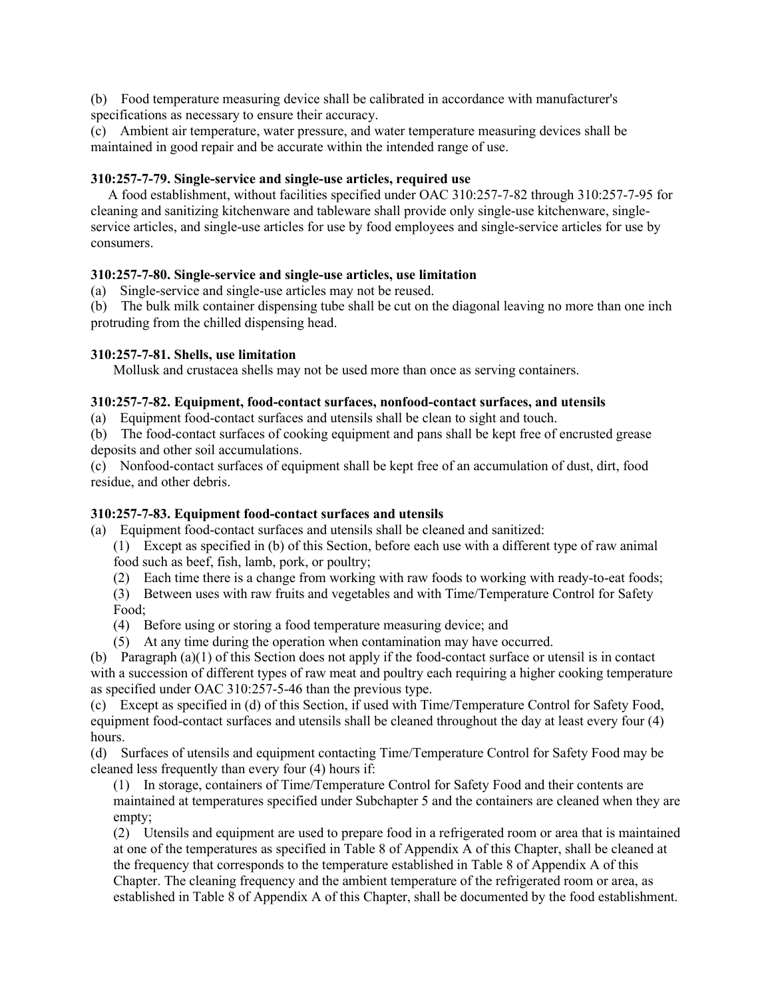(b) Food temperature measuring device shall be calibrated in accordance with manufacturer's specifications as necessary to ensure their accuracy.

(c) Ambient air temperature, water pressure, and water temperature measuring devices shall be maintained in good repair and be accurate within the intended range of use.

## **310:257-7-79. Single-service and single-use articles, required use**

 A food establishment, without facilities specified under OAC 310:257-7-82 through 310:257-7-95 for cleaning and sanitizing kitchenware and tableware shall provide only single-use kitchenware, singleservice articles, and single-use articles for use by food employees and single-service articles for use by consumers.

# **310:257-7-80. Single-service and single-use articles, use limitation**

(a) Single-service and single-use articles may not be reused.

(b) The bulk milk container dispensing tube shall be cut on the diagonal leaving no more than one inch protruding from the chilled dispensing head.

## **310:257-7-81. Shells, use limitation**

Mollusk and crustacea shells may not be used more than once as serving containers.

## **310:257-7-82. Equipment, food-contact surfaces, nonfood-contact surfaces, and utensils**

(a) Equipment food-contact surfaces and utensils shall be clean to sight and touch.

(b) The food-contact surfaces of cooking equipment and pans shall be kept free of encrusted grease deposits and other soil accumulations.

(c) Nonfood-contact surfaces of equipment shall be kept free of an accumulation of dust, dirt, food residue, and other debris.

# **310:257-7-83. Equipment food-contact surfaces and utensils**

- (a) Equipment food-contact surfaces and utensils shall be cleaned and sanitized:
	- (1) Except as specified in (b) of this Section, before each use with a different type of raw animal food such as beef, fish, lamb, pork, or poultry;
	- (2) Each time there is a change from working with raw foods to working with ready-to-eat foods;
	- (3) Between uses with raw fruits and vegetables and with Time/Temperature Control for Safety Food;
	- (4) Before using or storing a food temperature measuring device; and
	- (5) At any time during the operation when contamination may have occurred.

(b) Paragraph (a)(1) of this Section does not apply if the food-contact surface or utensil is in contact with a succession of different types of raw meat and poultry each requiring a higher cooking temperature as specified under OAC 310:257-5-46 than the previous type.

(c) Except as specified in (d) of this Section, if used with Time/Temperature Control for Safety Food, equipment food-contact surfaces and utensils shall be cleaned throughout the day at least every four (4) hours.

(d) Surfaces of utensils and equipment contacting Time/Temperature Control for Safety Food may be cleaned less frequently than every four (4) hours if:

(1) In storage, containers of Time/Temperature Control for Safety Food and their contents are maintained at temperatures specified under Subchapter 5 and the containers are cleaned when they are empty;

(2) Utensils and equipment are used to prepare food in a refrigerated room or area that is maintained at one of the temperatures as specified in Table 8 of Appendix A of this Chapter, shall be cleaned at the frequency that corresponds to the temperature established in Table 8 of Appendix A of this Chapter. The cleaning frequency and the ambient temperature of the refrigerated room or area, as established in Table 8 of Appendix A of this Chapter, shall be documented by the food establishment.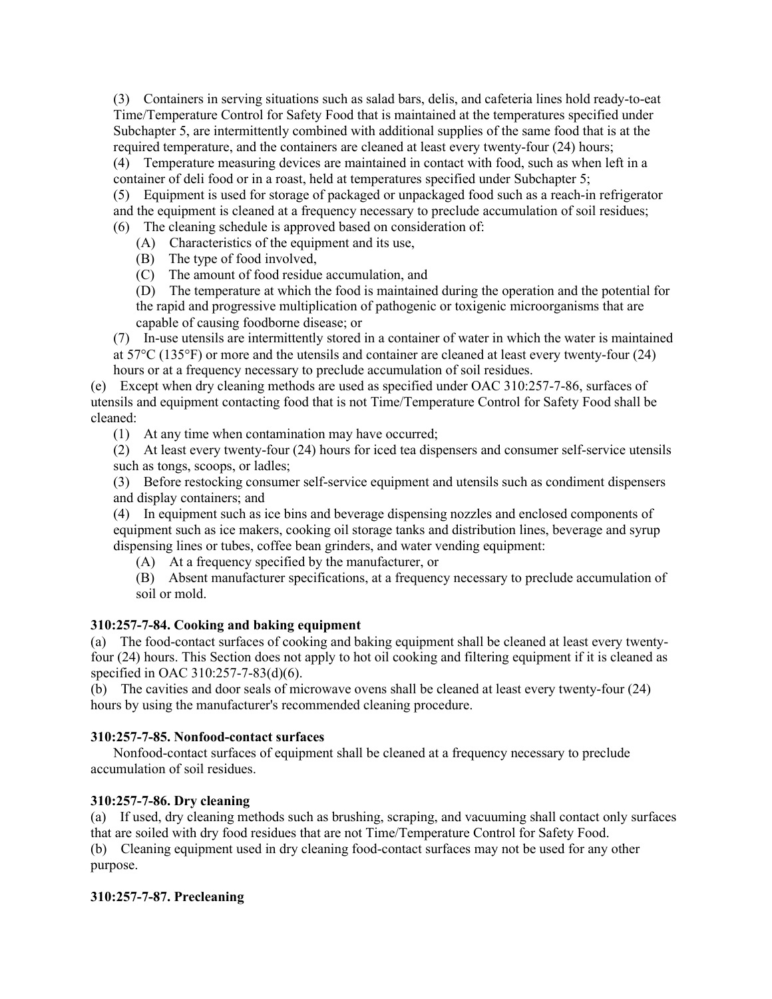(3) Containers in serving situations such as salad bars, delis, and cafeteria lines hold ready-to-eat Time/Temperature Control for Safety Food that is maintained at the temperatures specified under Subchapter 5, are intermittently combined with additional supplies of the same food that is at the required temperature, and the containers are cleaned at least every twenty-four (24) hours;

(4) Temperature measuring devices are maintained in contact with food, such as when left in a container of deli food or in a roast, held at temperatures specified under Subchapter 5;

(5) Equipment is used for storage of packaged or unpackaged food such as a reach-in refrigerator and the equipment is cleaned at a frequency necessary to preclude accumulation of soil residues; (6) The cleaning schedule is approved based on consideration of:

(A) Characteristics of the equipment and its use,

(B) The type of food involved,

(C) The amount of food residue accumulation, and

(D) The temperature at which the food is maintained during the operation and the potential for the rapid and progressive multiplication of pathogenic or toxigenic microorganisms that are capable of causing foodborne disease; or

(7) In-use utensils are intermittently stored in a container of water in which the water is maintained at 57°C (135°F) or more and the utensils and container are cleaned at least every twenty-four (24) hours or at a frequency necessary to preclude accumulation of soil residues.

(e) Except when dry cleaning methods are used as specified under OAC 310:257-7-86, surfaces of utensils and equipment contacting food that is not Time/Temperature Control for Safety Food shall be cleaned:

(1) At any time when contamination may have occurred;

(2) At least every twenty-four (24) hours for iced tea dispensers and consumer self-service utensils such as tongs, scoops, or ladles;

(3) Before restocking consumer self-service equipment and utensils such as condiment dispensers and display containers; and

(4) In equipment such as ice bins and beverage dispensing nozzles and enclosed components of equipment such as ice makers, cooking oil storage tanks and distribution lines, beverage and syrup dispensing lines or tubes, coffee bean grinders, and water vending equipment:

(A) At a frequency specified by the manufacturer, or

(B) Absent manufacturer specifications, at a frequency necessary to preclude accumulation of soil or mold.

# **310:257-7-84. Cooking and baking equipment**

(a) The food-contact surfaces of cooking and baking equipment shall be cleaned at least every twentyfour (24) hours. This Section does not apply to hot oil cooking and filtering equipment if it is cleaned as specified in OAC 310:257-7-83(d)(6).

(b) The cavities and door seals of microwave ovens shall be cleaned at least every twenty-four (24) hours by using the manufacturer's recommended cleaning procedure.

## **310:257-7-85. Nonfood-contact surfaces**

Nonfood-contact surfaces of equipment shall be cleaned at a frequency necessary to preclude accumulation of soil residues.

## **310:257-7-86. Dry cleaning**

(a) If used, dry cleaning methods such as brushing, scraping, and vacuuming shall contact only surfaces that are soiled with dry food residues that are not Time/Temperature Control for Safety Food. (b) Cleaning equipment used in dry cleaning food-contact surfaces may not be used for any other purpose.

## **310:257-7-87. Precleaning**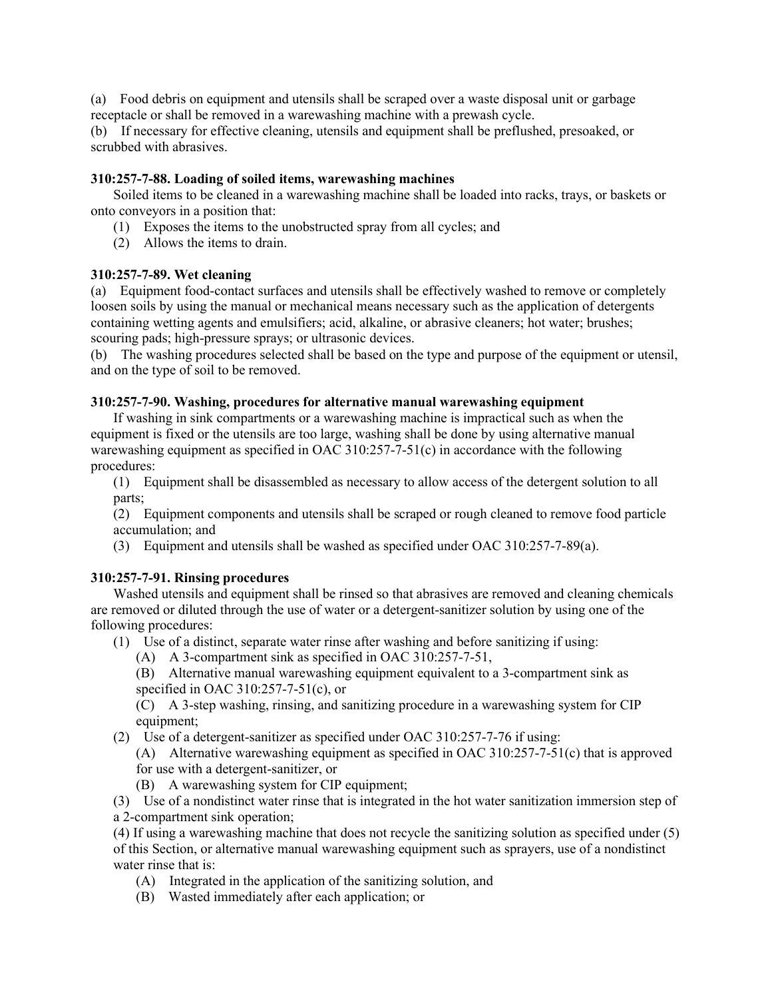(a) Food debris on equipment and utensils shall be scraped over a waste disposal unit or garbage receptacle or shall be removed in a warewashing machine with a prewash cycle.

(b) If necessary for effective cleaning, utensils and equipment shall be preflushed, presoaked, or scrubbed with abrasives.

#### **310:257-7-88. Loading of soiled items, warewashing machines**

Soiled items to be cleaned in a warewashing machine shall be loaded into racks, trays, or baskets or onto conveyors in a position that:

- (1) Exposes the items to the unobstructed spray from all cycles; and
- (2) Allows the items to drain.

## **310:257-7-89. Wet cleaning**

(a) Equipment food-contact surfaces and utensils shall be effectively washed to remove or completely loosen soils by using the manual or mechanical means necessary such as the application of detergents containing wetting agents and emulsifiers; acid, alkaline, or abrasive cleaners; hot water; brushes; scouring pads; high-pressure sprays; or ultrasonic devices.

(b) The washing procedures selected shall be based on the type and purpose of the equipment or utensil, and on the type of soil to be removed.

## **310:257-7-90. Washing, procedures for alternative manual warewashing equipment**

If washing in sink compartments or a warewashing machine is impractical such as when the equipment is fixed or the utensils are too large, washing shall be done by using alternative manual warewashing equipment as specified in OAC 310:257-7-51(c) in accordance with the following procedures:

(1) Equipment shall be disassembled as necessary to allow access of the detergent solution to all parts;

(2) Equipment components and utensils shall be scraped or rough cleaned to remove food particle accumulation; and

(3) Equipment and utensils shall be washed as specified under OAC 310:257-7-89(a).

## **310:257-7-91. Rinsing procedures**

Washed utensils and equipment shall be rinsed so that abrasives are removed and cleaning chemicals are removed or diluted through the use of water or a detergent-sanitizer solution by using one of the following procedures:

(1) Use of a distinct, separate water rinse after washing and before sanitizing if using:

- (A) A 3-compartment sink as specified in OAC 310:257-7-51,
- (B) Alternative manual warewashing equipment equivalent to a 3-compartment sink as specified in OAC 310:257-7-51(c), or

(C) A 3-step washing, rinsing, and sanitizing procedure in a warewashing system for CIP equipment;

(2) Use of a detergent-sanitizer as specified under OAC 310:257-7-76 if using:

(A) Alternative warewashing equipment as specified in OAC 310:257-7-51(c) that is approved for use with a detergent-sanitizer, or

(B) A warewashing system for CIP equipment;

(3) Use of a nondistinct water rinse that is integrated in the hot water sanitization immersion step of a 2-compartment sink operation;

(4) If using a warewashing machine that does not recycle the sanitizing solution as specified under (5) of this Section, or alternative manual warewashing equipment such as sprayers, use of a nondistinct water rinse that is:

- (A) Integrated in the application of the sanitizing solution, and
- (B) Wasted immediately after each application; or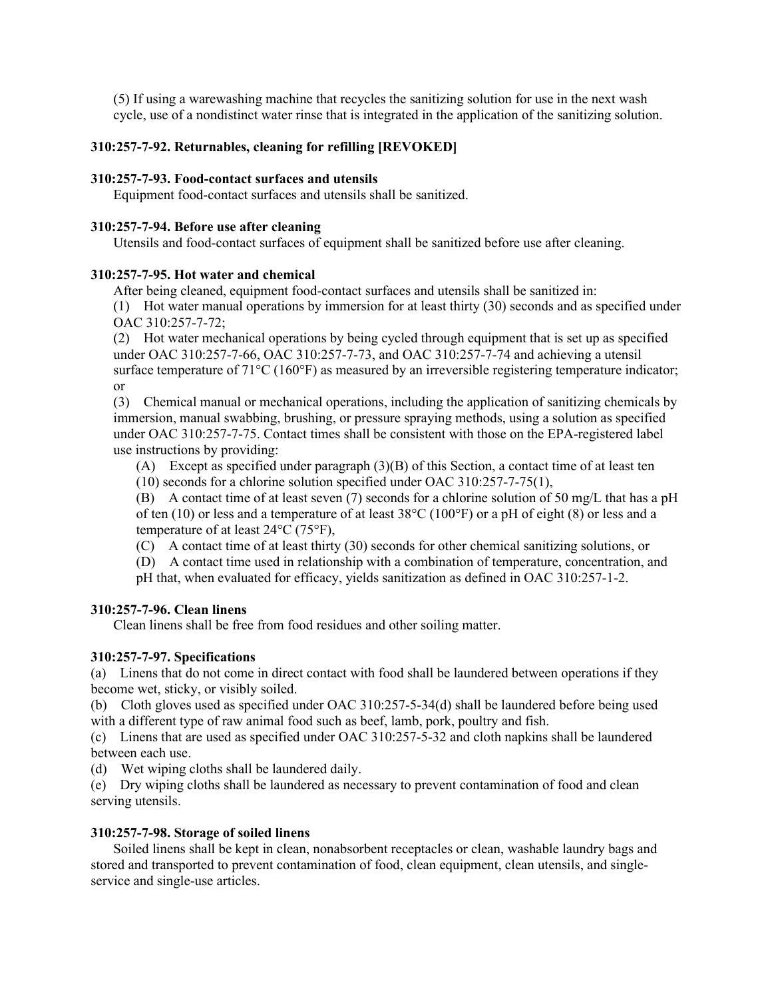(5) If using a warewashing machine that recycles the sanitizing solution for use in the next wash cycle, use of a nondistinct water rinse that is integrated in the application of the sanitizing solution.

# **310:257-7-92. Returnables, cleaning for refilling [REVOKED]**

#### **310:257-7-93. Food-contact surfaces and utensils**

Equipment food-contact surfaces and utensils shall be sanitized.

#### **310:257-7-94. Before use after cleaning**

Utensils and food-contact surfaces of equipment shall be sanitized before use after cleaning.

## **310:257-7-95. Hot water and chemical**

After being cleaned, equipment food-contact surfaces and utensils shall be sanitized in:

(1) Hot water manual operations by immersion for at least thirty (30) seconds and as specified under OAC 310:257-7-72;

(2) Hot water mechanical operations by being cycled through equipment that is set up as specified under OAC 310:257-7-66, OAC 310:257-7-73, and OAC 310:257-7-74 and achieving a utensil surface temperature of  $71^{\circ}$ C (160 $^{\circ}$ F) as measured by an irreversible registering temperature indicator; or

(3) Chemical manual or mechanical operations, including the application of sanitizing chemicals by immersion, manual swabbing, brushing, or pressure spraying methods, using a solution as specified under OAC 310:257-7-75. Contact times shall be consistent with those on the EPA-registered label use instructions by providing:

(A) Except as specified under paragraph (3)(B) of this Section, a contact time of at least ten

(10) seconds for a chlorine solution specified under OAC 310:257-7-75(1),

(B) A contact time of at least seven (7) seconds for a chlorine solution of 50 mg/L that has a pH of ten (10) or less and a temperature of at least 38°C (100°F) or a pH of eight (8) or less and a temperature of at least 24°C (75°F),

(C) A contact time of at least thirty (30) seconds for other chemical sanitizing solutions, or

(D) A contact time used in relationship with a combination of temperature, concentration, and

pH that, when evaluated for efficacy, yields sanitization as defined in OAC 310:257-1-2.

## **310:257-7-96. Clean linens**

Clean linens shall be free from food residues and other soiling matter.

## **310:257-7-97. Specifications**

(a) Linens that do not come in direct contact with food shall be laundered between operations if they become wet, sticky, or visibly soiled.

(b) Cloth gloves used as specified under OAC 310:257-5-34(d) shall be laundered before being used with a different type of raw animal food such as beef, lamb, pork, poultry and fish.

(c) Linens that are used as specified under OAC 310:257-5-32 and cloth napkins shall be laundered between each use.

(d) Wet wiping cloths shall be laundered daily.

(e) Dry wiping cloths shall be laundered as necessary to prevent contamination of food and clean serving utensils.

## **310:257-7-98. Storage of soiled linens**

Soiled linens shall be kept in clean, nonabsorbent receptacles or clean, washable laundry bags and stored and transported to prevent contamination of food, clean equipment, clean utensils, and singleservice and single-use articles.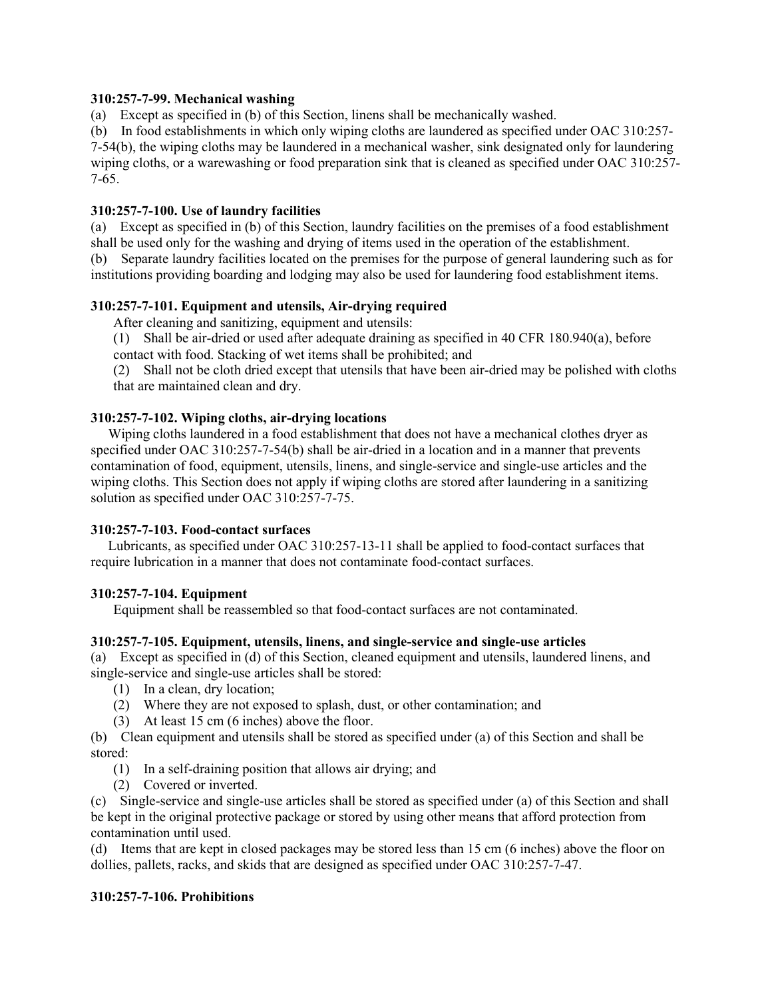## **310:257-7-99. Mechanical washing**

(a) Except as specified in (b) of this Section, linens shall be mechanically washed.

(b) In food establishments in which only wiping cloths are laundered as specified under OAC 310:257- 7-54(b), the wiping cloths may be laundered in a mechanical washer, sink designated only for laundering wiping cloths, or a warewashing or food preparation sink that is cleaned as specified under OAC 310:257- 7-65.

## **310:257-7-100. Use of laundry facilities**

(a) Except as specified in (b) of this Section, laundry facilities on the premises of a food establishment shall be used only for the washing and drying of items used in the operation of the establishment.

(b) Separate laundry facilities located on the premises for the purpose of general laundering such as for institutions providing boarding and lodging may also be used for laundering food establishment items.

# **310:257-7-101. Equipment and utensils, Air-drying required**

After cleaning and sanitizing, equipment and utensils:

(1) Shall be air-dried or used after adequate draining as specified in 40 CFR 180.940(a), before contact with food. Stacking of wet items shall be prohibited; and

(2) Shall not be cloth dried except that utensils that have been air-dried may be polished with cloths that are maintained clean and dry.

# **310:257-7-102. Wiping cloths, air-drying locations**

 Wiping cloths laundered in a food establishment that does not have a mechanical clothes dryer as specified under OAC 310:257-7-54(b) shall be air-dried in a location and in a manner that prevents contamination of food, equipment, utensils, linens, and single-service and single-use articles and the wiping cloths. This Section does not apply if wiping cloths are stored after laundering in a sanitizing solution as specified under OAC 310:257-7-75.

## **310:257-7-103. Food-contact surfaces**

 Lubricants, as specified under OAC 310:257-13-11 shall be applied to food-contact surfaces that require lubrication in a manner that does not contaminate food-contact surfaces.

# **310:257-7-104. Equipment**

Equipment shall be reassembled so that food-contact surfaces are not contaminated.

## **310:257-7-105. Equipment, utensils, linens, and single-service and single-use articles**

(a) Except as specified in (d) of this Section, cleaned equipment and utensils, laundered linens, and single-service and single-use articles shall be stored:

- (1) In a clean, dry location;
- (2) Where they are not exposed to splash, dust, or other contamination; and
- (3) At least 15 cm (6 inches) above the floor.

(b) Clean equipment and utensils shall be stored as specified under (a) of this Section and shall be stored:

- (1) In a self-draining position that allows air drying; and
- (2) Covered or inverted.

(c) Single-service and single-use articles shall be stored as specified under (a) of this Section and shall be kept in the original protective package or stored by using other means that afford protection from contamination until used.

(d) Items that are kept in closed packages may be stored less than 15 cm (6 inches) above the floor on dollies, pallets, racks, and skids that are designed as specified under OAC 310:257-7-47.

## **310:257-7-106. Prohibitions**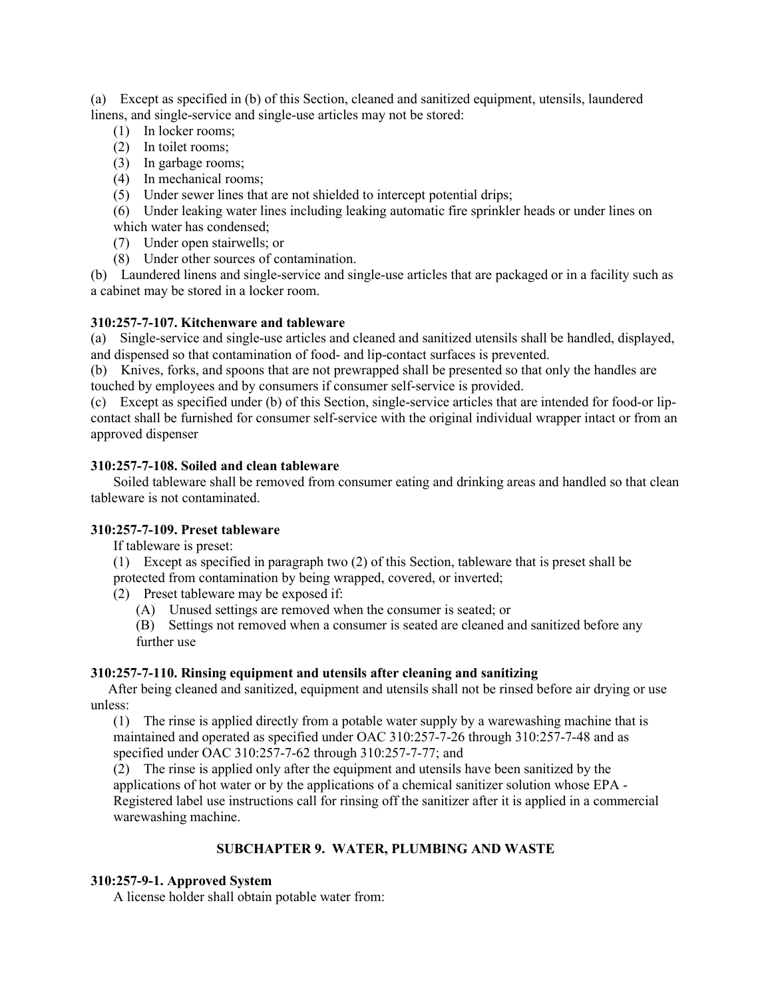(a) Except as specified in (b) of this Section, cleaned and sanitized equipment, utensils, laundered linens, and single-service and single-use articles may not be stored:

- (1) In locker rooms;
- (2) In toilet rooms;
- (3) In garbage rooms;
- (4) In mechanical rooms;
- (5) Under sewer lines that are not shielded to intercept potential drips;

(6) Under leaking water lines including leaking automatic fire sprinkler heads or under lines on which water has condensed;

- 
- (7) Under open stairwells; or
- (8) Under other sources of contamination.

(b) Laundered linens and single-service and single-use articles that are packaged or in a facility such as a cabinet may be stored in a locker room.

# **310:257-7-107. Kitchenware and tableware**

(a) Single-service and single-use articles and cleaned and sanitized utensils shall be handled, displayed, and dispensed so that contamination of food- and lip-contact surfaces is prevented.

(b) Knives, forks, and spoons that are not prewrapped shall be presented so that only the handles are touched by employees and by consumers if consumer self-service is provided.

(c) Except as specified under (b) of this Section, single-service articles that are intended for food-or lipcontact shall be furnished for consumer self-service with the original individual wrapper intact or from an approved dispenser

# **310:257-7-108. Soiled and clean tableware**

Soiled tableware shall be removed from consumer eating and drinking areas and handled so that clean tableware is not contaminated.

## **310:257-7-109. Preset tableware**

If tableware is preset:

(1) Except as specified in paragraph two (2) of this Section, tableware that is preset shall be

- protected from contamination by being wrapped, covered, or inverted;
- (2) Preset tableware may be exposed if:

(A) Unused settings are removed when the consumer is seated; or

(B) Settings not removed when a consumer is seated are cleaned and sanitized before any further use

## **310:257-7-110. Rinsing equipment and utensils after cleaning and sanitizing**

 After being cleaned and sanitized, equipment and utensils shall not be rinsed before air drying or use unless:

(1) The rinse is applied directly from a potable water supply by a warewashing machine that is maintained and operated as specified under OAC 310:257-7-26 through 310:257-7-48 and as specified under OAC 310:257-7-62 through 310:257-7-77; and

(2) The rinse is applied only after the equipment and utensils have been sanitized by the applications of hot water or by the applications of a chemical sanitizer solution whose EPA - Registered label use instructions call for rinsing off the sanitizer after it is applied in a commercial warewashing machine.

# **SUBCHAPTER 9. WATER, PLUMBING AND WASTE**

# **310:257-9-1. Approved System**

A license holder shall obtain potable water from: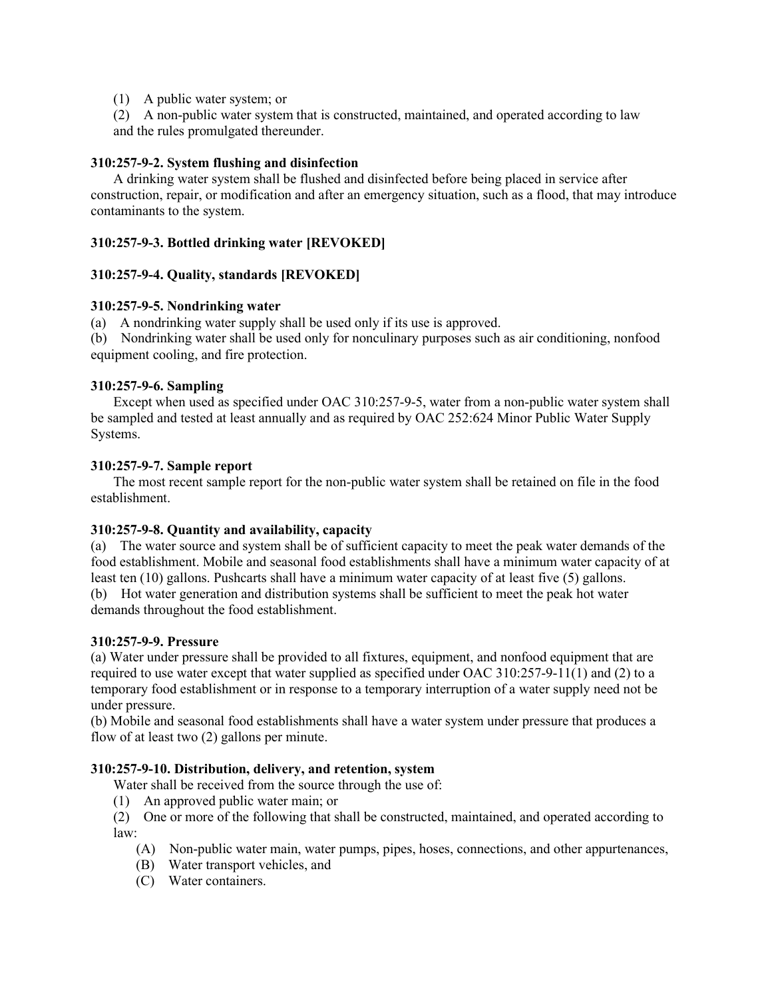(1) A public water system; or

(2) A non-public water system that is constructed, maintained, and operated according to law and the rules promulgated thereunder.

## **310:257-9-2. System flushing and disinfection**

A drinking water system shall be flushed and disinfected before being placed in service after construction, repair, or modification and after an emergency situation, such as a flood, that may introduce contaminants to the system.

## **310:257-9-3. Bottled drinking water [REVOKED]**

#### **310:257-9-4. Quality, standards [REVOKED]**

#### **310:257-9-5. Nondrinking water**

(a) A nondrinking water supply shall be used only if its use is approved.

(b) Nondrinking water shall be used only for nonculinary purposes such as air conditioning, nonfood equipment cooling, and fire protection.

#### **310:257-9-6. Sampling**

Except when used as specified under OAC 310:257-9-5, water from a non-public water system shall be sampled and tested at least annually and as required by OAC 252:624 Minor Public Water Supply Systems.

#### **310:257-9-7. Sample report**

The most recent sample report for the non-public water system shall be retained on file in the food establishment.

## **310:257-9-8. Quantity and availability, capacity**

(a) The water source and system shall be of sufficient capacity to meet the peak water demands of the food establishment. Mobile and seasonal food establishments shall have a minimum water capacity of at least ten (10) gallons. Pushcarts shall have a minimum water capacity of at least five (5) gallons.

(b) Hot water generation and distribution systems shall be sufficient to meet the peak hot water demands throughout the food establishment.

#### **310:257-9-9. Pressure**

(a) Water under pressure shall be provided to all fixtures, equipment, and nonfood equipment that are required to use water except that water supplied as specified under OAC 310:257-9-11(1) and (2) to a temporary food establishment or in response to a temporary interruption of a water supply need not be under pressure.

(b) Mobile and seasonal food establishments shall have a water system under pressure that produces a flow of at least two (2) gallons per minute.

#### **310:257-9-10. Distribution, delivery, and retention, system**

Water shall be received from the source through the use of:

(1) An approved public water main; or

(2) One or more of the following that shall be constructed, maintained, and operated according to law:

- (A) Non-public water main, water pumps, pipes, hoses, connections, and other appurtenances,
- (B) Water transport vehicles, and
- (C) Water containers.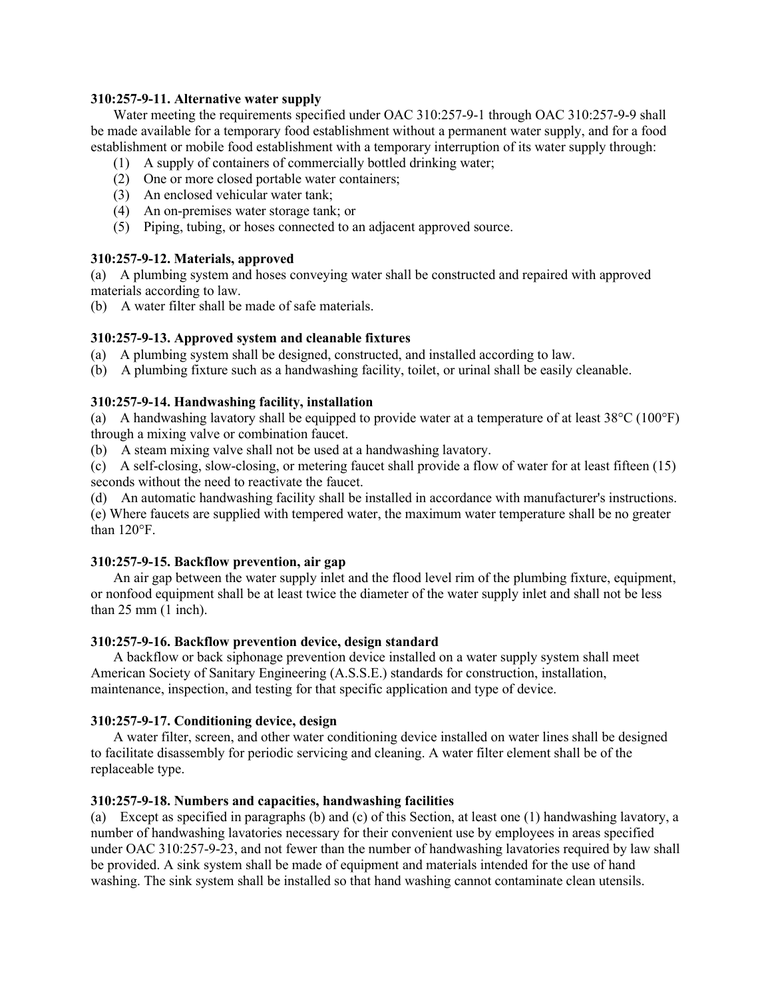#### **310:257-9-11. Alternative water supply**

Water meeting the requirements specified under OAC 310:257-9-1 through OAC 310:257-9-9 shall be made available for a temporary food establishment without a permanent water supply, and for a food establishment or mobile food establishment with a temporary interruption of its water supply through:

- (1) A supply of containers of commercially bottled drinking water;
- (2) One or more closed portable water containers;
- (3) An enclosed vehicular water tank;
- (4) An on-premises water storage tank; or
- (5) Piping, tubing, or hoses connected to an adjacent approved source.

# **310:257-9-12. Materials, approved**

(a) A plumbing system and hoses conveying water shall be constructed and repaired with approved materials according to law.

(b) A water filter shall be made of safe materials.

# **310:257-9-13. Approved system and cleanable fixtures**

- (a) A plumbing system shall be designed, constructed, and installed according to law.
- (b) A plumbing fixture such as a handwashing facility, toilet, or urinal shall be easily cleanable.

# **310:257-9-14. Handwashing facility, installation**

(a) A handwashing lavatory shall be equipped to provide water at a temperature of at least  $38^{\circ}$ C (100°F) through a mixing valve or combination faucet.

(b) A steam mixing valve shall not be used at a handwashing lavatory.

(c) A self-closing, slow-closing, or metering faucet shall provide a flow of water for at least fifteen (15) seconds without the need to reactivate the faucet.

(d) An automatic handwashing facility shall be installed in accordance with manufacturer's instructions.

(e) Where faucets are supplied with tempered water, the maximum water temperature shall be no greater than 120°F.

## **310:257-9-15. Backflow prevention, air gap**

An air gap between the water supply inlet and the flood level rim of the plumbing fixture, equipment, or nonfood equipment shall be at least twice the diameter of the water supply inlet and shall not be less than 25 mm (1 inch).

## **310:257-9-16. Backflow prevention device, design standard**

A backflow or back siphonage prevention device installed on a water supply system shall meet American Society of Sanitary Engineering (A.S.S.E.) standards for construction, installation, maintenance, inspection, and testing for that specific application and type of device.

## **310:257-9-17. Conditioning device, design**

A water filter, screen, and other water conditioning device installed on water lines shall be designed to facilitate disassembly for periodic servicing and cleaning. A water filter element shall be of the replaceable type.

## **310:257-9-18. Numbers and capacities, handwashing facilities**

(a) Except as specified in paragraphs (b) and (c) of this Section, at least one (1) handwashing lavatory, a number of handwashing lavatories necessary for their convenient use by employees in areas specified under OAC 310:257-9-23, and not fewer than the number of handwashing lavatories required by law shall be provided. A sink system shall be made of equipment and materials intended for the use of hand washing. The sink system shall be installed so that hand washing cannot contaminate clean utensils.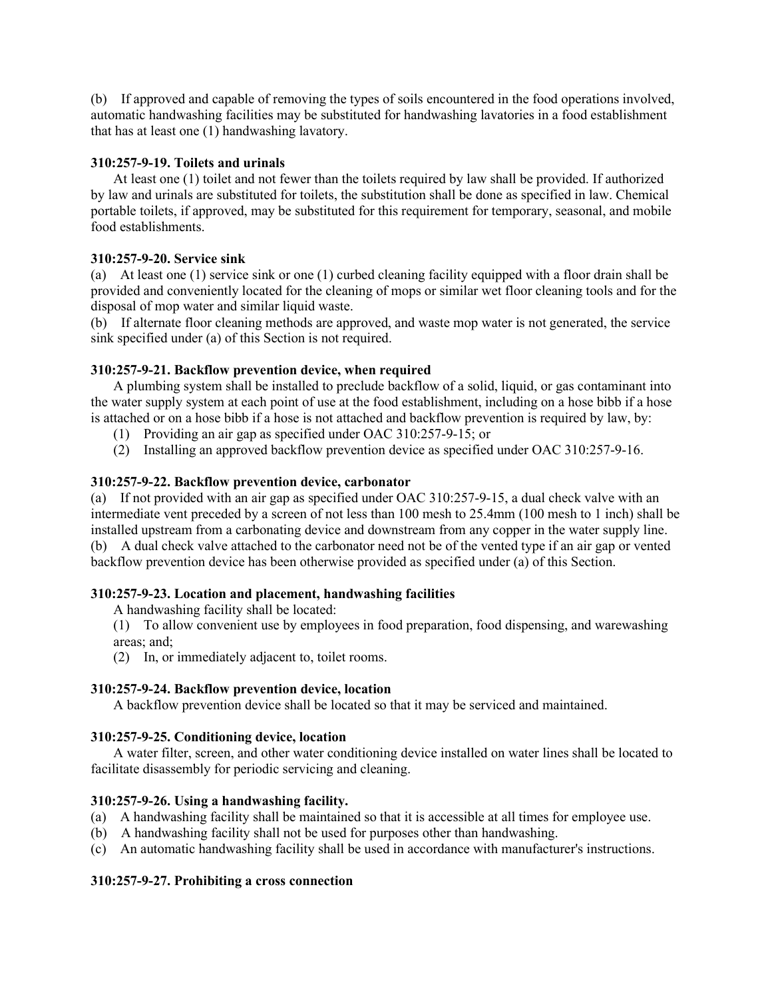(b) If approved and capable of removing the types of soils encountered in the food operations involved, automatic handwashing facilities may be substituted for handwashing lavatories in a food establishment that has at least one (1) handwashing lavatory.

## **310:257-9-19. Toilets and urinals**

At least one (1) toilet and not fewer than the toilets required by law shall be provided. If authorized by law and urinals are substituted for toilets, the substitution shall be done as specified in law. Chemical portable toilets, if approved, may be substituted for this requirement for temporary, seasonal, and mobile food establishments.

# **310:257-9-20. Service sink**

(a) At least one (1) service sink or one (1) curbed cleaning facility equipped with a floor drain shall be provided and conveniently located for the cleaning of mops or similar wet floor cleaning tools and for the disposal of mop water and similar liquid waste.

(b) If alternate floor cleaning methods are approved, and waste mop water is not generated, the service sink specified under (a) of this Section is not required.

# **310:257-9-21. Backflow prevention device, when required**

A plumbing system shall be installed to preclude backflow of a solid, liquid, or gas contaminant into the water supply system at each point of use at the food establishment, including on a hose bibb if a hose is attached or on a hose bibb if a hose is not attached and backflow prevention is required by law, by:

- (1) Providing an air gap as specified under OAC 310:257-9-15; or
- (2) Installing an approved backflow prevention device as specified under OAC 310:257-9-16.

# **310:257-9-22. Backflow prevention device, carbonator**

(a) If not provided with an air gap as specified under OAC 310:257-9-15, a dual check valve with an intermediate vent preceded by a screen of not less than 100 mesh to 25.4mm (100 mesh to 1 inch) shall be installed upstream from a carbonating device and downstream from any copper in the water supply line. (b) A dual check valve attached to the carbonator need not be of the vented type if an air gap or vented backflow prevention device has been otherwise provided as specified under (a) of this Section.

## **310:257-9-23. Location and placement, handwashing facilities**

A handwashing facility shall be located:

(1) To allow convenient use by employees in food preparation, food dispensing, and warewashing areas; and;

(2) In, or immediately adjacent to, toilet rooms.

## **310:257-9-24. Backflow prevention device, location**

A backflow prevention device shall be located so that it may be serviced and maintained.

## **310:257-9-25. Conditioning device, location**

A water filter, screen, and other water conditioning device installed on water lines shall be located to facilitate disassembly for periodic servicing and cleaning.

# **310:257-9-26. Using a handwashing facility.**

- (a) A handwashing facility shall be maintained so that it is accessible at all times for employee use.
- (b) A handwashing facility shall not be used for purposes other than handwashing.
- (c) An automatic handwashing facility shall be used in accordance with manufacturer's instructions.

# **310:257-9-27. Prohibiting a cross connection**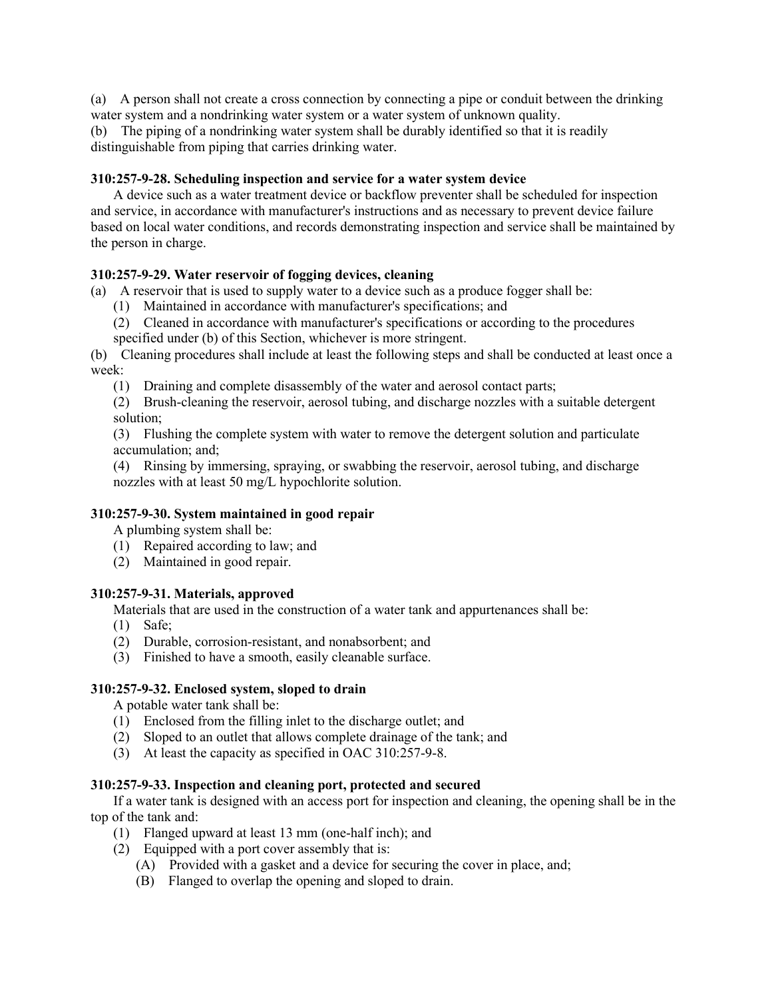(a) A person shall not create a cross connection by connecting a pipe or conduit between the drinking water system and a nondrinking water system or a water system of unknown quality.

(b) The piping of a nondrinking water system shall be durably identified so that it is readily distinguishable from piping that carries drinking water.

#### **310:257-9-28. Scheduling inspection and service for a water system device**

A device such as a water treatment device or backflow preventer shall be scheduled for inspection and service, in accordance with manufacturer's instructions and as necessary to prevent device failure based on local water conditions, and records demonstrating inspection and service shall be maintained by the person in charge.

#### **310:257-9-29. Water reservoir of fogging devices, cleaning**

(a) A reservoir that is used to supply water to a device such as a produce fogger shall be:

- (1) Maintained in accordance with manufacturer's specifications; and
- (2) Cleaned in accordance with manufacturer's specifications or according to the procedures specified under (b) of this Section, whichever is more stringent.

(b) Cleaning procedures shall include at least the following steps and shall be conducted at least once a week:

(1) Draining and complete disassembly of the water and aerosol contact parts;

(2) Brush-cleaning the reservoir, aerosol tubing, and discharge nozzles with a suitable detergent solution;

(3) Flushing the complete system with water to remove the detergent solution and particulate accumulation; and;

(4) Rinsing by immersing, spraying, or swabbing the reservoir, aerosol tubing, and discharge nozzles with at least 50 mg/L hypochlorite solution.

#### **310:257-9-30. System maintained in good repair**

A plumbing system shall be:

- (1) Repaired according to law; and
- (2) Maintained in good repair.

## **310:257-9-31. Materials, approved**

Materials that are used in the construction of a water tank and appurtenances shall be:

- (1) Safe;
- (2) Durable, corrosion-resistant, and nonabsorbent; and
- (3) Finished to have a smooth, easily cleanable surface.

#### **310:257-9-32. Enclosed system, sloped to drain**

A potable water tank shall be:

- (1) Enclosed from the filling inlet to the discharge outlet; and
- (2) Sloped to an outlet that allows complete drainage of the tank; and
- (3) At least the capacity as specified in OAC 310:257-9-8.

#### **310:257-9-33. Inspection and cleaning port, protected and secured**

If a water tank is designed with an access port for inspection and cleaning, the opening shall be in the top of the tank and:

- (1) Flanged upward at least 13 mm (one-half inch); and
- (2) Equipped with a port cover assembly that is:
	- (A) Provided with a gasket and a device for securing the cover in place, and;
	- (B) Flanged to overlap the opening and sloped to drain.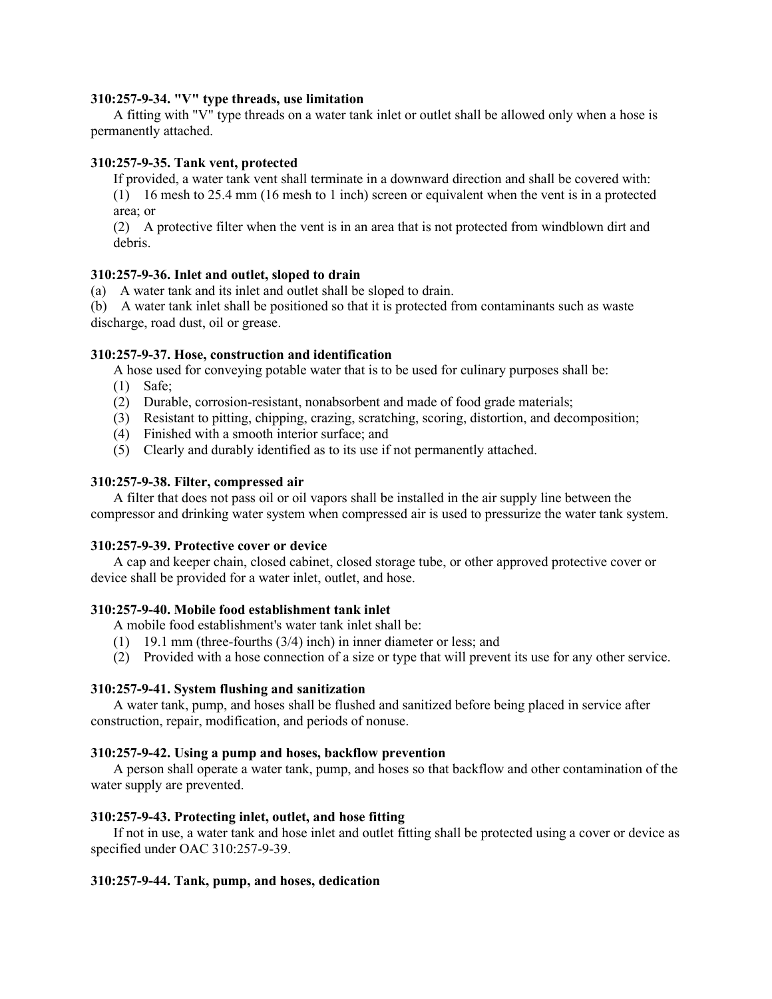#### **310:257-9-34. "V" type threads, use limitation**

A fitting with "V" type threads on a water tank inlet or outlet shall be allowed only when a hose is permanently attached.

#### **310:257-9-35. Tank vent, protected**

If provided, a water tank vent shall terminate in a downward direction and shall be covered with:

(1) 16 mesh to 25.4 mm (16 mesh to 1 inch) screen or equivalent when the vent is in a protected area; or

(2) A protective filter when the vent is in an area that is not protected from windblown dirt and debris.

#### **310:257-9-36. Inlet and outlet, sloped to drain**

(a) A water tank and its inlet and outlet shall be sloped to drain.

(b) A water tank inlet shall be positioned so that it is protected from contaminants such as waste discharge, road dust, oil or grease.

# **310:257-9-37. Hose, construction and identification**

A hose used for conveying potable water that is to be used for culinary purposes shall be:

- (1) Safe;
- (2) Durable, corrosion-resistant, nonabsorbent and made of food grade materials;
- (3) Resistant to pitting, chipping, crazing, scratching, scoring, distortion, and decomposition;
- (4) Finished with a smooth interior surface; and
- (5) Clearly and durably identified as to its use if not permanently attached.

#### **310:257-9-38. Filter, compressed air**

A filter that does not pass oil or oil vapors shall be installed in the air supply line between the compressor and drinking water system when compressed air is used to pressurize the water tank system.

#### **310:257-9-39. Protective cover or device**

A cap and keeper chain, closed cabinet, closed storage tube, or other approved protective cover or device shall be provided for a water inlet, outlet, and hose.

#### **310:257-9-40. Mobile food establishment tank inlet**

A mobile food establishment's water tank inlet shall be:

- (1) 19.1 mm (three-fourths (3/4) inch) in inner diameter or less; and
- (2) Provided with a hose connection of a size or type that will prevent its use for any other service.

#### **310:257-9-41. System flushing and sanitization**

A water tank, pump, and hoses shall be flushed and sanitized before being placed in service after construction, repair, modification, and periods of nonuse.

#### **310:257-9-42. Using a pump and hoses, backflow prevention**

A person shall operate a water tank, pump, and hoses so that backflow and other contamination of the water supply are prevented.

#### **310:257-9-43. Protecting inlet, outlet, and hose fitting**

If not in use, a water tank and hose inlet and outlet fitting shall be protected using a cover or device as specified under OAC 310:257-9-39.

## **310:257-9-44. Tank, pump, and hoses, dedication**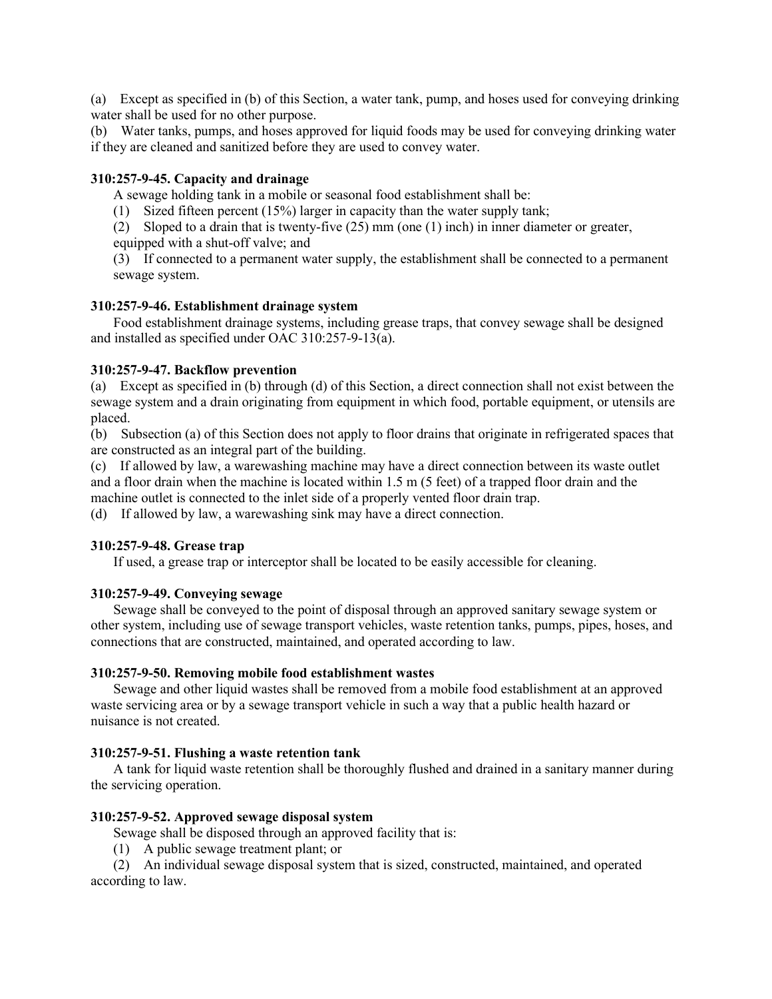(a) Except as specified in (b) of this Section, a water tank, pump, and hoses used for conveying drinking water shall be used for no other purpose.

(b) Water tanks, pumps, and hoses approved for liquid foods may be used for conveying drinking water if they are cleaned and sanitized before they are used to convey water.

#### **310:257-9-45. Capacity and drainage**

A sewage holding tank in a mobile or seasonal food establishment shall be:

(1) Sized fifteen percent (15%) larger in capacity than the water supply tank;

(2) Sloped to a drain that is twenty-five (25) mm (one (1) inch) in inner diameter or greater, equipped with a shut-off valve; and

(3) If connected to a permanent water supply, the establishment shall be connected to a permanent sewage system.

#### **310:257-9-46. Establishment drainage system**

Food establishment drainage systems, including grease traps, that convey sewage shall be designed and installed as specified under OAC 310:257-9-13(a).

#### **310:257-9-47. Backflow prevention**

(a) Except as specified in (b) through (d) of this Section, a direct connection shall not exist between the sewage system and a drain originating from equipment in which food, portable equipment, or utensils are placed.

(b) Subsection (a) of this Section does not apply to floor drains that originate in refrigerated spaces that are constructed as an integral part of the building.

(c) If allowed by law, a warewashing machine may have a direct connection between its waste outlet and a floor drain when the machine is located within 1.5 m (5 feet) of a trapped floor drain and the machine outlet is connected to the inlet side of a properly vented floor drain trap.

(d) If allowed by law, a warewashing sink may have a direct connection.

#### **310:257-9-48. Grease trap**

If used, a grease trap or interceptor shall be located to be easily accessible for cleaning.

## **310:257-9-49. Conveying sewage**

Sewage shall be conveyed to the point of disposal through an approved sanitary sewage system or other system, including use of sewage transport vehicles, waste retention tanks, pumps, pipes, hoses, and connections that are constructed, maintained, and operated according to law.

#### **310:257-9-50. Removing mobile food establishment wastes**

Sewage and other liquid wastes shall be removed from a mobile food establishment at an approved waste servicing area or by a sewage transport vehicle in such a way that a public health hazard or nuisance is not created.

#### **310:257-9-51. Flushing a waste retention tank**

A tank for liquid waste retention shall be thoroughly flushed and drained in a sanitary manner during the servicing operation.

#### **310:257-9-52. Approved sewage disposal system**

Sewage shall be disposed through an approved facility that is:

(1) A public sewage treatment plant; or

(2) An individual sewage disposal system that is sized, constructed, maintained, and operated according to law.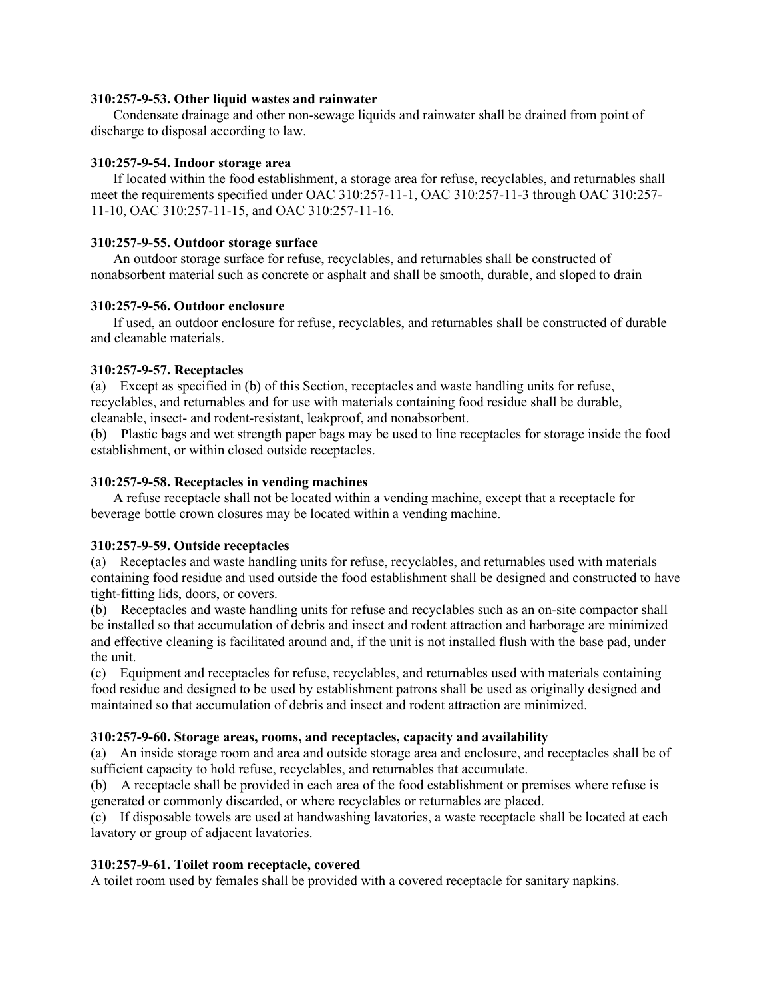## **310:257-9-53. Other liquid wastes and rainwater**

Condensate drainage and other non-sewage liquids and rainwater shall be drained from point of discharge to disposal according to law.

### **310:257-9-54. Indoor storage area**

If located within the food establishment, a storage area for refuse, recyclables, and returnables shall meet the requirements specified under OAC 310:257-11-1, OAC 310:257-11-3 through OAC 310:257- 11-10, OAC 310:257-11-15, and OAC 310:257-11-16.

## **310:257-9-55. Outdoor storage surface**

An outdoor storage surface for refuse, recyclables, and returnables shall be constructed of nonabsorbent material such as concrete or asphalt and shall be smooth, durable, and sloped to drain

### **310:257-9-56. Outdoor enclosure**

If used, an outdoor enclosure for refuse, recyclables, and returnables shall be constructed of durable and cleanable materials.

### **310:257-9-57. Receptacles**

(a) Except as specified in (b) of this Section, receptacles and waste handling units for refuse, recyclables, and returnables and for use with materials containing food residue shall be durable, cleanable, insect- and rodent-resistant, leakproof, and nonabsorbent.

(b) Plastic bags and wet strength paper bags may be used to line receptacles for storage inside the food establishment, or within closed outside receptacles.

### **310:257-9-58. Receptacles in vending machines**

A refuse receptacle shall not be located within a vending machine, except that a receptacle for beverage bottle crown closures may be located within a vending machine.

#### **310:257-9-59. Outside receptacles**

(a) Receptacles and waste handling units for refuse, recyclables, and returnables used with materials containing food residue and used outside the food establishment shall be designed and constructed to have tight-fitting lids, doors, or covers.

(b) Receptacles and waste handling units for refuse and recyclables such as an on-site compactor shall be installed so that accumulation of debris and insect and rodent attraction and harborage are minimized and effective cleaning is facilitated around and, if the unit is not installed flush with the base pad, under the unit.

(c) Equipment and receptacles for refuse, recyclables, and returnables used with materials containing food residue and designed to be used by establishment patrons shall be used as originally designed and maintained so that accumulation of debris and insect and rodent attraction are minimized.

#### **310:257-9-60. Storage areas, rooms, and receptacles, capacity and availability**

(a) An inside storage room and area and outside storage area and enclosure, and receptacles shall be of sufficient capacity to hold refuse, recyclables, and returnables that accumulate.

(b) A receptacle shall be provided in each area of the food establishment or premises where refuse is generated or commonly discarded, or where recyclables or returnables are placed.

(c) If disposable towels are used at handwashing lavatories, a waste receptacle shall be located at each lavatory or group of adjacent lavatories.

# **310:257-9-61. Toilet room receptacle, covered**

A toilet room used by females shall be provided with a covered receptacle for sanitary napkins.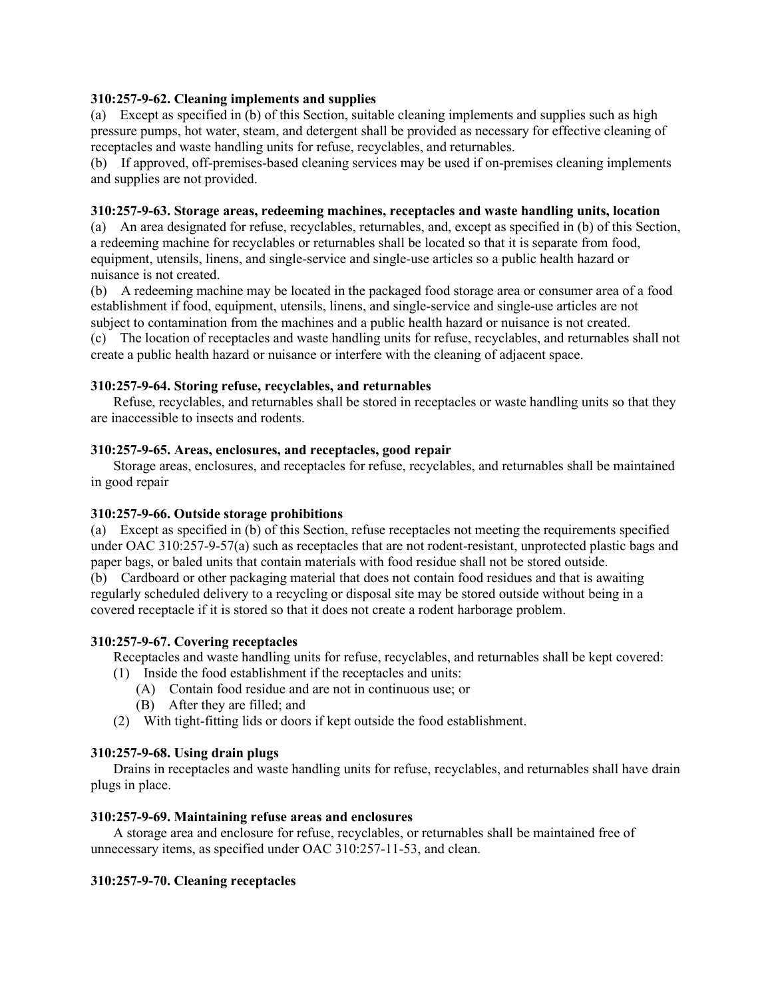# **310:257-9-62. Cleaning implements and supplies**

(a) Except as specified in (b) of this Section, suitable cleaning implements and supplies such as high pressure pumps, hot water, steam, and detergent shall be provided as necessary for effective cleaning of receptacles and waste handling units for refuse, recyclables, and returnables.

(b) If approved, off-premises-based cleaning services may be used if on-premises cleaning implements and supplies are not provided.

### **310:257-9-63. Storage areas, redeeming machines, receptacles and waste handling units, location**

(a) An area designated for refuse, recyclables, returnables, and, except as specified in (b) of this Section, a redeeming machine for recyclables or returnables shall be located so that it is separate from food, equipment, utensils, linens, and single-service and single-use articles so a public health hazard or nuisance is not created.

(b) A redeeming machine may be located in the packaged food storage area or consumer area of a food establishment if food, equipment, utensils, linens, and single-service and single-use articles are not subject to contamination from the machines and a public health hazard or nuisance is not created.

(c) The location of receptacles and waste handling units for refuse, recyclables, and returnables shall not create a public health hazard or nuisance or interfere with the cleaning of adjacent space.

### **310:257-9-64. Storing refuse, recyclables, and returnables**

Refuse, recyclables, and returnables shall be stored in receptacles or waste handling units so that they are inaccessible to insects and rodents.

### **310:257-9-65. Areas, enclosures, and receptacles, good repair**

Storage areas, enclosures, and receptacles for refuse, recyclables, and returnables shall be maintained in good repair

# **310:257-9-66. Outside storage prohibitions**

(a) Except as specified in (b) of this Section, refuse receptacles not meeting the requirements specified under OAC 310:257-9-57(a) such as receptacles that are not rodent-resistant, unprotected plastic bags and paper bags, or baled units that contain materials with food residue shall not be stored outside. (b) Cardboard or other packaging material that does not contain food residues and that is awaiting regularly scheduled delivery to a recycling or disposal site may be stored outside without being in a covered receptacle if it is stored so that it does not create a rodent harborage problem.

# **310:257-9-67. Covering receptacles**

Receptacles and waste handling units for refuse, recyclables, and returnables shall be kept covered:

- (1) Inside the food establishment if the receptacles and units:
	- (A) Contain food residue and are not in continuous use; or
	- (B) After they are filled; and
- (2) With tight-fitting lids or doors if kept outside the food establishment.

#### **310:257-9-68. Using drain plugs**

Drains in receptacles and waste handling units for refuse, recyclables, and returnables shall have drain plugs in place.

#### **310:257-9-69. Maintaining refuse areas and enclosures**

A storage area and enclosure for refuse, recyclables, or returnables shall be maintained free of unnecessary items, as specified under OAC 310:257-11-53, and clean.

# **310:257-9-70. Cleaning receptacles**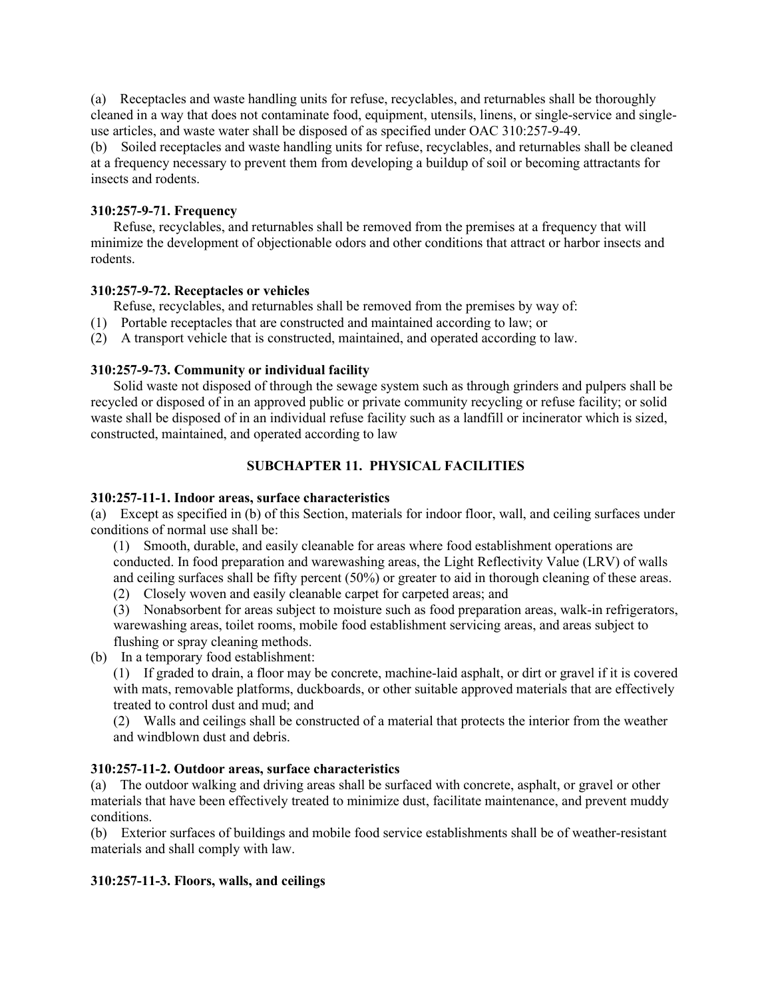(a) Receptacles and waste handling units for refuse, recyclables, and returnables shall be thoroughly cleaned in a way that does not contaminate food, equipment, utensils, linens, or single-service and singleuse articles, and waste water shall be disposed of as specified under OAC 310:257-9-49.

(b) Soiled receptacles and waste handling units for refuse, recyclables, and returnables shall be cleaned at a frequency necessary to prevent them from developing a buildup of soil or becoming attractants for insects and rodents.

# **310:257-9-71. Frequency**

Refuse, recyclables, and returnables shall be removed from the premises at a frequency that will minimize the development of objectionable odors and other conditions that attract or harbor insects and rodents.

# **310:257-9-72. Receptacles or vehicles**

Refuse, recyclables, and returnables shall be removed from the premises by way of:

- (1) Portable receptacles that are constructed and maintained according to law; or
- (2) A transport vehicle that is constructed, maintained, and operated according to law.

# **310:257-9-73. Community or individual facility**

Solid waste not disposed of through the sewage system such as through grinders and pulpers shall be recycled or disposed of in an approved public or private community recycling or refuse facility; or solid waste shall be disposed of in an individual refuse facility such as a landfill or incinerator which is sized, constructed, maintained, and operated according to law

# **SUBCHAPTER 11. PHYSICAL FACILITIES**

# **310:257-11-1. Indoor areas, surface characteristics**

(a) Except as specified in (b) of this Section, materials for indoor floor, wall, and ceiling surfaces under conditions of normal use shall be:

(1) Smooth, durable, and easily cleanable for areas where food establishment operations are conducted. In food preparation and warewashing areas, the Light Reflectivity Value (LRV) of walls and ceiling surfaces shall be fifty percent (50%) or greater to aid in thorough cleaning of these areas.

(2) Closely woven and easily cleanable carpet for carpeted areas; and

(3) Nonabsorbent for areas subject to moisture such as food preparation areas, walk-in refrigerators, warewashing areas, toilet rooms, mobile food establishment servicing areas, and areas subject to flushing or spray cleaning methods.

(b) In a temporary food establishment:

(1) If graded to drain, a floor may be concrete, machine-laid asphalt, or dirt or gravel if it is covered with mats, removable platforms, duckboards, or other suitable approved materials that are effectively treated to control dust and mud; and

(2) Walls and ceilings shall be constructed of a material that protects the interior from the weather and windblown dust and debris.

# **310:257-11-2. Outdoor areas, surface characteristics**

(a) The outdoor walking and driving areas shall be surfaced with concrete, asphalt, or gravel or other materials that have been effectively treated to minimize dust, facilitate maintenance, and prevent muddy conditions.

(b) Exterior surfaces of buildings and mobile food service establishments shall be of weather-resistant materials and shall comply with law.

# **310:257-11-3. Floors, walls, and ceilings**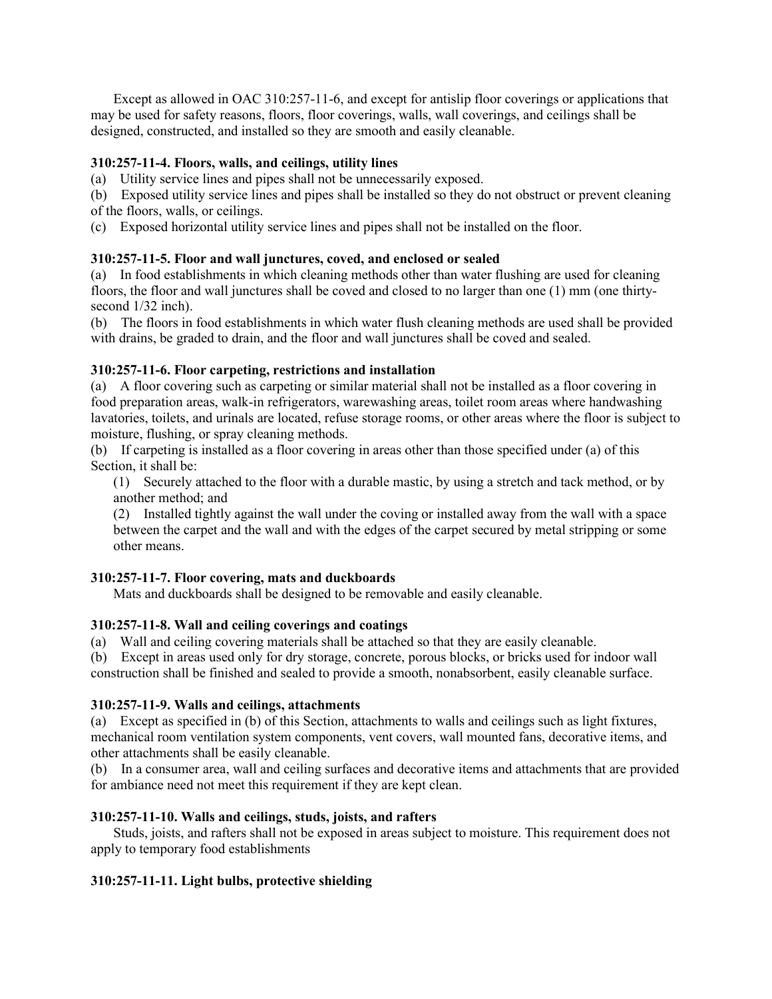Except as allowed in OAC 310:257-11-6, and except for antislip floor coverings or applications that may be used for safety reasons, floors, floor coverings, walls, wall coverings, and ceilings shall be designed, constructed, and installed so they are smooth and easily cleanable.

# **310:257-11-4. Floors, walls, and ceilings, utility lines**

(a) Utility service lines and pipes shall not be unnecessarily exposed.

(b) Exposed utility service lines and pipes shall be installed so they do not obstruct or prevent cleaning of the floors, walls, or ceilings.

(c) Exposed horizontal utility service lines and pipes shall not be installed on the floor.

# **310:257-11-5. Floor and wall junctures, coved, and enclosed or sealed**

(a) In food establishments in which cleaning methods other than water flushing are used for cleaning floors, the floor and wall junctures shall be coved and closed to no larger than one (1) mm (one thirtysecond  $1/32$  inch).

(b) The floors in food establishments in which water flush cleaning methods are used shall be provided with drains, be graded to drain, and the floor and wall junctures shall be coved and sealed.

# **310:257-11-6. Floor carpeting, restrictions and installation**

(a) A floor covering such as carpeting or similar material shall not be installed as a floor covering in food preparation areas, walk-in refrigerators, warewashing areas, toilet room areas where handwashing lavatories, toilets, and urinals are located, refuse storage rooms, or other areas where the floor is subject to moisture, flushing, or spray cleaning methods.

(b) If carpeting is installed as a floor covering in areas other than those specified under (a) of this Section, it shall be:

(1) Securely attached to the floor with a durable mastic, by using a stretch and tack method, or by another method; and

(2) Installed tightly against the wall under the coving or installed away from the wall with a space between the carpet and the wall and with the edges of the carpet secured by metal stripping or some other means.

# **310:257-11-7. Floor covering, mats and duckboards**

Mats and duckboards shall be designed to be removable and easily cleanable.

# **310:257-11-8. Wall and ceiling coverings and coatings**

(a) Wall and ceiling covering materials shall be attached so that they are easily cleanable.

(b) Except in areas used only for dry storage, concrete, porous blocks, or bricks used for indoor wall construction shall be finished and sealed to provide a smooth, nonabsorbent, easily cleanable surface.

# **310:257-11-9. Walls and ceilings, attachments**

(a) Except as specified in (b) of this Section, attachments to walls and ceilings such as light fixtures, mechanical room ventilation system components, vent covers, wall mounted fans, decorative items, and other attachments shall be easily cleanable.

(b) In a consumer area, wall and ceiling surfaces and decorative items and attachments that are provided for ambiance need not meet this requirement if they are kept clean.

# **310:257-11-10. Walls and ceilings, studs, joists, and rafters**

Studs, joists, and rafters shall not be exposed in areas subject to moisture. This requirement does not apply to temporary food establishments

# **310:257-11-11. Light bulbs, protective shielding**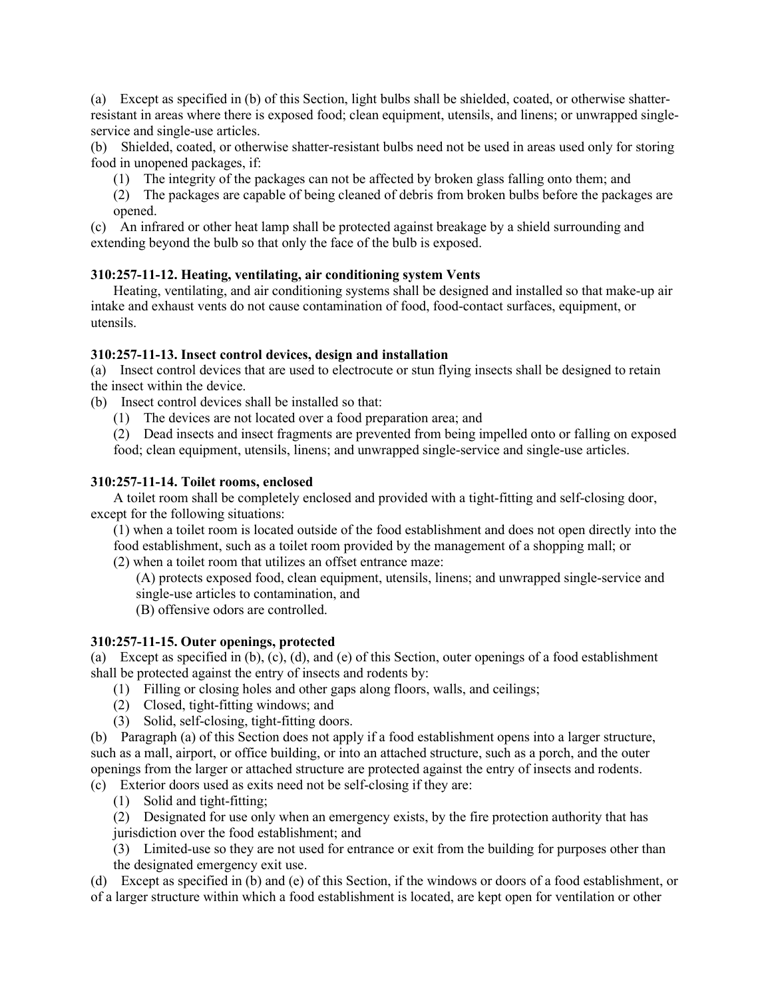(a) Except as specified in (b) of this Section, light bulbs shall be shielded, coated, or otherwise shatterresistant in areas where there is exposed food; clean equipment, utensils, and linens; or unwrapped singleservice and single-use articles.

(b) Shielded, coated, or otherwise shatter-resistant bulbs need not be used in areas used only for storing food in unopened packages, if:

- (1) The integrity of the packages can not be affected by broken glass falling onto them; and
- (2) The packages are capable of being cleaned of debris from broken bulbs before the packages are opened.

(c) An infrared or other heat lamp shall be protected against breakage by a shield surrounding and extending beyond the bulb so that only the face of the bulb is exposed.

# **310:257-11-12. Heating, ventilating, air conditioning system Vents**

Heating, ventilating, and air conditioning systems shall be designed and installed so that make-up air intake and exhaust vents do not cause contamination of food, food-contact surfaces, equipment, or utensils.

# **310:257-11-13. Insect control devices, design and installation**

(a) Insect control devices that are used to electrocute or stun flying insects shall be designed to retain the insect within the device.

- (b) Insect control devices shall be installed so that:
	- (1) The devices are not located over a food preparation area; and

(2) Dead insects and insect fragments are prevented from being impelled onto or falling on exposed food; clean equipment, utensils, linens; and unwrapped single-service and single-use articles.

# **310:257-11-14. Toilet rooms, enclosed**

A toilet room shall be completely enclosed and provided with a tight-fitting and self-closing door, except for the following situations:

(1) when a toilet room is located outside of the food establishment and does not open directly into the food establishment, such as a toilet room provided by the management of a shopping mall; or (2) when a toilet room that utilizes an offset entrance maze:

(A) protects exposed food, clean equipment, utensils, linens; and unwrapped single-service and single-use articles to contamination, and

(B) offensive odors are controlled.

# **310:257-11-15. Outer openings, protected**

(a) Except as specified in (b), (c), (d), and (e) of this Section, outer openings of a food establishment shall be protected against the entry of insects and rodents by:

- (1) Filling or closing holes and other gaps along floors, walls, and ceilings;
- (2) Closed, tight-fitting windows; and
- (3) Solid, self-closing, tight-fitting doors.

(b) Paragraph (a) of this Section does not apply if a food establishment opens into a larger structure, such as a mall, airport, or office building, or into an attached structure, such as a porch, and the outer openings from the larger or attached structure are protected against the entry of insects and rodents. (c) Exterior doors used as exits need not be self-closing if they are:

- (1) Solid and tight-fitting;
- (2) Designated for use only when an emergency exists, by the fire protection authority that has
- jurisdiction over the food establishment; and
- (3) Limited-use so they are not used for entrance or exit from the building for purposes other than the designated emergency exit use.

(d) Except as specified in (b) and (e) of this Section, if the windows or doors of a food establishment, or of a larger structure within which a food establishment is located, are kept open for ventilation or other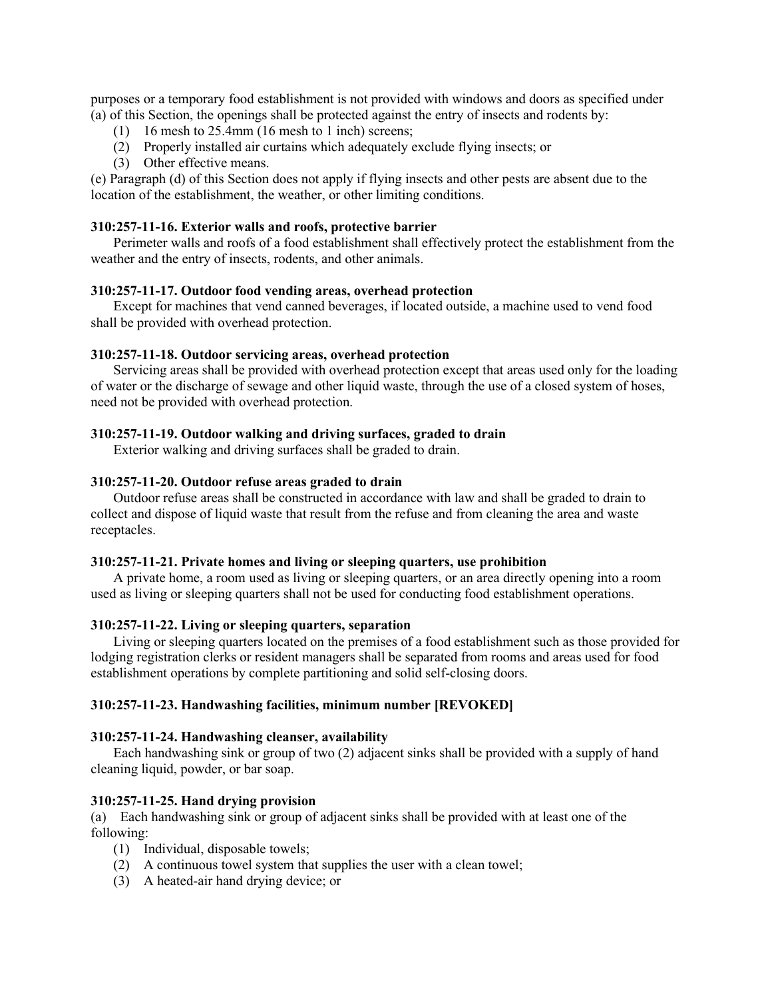purposes or a temporary food establishment is not provided with windows and doors as specified under (a) of this Section, the openings shall be protected against the entry of insects and rodents by:

- (1) 16 mesh to 25.4mm (16 mesh to 1 inch) screens;
- (2) Properly installed air curtains which adequately exclude flying insects; or
- (3) Other effective means.

(e) Paragraph (d) of this Section does not apply if flying insects and other pests are absent due to the location of the establishment, the weather, or other limiting conditions.

### **310:257-11-16. Exterior walls and roofs, protective barrier**

Perimeter walls and roofs of a food establishment shall effectively protect the establishment from the weather and the entry of insects, rodents, and other animals.

## **310:257-11-17. Outdoor food vending areas, overhead protection**

Except for machines that vend canned beverages, if located outside, a machine used to vend food shall be provided with overhead protection.

## **310:257-11-18. Outdoor servicing areas, overhead protection**

Servicing areas shall be provided with overhead protection except that areas used only for the loading of water or the discharge of sewage and other liquid waste, through the use of a closed system of hoses, need not be provided with overhead protection.

### **310:257-11-19. Outdoor walking and driving surfaces, graded to drain**

Exterior walking and driving surfaces shall be graded to drain.

### **310:257-11-20. Outdoor refuse areas graded to drain**

Outdoor refuse areas shall be constructed in accordance with law and shall be graded to drain to collect and dispose of liquid waste that result from the refuse and from cleaning the area and waste receptacles.

### **310:257-11-21. Private homes and living or sleeping quarters, use prohibition**

A private home, a room used as living or sleeping quarters, or an area directly opening into a room used as living or sleeping quarters shall not be used for conducting food establishment operations.

#### **310:257-11-22. Living or sleeping quarters, separation**

Living or sleeping quarters located on the premises of a food establishment such as those provided for lodging registration clerks or resident managers shall be separated from rooms and areas used for food establishment operations by complete partitioning and solid self-closing doors.

#### **310:257-11-23. Handwashing facilities, minimum number [REVOKED]**

#### **310:257-11-24. Handwashing cleanser, availability**

Each handwashing sink or group of two (2) adjacent sinks shall be provided with a supply of hand cleaning liquid, powder, or bar soap.

#### **310:257-11-25. Hand drying provision**

(a) Each handwashing sink or group of adjacent sinks shall be provided with at least one of the following:

- (1) Individual, disposable towels;
- (2) A continuous towel system that supplies the user with a clean towel;
- (3) A heated-air hand drying device; or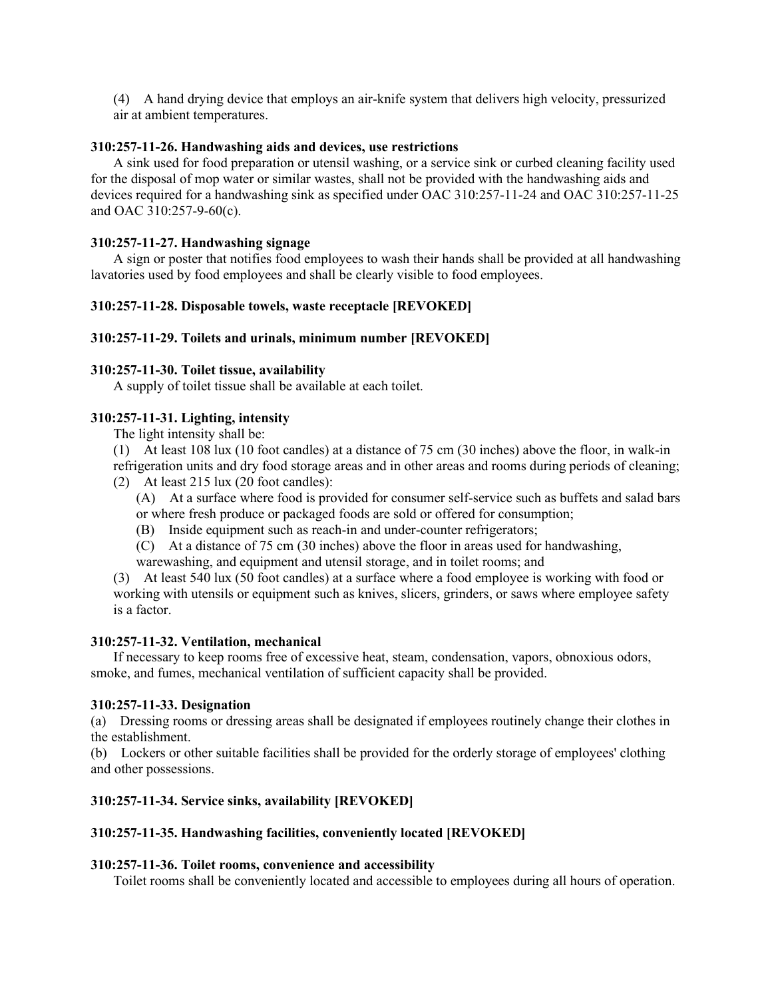(4) A hand drying device that employs an air-knife system that delivers high velocity, pressurized air at ambient temperatures.

## **310:257-11-26. Handwashing aids and devices, use restrictions**

A sink used for food preparation or utensil washing, or a service sink or curbed cleaning facility used for the disposal of mop water or similar wastes, shall not be provided with the handwashing aids and devices required for a handwashing sink as specified under OAC 310:257-11-24 and OAC 310:257-11-25 and OAC 310:257-9-60(c).

# **310:257-11-27. Handwashing signage**

A sign or poster that notifies food employees to wash their hands shall be provided at all handwashing lavatories used by food employees and shall be clearly visible to food employees.

# **310:257-11-28. Disposable towels, waste receptacle [REVOKED]**

# **310:257-11-29. Toilets and urinals, minimum number [REVOKED]**

# **310:257-11-30. Toilet tissue, availability**

A supply of toilet tissue shall be available at each toilet.

# **310:257-11-31. Lighting, intensity**

The light intensity shall be:

(1) At least 108 lux (10 foot candles) at a distance of 75 cm (30 inches) above the floor, in walk-in refrigeration units and dry food storage areas and in other areas and rooms during periods of cleaning;

(2) At least 215 lux (20 foot candles):

(A) At a surface where food is provided for consumer self-service such as buffets and salad bars or where fresh produce or packaged foods are sold or offered for consumption;

- (B) Inside equipment such as reach-in and under-counter refrigerators;
- (C) At a distance of 75 cm (30 inches) above the floor in areas used for handwashing,

warewashing, and equipment and utensil storage, and in toilet rooms; and

(3) At least 540 lux (50 foot candles) at a surface where a food employee is working with food or working with utensils or equipment such as knives, slicers, grinders, or saws where employee safety is a factor.

# **310:257-11-32. Ventilation, mechanical**

If necessary to keep rooms free of excessive heat, steam, condensation, vapors, obnoxious odors, smoke, and fumes, mechanical ventilation of sufficient capacity shall be provided.

# **310:257-11-33. Designation**

(a) Dressing rooms or dressing areas shall be designated if employees routinely change their clothes in the establishment.

(b) Lockers or other suitable facilities shall be provided for the orderly storage of employees' clothing and other possessions.

# **310:257-11-34. Service sinks, availability [REVOKED]**

# **310:257-11-35. Handwashing facilities, conveniently located [REVOKED]**

# **310:257-11-36. Toilet rooms, convenience and accessibility**

Toilet rooms shall be conveniently located and accessible to employees during all hours of operation.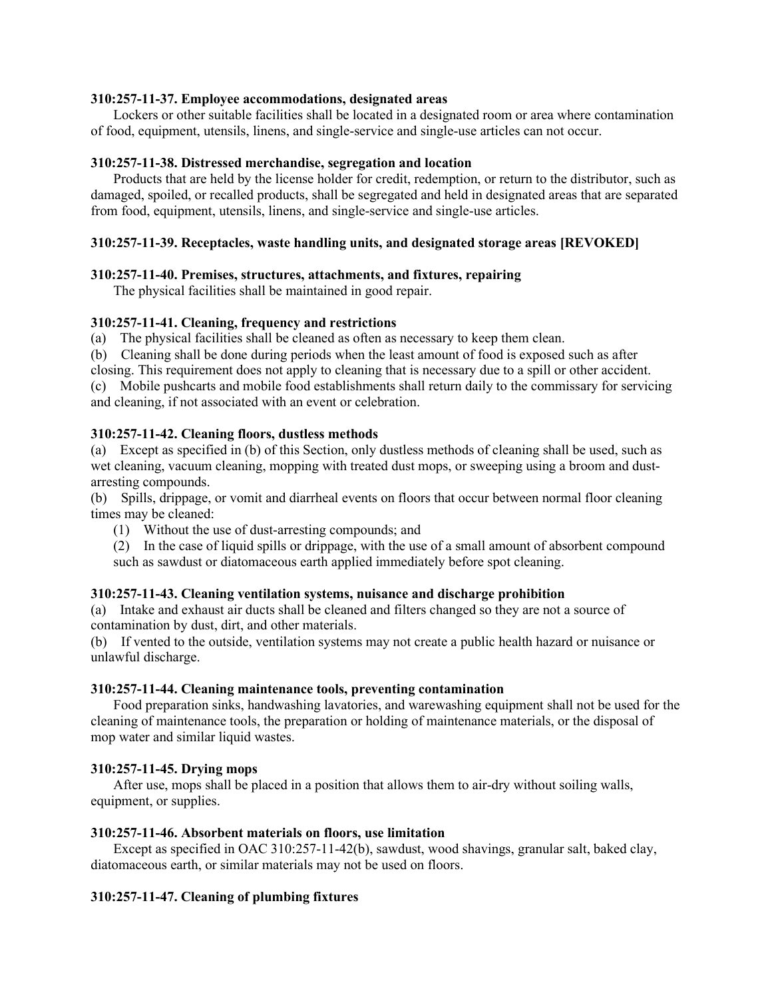## **310:257-11-37. Employee accommodations, designated areas**

Lockers or other suitable facilities shall be located in a designated room or area where contamination of food, equipment, utensils, linens, and single-service and single-use articles can not occur.

### **310:257-11-38. Distressed merchandise, segregation and location**

Products that are held by the license holder for credit, redemption, or return to the distributor, such as damaged, spoiled, or recalled products, shall be segregated and held in designated areas that are separated from food, equipment, utensils, linens, and single-service and single-use articles.

## **310:257-11-39. Receptacles, waste handling units, and designated storage areas [REVOKED]**

#### **310:257-11-40. Premises, structures, attachments, and fixtures, repairing**

The physical facilities shall be maintained in good repair.

### **310:257-11-41. Cleaning, frequency and restrictions**

(a) The physical facilities shall be cleaned as often as necessary to keep them clean.

(b) Cleaning shall be done during periods when the least amount of food is exposed such as after

closing. This requirement does not apply to cleaning that is necessary due to a spill or other accident.

(c) Mobile pushcarts and mobile food establishments shall return daily to the commissary for servicing and cleaning, if not associated with an event or celebration.

### **310:257-11-42. Cleaning floors, dustless methods**

(a) Except as specified in (b) of this Section, only dustless methods of cleaning shall be used, such as wet cleaning, vacuum cleaning, mopping with treated dust mops, or sweeping using a broom and dustarresting compounds.

(b) Spills, drippage, or vomit and diarrheal events on floors that occur between normal floor cleaning times may be cleaned:

(1) Without the use of dust-arresting compounds; and

(2) In the case of liquid spills or drippage, with the use of a small amount of absorbent compound such as sawdust or diatomaceous earth applied immediately before spot cleaning.

#### **310:257-11-43. Cleaning ventilation systems, nuisance and discharge prohibition**

(a) Intake and exhaust air ducts shall be cleaned and filters changed so they are not a source of contamination by dust, dirt, and other materials.

(b) If vented to the outside, ventilation systems may not create a public health hazard or nuisance or unlawful discharge.

#### **310:257-11-44. Cleaning maintenance tools, preventing contamination**

Food preparation sinks, handwashing lavatories, and warewashing equipment shall not be used for the cleaning of maintenance tools, the preparation or holding of maintenance materials, or the disposal of mop water and similar liquid wastes.

#### **310:257-11-45. Drying mops**

After use, mops shall be placed in a position that allows them to air-dry without soiling walls, equipment, or supplies.

#### **310:257-11-46. Absorbent materials on floors, use limitation**

Except as specified in OAC 310:257-11-42(b), sawdust, wood shavings, granular salt, baked clay, diatomaceous earth, or similar materials may not be used on floors.

# **310:257-11-47. Cleaning of plumbing fixtures**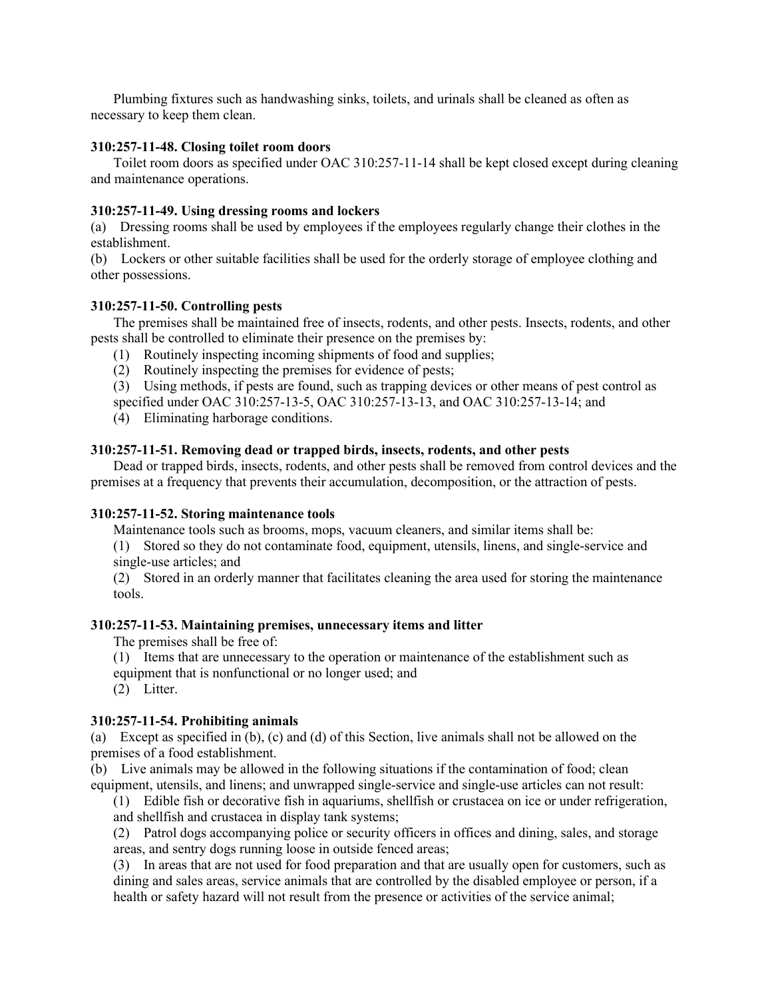Plumbing fixtures such as handwashing sinks, toilets, and urinals shall be cleaned as often as necessary to keep them clean.

### **310:257-11-48. Closing toilet room doors**

Toilet room doors as specified under OAC 310:257-11-14 shall be kept closed except during cleaning and maintenance operations.

### **310:257-11-49. Using dressing rooms and lockers**

(a) Dressing rooms shall be used by employees if the employees regularly change their clothes in the establishment.

(b) Lockers or other suitable facilities shall be used for the orderly storage of employee clothing and other possessions.

### **310:257-11-50. Controlling pests**

The premises shall be maintained free of insects, rodents, and other pests. Insects, rodents, and other pests shall be controlled to eliminate their presence on the premises by:

- (1) Routinely inspecting incoming shipments of food and supplies;
- (2) Routinely inspecting the premises for evidence of pests;

(3) Using methods, if pests are found, such as trapping devices or other means of pest control as specified under OAC 310:257-13-5, OAC 310:257-13-13, and OAC 310:257-13-14; and

(4) Eliminating harborage conditions.

### **310:257-11-51. Removing dead or trapped birds, insects, rodents, and other pests**

Dead or trapped birds, insects, rodents, and other pests shall be removed from control devices and the premises at a frequency that prevents their accumulation, decomposition, or the attraction of pests.

#### **310:257-11-52. Storing maintenance tools**

Maintenance tools such as brooms, mops, vacuum cleaners, and similar items shall be:

(1) Stored so they do not contaminate food, equipment, utensils, linens, and single-service and single-use articles; and

(2) Stored in an orderly manner that facilitates cleaning the area used for storing the maintenance tools.

### **310:257-11-53. Maintaining premises, unnecessary items and litter**

The premises shall be free of:

(1) Items that are unnecessary to the operation or maintenance of the establishment such as equipment that is nonfunctional or no longer used; and

(2) Litter.

# **310:257-11-54. Prohibiting animals**

(a) Except as specified in (b), (c) and (d) of this Section, live animals shall not be allowed on the premises of a food establishment.

(b) Live animals may be allowed in the following situations if the contamination of food; clean equipment, utensils, and linens; and unwrapped single-service and single-use articles can not result:

(1) Edible fish or decorative fish in aquariums, shellfish or crustacea on ice or under refrigeration, and shellfish and crustacea in display tank systems;

(2) Patrol dogs accompanying police or security officers in offices and dining, sales, and storage areas, and sentry dogs running loose in outside fenced areas;

(3) In areas that are not used for food preparation and that are usually open for customers, such as dining and sales areas, service animals that are controlled by the disabled employee or person, if a health or safety hazard will not result from the presence or activities of the service animal;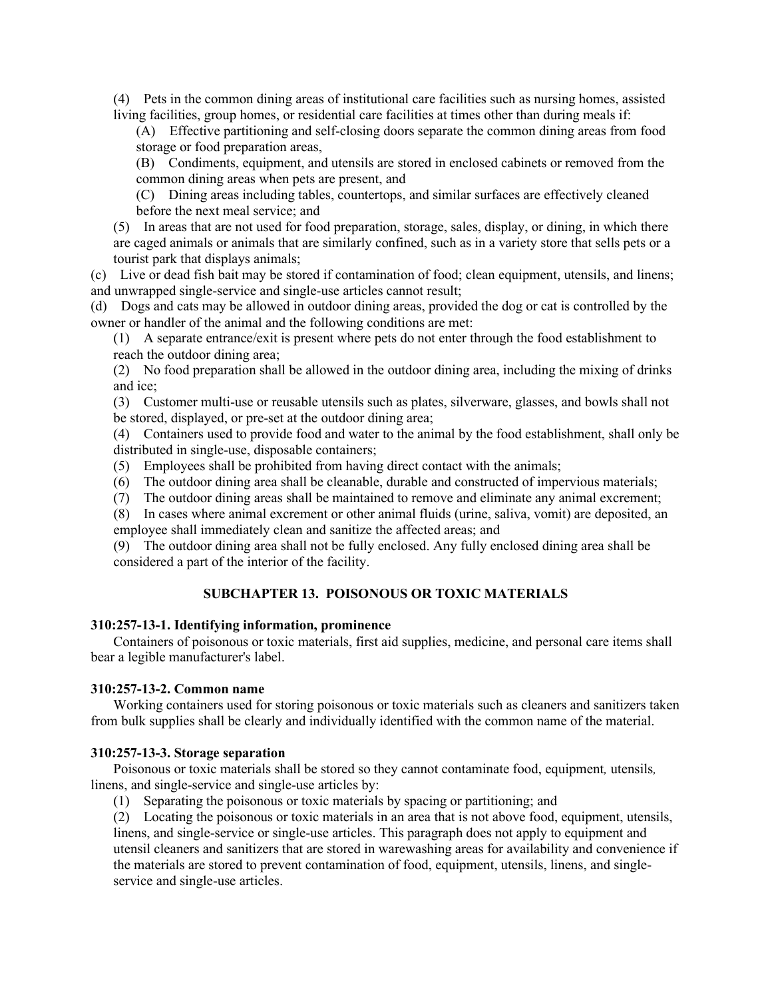(4) Pets in the common dining areas of institutional care facilities such as nursing homes, assisted living facilities, group homes, or residential care facilities at times other than during meals if:

(A) Effective partitioning and self-closing doors separate the common dining areas from food storage or food preparation areas,

(B) Condiments, equipment, and utensils are stored in enclosed cabinets or removed from the common dining areas when pets are present, and

(C) Dining areas including tables, countertops, and similar surfaces are effectively cleaned before the next meal service; and

(5) In areas that are not used for food preparation, storage, sales, display, or dining, in which there are caged animals or animals that are similarly confined, such as in a variety store that sells pets or a tourist park that displays animals;

(c) Live or dead fish bait may be stored if contamination of food; clean equipment, utensils, and linens; and unwrapped single-service and single-use articles cannot result;

(d) Dogs and cats may be allowed in outdoor dining areas, provided the dog or cat is controlled by the owner or handler of the animal and the following conditions are met:

(1) A separate entrance/exit is present where pets do not enter through the food establishment to reach the outdoor dining area;

(2) No food preparation shall be allowed in the outdoor dining area, including the mixing of drinks and ice;

(3) Customer multi-use or reusable utensils such as plates, silverware, glasses, and bowls shall not be stored, displayed, or pre-set at the outdoor dining area;

(4) Containers used to provide food and water to the animal by the food establishment, shall only be distributed in single-use, disposable containers;

(5) Employees shall be prohibited from having direct contact with the animals;

(6) The outdoor dining area shall be cleanable, durable and constructed of impervious materials;

(7) The outdoor dining areas shall be maintained to remove and eliminate any animal excrement;

(8) In cases where animal excrement or other animal fluids (urine, saliva, vomit) are deposited, an employee shall immediately clean and sanitize the affected areas; and

(9) The outdoor dining area shall not be fully enclosed. Any fully enclosed dining area shall be considered a part of the interior of the facility.

#### **SUBCHAPTER 13. POISONOUS OR TOXIC MATERIALS**

#### **310:257-13-1. Identifying information, prominence**

Containers of poisonous or toxic materials, first aid supplies, medicine, and personal care items shall bear a legible manufacturer's label.

#### **310:257-13-2. Common name**

Working containers used for storing poisonous or toxic materials such as cleaners and sanitizers taken from bulk supplies shall be clearly and individually identified with the common name of the material.

#### **310:257-13-3. Storage separation**

Poisonous or toxic materials shall be stored so they cannot contaminate food, equipment*,* utensils*,*  linens, and single-service and single-use articles by:

(1) Separating the poisonous or toxic materials by spacing or partitioning; and

(2) Locating the poisonous or toxic materials in an area that is not above food, equipment, utensils, linens, and single-service or single-use articles. This paragraph does not apply to equipment and utensil cleaners and sanitizers that are stored in warewashing areas for availability and convenience if the materials are stored to prevent contamination of food, equipment, utensils, linens, and singleservice and single-use articles.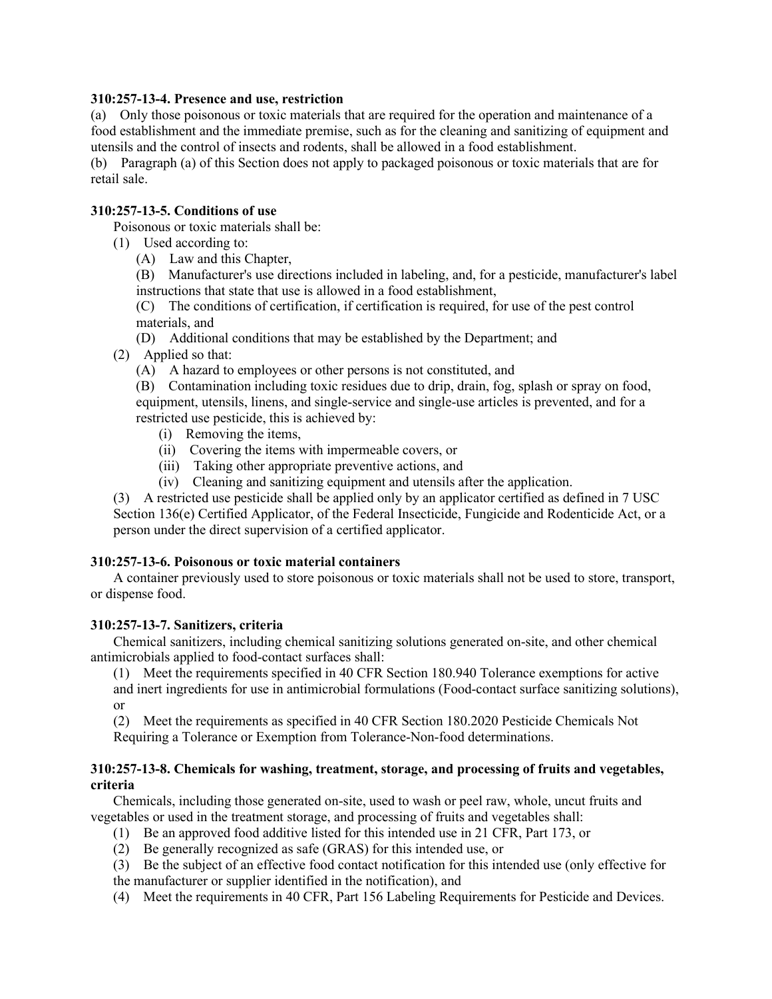# **310:257-13-4. Presence and use, restriction**

(a) Only those poisonous or toxic materials that are required for the operation and maintenance of a food establishment and the immediate premise, such as for the cleaning and sanitizing of equipment and utensils and the control of insects and rodents, shall be allowed in a food establishment.

(b) Paragraph (a) of this Section does not apply to packaged poisonous or toxic materials that are for retail sale.

# **310:257-13-5. Conditions of use**

Poisonous or toxic materials shall be:

(1) Used according to:

(A) Law and this Chapter,

(B) Manufacturer's use directions included in labeling, and, for a pesticide, manufacturer's label instructions that state that use is allowed in a food establishment,

(C) The conditions of certification, if certification is required, for use of the pest control materials, and

(D) Additional conditions that may be established by the Department; and

(2) Applied so that:

(A) A hazard to employees or other persons is not constituted, and

(B) Contamination including toxic residues due to drip, drain, fog, splash or spray on food, equipment, utensils, linens, and single-service and single-use articles is prevented, and for a restricted use pesticide, this is achieved by:

- (i) Removing the items,
- (ii) Covering the items with impermeable covers, or
- (iii) Taking other appropriate preventive actions, and
- (iv) Cleaning and sanitizing equipment and utensils after the application.

(3) A restricted use pesticide shall be applied only by an applicator certified as defined in 7 USC Section 136(e) Certified Applicator, of the Federal Insecticide, Fungicide and Rodenticide Act, or a person under the direct supervision of a certified applicator.

# **310:257-13-6. Poisonous or toxic material containers**

A container previously used to store poisonous or toxic materials shall not be used to store, transport, or dispense food.

# **310:257-13-7. Sanitizers, criteria**

Chemical sanitizers, including chemical sanitizing solutions generated on-site, and other chemical antimicrobials applied to food-contact surfaces shall:

(1) Meet the requirements specified in 40 CFR Section 180.940 Tolerance exemptions for active and inert ingredients for use in antimicrobial formulations (Food-contact surface sanitizing solutions), or

(2) Meet the requirements as specified in 40 CFR Section 180.2020 Pesticide Chemicals Not Requiring a Tolerance or Exemption from Tolerance-Non-food determinations.

# **310:257-13-8. Chemicals for washing, treatment, storage, and processing of fruits and vegetables, criteria**

Chemicals, including those generated on-site, used to wash or peel raw, whole, uncut fruits and vegetables or used in the treatment storage, and processing of fruits and vegetables shall:

- (1) Be an approved food additive listed for this intended use in 21 CFR, Part 173, or
- (2) Be generally recognized as safe (GRAS) for this intended use, or

(3) Be the subject of an effective food contact notification for this intended use (only effective for the manufacturer or supplier identified in the notification), and

(4) Meet the requirements in 40 CFR, Part 156 Labeling Requirements for Pesticide and Devices.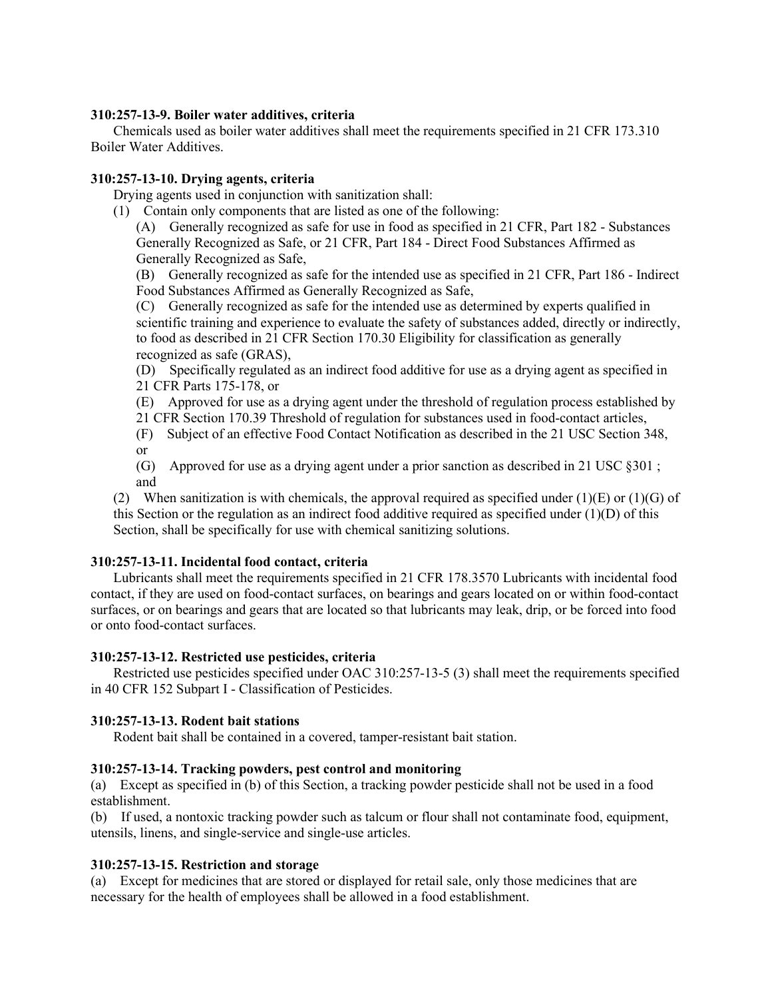## **310:257-13-9. Boiler water additives, criteria**

Chemicals used as boiler water additives shall meet the requirements specified in 21 CFR 173.310 Boiler Water Additives.

### **310:257-13-10. Drying agents, criteria**

Drying agents used in conjunction with sanitization shall:

(1) Contain only components that are listed as one of the following:

(A) Generally recognized as safe for use in food as specified in 21 CFR, Part 182 - Substances Generally Recognized as Safe, or 21 CFR, Part 184 - Direct Food Substances Affirmed as Generally Recognized as Safe,

(B) Generally recognized as safe for the intended use as specified in 21 CFR, Part 186 - Indirect Food Substances Affirmed as Generally Recognized as Safe,

(C) Generally recognized as safe for the intended use as determined by experts qualified in scientific training and experience to evaluate the safety of substances added, directly or indirectly, to food as described in 21 CFR Section 170.30 Eligibility for classification as generally recognized as safe (GRAS),

(D) Specifically regulated as an indirect food additive for use as a drying agent as specified in 21 CFR Parts 175-178, or

(E) Approved for use as a drying agent under the threshold of regulation process established by 21 CFR Section 170.39 Threshold of regulation for substances used in food-contact articles,

(F) Subject of an effective Food Contact Notification as described in the 21 USC Section 348, or

(G) Approved for use as a drying agent under a prior sanction as described in 21 USC §301 ; and

(2) When sanitization is with chemicals, the approval required as specified under (1)(E) or (1)(G) of this Section or the regulation as an indirect food additive required as specified under (1)(D) of this Section, shall be specifically for use with chemical sanitizing solutions.

# **310:257-13-11. Incidental food contact, criteria**

Lubricants shall meet the requirements specified in 21 CFR 178.3570 Lubricants with incidental food contact, if they are used on food-contact surfaces, on bearings and gears located on or within food-contact surfaces, or on bearings and gears that are located so that lubricants may leak, drip, or be forced into food or onto food-contact surfaces.

#### **310:257-13-12. Restricted use pesticides, criteria**

Restricted use pesticides specified under OAC 310:257-13-5 (3) shall meet the requirements specified in 40 CFR 152 Subpart I - Classification of Pesticides.

# **310:257-13-13. Rodent bait stations**

Rodent bait shall be contained in a covered, tamper-resistant bait station.

#### **310:257-13-14. Tracking powders, pest control and monitoring**

(a) Except as specified in (b) of this Section, a tracking powder pesticide shall not be used in a food establishment.

(b) If used, a nontoxic tracking powder such as talcum or flour shall not contaminate food, equipment, utensils, linens, and single-service and single-use articles.

# **310:257-13-15. Restriction and storage**

(a) Except for medicines that are stored or displayed for retail sale, only those medicines that are necessary for the health of employees shall be allowed in a food establishment.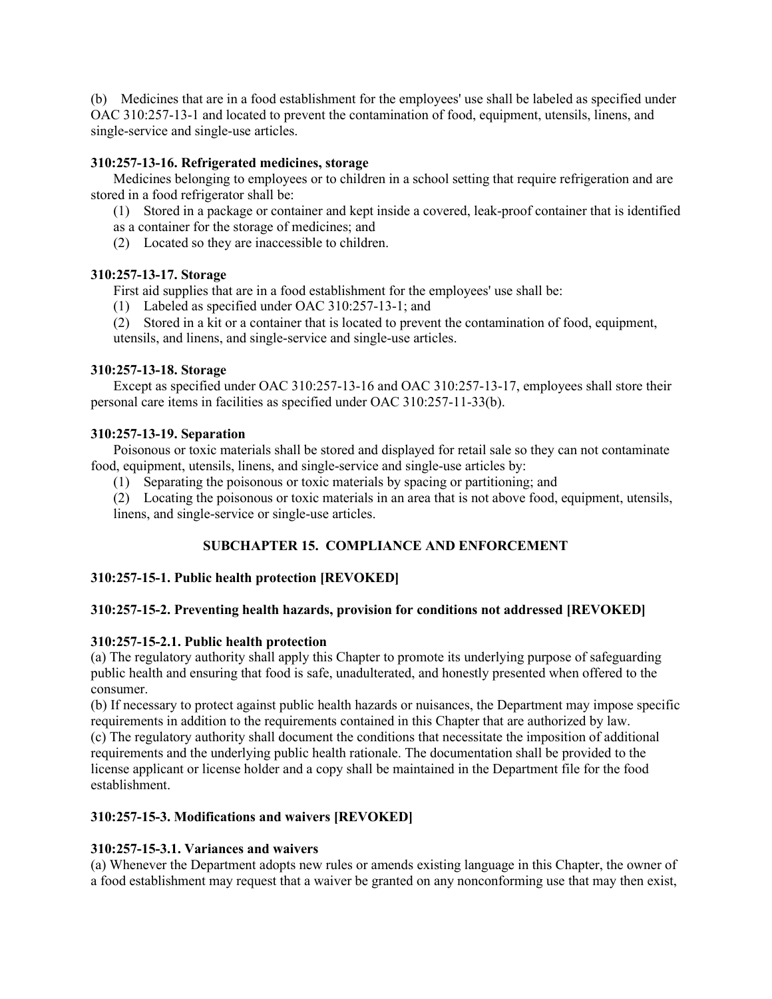(b) Medicines that are in a food establishment for the employees' use shall be labeled as specified under OAC 310:257-13-1 and located to prevent the contamination of food, equipment, utensils, linens, and single-service and single-use articles.

# **310:257-13-16. Refrigerated medicines, storage**

Medicines belonging to employees or to children in a school setting that require refrigeration and are stored in a food refrigerator shall be:

(1) Stored in a package or container and kept inside a covered, leak-proof container that is identified

- as a container for the storage of medicines; and
- (2) Located so they are inaccessible to children.

# **310:257-13-17. Storage**

First aid supplies that are in a food establishment for the employees' use shall be:

(1) Labeled as specified under OAC 310:257-13-1; and

(2) Stored in a kit or a container that is located to prevent the contamination of food, equipment, utensils, and linens, and single-service and single-use articles.

# **310:257-13-18. Storage**

Except as specified under OAC 310:257-13-16 and OAC 310:257-13-17, employees shall store their personal care items in facilities as specified under OAC 310:257-11-33(b).

# **310:257-13-19. Separation**

Poisonous or toxic materials shall be stored and displayed for retail sale so they can not contaminate food, equipment, utensils, linens, and single-service and single-use articles by:

(1) Separating the poisonous or toxic materials by spacing or partitioning; and

(2) Locating the poisonous or toxic materials in an area that is not above food, equipment, utensils, linens, and single-service or single-use articles.

# **SUBCHAPTER 15. COMPLIANCE AND ENFORCEMENT**

# **310:257-15-1. Public health protection [REVOKED]**

# **310:257-15-2. Preventing health hazards, provision for conditions not addressed [REVOKED]**

# **310:257-15-2.1. Public health protection**

(a) The regulatory authority shall apply this Chapter to promote its underlying purpose of safeguarding public health and ensuring that food is safe, unadulterated, and honestly presented when offered to the consumer.

(b) If necessary to protect against public health hazards or nuisances, the Department may impose specific requirements in addition to the requirements contained in this Chapter that are authorized by law. (c) The regulatory authority shall document the conditions that necessitate the imposition of additional requirements and the underlying public health rationale. The documentation shall be provided to the license applicant or license holder and a copy shall be maintained in the Department file for the food establishment.

# **310:257-15-3. Modifications and waivers [REVOKED]**

# **310:257-15-3.1. Variances and waivers**

(a) Whenever the Department adopts new rules or amends existing language in this Chapter, the owner of a food establishment may request that a waiver be granted on any nonconforming use that may then exist,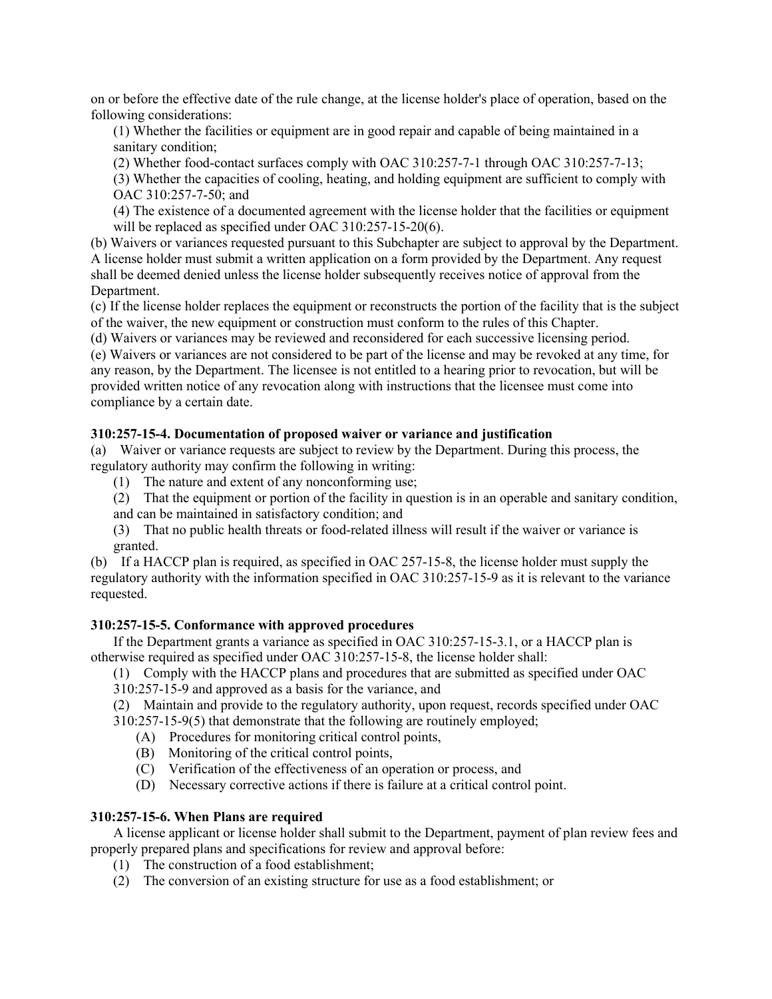on or before the effective date of the rule change, at the license holder's place of operation, based on the following considerations:

(1) Whether the facilities or equipment are in good repair and capable of being maintained in a sanitary condition;

(2) Whether food-contact surfaces comply with OAC 310:257-7-1 through OAC 310:257-7-13;

(3) Whether the capacities of cooling, heating, and holding equipment are sufficient to comply with OAC 310:257-7-50; and

(4) The existence of a documented agreement with the license holder that the facilities or equipment will be replaced as specified under OAC 310:257-15-20(6).

(b) Waivers or variances requested pursuant to this Subchapter are subject to approval by the Department. A license holder must submit a written application on a form provided by the Department. Any request shall be deemed denied unless the license holder subsequently receives notice of approval from the Department.

(c) If the license holder replaces the equipment or reconstructs the portion of the facility that is the subject of the waiver, the new equipment or construction must conform to the rules of this Chapter.

(d) Waivers or variances may be reviewed and reconsidered for each successive licensing period.

(e) Waivers or variances are not considered to be part of the license and may be revoked at any time, for any reason, by the Department. The licensee is not entitled to a hearing prior to revocation, but will be provided written notice of any revocation along with instructions that the licensee must come into compliance by a certain date.

# **310:257-15-4. Documentation of proposed waiver or variance and justification**

(a) Waiver or variance requests are subject to review by the Department. During this process, the regulatory authority may confirm the following in writing:

(1) The nature and extent of any nonconforming use;

(2) That the equipment or portion of the facility in question is in an operable and sanitary condition, and can be maintained in satisfactory condition; and

(3) That no public health threats or food-related illness will result if the waiver or variance is granted.

(b) If a HACCP plan is required, as specified in OAC 257-15-8, the license holder must supply the regulatory authority with the information specified in OAC 310:257-15-9 as it is relevant to the variance requested.

# **310:257-15-5. Conformance with approved procedures**

If the Department grants a variance as specified in OAC 310:257-15-3.1, or a HACCP plan is otherwise required as specified under OAC 310:257-15-8, the license holder shall:

(1) Comply with the HACCP plans and procedures that are submitted as specified under OAC

310:257-15-9 and approved as a basis for the variance, and

(2) Maintain and provide to the regulatory authority, upon request, records specified under OAC 310:257-15-9(5) that demonstrate that the following are routinely employed;

- (A) Procedures for monitoring critical control points,
- (B) Monitoring of the critical control points,
- (C) Verification of the effectiveness of an operation or process, and
- (D) Necessary corrective actions if there is failure at a critical control point.

# **310:257-15-6. When Plans are required**

A license applicant or license holder shall submit to the Department, payment of plan review fees and properly prepared plans and specifications for review and approval before:

- (1) The construction of a food establishment;
- (2) The conversion of an existing structure for use as a food establishment; or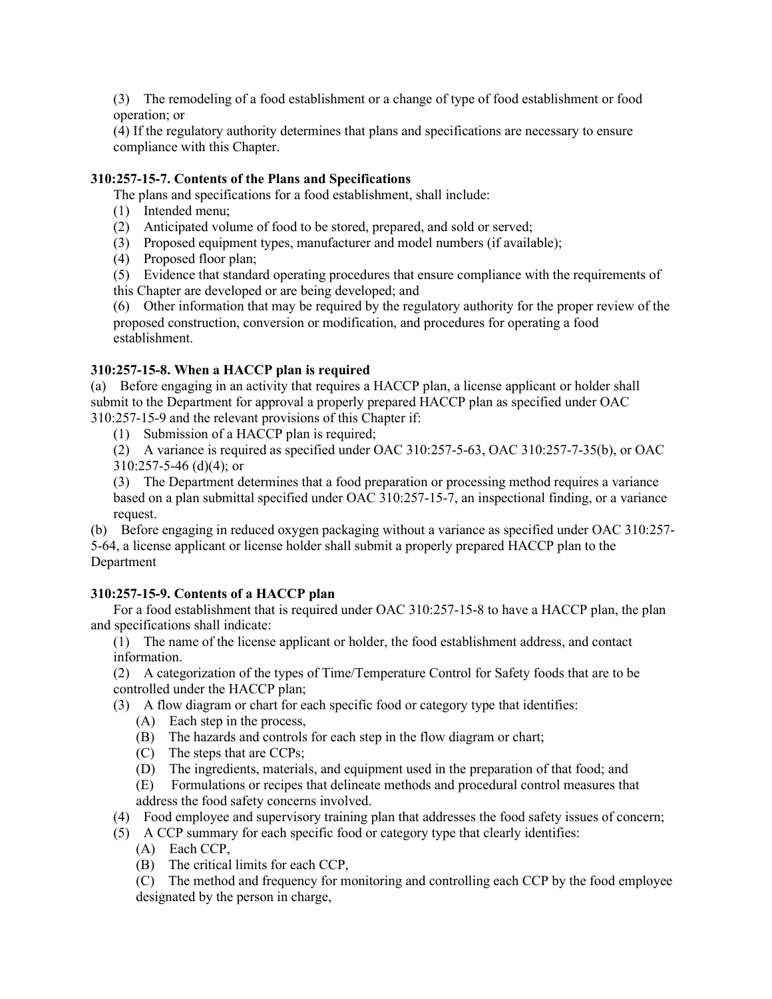(3) The remodeling of a food establishment or a change of type of food establishment or food operation; or

(4) If the regulatory authority determines that plans and specifications are necessary to ensure compliance with this Chapter.

# **310:257-15-7. Contents of the Plans and Specifications**

The plans and specifications for a food establishment, shall include:

- (1) Intended menu;
- (2) Anticipated volume of food to be stored, prepared, and sold or served;
- (3) Proposed equipment types, manufacturer and model numbers (if available);
- (4) Proposed floor plan;
- (5) Evidence that standard operating procedures that ensure compliance with the requirements of
- this Chapter are developed or are being developed; and

(6) Other information that may be required by the regulatory authority for the proper review of the proposed construction, conversion or modification, and procedures for operating a food establishment.

# **310:257-15-8. When a HACCP plan is required**

(a) Before engaging in an activity that requires a HACCP plan, a license applicant or holder shall submit to the Department for approval a properly prepared HACCP plan as specified under OAC 310:257-15-9 and the relevant provisions of this Chapter if:

(1) Submission of a HACCP plan is required;

(2) A variance is required as specified under OAC 310:257-5-63, OAC 310:257-7-35(b), or OAC  $310:257-5-46$  (d)(4); or

(3) The Department determines that a food preparation or processing method requires a variance based on a plan submittal specified under OAC 310:257-15-7, an inspectional finding, or a variance request.

(b) Before engaging in reduced oxygen packaging without a variance as specified under OAC 310:257- 5-64, a license applicant or license holder shall submit a properly prepared HACCP plan to the Department

# **310:257-15-9. Contents of a HACCP plan**

For a food establishment that is required under OAC 310:257-15-8 to have a HACCP plan, the plan and specifications shall indicate:

(1) The name of the license applicant or holder, the food establishment address, and contact information.

(2) A categorization of the types of Time/Temperature Control for Safety foods that are to be controlled under the HACCP plan;

(3) A flow diagram or chart for each specific food or category type that identifies:

- (A) Each step in the process,
- (B) The hazards and controls for each step in the flow diagram or chart;
- (C) The steps that are CCPs;
- (D) The ingredients, materials, and equipment used in the preparation of that food; and
- (E) Formulations or recipes that delineate methods and procedural control measures that address the food safety concerns involved.
- (4) Food employee and supervisory training plan that addresses the food safety issues of concern;
- (5) A CCP summary for each specific food or category type that clearly identifies:
	- (A) Each CCP,
	- (B) The critical limits for each CCP,

(C) The method and frequency for monitoring and controlling each CCP by the food employee designated by the person in charge,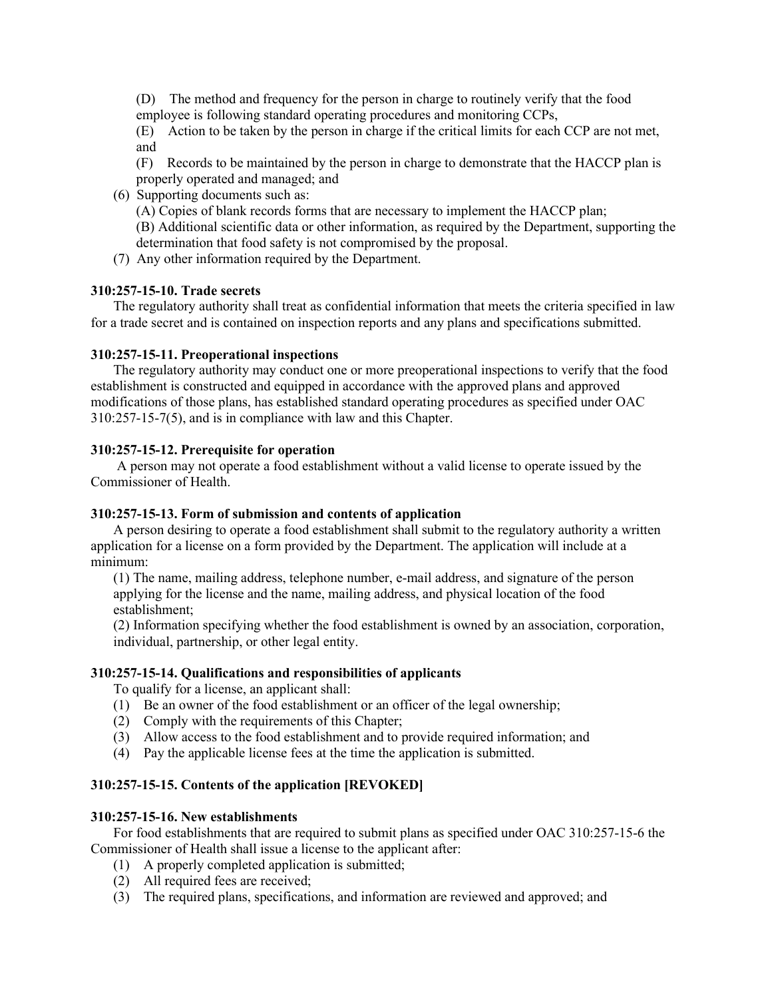(D) The method and frequency for the person in charge to routinely verify that the food employee is following standard operating procedures and monitoring CCPs,

(E) Action to be taken by the person in charge if the critical limits for each CCP are not met, and

(F) Records to be maintained by the person in charge to demonstrate that the HACCP plan is properly operated and managed; and

(6) Supporting documents such as:

(A) Copies of blank records forms that are necessary to implement the HACCP plan;

(B) Additional scientific data or other information, as required by the Department, supporting the determination that food safety is not compromised by the proposal.

(7) Any other information required by the Department.

## **310:257-15-10. Trade secrets**

The regulatory authority shall treat as confidential information that meets the criteria specified in law for a trade secret and is contained on inspection reports and any plans and specifications submitted.

### **310:257-15-11. Preoperational inspections**

The regulatory authority may conduct one or more preoperational inspections to verify that the food establishment is constructed and equipped in accordance with the approved plans and approved modifications of those plans, has established standard operating procedures as specified under OAC 310:257-15-7(5), and is in compliance with law and this Chapter.

# **310:257-15-12. Prerequisite for operation**

A person may not operate a food establishment without a valid license to operate issued by the Commissioner of Health.

### **310:257-15-13. Form of submission and contents of application**

A person desiring to operate a food establishment shall submit to the regulatory authority a written application for a license on a form provided by the Department. The application will include at a minimum:

(1) The name, mailing address, telephone number, e-mail address, and signature of the person applying for the license and the name, mailing address, and physical location of the food establishment;

(2) Information specifying whether the food establishment is owned by an association, corporation, individual, partnership, or other legal entity.

# **310:257-15-14. Qualifications and responsibilities of applicants**

To qualify for a license, an applicant shall:

- (1) Be an owner of the food establishment or an officer of the legal ownership;
- (2) Comply with the requirements of this Chapter;
- (3) Allow access to the food establishment and to provide required information; and
- (4) Pay the applicable license fees at the time the application is submitted.

# **310:257-15-15. Contents of the application [REVOKED]**

#### **310:257-15-16. New establishments**

For food establishments that are required to submit plans as specified under OAC 310:257-15-6 the Commissioner of Health shall issue a license to the applicant after:

- (1) A properly completed application is submitted;
- (2) All required fees are received;
- (3) The required plans, specifications, and information are reviewed and approved; and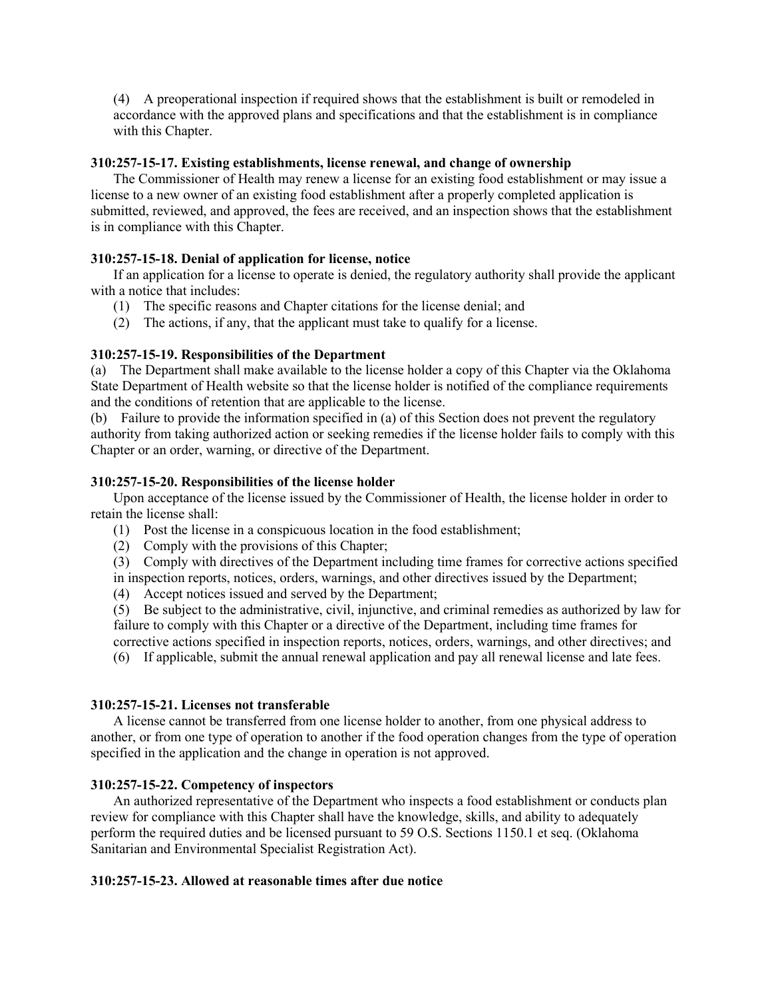(4) A preoperational inspection if required shows that the establishment is built or remodeled in accordance with the approved plans and specifications and that the establishment is in compliance with this Chapter.

### **310:257-15-17. Existing establishments, license renewal, and change of ownership**

The Commissioner of Health may renew a license for an existing food establishment or may issue a license to a new owner of an existing food establishment after a properly completed application is submitted, reviewed, and approved, the fees are received, and an inspection shows that the establishment is in compliance with this Chapter.

# **310:257-15-18. Denial of application for license, notice**

If an application for a license to operate is denied, the regulatory authority shall provide the applicant with a notice that includes:

- (1) The specific reasons and Chapter citations for the license denial; and
- (2) The actions, if any, that the applicant must take to qualify for a license.

### **310:257-15-19. Responsibilities of the Department**

(a) The Department shall make available to the license holder a copy of this Chapter via the Oklahoma State Department of Health website so that the license holder is notified of the compliance requirements and the conditions of retention that are applicable to the license.

(b) Failure to provide the information specified in (a) of this Section does not prevent the regulatory authority from taking authorized action or seeking remedies if the license holder fails to comply with this Chapter or an order, warning, or directive of the Department.

### **310:257-15-20. Responsibilities of the license holder**

Upon acceptance of the license issued by the Commissioner of Health, the license holder in order to retain the license shall:

- (1) Post the license in a conspicuous location in the food establishment;
- (2) Comply with the provisions of this Chapter;
- (3) Comply with directives of the Department including time frames for corrective actions specified in inspection reports, notices, orders, warnings, and other directives issued by the Department;
- (4) Accept notices issued and served by the Department;

(5) Be subject to the administrative, civil, injunctive, and criminal remedies as authorized by law for failure to comply with this Chapter or a directive of the Department, including time frames for corrective actions specified in inspection reports, notices, orders, warnings, and other directives; and

(6) If applicable, submit the annual renewal application and pay all renewal license and late fees.

#### **310:257-15-21. Licenses not transferable**

A license cannot be transferred from one license holder to another, from one physical address to another, or from one type of operation to another if the food operation changes from the type of operation specified in the application and the change in operation is not approved.

#### **310:257-15-22. Competency of inspectors**

An authorized representative of the Department who inspects a food establishment or conducts plan review for compliance with this Chapter shall have the knowledge, skills, and ability to adequately perform the required duties and be licensed pursuant to 59 O.S. Sections 1150.1 et seq. (Oklahoma Sanitarian and Environmental Specialist Registration Act).

# **310:257-15-23. Allowed at reasonable times after due notice**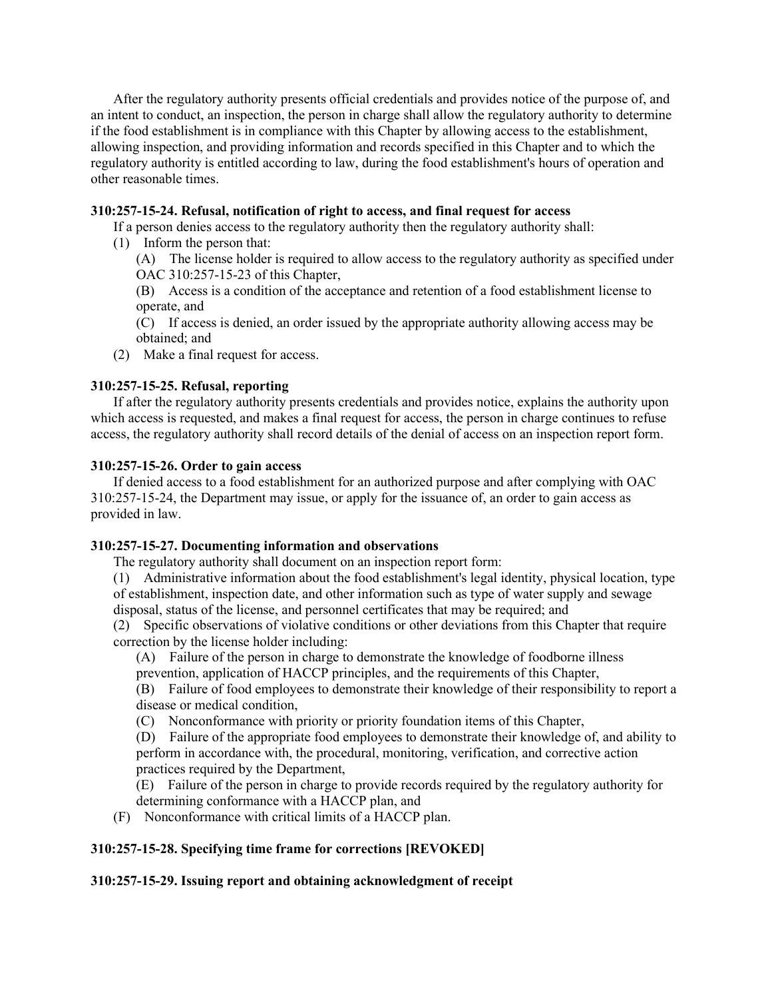After the regulatory authority presents official credentials and provides notice of the purpose of, and an intent to conduct, an inspection, the person in charge shall allow the regulatory authority to determine if the food establishment is in compliance with this Chapter by allowing access to the establishment, allowing inspection, and providing information and records specified in this Chapter and to which the regulatory authority is entitled according to law, during the food establishment's hours of operation and other reasonable times.

# **310:257-15-24. Refusal, notification of right to access, and final request for access**

If a person denies access to the regulatory authority then the regulatory authority shall:

(1) Inform the person that:

(A) The license holder is required to allow access to the regulatory authority as specified under OAC 310:257-15-23 of this Chapter,

(B) Access is a condition of the acceptance and retention of a food establishment license to operate, and

(C) If access is denied, an order issued by the appropriate authority allowing access may be obtained; and

(2) Make a final request for access.

# **310:257-15-25. Refusal, reporting**

If after the regulatory authority presents credentials and provides notice, explains the authority upon which access is requested, and makes a final request for access, the person in charge continues to refuse access, the regulatory authority shall record details of the denial of access on an inspection report form.

# **310:257-15-26. Order to gain access**

If denied access to a food establishment for an authorized purpose and after complying with OAC 310:257-15-24, the Department may issue, or apply for the issuance of, an order to gain access as provided in law.

# **310:257-15-27. Documenting information and observations**

The regulatory authority shall document on an inspection report form:

(1) Administrative information about the food establishment's legal identity, physical location, type of establishment, inspection date, and other information such as type of water supply and sewage disposal, status of the license, and personnel certificates that may be required; and

(2) Specific observations of violative conditions or other deviations from this Chapter that require correction by the license holder including:

(A) Failure of the person in charge to demonstrate the knowledge of foodborne illness prevention, application of HACCP principles, and the requirements of this Chapter,

(B) Failure of food employees to demonstrate their knowledge of their responsibility to report a disease or medical condition,

(C) Nonconformance with priority or priority foundation items of this Chapter,

(D) Failure of the appropriate food employees to demonstrate their knowledge of, and ability to perform in accordance with, the procedural, monitoring, verification, and corrective action practices required by the Department,

(E) Failure of the person in charge to provide records required by the regulatory authority for determining conformance with a HACCP plan, and

(F) Nonconformance with critical limits of a HACCP plan.

# **310:257-15-28. Specifying time frame for corrections [REVOKED]**

# **310:257-15-29. Issuing report and obtaining acknowledgment of receipt**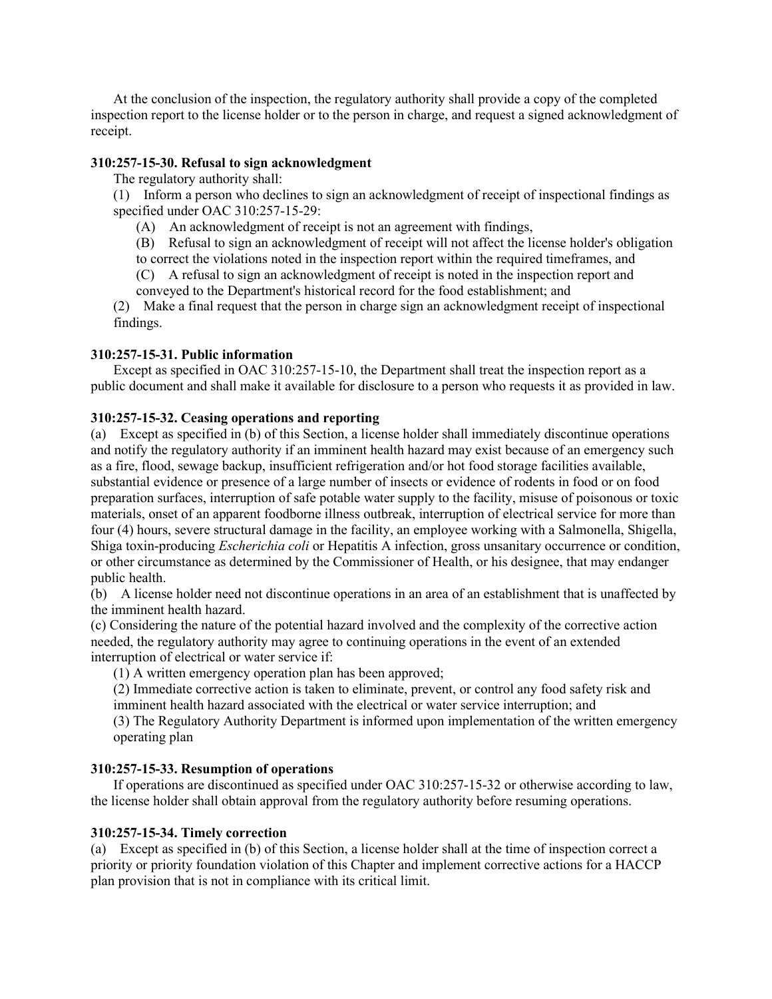At the conclusion of the inspection, the regulatory authority shall provide a copy of the completed inspection report to the license holder or to the person in charge, and request a signed acknowledgment of receipt.

## **310:257-15-30. Refusal to sign acknowledgment**

The regulatory authority shall:

(1) Inform a person who declines to sign an acknowledgment of receipt of inspectional findings as specified under OAC 310:257-15-29:

(A) An acknowledgment of receipt is not an agreement with findings,

(B) Refusal to sign an acknowledgment of receipt will not affect the license holder's obligation to correct the violations noted in the inspection report within the required timeframes, and

(C) A refusal to sign an acknowledgment of receipt is noted in the inspection report and

conveyed to the Department's historical record for the food establishment; and

(2) Make a final request that the person in charge sign an acknowledgment receipt of inspectional findings.

# **310:257-15-31. Public information**

Except as specified in OAC 310:257-15-10, the Department shall treat the inspection report as a public document and shall make it available for disclosure to a person who requests it as provided in law.

### **310:257-15-32. Ceasing operations and reporting**

(a) Except as specified in (b) of this Section, a license holder shall immediately discontinue operations and notify the regulatory authority if an imminent health hazard may exist because of an emergency such as a fire, flood, sewage backup, insufficient refrigeration and/or hot food storage facilities available, substantial evidence or presence of a large number of insects or evidence of rodents in food or on food preparation surfaces, interruption of safe potable water supply to the facility, misuse of poisonous or toxic materials, onset of an apparent foodborne illness outbreak, interruption of electrical service for more than four (4) hours, severe structural damage in the facility, an employee working with a Salmonella, Shigella, Shiga toxin-producing *Escherichia coli* or Hepatitis A infection, gross unsanitary occurrence or condition, or other circumstance as determined by the Commissioner of Health, or his designee, that may endanger public health.

(b) A license holder need not discontinue operations in an area of an establishment that is unaffected by the imminent health hazard.

(c) Considering the nature of the potential hazard involved and the complexity of the corrective action needed, the regulatory authority may agree to continuing operations in the event of an extended interruption of electrical or water service if:

(1) A written emergency operation plan has been approved;

(2) Immediate corrective action is taken to eliminate, prevent, or control any food safety risk and imminent health hazard associated with the electrical or water service interruption; and

(3) The Regulatory Authority Department is informed upon implementation of the written emergency operating plan

# **310:257-15-33. Resumption of operations**

If operations are discontinued as specified under OAC 310:257-15-32 or otherwise according to law, the license holder shall obtain approval from the regulatory authority before resuming operations.

# **310:257-15-34. Timely correction**

(a) Except as specified in (b) of this Section, a license holder shall at the time of inspection correct a priority or priority foundation violation of this Chapter and implement corrective actions for a HACCP plan provision that is not in compliance with its critical limit.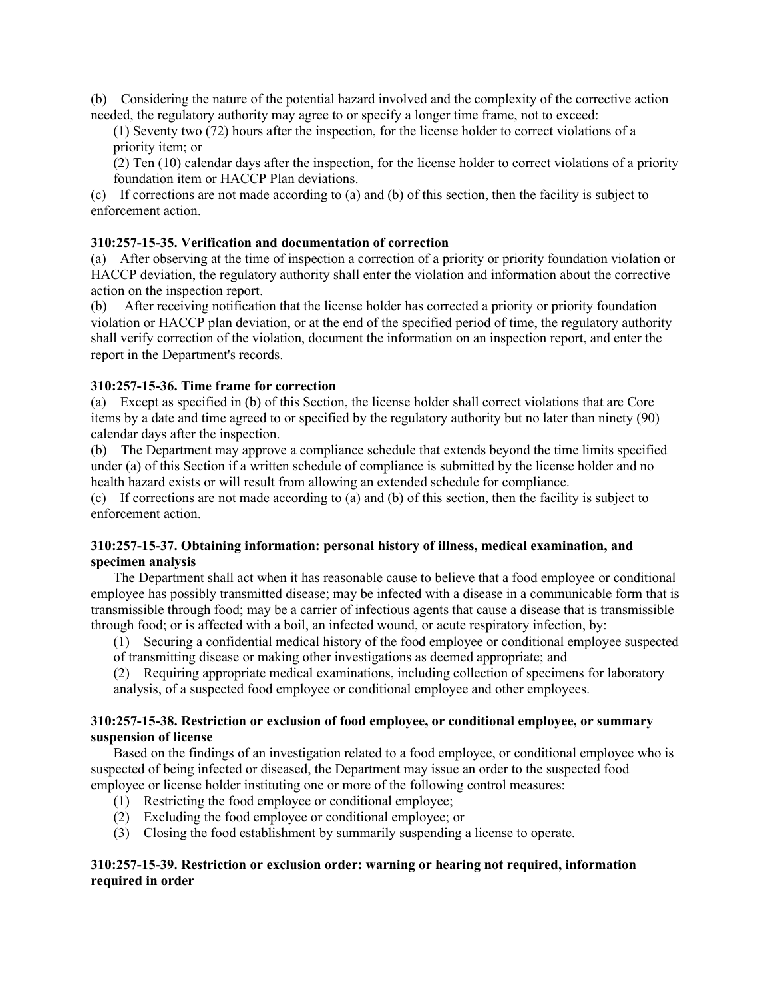(b) Considering the nature of the potential hazard involved and the complexity of the corrective action needed, the regulatory authority may agree to or specify a longer time frame, not to exceed:

(1) Seventy two (72) hours after the inspection, for the license holder to correct violations of a priority item; or

(2) Ten (10) calendar days after the inspection, for the license holder to correct violations of a priority foundation item or HACCP Plan deviations.

(c) If corrections are not made according to (a) and (b) of this section, then the facility is subject to enforcement action.

# **310:257-15-35. Verification and documentation of correction**

(a) After observing at the time of inspection a correction of a priority or priority foundation violation or HACCP deviation, the regulatory authority shall enter the violation and information about the corrective action on the inspection report.

(b) After receiving notification that the license holder has corrected a priority or priority foundation violation or HACCP plan deviation, or at the end of the specified period of time, the regulatory authority shall verify correction of the violation, document the information on an inspection report, and enter the report in the Department's records.

### **310:257-15-36. Time frame for correction**

(a) Except as specified in (b) of this Section, the license holder shall correct violations that are Core items by a date and time agreed to or specified by the regulatory authority but no later than ninety (90) calendar days after the inspection.

(b) The Department may approve a compliance schedule that extends beyond the time limits specified under (a) of this Section if a written schedule of compliance is submitted by the license holder and no health hazard exists or will result from allowing an extended schedule for compliance.

(c) If corrections are not made according to (a) and (b) of this section, then the facility is subject to enforcement action.

### **310:257-15-37. Obtaining information: personal history of illness, medical examination, and specimen analysis**

The Department shall act when it has reasonable cause to believe that a food employee or conditional employee has possibly transmitted disease; may be infected with a disease in a communicable form that is transmissible through food; may be a carrier of infectious agents that cause a disease that is transmissible through food; or is affected with a boil, an infected wound, or acute respiratory infection, by:

(1) Securing a confidential medical history of the food employee or conditional employee suspected of transmitting disease or making other investigations as deemed appropriate; and

(2) Requiring appropriate medical examinations, including collection of specimens for laboratory analysis, of a suspected food employee or conditional employee and other employees.

## **310:257-15-38. Restriction or exclusion of food employee, or conditional employee, or summary suspension of license**

Based on the findings of an investigation related to a food employee, or conditional employee who is suspected of being infected or diseased, the Department may issue an order to the suspected food employee or license holder instituting one or more of the following control measures:

- (1) Restricting the food employee or conditional employee;
- (2) Excluding the food employee or conditional employee; or
- (3) Closing the food establishment by summarily suspending a license to operate.

# **310:257-15-39. Restriction or exclusion order: warning or hearing not required, information required in order**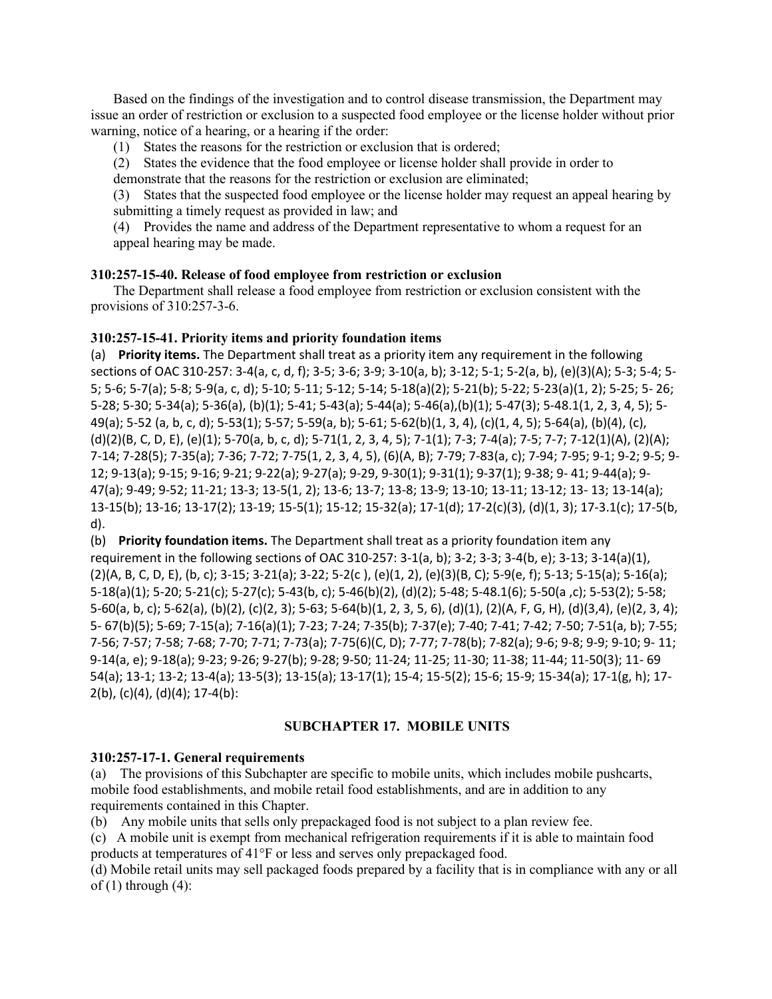Based on the findings of the investigation and to control disease transmission, the Department may issue an order of restriction or exclusion to a suspected food employee or the license holder without prior warning, notice of a hearing, or a hearing if the order:

(1) States the reasons for the restriction or exclusion that is ordered;

(2) States the evidence that the food employee or license holder shall provide in order to demonstrate that the reasons for the restriction or exclusion are eliminated;

(3) States that the suspected food employee or the license holder may request an appeal hearing by submitting a timely request as provided in law; and

(4) Provides the name and address of the Department representative to whom a request for an appeal hearing may be made.

### **310:257-15-40. Release of food employee from restriction or exclusion**

The Department shall release a food employee from restriction or exclusion consistent with the provisions of 310:257-3-6.

#### **310:257-15-41. Priority items and priority foundation items**

(a) **Priority items.** The Department shall treat as a priority item any requirement in the following sections of OAC 310-257: 3-4(a, c, d, f); 3-5; 3-6; 3-9; 3-10(a, b); 3-12; 5-1; 5-2(a, b), (e)(3)(A); 5-3; 5-4; 5- 5; 5-6; 5-7(a); 5-8; 5-9(a, c, d); 5-10; 5-11; 5-12; 5-14; 5-18(a)(2); 5-21(b); 5-22; 5-23(a)(1, 2); 5-25; 5- 26; 5-28; 5-30; 5-34(a); 5-36(a), (b)(1); 5-41; 5-43(a); 5-44(a); 5-46(a),(b)(1); 5-47(3); 5-48.1(1, 2, 3, 4, 5); 5- 49(a); 5-52 (a, b, c, d); 5-53(1); 5-57; 5-59(a, b); 5-61; 5-62(b)(1, 3, 4), (c)(1, 4, 5); 5-64(a), (b)(4), (c), (d)(2)(B, C, D, E), (e)(1); 5-70(a, b, c, d); 5-71(1, 2, 3, 4, 5); 7-1(1); 7-3; 7-4(a); 7-5; 7-7; 7-12(1)(A), (2)(A); 7-14; 7-28(5); 7-35(a); 7-36; 7-72; 7-75(1, 2, 3, 4, 5), (6)(A, B); 7-79; 7-83(a, c); 7-94; 7-95; 9-1; 9-2; 9-5; 9- 12; 9-13(a); 9-15; 9-16; 9-21; 9-22(a); 9-27(a); 9-29, 9-30(1); 9-31(1); 9-37(1); 9-38; 9- 41; 9-44(a); 9- 47(a); 9-49; 9-52; 11-21; 13-3; 13-5(1, 2); 13-6; 13-7; 13-8; 13-9; 13-10; 13-11; 13-12; 13- 13; 13-14(a); 13-15(b); 13-16; 13-17(2); 13-19; 15-5(1); 15-12; 15-32(a); 17-1(d); 17-2(c)(3), (d)(1, 3); 17-3.1(c); 17-5(b, d).

(b) **Priority foundation items.** The Department shall treat as a priority foundation item any requirement in the following sections of OAC 310-257: 3-1(a, b); 3-2; 3-3; 3-4(b, e); 3-13; 3-14(a)(1), (2)(A, B, C, D, E), (b, c); 3-15; 3-21(a); 3-22; 5-2(c ), (e)(1, 2), (e)(3)(B, C); 5-9(e, f); 5-13; 5-15(a); 5-16(a); 5-18(a)(1); 5-20; 5-21(c); 5-27(c); 5-43(b, c); 5-46(b)(2), (d)(2); 5-48; 5-48.1(6); 5-50(a ,c); 5-53(2); 5-58; 5-60(a, b, c); 5-62(a), (b)(2), (c)(2, 3); 5-63; 5-64(b)(1, 2, 3, 5, 6), (d)(1), (2)(A, F, G, H), (d)(3,4), (e)(2, 3, 4); 5- 67(b)(5); 5-69; 7-15(a); 7-16(a)(1); 7-23; 7-24; 7-35(b); 7-37(e); 7-40; 7-41; 7-42; 7-50; 7-51(a, b); 7-55; 7-56; 7-57; 7-58; 7-68; 7-70; 7-71; 7-73(a); 7-75(6)(C, D); 7-77; 7-78(b); 7-82(a); 9-6; 9-8; 9-9; 9-10; 9- 11; 9-14(a, e); 9-18(a); 9-23; 9-26; 9-27(b); 9-28; 9-50; 11-24; 11-25; 11-30; 11-38; 11-44; 11-50(3); 11- 69 54(a); 13-1; 13-2; 13-4(a); 13-5(3); 13-15(a); 13-17(1); 15-4; 15-5(2); 15-6; 15-9; 15-34(a); 17-1(g, h); 17- 2(b), (c)(4), (d)(4); 17-4(b):

# **SUBCHAPTER 17. MOBILE UNITS**

#### **310:257-17-1. General requirements**

(a) The provisions of this Subchapter are specific to mobile units, which includes mobile pushcarts, mobile food establishments, and mobile retail food establishments, and are in addition to any requirements contained in this Chapter.

(b) Any mobile units that sells only prepackaged food is not subject to a plan review fee.

(c) A mobile unit is exempt from mechanical refrigeration requirements if it is able to maintain food products at temperatures of 41°F or less and serves only prepackaged food.

(d) Mobile retail units may sell packaged foods prepared by a facility that is in compliance with any or all of  $(1)$  through  $(4)$ :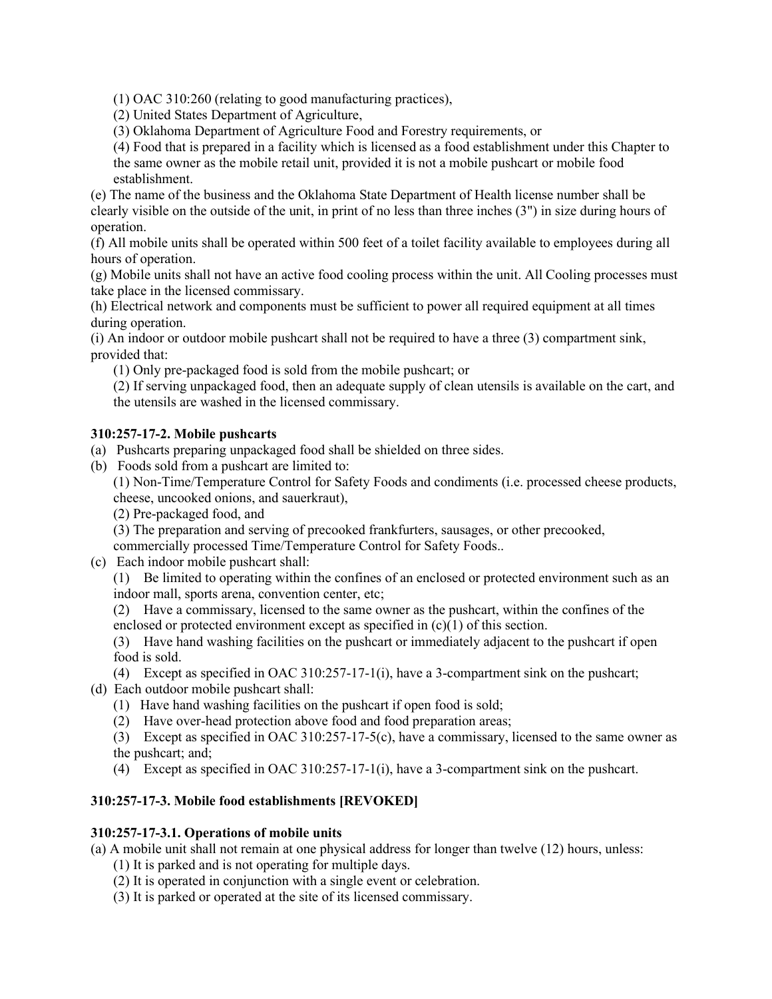(1) OAC 310:260 (relating to good manufacturing practices),

(2) United States Department of Agriculture,

(3) Oklahoma Department of Agriculture Food and Forestry requirements, or

(4) Food that is prepared in a facility which is licensed as a food establishment under this Chapter to the same owner as the mobile retail unit, provided it is not a mobile pushcart or mobile food establishment.

(e) The name of the business and the Oklahoma State Department of Health license number shall be clearly visible on the outside of the unit, in print of no less than three inches (3") in size during hours of operation.

(f) All mobile units shall be operated within 500 feet of a toilet facility available to employees during all hours of operation.

(g) Mobile units shall not have an active food cooling process within the unit. All Cooling processes must take place in the licensed commissary.

(h) Electrical network and components must be sufficient to power all required equipment at all times during operation.

(i) An indoor or outdoor mobile pushcart shall not be required to have a three (3) compartment sink, provided that:

(1) Only pre-packaged food is sold from the mobile pushcart; or

(2) If serving unpackaged food, then an adequate supply of clean utensils is available on the cart, and the utensils are washed in the licensed commissary.

# **310:257-17-2. Mobile pushcarts**

- (a) Pushcarts preparing unpackaged food shall be shielded on three sides.
- (b) Foods sold from a pushcart are limited to:

(1) Non-Time/Temperature Control for Safety Foods and condiments (i.e. processed cheese products, cheese, uncooked onions, and sauerkraut),

(2) Pre-packaged food, and

(3) The preparation and serving of precooked frankfurters, sausages, or other precooked,

commercially processed Time/Temperature Control for Safety Foods..

(c) Each indoor mobile pushcart shall:

(1) Be limited to operating within the confines of an enclosed or protected environment such as an indoor mall, sports arena, convention center, etc;

(2) Have a commissary, licensed to the same owner as the pushcart, within the confines of the enclosed or protected environment except as specified in  $(c)(1)$  of this section.

(3) Have hand washing facilities on the pushcart or immediately adjacent to the pushcart if open food is sold.

(4) Except as specified in OAC 310:257-17-1(i), have a 3-compartment sink on the pushcart; (d) Each outdoor mobile pushcart shall:

- (1) Have hand washing facilities on the pushcart if open food is sold;
- (2) Have over-head protection above food and food preparation areas;

(3) Except as specified in OAC 310:257-17-5(c), have a commissary, licensed to the same owner as the pushcart; and;

(4) Except as specified in OAC 310:257-17-1(i), have a 3-compartment sink on the pushcart.

# **310:257-17-3. Mobile food establishments [REVOKED]**

# **310:257-17-3.1. Operations of mobile units**

(a) A mobile unit shall not remain at one physical address for longer than twelve (12) hours, unless:

- (1) It is parked and is not operating for multiple days.
- (2) It is operated in conjunction with a single event or celebration.
- (3) It is parked or operated at the site of its licensed commissary.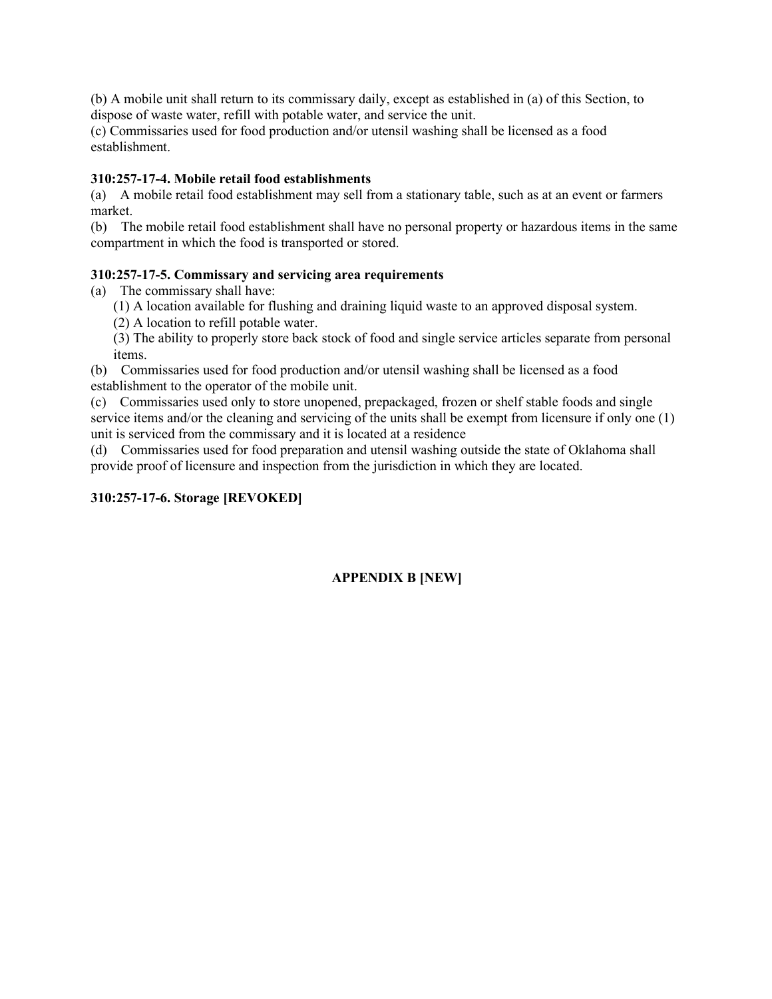(b) A mobile unit shall return to its commissary daily, except as established in (a) of this Section, to dispose of waste water, refill with potable water, and service the unit.

(c) Commissaries used for food production and/or utensil washing shall be licensed as a food establishment.

## **310:257-17-4. Mobile retail food establishments**

(a) A mobile retail food establishment may sell from a stationary table, such as at an event or farmers market.

(b) The mobile retail food establishment shall have no personal property or hazardous items in the same compartment in which the food is transported or stored.

## **310:257-17-5. Commissary and servicing area requirements**

(a) The commissary shall have:

- (1) A location available for flushing and draining liquid waste to an approved disposal system.
- (2) A location to refill potable water.

(3) The ability to properly store back stock of food and single service articles separate from personal items.

(b) Commissaries used for food production and/or utensil washing shall be licensed as a food establishment to the operator of the mobile unit.

(c) Commissaries used only to store unopened, prepackaged, frozen or shelf stable foods and single service items and/or the cleaning and servicing of the units shall be exempt from licensure if only one (1) unit is serviced from the commissary and it is located at a residence

(d) Commissaries used for food preparation and utensil washing outside the state of Oklahoma shall provide proof of licensure and inspection from the jurisdiction in which they are located.

### **310:257-17-6. Storage [REVOKED]**

# **APPENDIX B [NEW]**